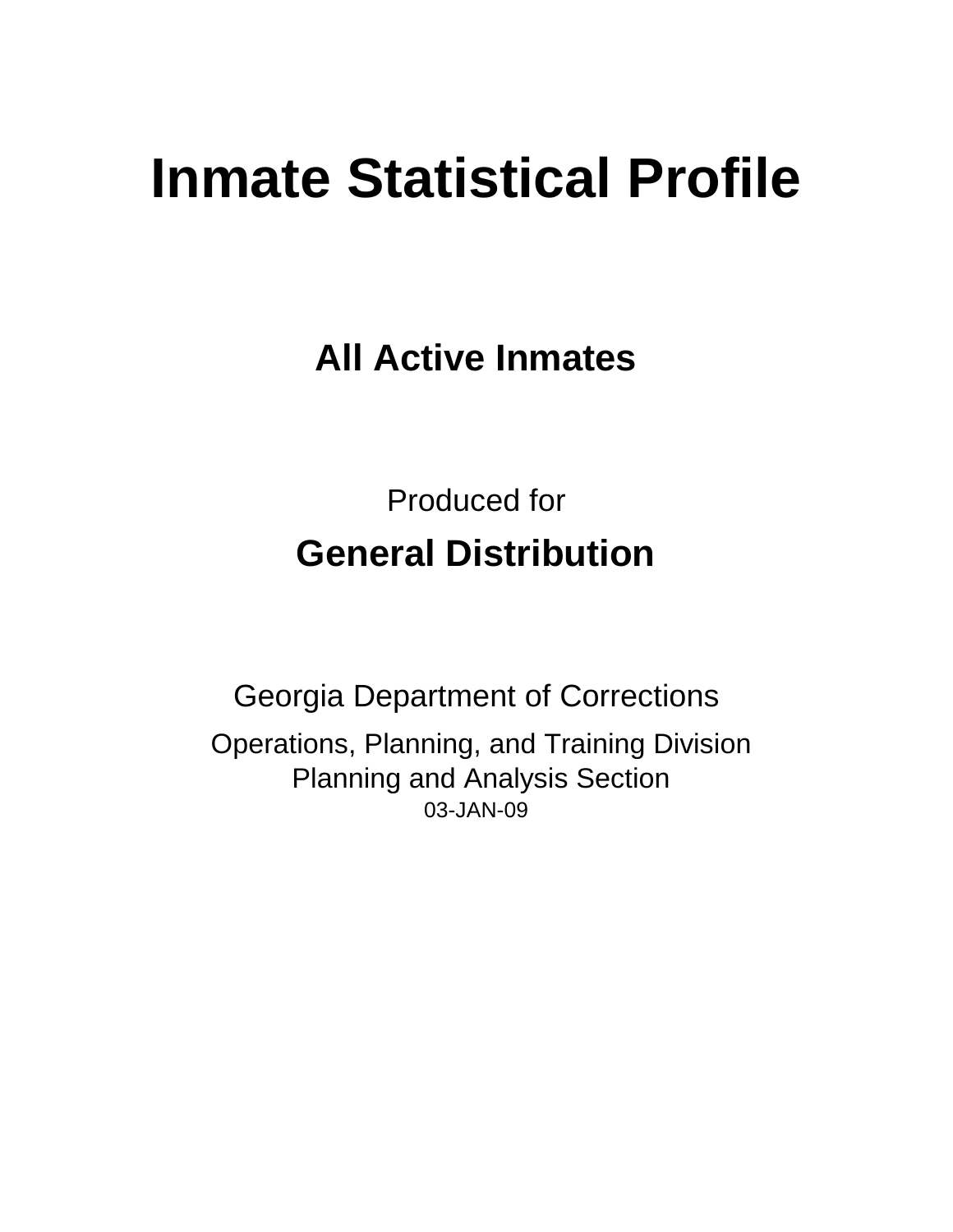# **Inmate Statistical Profile**

**All Active Inmates**

Produced for **General Distribution**

03-JAN-09 Georgia Department of Corrections Operations, Planning, and Training Division Planning and Analysis Section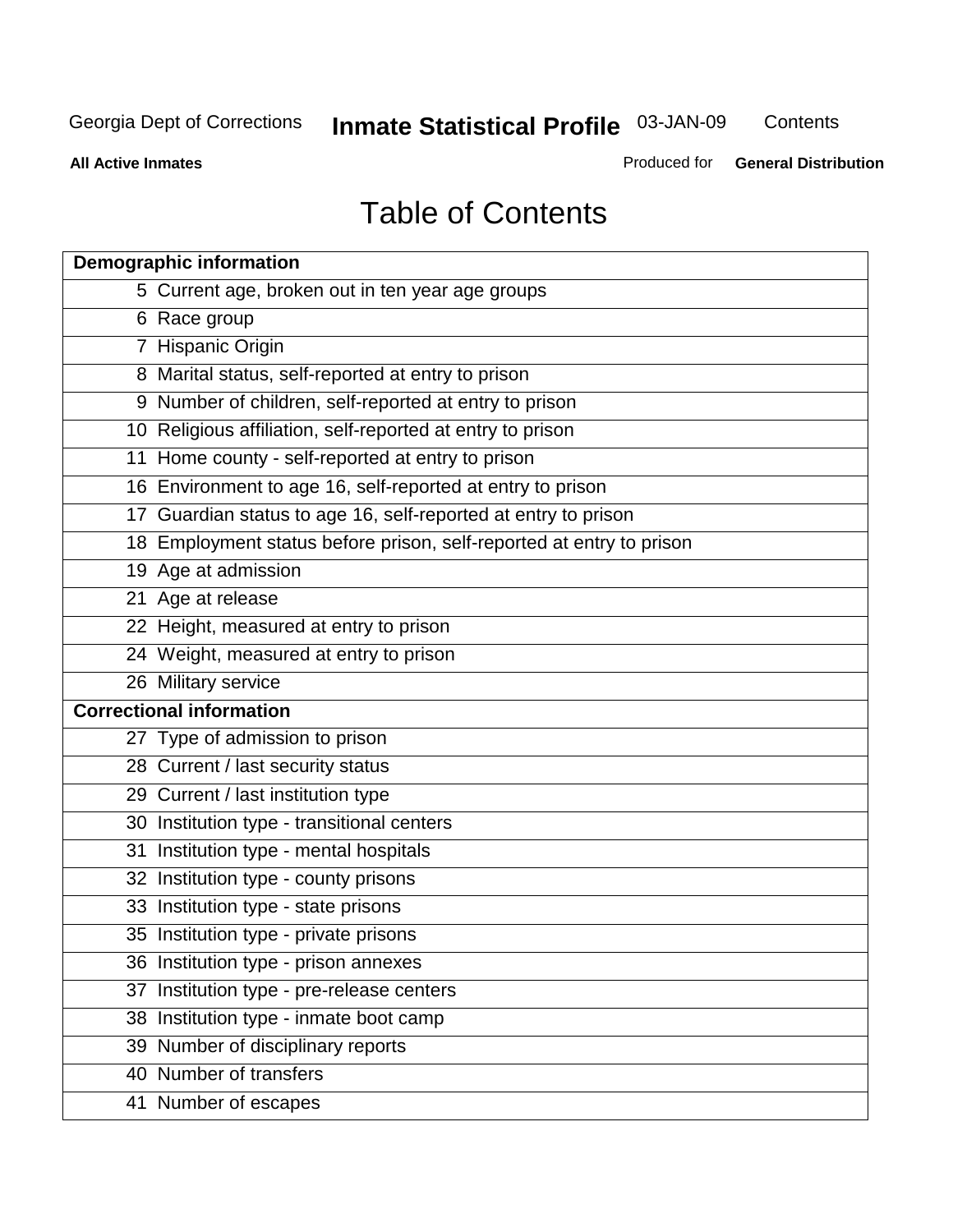**Contents** 

**All Active Inmates**

Produced for **General Distribution**

# Table of Contents

| <b>Demographic information</b>                                       |  |
|----------------------------------------------------------------------|--|
| 5 Current age, broken out in ten year age groups                     |  |
| 6 Race group                                                         |  |
| 7 Hispanic Origin                                                    |  |
| 8 Marital status, self-reported at entry to prison                   |  |
| 9 Number of children, self-reported at entry to prison               |  |
| 10 Religious affiliation, self-reported at entry to prison           |  |
| 11 Home county - self-reported at entry to prison                    |  |
| 16 Environment to age 16, self-reported at entry to prison           |  |
| 17 Guardian status to age 16, self-reported at entry to prison       |  |
| 18 Employment status before prison, self-reported at entry to prison |  |
| 19 Age at admission                                                  |  |
| 21 Age at release                                                    |  |
| 22 Height, measured at entry to prison                               |  |
| 24 Weight, measured at entry to prison                               |  |
| 26 Military service                                                  |  |
| <b>Correctional information</b>                                      |  |
| 27 Type of admission to prison                                       |  |
| 28 Current / last security status                                    |  |
| 29 Current / last institution type                                   |  |
| 30 Institution type - transitional centers                           |  |
| Institution type - mental hospitals<br>31                            |  |
| 32 Institution type - county prisons                                 |  |
| 33 Institution type - state prisons                                  |  |
| 35 Institution type - private prisons                                |  |
| 36 Institution type - prison annexes                                 |  |
| Institution type - pre-release centers<br>37                         |  |
| 38 Institution type - inmate boot camp                               |  |
| 39 Number of disciplinary reports                                    |  |
| 40 Number of transfers                                               |  |
| 41 Number of escapes                                                 |  |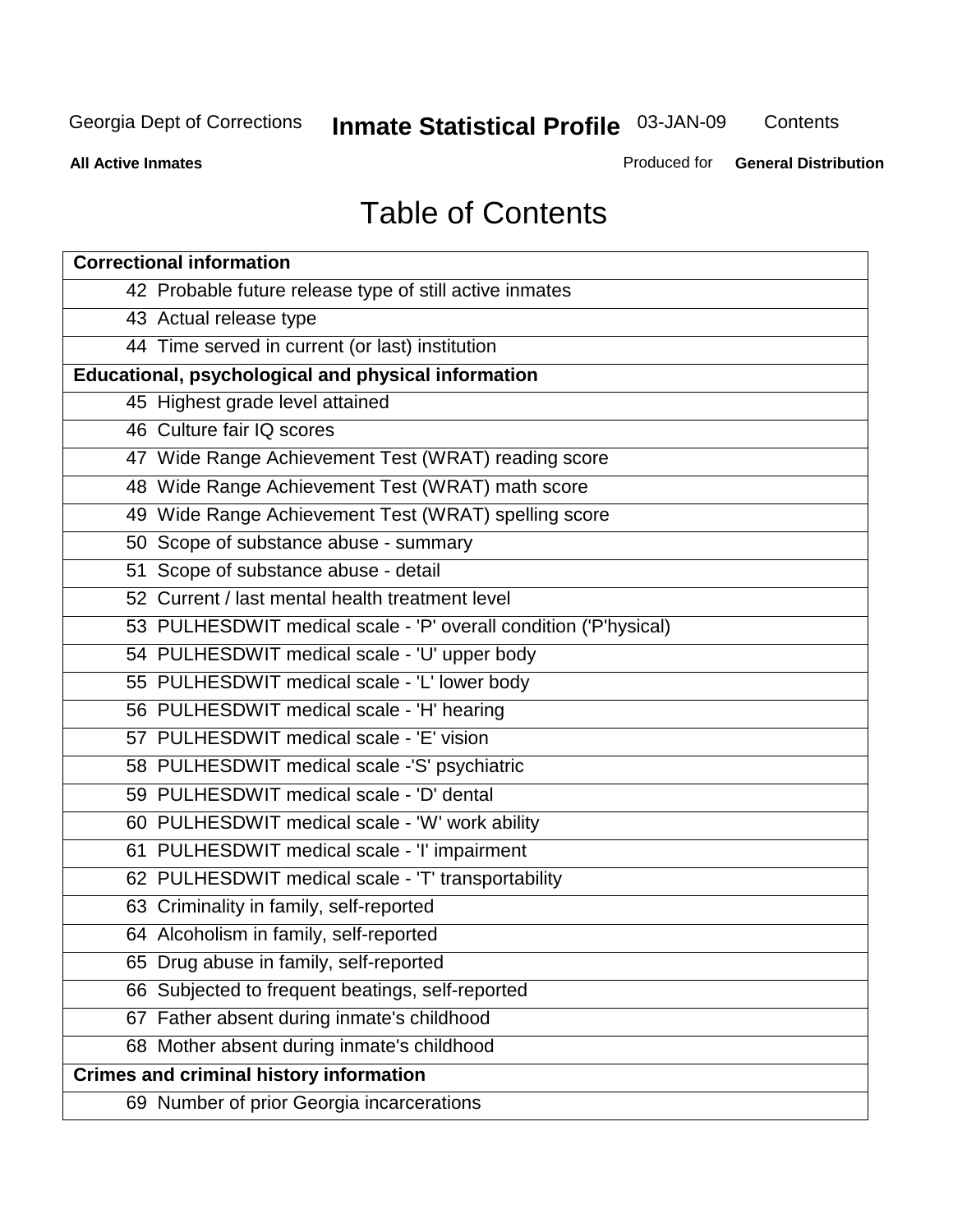**Contents** 

**All Active Inmates**

Produced for **General Distribution**

# Table of Contents

| <b>Correctional information</b>                                  |
|------------------------------------------------------------------|
| 42 Probable future release type of still active inmates          |
| 43 Actual release type                                           |
| 44 Time served in current (or last) institution                  |
| Educational, psychological and physical information              |
| 45 Highest grade level attained                                  |
| 46 Culture fair IQ scores                                        |
| 47 Wide Range Achievement Test (WRAT) reading score              |
| 48 Wide Range Achievement Test (WRAT) math score                 |
| 49 Wide Range Achievement Test (WRAT) spelling score             |
| 50 Scope of substance abuse - summary                            |
| 51 Scope of substance abuse - detail                             |
| 52 Current / last mental health treatment level                  |
| 53 PULHESDWIT medical scale - 'P' overall condition ('P'hysical) |
| 54 PULHESDWIT medical scale - 'U' upper body                     |
| 55 PULHESDWIT medical scale - 'L' lower body                     |
| 56 PULHESDWIT medical scale - 'H' hearing                        |
| 57 PULHESDWIT medical scale - 'E' vision                         |
| 58 PULHESDWIT medical scale -'S' psychiatric                     |
| 59 PULHESDWIT medical scale - 'D' dental                         |
| 60 PULHESDWIT medical scale - 'W' work ability                   |
| 61 PULHESDWIT medical scale - 'I' impairment                     |
| 62 PULHESDWIT medical scale - 'T' transportability               |
| 63 Criminality in family, self-reported                          |
| 64 Alcoholism in family, self-reported                           |
| 65 Drug abuse in family, self-reported                           |
| 66 Subjected to frequent beatings, self-reported                 |
| 67 Father absent during inmate's childhood                       |
| 68 Mother absent during inmate's childhood                       |
| <b>Crimes and criminal history information</b>                   |
| 69 Number of prior Georgia incarcerations                        |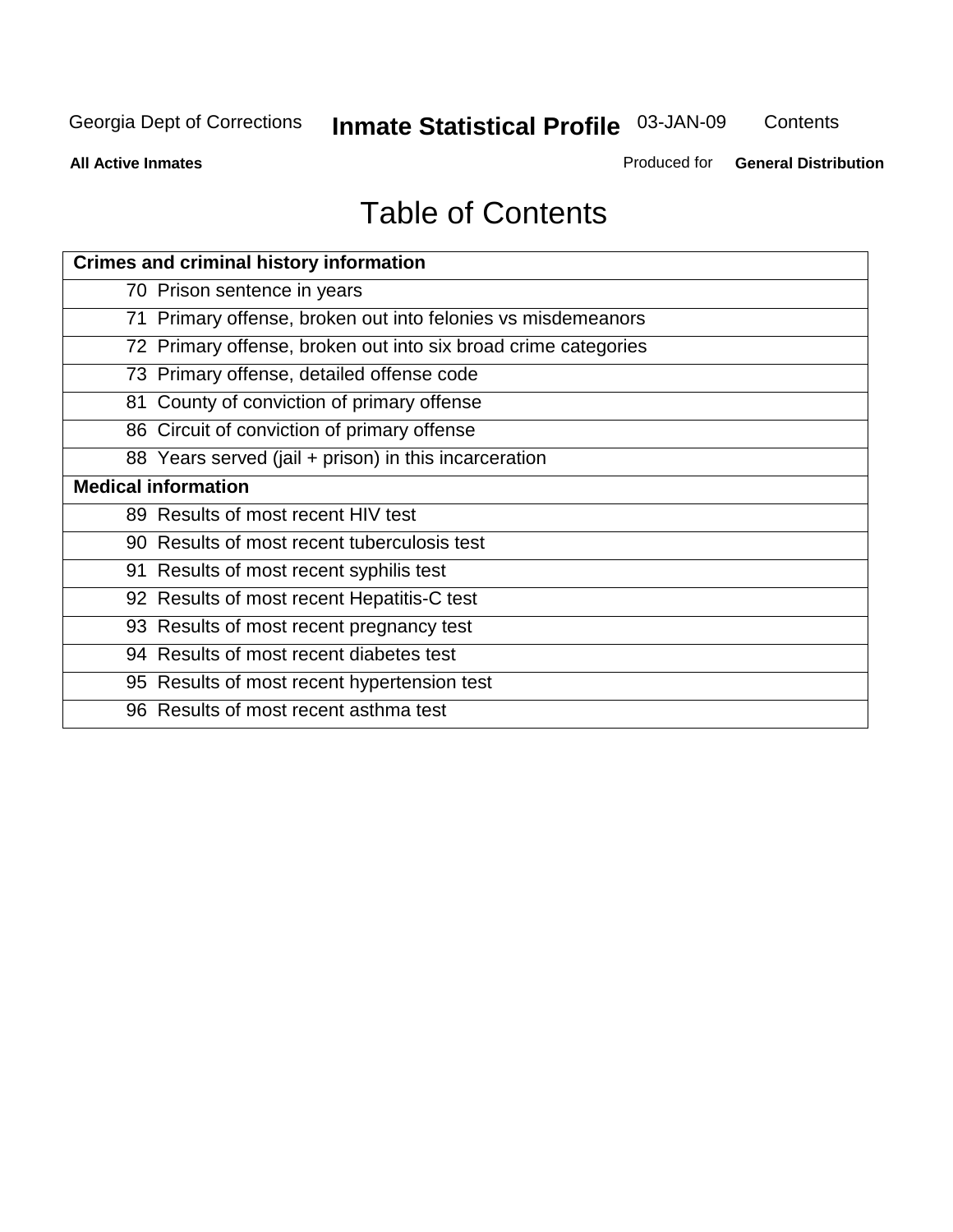**Contents** 

**All Active Inmates**

Produced for **General Distribution**

# Table of Contents

| <b>Crimes and criminal history information</b>                 |
|----------------------------------------------------------------|
| 70 Prison sentence in years                                    |
| 71 Primary offense, broken out into felonies vs misdemeanors   |
| 72 Primary offense, broken out into six broad crime categories |
| 73 Primary offense, detailed offense code                      |
| 81 County of conviction of primary offense                     |
| 86 Circuit of conviction of primary offense                    |
| 88 Years served (jail + prison) in this incarceration          |
| <b>Medical information</b>                                     |
| 89 Results of most recent HIV test                             |
| 90 Results of most recent tuberculosis test                    |
| 91 Results of most recent syphilis test                        |
| 92 Results of most recent Hepatitis-C test                     |
| 93 Results of most recent pregnancy test                       |
| 94 Results of most recent diabetes test                        |
| 95 Results of most recent hypertension test                    |
| 96 Results of most recent asthma test                          |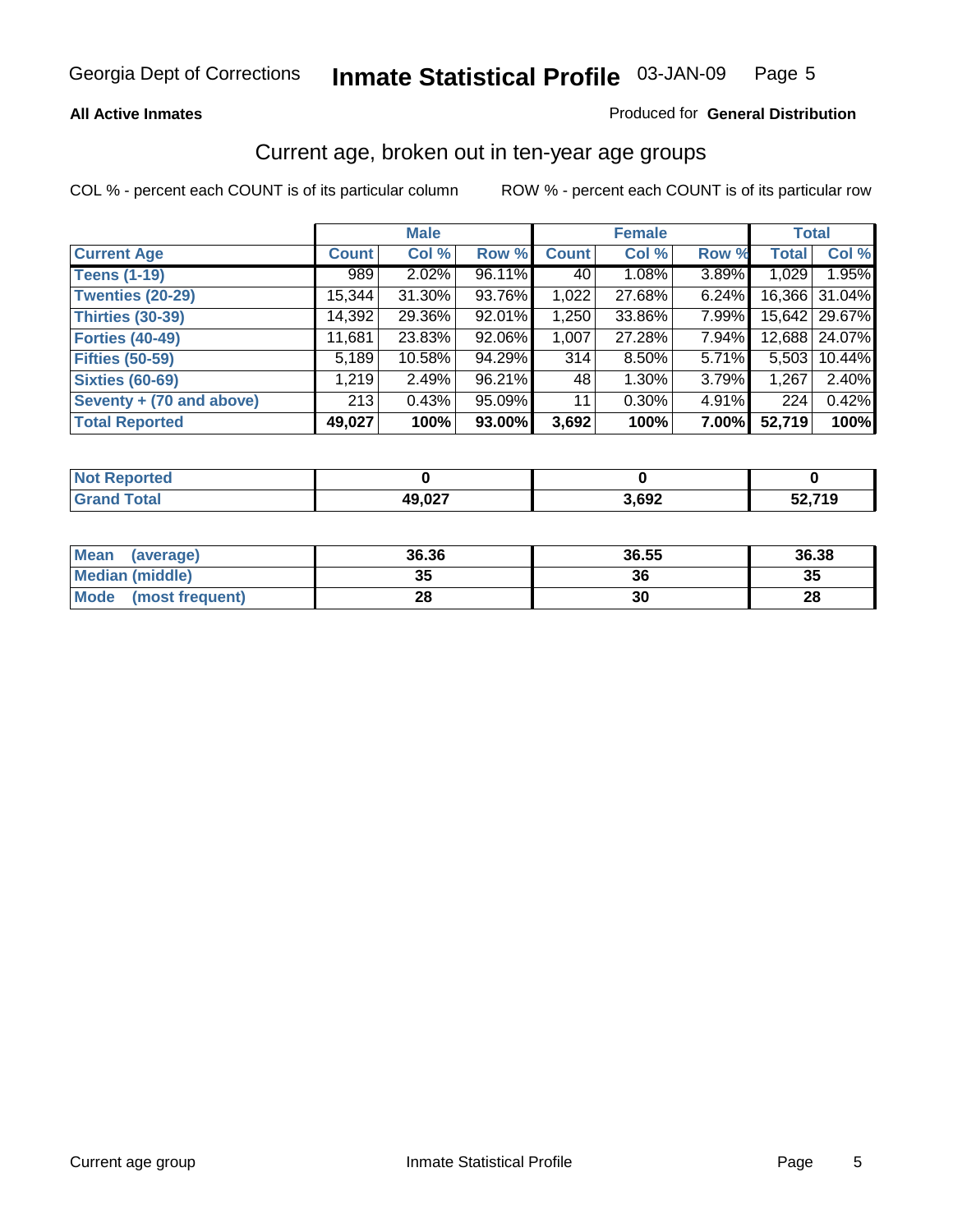#### **All Active Inmates**

#### Produced for **General Distribution**

### Current age, broken out in ten-year age groups

|                          |              | <b>Male</b> |        |              | <b>Female</b> |       |              | <b>Total</b>  |
|--------------------------|--------------|-------------|--------|--------------|---------------|-------|--------------|---------------|
| <b>Current Age</b>       | <b>Count</b> | Col %       | Row %  | <b>Count</b> | Col %         | Row % | <b>Total</b> | Col %         |
| <b>Teens (1-19)</b>      | 989          | $2.02\%$    | 96.11% | 40           | 1.08%         | 3.89% | 1,029        | 1.95%         |
| <b>Twenties (20-29)</b>  | 15,344       | 31.30%      | 93.76% | 1,022        | 27.68%        | 6.24% |              | 16,366 31.04% |
| <b>Thirties (30-39)</b>  | 14,392       | 29.36%      | 92.01% | 1,250        | 33.86%        | 7.99% |              | 15,642 29.67% |
| <b>Forties (40-49)</b>   | 11,681       | 23.83%      | 92.06% | 1,007        | 27.28%        | 7.94% |              | 12,688 24.07% |
| <b>Fifties (50-59)</b>   | 5,189        | 10.58%      | 94.29% | 314          | 8.50%         | 5.71% | 5,503        | 10.44%        |
| <b>Sixties (60-69)</b>   | 1,219        | 2.49%       | 96.21% | 48           | 1.30%         | 3.79% | 1,267        | 2.40%         |
| Seventy + (70 and above) | 213          | 0.43%       | 95.09% | 11           | 0.30%         | 4.91% | 224          | 0.42%         |
| <b>Total Reported</b>    | 49,027       | 100%        | 93.00% | 3,692        | 100%          | 7.00% | 52,719       | 100%          |

| $N$ nt $\mathbf{I}$<br><b>Construction Construction</b><br>rted<br>keno |                          |       |         |
|-------------------------------------------------------------------------|--------------------------|-------|---------|
| <b>Fotal</b>                                                            | 10 N 27<br>45<br>49.VZ 1 | 3,692 | --<br>. |

| Mean<br>(average)       | 36.36 | 36.55 | 36.38 |
|-------------------------|-------|-------|-------|
| Median (middle)         | 35    | 36    | 35    |
| Mode<br>(most frequent) | 28    | 30    | 28    |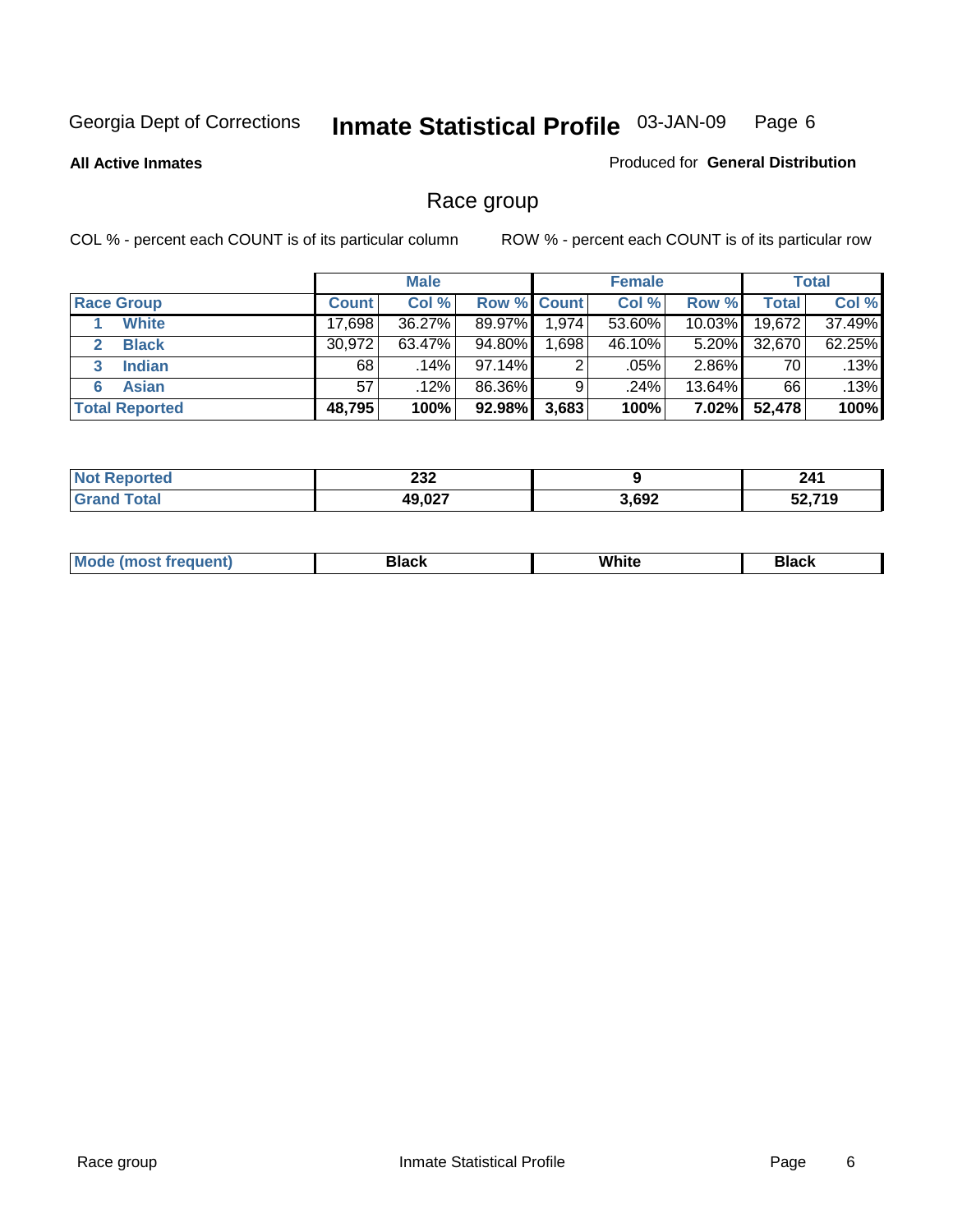**All Active Inmates**

#### Produced for **General Distribution**

# Race group

|                       |              | <b>Male</b> |                    |          | <b>Female</b> |           |        | <b>Total</b> |
|-----------------------|--------------|-------------|--------------------|----------|---------------|-----------|--------|--------------|
| <b>Race Group</b>     | <b>Count</b> | Col %       | <b>Row % Count</b> |          | Col %         | Row %     | Total  | Col %        |
| <b>White</b>          | 17,698       | 36.27%      | 89.97%             | 1,974    | 53.60%        | 10.03%    | 19,672 | 37.49%       |
| <b>Black</b>          | 30,972       | 63.47%      | 94.80%             | ا 698. ا | 46.10%        | $5.20\%$  | 32,670 | 62.25%       |
| <b>Indian</b><br>3    | 68           | $.14\%$     | 97.14%             | 2        | .05%          | $2.86\%$  | 70     | .13%         |
| <b>Asian</b>          | 57           | .12%        | 86.36%             |          | .24%          | $13.64\%$ | 66     | .13%         |
| <b>Total Reported</b> | 48,795       | 100%        | 92.98%             | 3,683    | 100%          | 7.02%     | 52,478 | 100%         |

| າາາ<br>ZJZ |       | 241        |
|------------|-------|------------|
| 10 N 27    | 3,692 | ,710<br>-2 |

|  | $Mc$ | Black | White<br>$ -$ | 21904<br>DIACK |
|--|------|-------|---------------|----------------|
|--|------|-------|---------------|----------------|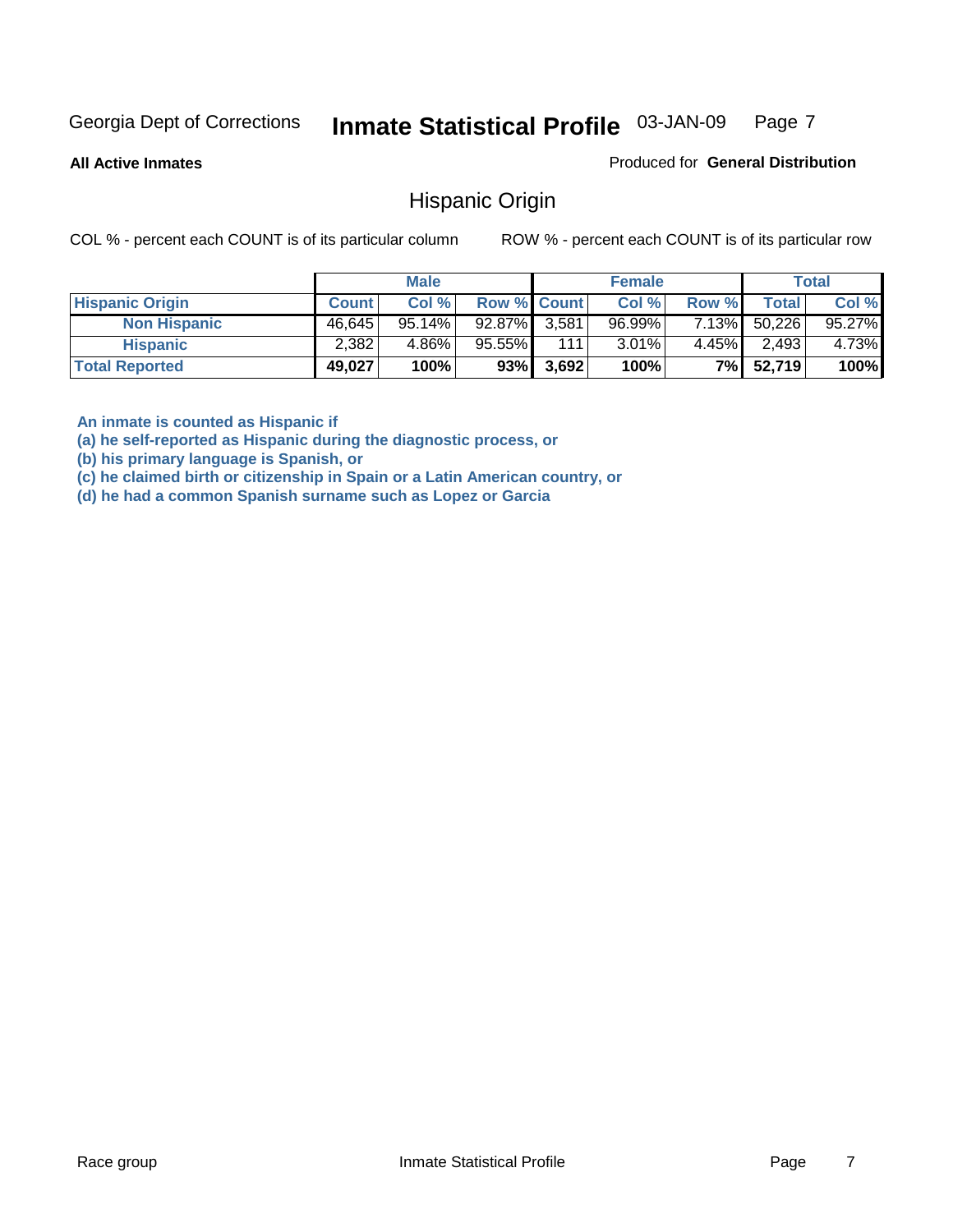**All Active Inmates**

Produced for **General Distribution**

### Hispanic Origin

COL % - percent each COUNT is of its particular column ROW % - percent each COUNT is of its particular row

|                        |              | <b>Male</b> |                    |       | <b>Female</b> |          |        | <b>Total</b> |
|------------------------|--------------|-------------|--------------------|-------|---------------|----------|--------|--------------|
| <b>Hispanic Origin</b> | <b>Count</b> | Col %       | <b>Row % Count</b> |       | Col %         | Row %    | Total  | Col %        |
| <b>Non Hispanic</b>    | 46,645       | 95.14%      | 92.87% 3.581       |       | $96.99\%$     | 7.13%    | 50,226 | 95.27%       |
| <b>Hispanic</b>        | 2,382        | 4.86%       | 95.55%             | 111   | $3.01\%$      | $4.45\%$ | 2,493  | 4.73%        |
| <b>Total Reported</b>  | 49,027       | 100%        | 93%                | 3,692 | 100%          | 7%       | 52,719 | 100%         |

**An inmate is counted as Hispanic if** 

**(a) he self-reported as Hispanic during the diagnostic process, or** 

**(b) his primary language is Spanish, or** 

**(c) he claimed birth or citizenship in Spain or a Latin American country, or** 

**(d) he had a common Spanish surname such as Lopez or Garcia**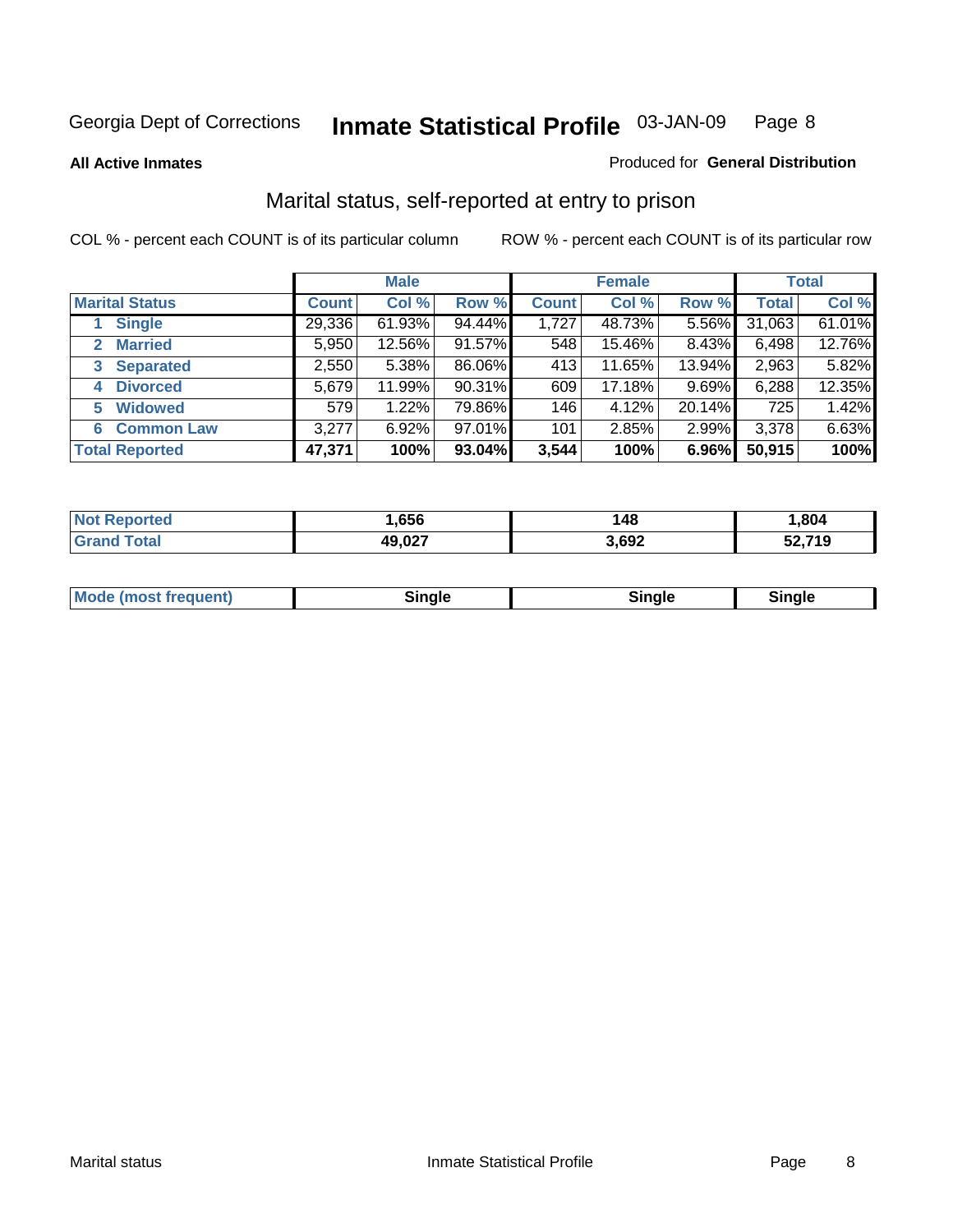**All Active Inmates**

#### Produced for **General Distribution**

# Marital status, self-reported at entry to prison

|                                | <b>Male</b>  |           |        | <b>Female</b> |        |        | <b>Total</b> |        |
|--------------------------------|--------------|-----------|--------|---------------|--------|--------|--------------|--------|
| <b>Marital Status</b>          | <b>Count</b> | Col %     | Row %  | <b>Count</b>  | Col %  | Row %  | <b>Total</b> | Col %  |
| <b>Single</b>                  | 29,336       | $61.93\%$ | 94.44% | 1,727         | 48.73% | 5.56%  | 31,063       | 61.01% |
| <b>Married</b><br>$\mathbf{2}$ | 5,950        | 12.56%    | 91.57% | 548           | 15.46% | 8.43%  | 6,498        | 12.76% |
| <b>Separated</b><br>3          | 2,550        | 5.38%     | 86.06% | 413           | 11.65% | 13.94% | 2,963        | 5.82%  |
| <b>Divorced</b><br>4           | 5,679        | 11.99%    | 90.31% | 609           | 17.18% | 9.69%  | 6,288        | 12.35% |
| <b>Widowed</b><br>5            | 579          | 1.22%     | 79.86% | 146           | 4.12%  | 20.14% | 725          | 1.42%  |
| <b>Common Law</b><br>6         | 3,277        | 6.92%     | 97.01% | 101           | 2.85%  | 2.99%  | 3,378        | 6.63%  |
| <b>Total Reported</b>          | 47,371       | 100%      | 93.04% | 3,544         | 100%   | 6.96%  | 50,915       | 100%   |

| NO | 656                      | 148   | .804 |
|----|--------------------------|-------|------|
|    | 10.02T<br>ו שטוי<br>$ -$ | 3,692 | .719 |

|  | <b>Mo</b><br>(most frequent) | 71 C |  | <b>Rinale</b> |  |
|--|------------------------------|------|--|---------------|--|
|--|------------------------------|------|--|---------------|--|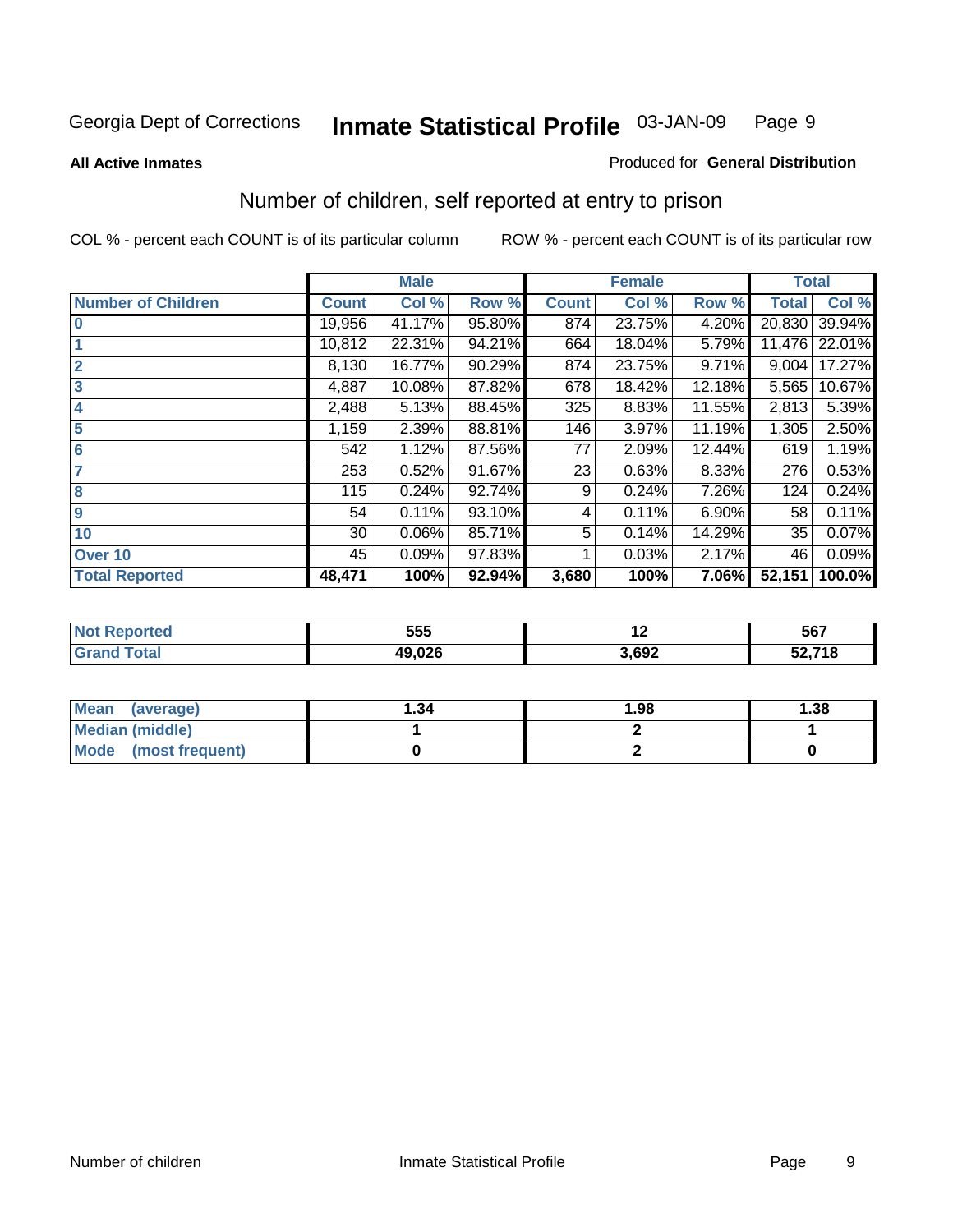#### **All Active Inmates**

#### Produced for **General Distribution**

# Number of children, self reported at entry to prison

|                           |              | <b>Male</b> |        |              | <b>Female</b> |        | <b>Total</b> |        |
|---------------------------|--------------|-------------|--------|--------------|---------------|--------|--------------|--------|
| <b>Number of Children</b> | <b>Count</b> | Col %       | Row %  | <b>Count</b> | Col %         | Row %  | <b>Total</b> | Col %  |
| $\bf{0}$                  | 19,956       | 41.17%      | 95.80% | 874          | 23.75%        | 4.20%  | 20,830       | 39.94% |
|                           | 10,812       | 22.31%      | 94.21% | 664          | 18.04%        | 5.79%  | 11,476       | 22.01% |
| $\overline{2}$            | 8,130        | 16.77%      | 90.29% | 874          | 23.75%        | 9.71%  | 9,004        | 17.27% |
| 3                         | 4,887        | 10.08%      | 87.82% | 678          | 18.42%        | 12.18% | 5,565        | 10.67% |
| 4                         | 2,488        | 5.13%       | 88.45% | 325          | 8.83%         | 11.55% | 2,813        | 5.39%  |
| 5                         | 1,159        | 2.39%       | 88.81% | 146          | 3.97%         | 11.19% | 1,305        | 2.50%  |
| $6\phantom{a}$            | 542          | 1.12%       | 87.56% | 77           | 2.09%         | 12.44% | 619          | 1.19%  |
| 7                         | 253          | 0.52%       | 91.67% | 23           | 0.63%         | 8.33%  | 276          | 0.53%  |
| 8                         | 115          | 0.24%       | 92.74% | 9            | 0.24%         | 7.26%  | 124          | 0.24%  |
| 9                         | 54           | 0.11%       | 93.10% | 4            | 0.11%         | 6.90%  | 58           | 0.11%  |
| 10                        | 30           | 0.06%       | 85.71% | 5            | 0.14%         | 14.29% | 35           | 0.07%  |
| Over 10                   | 45           | 0.09%       | 97.83% |              | 0.03%         | 2.17%  | 46           | 0.09%  |
| <b>Total Reported</b>     | 48,471       | 100%        | 92.94% | 3,680        | 100%          | 7.06%  | 52,151       | 100.0% |

| 555    | . .  | 567           |
|--------|------|---------------|
| 10.00c | ,692 | 740<br>54.718 |

| <b>Mean</b><br>(average) | ∣.34 | 1.98 | .38 |
|--------------------------|------|------|-----|
| <b>Median (middle)</b>   |      |      |     |
| Mode<br>(most frequent)  |      |      |     |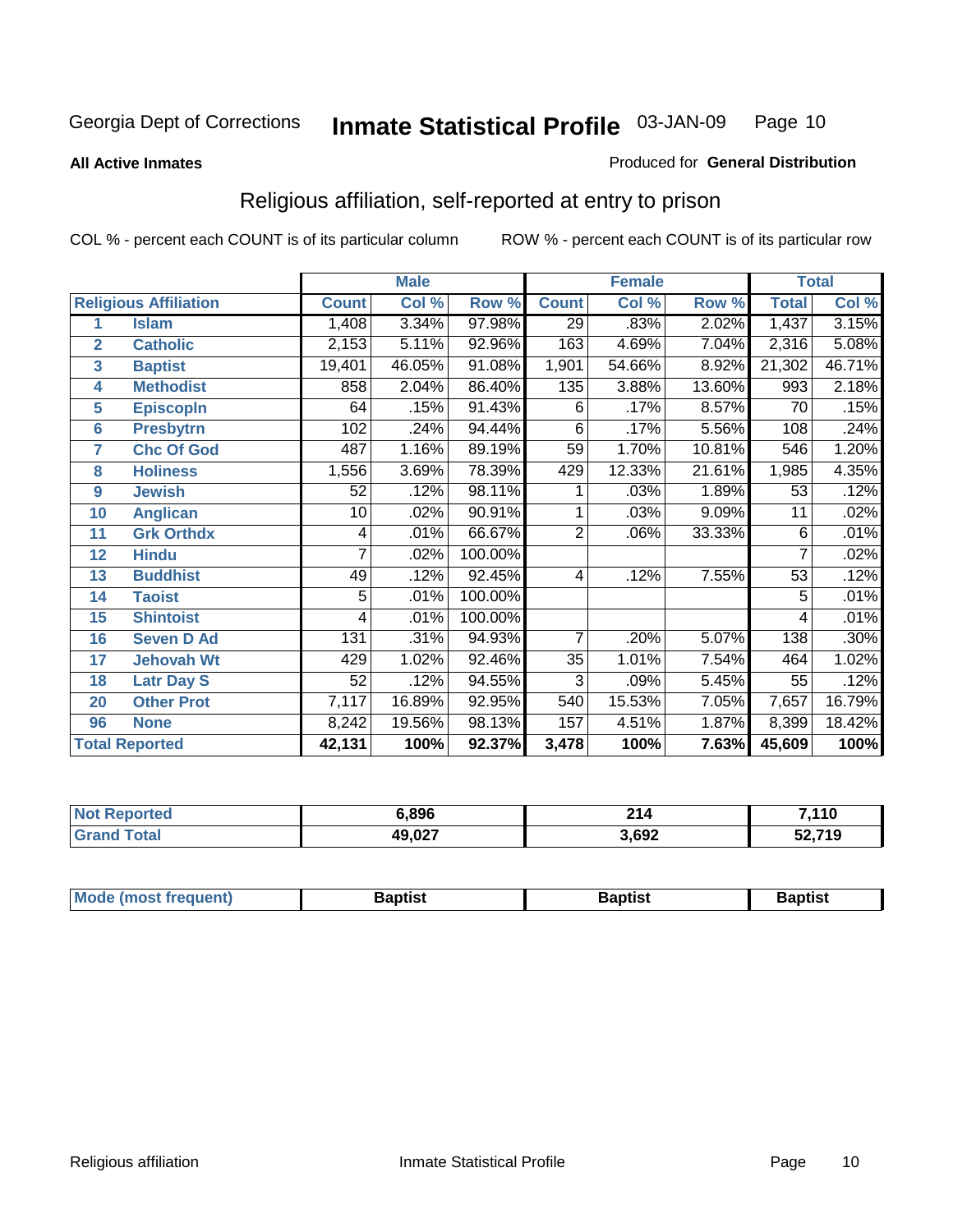#### **All Active Inmates**

#### Produced for **General Distribution**

# Religious affiliation, self-reported at entry to prison

|                  |                              | <b>Male</b>  |        |         |                 | <b>Female</b> |        | <b>Total</b>    |        |
|------------------|------------------------------|--------------|--------|---------|-----------------|---------------|--------|-----------------|--------|
|                  | <b>Religious Affiliation</b> | <b>Count</b> | Col %  | Row %   | <b>Count</b>    | Col %         | Row %  | <b>Total</b>    | Col %  |
| 1                | <b>Islam</b>                 | 1,408        | 3.34%  | 97.98%  | $\overline{29}$ | .83%          | 2.02%  | 1,437           | 3.15%  |
| $\overline{2}$   | <b>Catholic</b>              | 2,153        | 5.11%  | 92.96%  | 163             | 4.69%         | 7.04%  | 2,316           | 5.08%  |
| 3                | <b>Baptist</b>               | 19,401       | 46.05% | 91.08%  | 1,901           | 54.66%        | 8.92%  | 21,302          | 46.71% |
| 4                | <b>Methodist</b>             | 858          | 2.04%  | 86.40%  | 135             | 3.88%         | 13.60% | 993             | 2.18%  |
| 5                | <b>EpiscopIn</b>             | 64           | .15%   | 91.43%  | 6               | .17%          | 8.57%  | 70              | .15%   |
| 6                | <b>Presbytrn</b>             | 102          | .24%   | 94.44%  | 6               | .17%          | 5.56%  | 108             | .24%   |
| 7                | <b>Chc Of God</b>            | 487          | 1.16%  | 89.19%  | 59              | 1.70%         | 10.81% | 546             | 1.20%  |
| 8                | <b>Holiness</b>              | 1,556        | 3.69%  | 78.39%  | 429             | 12.33%        | 21.61% | 1,985           | 4.35%  |
| $\boldsymbol{9}$ | <b>Jewish</b>                | 52           | .12%   | 98.11%  |                 | .03%          | 1.89%  | 53              | .12%   |
| 10               | <b>Anglican</b>              | 10           | .02%   | 90.91%  |                 | .03%          | 9.09%  | 11              | .02%   |
| 11               | <b>Grk Orthdx</b>            | 4            | .01%   | 66.67%  | $\overline{2}$  | .06%          | 33.33% | 6               | .01%   |
| 12               | <b>Hindu</b>                 | 7            | .02%   | 100.00% |                 |               |        | 7               | .02%   |
| 13               | <b>Buddhist</b>              | 49           | .12%   | 92.45%  | 4               | .12%          | 7.55%  | $\overline{53}$ | .12%   |
| 14               | <b>Taoist</b>                | 5            | .01%   | 100.00% |                 |               |        | 5               | .01%   |
| 15               | <b>Shintoist</b>             | 4            | .01%   | 100.00% |                 |               |        | 4               | .01%   |
| 16               | <b>Seven D Ad</b>            | 131          | .31%   | 94.93%  | $\overline{7}$  | .20%          | 5.07%  | 138             | .30%   |
| 17               | <b>Jehovah Wt</b>            | 429          | 1.02%  | 92.46%  | 35              | 1.01%         | 7.54%  | 464             | 1.02%  |
| 18               | <b>Latr Day S</b>            | 52           | .12%   | 94.55%  | $\overline{3}$  | .09%          | 5.45%  | 55              | .12%   |
| 20               | <b>Other Prot</b>            | 7,117        | 16.89% | 92.95%  | 540             | 15.53%        | 7.05%  | 7,657           | 16.79% |
| 96               | <b>None</b>                  | 8,242        | 19.56% | 98.13%  | 157             | 4.51%         | 1.87%  | 8,399           | 18.42% |
|                  | <b>Total Reported</b>        | 42,131       | 100%   | 92.37%  | 3,478           | 100%          | 7.63%  | 45,609          | 100%   |

| ırtec | 896,ز  | ົາ4<br>Z 14 | 7 11 N<br>1 V |
|-------|--------|-------------|---------------|
|       | 49,027 | 3,692       | 52.719<br>JZ, |

|  | Mode (m.<br>iost frequent) | 3aptist | Baptist | <b>Baptist</b> |
|--|----------------------------|---------|---------|----------------|
|--|----------------------------|---------|---------|----------------|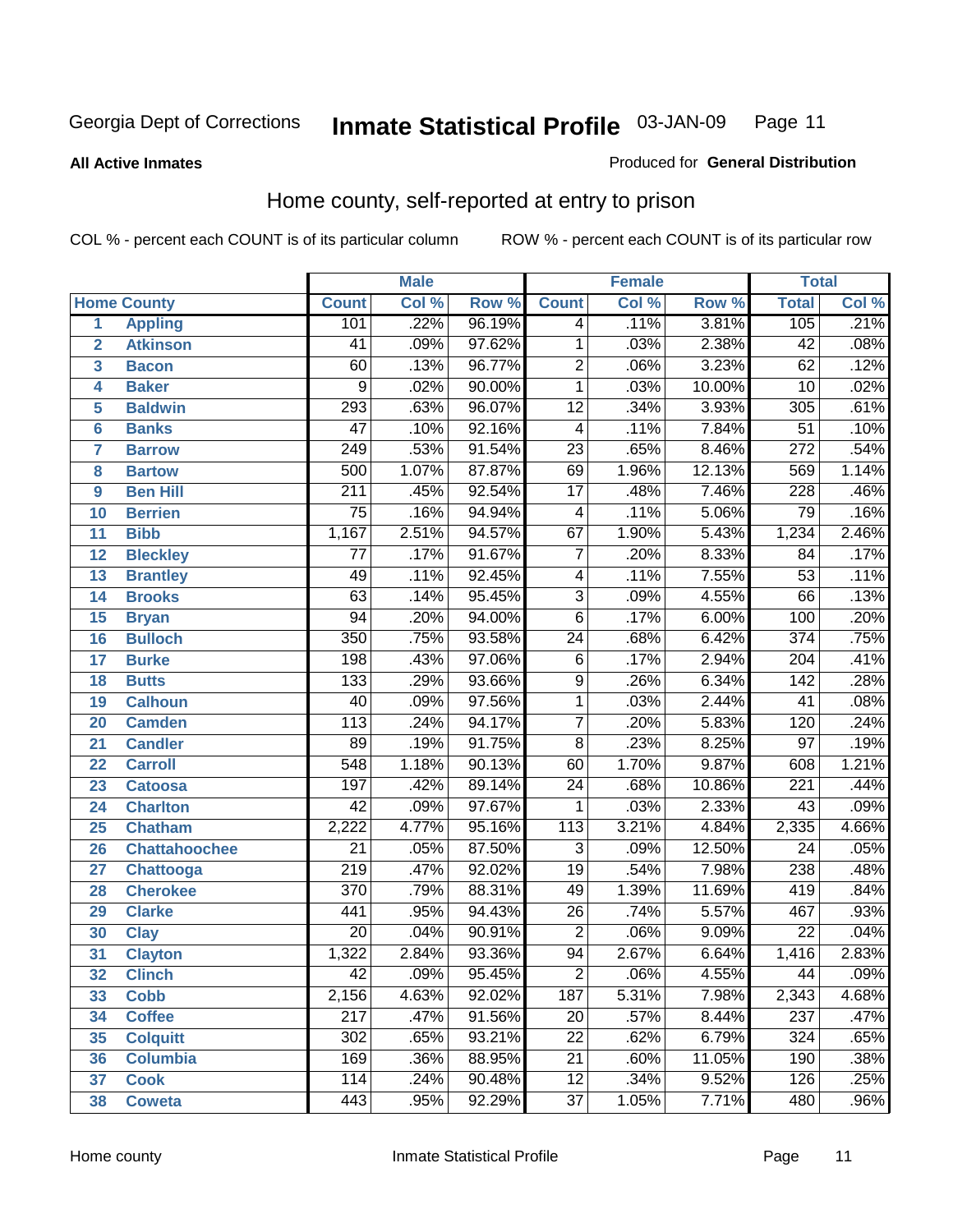**All Active Inmates**

#### Produced for **General Distribution**

# Home county, self-reported at entry to prison

|                |                      |                  | <b>Male</b> |        |                  | <b>Female</b> |        | <b>Total</b>     |       |
|----------------|----------------------|------------------|-------------|--------|------------------|---------------|--------|------------------|-------|
|                | <b>Home County</b>   | <b>Count</b>     | Col %       | Row %  | <b>Count</b>     | Col %         | Row %  | <b>Total</b>     | Col % |
| $\overline{1}$ | <b>Appling</b>       | 101              | .22%        | 96.19% | 4                | .11%          | 3.81%  | 105              | .21%  |
| $\overline{2}$ | <b>Atkinson</b>      | 41               | .09%        | 97.62% | $\mathbf{1}$     | .03%          | 2.38%  | $\overline{42}$  | .08%  |
| 3              | <b>Bacon</b>         | 60               | .13%        | 96.77% | $\overline{2}$   | .06%          | 3.23%  | $\overline{62}$  | .12%  |
| 4              | <b>Baker</b>         | 9                | .02%        | 90.00% | $\mathbf{1}$     | .03%          | 10.00% | 10               | .02%  |
| 5              | <b>Baldwin</b>       | 293              | .63%        | 96.07% | $\overline{12}$  | .34%          | 3.93%  | 305              | .61%  |
| $6\phantom{a}$ | <b>Banks</b>         | $\overline{47}$  | .10%        | 92.16% | 4                | .11%          | 7.84%  | $\overline{51}$  | .10%  |
| $\overline{7}$ | <b>Barrow</b>        | $\overline{249}$ | .53%        | 91.54% | $\overline{23}$  | .65%          | 8.46%  | $\overline{272}$ | .54%  |
| 8              | <b>Bartow</b>        | 500              | 1.07%       | 87.87% | 69               | 1.96%         | 12.13% | 569              | 1.14% |
| 9              | <b>Ben Hill</b>      | $\overline{211}$ | .45%        | 92.54% | $\overline{17}$  | .48%          | 7.46%  | 228              | .46%  |
| 10             | <b>Berrien</b>       | $\overline{75}$  | .16%        | 94.94% | 4                | .11%          | 5.06%  | 79               | .16%  |
| 11             | <b>Bibb</b>          | 1,167            | 2.51%       | 94.57% | 67               | 1.90%         | 5.43%  | 1,234            | 2.46% |
| 12             | <b>Bleckley</b>      | 77               | .17%        | 91.67% | $\overline{7}$   | .20%          | 8.33%  | 84               | .17%  |
| 13             | <b>Brantley</b>      | 49               | .11%        | 92.45% | 4                | .11%          | 7.55%  | $\overline{53}$  | .11%  |
| 14             | <b>Brooks</b>        | $\overline{63}$  | .14%        | 95.45% | $\overline{3}$   | .09%          | 4.55%  | 66               | .13%  |
| 15             | <b>Bryan</b>         | 94               | .20%        | 94.00% | $\overline{6}$   | .17%          | 6.00%  | 100              | .20%  |
| 16             | <b>Bulloch</b>       | 350              | .75%        | 93.58% | $\overline{24}$  | .68%          | 6.42%  | $\overline{374}$ | .75%  |
| 17             | <b>Burke</b>         | 198              | .43%        | 97.06% | $\overline{6}$   | .17%          | 2.94%  | $\overline{204}$ | .41%  |
| 18             | <b>Butts</b>         | 133              | .29%        | 93.66% | $\overline{9}$   | .26%          | 6.34%  | $\overline{142}$ | .28%  |
| 19             | <b>Calhoun</b>       | 40               | .09%        | 97.56% | $\mathbf{1}$     | .03%          | 2.44%  | $\overline{41}$  | .08%  |
| 20             | <b>Camden</b>        | 113              | .24%        | 94.17% | $\overline{7}$   | .20%          | 5.83%  | 120              | .24%  |
| 21             | <b>Candler</b>       | 89               | .19%        | 91.75% | $\overline{8}$   | .23%          | 8.25%  | $\overline{97}$  | .19%  |
| 22             | <b>Carroll</b>       | 548              | 1.18%       | 90.13% | 60               | 1.70%         | 9.87%  | 608              | 1.21% |
| 23             | <b>Catoosa</b>       | 197              | .42%        | 89.14% | $\overline{24}$  | .68%          | 10.86% | $\overline{221}$ | .44%  |
| 24             | <b>Charlton</b>      | $\overline{42}$  | .09%        | 97.67% | 1                | .03%          | 2.33%  | 43               | .09%  |
| 25             | <b>Chatham</b>       | 2,222            | 4.77%       | 95.16% | 113              | 3.21%         | 4.84%  | 2,335            | 4.66% |
| 26             | <b>Chattahoochee</b> | $\overline{21}$  | .05%        | 87.50% | 3                | .09%          | 12.50% | 24               | .05%  |
| 27             | <b>Chattooga</b>     | $\overline{219}$ | .47%        | 92.02% | $\overline{19}$  | .54%          | 7.98%  | 238              | .48%  |
| 28             | <b>Cherokee</b>      | $\overline{370}$ | .79%        | 88.31% | 49               | 1.39%         | 11.69% | 419              | .84%  |
| 29             | <b>Clarke</b>        | 441              | .95%        | 94.43% | $\overline{26}$  | .74%          | 5.57%  | 467              | .93%  |
| 30             | <b>Clay</b>          | $\overline{20}$  | .04%        | 90.91% | $\overline{2}$   | .06%          | 9.09%  | $\overline{22}$  | .04%  |
| 31             | <b>Clayton</b>       | 1,322            | 2.84%       | 93.36% | $\overline{94}$  | 2.67%         | 6.64%  | 1,416            | 2.83% |
| 32             | <b>Clinch</b>        | 42               | .09%        | 95.45% | 2                | .06%          | 4.55%  | 44               | .09%  |
| 33             | <b>Cobb</b>          | 2,156            | 4.63%       | 92.02% | $\overline{187}$ | 5.31%         | 7.98%  | 2,343            | 4.68% |
| 34             | <b>Coffee</b>        | 217              | .47%        | 91.56% | 20               | .57%          | 8.44%  | 237              | .47%  |
| 35             | <b>Colquitt</b>      | $\overline{302}$ | .65%        | 93.21% | $\overline{22}$  | .62%          | 6.79%  | 324              | .65%  |
| 36             | <b>Columbia</b>      | 169              | .36%        | 88.95% | 21               | .60%          | 11.05% | 190              | .38%  |
| 37             | <b>Cook</b>          | 114              | .24%        | 90.48% | $\overline{12}$  | .34%          | 9.52%  | 126              | .25%  |
| 38             | <b>Coweta</b>        | 443              | .95%        | 92.29% | $\overline{37}$  | 1.05%         | 7.71%  | 480              | .96%  |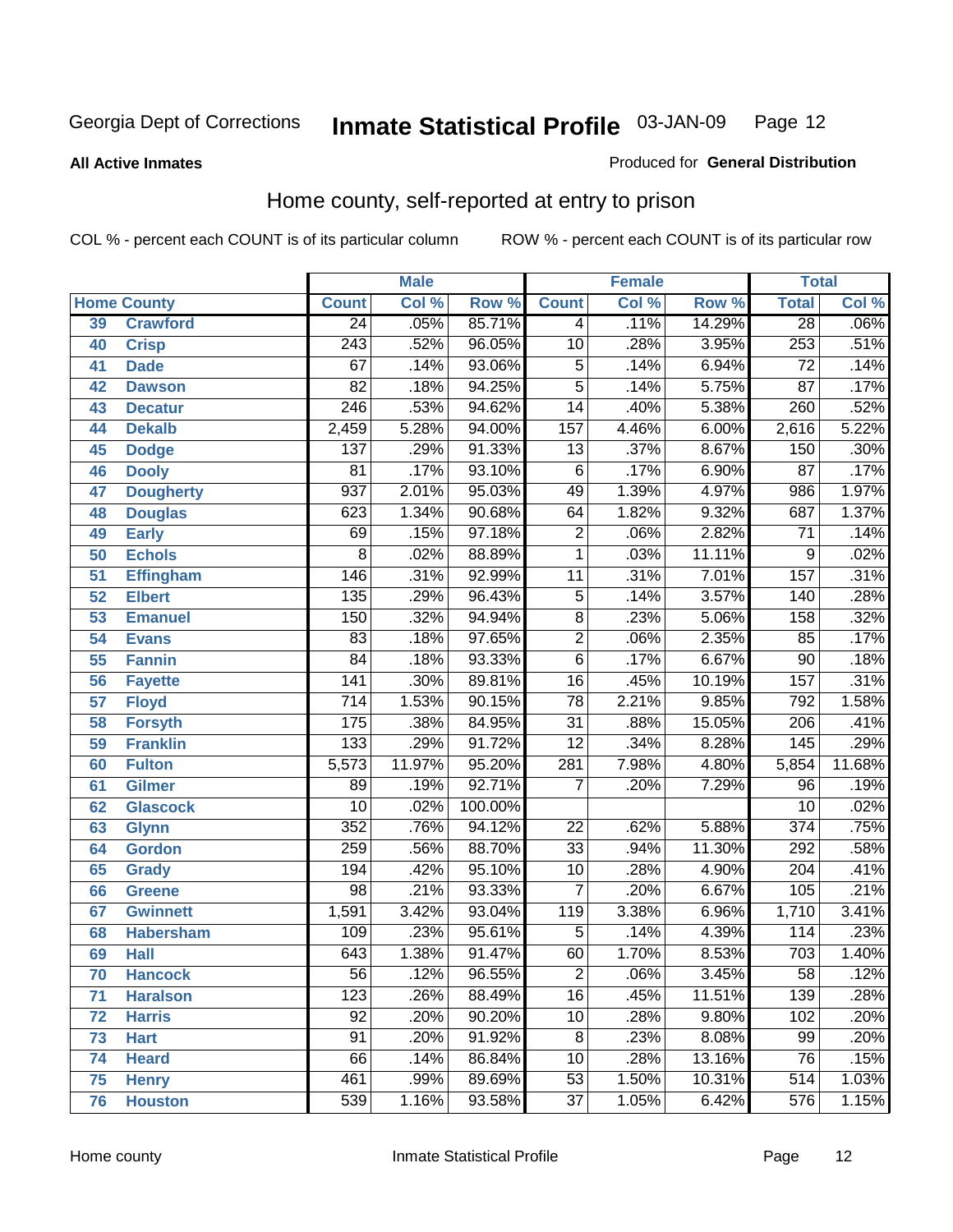#### **All Active Inmates**

#### Produced for **General Distribution**

# Home county, self-reported at entry to prison

|                 |                    |                  | <b>Male</b> |         |                  | <b>Female</b> |                  | <b>Total</b>     |         |
|-----------------|--------------------|------------------|-------------|---------|------------------|---------------|------------------|------------------|---------|
|                 | <b>Home County</b> | <b>Count</b>     | Col %       | Row %   | <b>Count</b>     | Col %         | Row <sup>%</sup> | <b>Total</b>     | CoI%    |
| 39              | <b>Crawford</b>    | $\overline{24}$  | .05%        | 85.71%  | 4                | .11%          | 14.29%           | $\overline{28}$  | $.06\%$ |
| 40              | <b>Crisp</b>       | $\overline{243}$ | .52%        | 96.05%  | $\overline{10}$  | .28%          | 3.95%            | 253              | .51%    |
| 41              | <b>Dade</b>        | 67               | .14%        | 93.06%  | 5                | .14%          | 6.94%            | $\overline{72}$  | .14%    |
| 42              | <b>Dawson</b>      | $\overline{82}$  | .18%        | 94.25%  | $\overline{5}$   | .14%          | 5.75%            | $\overline{87}$  | .17%    |
| 43              | <b>Decatur</b>     | $\overline{246}$ | .53%        | 94.62%  | $\overline{14}$  | .40%          | 5.38%            | 260              | .52%    |
| 44              | <b>Dekalb</b>      | 2,459            | 5.28%       | 94.00%  | $\overline{157}$ | 4.46%         | 6.00%            | 2,616            | 5.22%   |
| 45              | <b>Dodge</b>       | $\overline{137}$ | .29%        | 91.33%  | $\overline{13}$  | .37%          | 8.67%            | 150              | .30%    |
| 46              | <b>Dooly</b>       | $\overline{81}$  | .17%        | 93.10%  | $\overline{6}$   | .17%          | 6.90%            | $\overline{87}$  | .17%    |
| 47              | <b>Dougherty</b>   | 937              | 2.01%       | 95.03%  | 49               | 1.39%         | 4.97%            | 986              | 1.97%   |
| 48              | <b>Douglas</b>     | 623              | 1.34%       | 90.68%  | 64               | 1.82%         | 9.32%            | 687              | 1.37%   |
| 49              | <b>Early</b>       | 69               | .15%        | 97.18%  | $\overline{2}$   | .06%          | 2.82%            | $\overline{71}$  | .14%    |
| 50              | <b>Echols</b>      | $\overline{8}$   | .02%        | 88.89%  | $\overline{1}$   | .03%          | 11.11%           | 9                | .02%    |
| $\overline{51}$ | <b>Effingham</b>   | 146              | .31%        | 92.99%  | $\overline{11}$  | .31%          | 7.01%            | 157              | .31%    |
| 52              | <b>Elbert</b>      | 135              | .29%        | 96.43%  | $\overline{5}$   | .14%          | 3.57%            | 140              | .28%    |
| 53              | <b>Emanuel</b>     | 150              | .32%        | 94.94%  | $\overline{8}$   | .23%          | 5.06%            | 158              | .32%    |
| 54              | <b>Evans</b>       | 83               | .18%        | 97.65%  | $\overline{2}$   | .06%          | 2.35%            | 85               | .17%    |
| 55              | <b>Fannin</b>      | $\overline{84}$  | .18%        | 93.33%  | $\overline{6}$   | .17%          | 6.67%            | $\overline{90}$  | .18%    |
| 56              | <b>Fayette</b>     | $\overline{141}$ | .30%        | 89.81%  | $\overline{16}$  | .45%          | 10.19%           | 157              | .31%    |
| 57              | <b>Floyd</b>       | $\overline{714}$ | 1.53%       | 90.15%  | $\overline{78}$  | 2.21%         | 9.85%            | 792              | 1.58%   |
| 58              | <b>Forsyth</b>     | 175              | .38%        | 84.95%  | $\overline{31}$  | .88%          | 15.05%           | 206              | .41%    |
| 59              | <b>Franklin</b>    | 133              | .29%        | 91.72%  | $\overline{12}$  | .34%          | 8.28%            | 145              | .29%    |
| 60              | <b>Fulton</b>      | 5,573            | 11.97%      | 95.20%  | 281              | 7.98%         | 4.80%            | 5,854            | 11.68%  |
| 61              | Gilmer             | 89               | .19%        | 92.71%  | 7                | .20%          | 7.29%            | 96               | .19%    |
| 62              | <b>Glascock</b>    | $\overline{10}$  | .02%        | 100.00% |                  |               |                  | $\overline{10}$  | .02%    |
| 63              | <b>Glynn</b>       | $\overline{352}$ | .76%        | 94.12%  | $\overline{22}$  | .62%          | 5.88%            | $\overline{374}$ | .75%    |
| 64              | <b>Gordon</b>      | 259              | .56%        | 88.70%  | $\overline{33}$  | .94%          | 11.30%           | 292              | .58%    |
| 65              | <b>Grady</b>       | 194              | .42%        | 95.10%  | 10               | .28%          | 4.90%            | $\overline{204}$ | .41%    |
| 66              | <b>Greene</b>      | $\overline{98}$  | .21%        | 93.33%  | $\overline{7}$   | .20%          | 6.67%            | 105              | .21%    |
| 67              | <b>Gwinnett</b>    | 1,591            | 3.42%       | 93.04%  | 119              | 3.38%         | 6.96%            | 1,710            | 3.41%   |
| 68              | <b>Habersham</b>   | 109              | .23%        | 95.61%  | 5                | .14%          | 4.39%            | 114              | .23%    |
| 69              | <b>Hall</b>        | 643              | 1.38%       | 91.47%  | 60               | 1.70%         | 8.53%            | $\overline{703}$ | 1.40%   |
| 70              | <b>Hancock</b>     | 56               | .12%        | 96.55%  | 2                | .06%          | 3.45%            | 58               | .12%    |
| 71              | <b>Haralson</b>    | $\overline{123}$ | .26%        | 88.49%  | $\overline{16}$  | .45%          | 11.51%           | 139              | .28%    |
| 72              | <b>Harris</b>      | $\overline{92}$  | .20%        | 90.20%  | 10               | .28%          | 9.80%            | 102              | .20%    |
| 73              | <b>Hart</b>        | $\overline{91}$  | .20%        | 91.92%  | $\overline{8}$   | .23%          | 8.08%            | $\overline{99}$  | .20%    |
| 74              | <b>Heard</b>       | 66               | .14%        | 86.84%  | $\overline{10}$  | .28%          | 13.16%           | $\overline{76}$  | .15%    |
| 75              | <b>Henry</b>       | 461              | .99%        | 89.69%  | $\overline{53}$  | 1.50%         | 10.31%           | 514              | 1.03%   |
| 76              | <b>Houston</b>     | 539              | 1.16%       | 93.58%  | $\overline{37}$  | 1.05%         | 6.42%            | $\overline{576}$ | 1.15%   |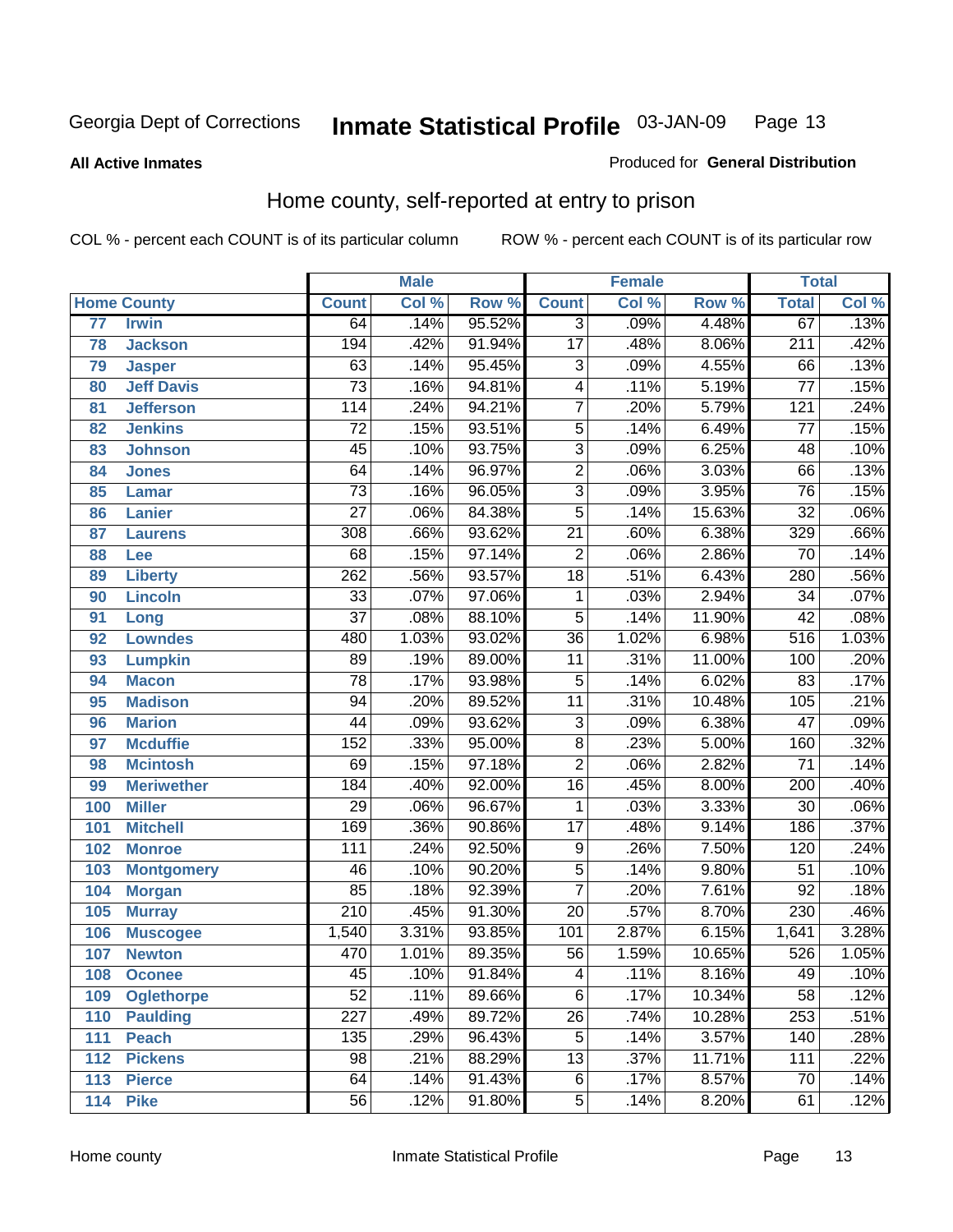#### **All Active Inmates**

#### Produced for **General Distribution**

# Home county, self-reported at entry to prison

|                 |                    |                  | <b>Male</b> |        |                 | <b>Female</b> |        | <b>Total</b>     |                            |
|-----------------|--------------------|------------------|-------------|--------|-----------------|---------------|--------|------------------|----------------------------|
|                 | <b>Home County</b> | <b>Count</b>     | Col %       | Row %  | <b>Count</b>    | Col %         | Row %  | <b>Total</b>     | $\overline{\text{Col }^9}$ |
| $\overline{77}$ | <b>Irwin</b>       | 64               | .14%        | 95.52% | $\overline{3}$  | .09%          | 4.48%  | 67               | .13%                       |
| 78              | <b>Jackson</b>     | 194              | .42%        | 91.94% | $\overline{17}$ | .48%          | 8.06%  | $\overline{211}$ | .42%                       |
| 79              | <b>Jasper</b>      | 63               | .14%        | 95.45% | 3               | .09%          | 4.55%  | 66               | .13%                       |
| 80              | <b>Jeff Davis</b>  | $\overline{73}$  | .16%        | 94.81% | $\overline{4}$  | .11%          | 5.19%  | $\overline{77}$  | .15%                       |
| 81              | <b>Jefferson</b>   | 114              | .24%        | 94.21% | $\overline{7}$  | .20%          | 5.79%  | 121              | .24%                       |
| 82              | <b>Jenkins</b>     | $\overline{72}$  | .15%        | 93.51% | $\overline{5}$  | .14%          | 6.49%  | $\overline{77}$  | .15%                       |
| 83              | <b>Johnson</b>     | $\overline{45}$  | .10%        | 93.75% | $\overline{3}$  | .09%          | 6.25%  | 48               | .10%                       |
| 84              | <b>Jones</b>       | 64               | .14%        | 96.97% | $\overline{2}$  | .06%          | 3.03%  | 66               | .13%                       |
| 85              | <b>Lamar</b>       | $\overline{73}$  | .16%        | 96.05% | $\overline{3}$  | .09%          | 3.95%  | $\overline{76}$  | .15%                       |
| 86              | <b>Lanier</b>      | $\overline{27}$  | .06%        | 84.38% | $\overline{5}$  | .14%          | 15.63% | $\overline{32}$  | .06%                       |
| 87              | <b>Laurens</b>     | $\overline{308}$ | .66%        | 93.62% | $\overline{21}$ | .60%          | 6.38%  | 329              | .66%                       |
| 88              | <b>Lee</b>         | $\overline{68}$  | .15%        | 97.14% | $\overline{2}$  | .06%          | 2.86%  | $\overline{70}$  | .14%                       |
| 89              | <b>Liberty</b>     | 262              | .56%        | 93.57% | $\overline{18}$ | .51%          | 6.43%  | 280              | .56%                       |
| 90              | <b>Lincoln</b>     | $\overline{33}$  | .07%        | 97.06% | 1               | .03%          | 2.94%  | $\overline{34}$  | .07%                       |
| 91              | Long               | $\overline{37}$  | .08%        | 88.10% | $\overline{5}$  | .14%          | 11.90% | $\overline{42}$  | .08%                       |
| 92              | <b>Lowndes</b>     | 480              | 1.03%       | 93.02% | $\overline{36}$ | 1.02%         | 6.98%  | 516              | 1.03%                      |
| 93              | <b>Lumpkin</b>     | 89               | .19%        | 89.00% | $\overline{11}$ | .31%          | 11.00% | 100              | .20%                       |
| 94              | <b>Macon</b>       | $\overline{78}$  | .17%        | 93.98% | $\overline{5}$  | .14%          | 6.02%  | 83               | .17%                       |
| 95              | <b>Madison</b>     | $\overline{94}$  | .20%        | 89.52% | $\overline{11}$ | .31%          | 10.48% | 105              | .21%                       |
| 96              | <b>Marion</b>      | $\overline{44}$  | .09%        | 93.62% | $\overline{3}$  | .09%          | 6.38%  | $\overline{47}$  | .09%                       |
| 97              | <b>Mcduffie</b>    | 152              | .33%        | 95.00% | $\overline{8}$  | .23%          | 5.00%  | 160              | .32%                       |
| 98              | <b>Mcintosh</b>    | $\overline{69}$  | .15%        | 97.18% | $\overline{2}$  | .06%          | 2.82%  | $\overline{71}$  | .14%                       |
| 99              | <b>Meriwether</b>  | 184              | .40%        | 92.00% | $\overline{16}$ | .45%          | 8.00%  | 200              | .40%                       |
| 100             | <b>Miller</b>      | $\overline{29}$  | .06%        | 96.67% | $\mathbf{1}$    | .03%          | 3.33%  | $\overline{30}$  | .06%                       |
| 101             | <b>Mitchell</b>    | 169              | .36%        | 90.86% | $\overline{17}$ | .48%          | 9.14%  | 186              | .37%                       |
| 102             | <b>Monroe</b>      | 111              | .24%        | 92.50% | 9               | .26%          | 7.50%  | 120              | .24%                       |
| 103             | <b>Montgomery</b>  | $\overline{46}$  | .10%        | 90.20% | $\overline{5}$  | .14%          | 9.80%  | 51               | .10%                       |
| 104             | <b>Morgan</b>      | 85               | .18%        | 92.39% | $\overline{7}$  | .20%          | 7.61%  | $\overline{92}$  | .18%                       |
| 105             | <b>Murray</b>      | $\overline{210}$ | .45%        | 91.30% | $\overline{20}$ | .57%          | 8.70%  | 230              | .46%                       |
| 106             | <b>Muscogee</b>    | 1,540            | 3.31%       | 93.85% | 101             | 2.87%         | 6.15%  | 1,641            | 3.28%                      |
| 107             | <b>Newton</b>      | 470              | 1.01%       | 89.35% | $\overline{56}$ | 1.59%         | 10.65% | 526              | 1.05%                      |
| 108             | <b>Oconee</b>      | 45               | .10%        | 91.84% | 4               | .11%          | 8.16%  | 49               | .10%                       |
| 109             | <b>Oglethorpe</b>  | $\overline{52}$  | .11%        | 89.66% | $\overline{6}$  | .17%          | 10.34% | $\overline{58}$  | .12%                       |
| 110             | <b>Paulding</b>    | $\overline{227}$ | .49%        | 89.72% | $\overline{26}$ | .74%          | 10.28% | 253              | .51%                       |
| 111             | <b>Peach</b>       | 135              | .29%        | 96.43% | $\overline{5}$  | .14%          | 3.57%  | 140              | .28%                       |
| 112             | <b>Pickens</b>     | $\overline{98}$  | .21%        | 88.29% | $\overline{13}$ | .37%          | 11.71% | 111              | .22%                       |
| 113             | <b>Pierce</b>      | 64               | .14%        | 91.43% | $\overline{6}$  | .17%          | 8.57%  | 70               | .14%                       |
| 114             | <b>Pike</b>        | $\overline{56}$  | .12%        | 91.80% | $\overline{5}$  | .14%          | 8.20%  | 61               | .12%                       |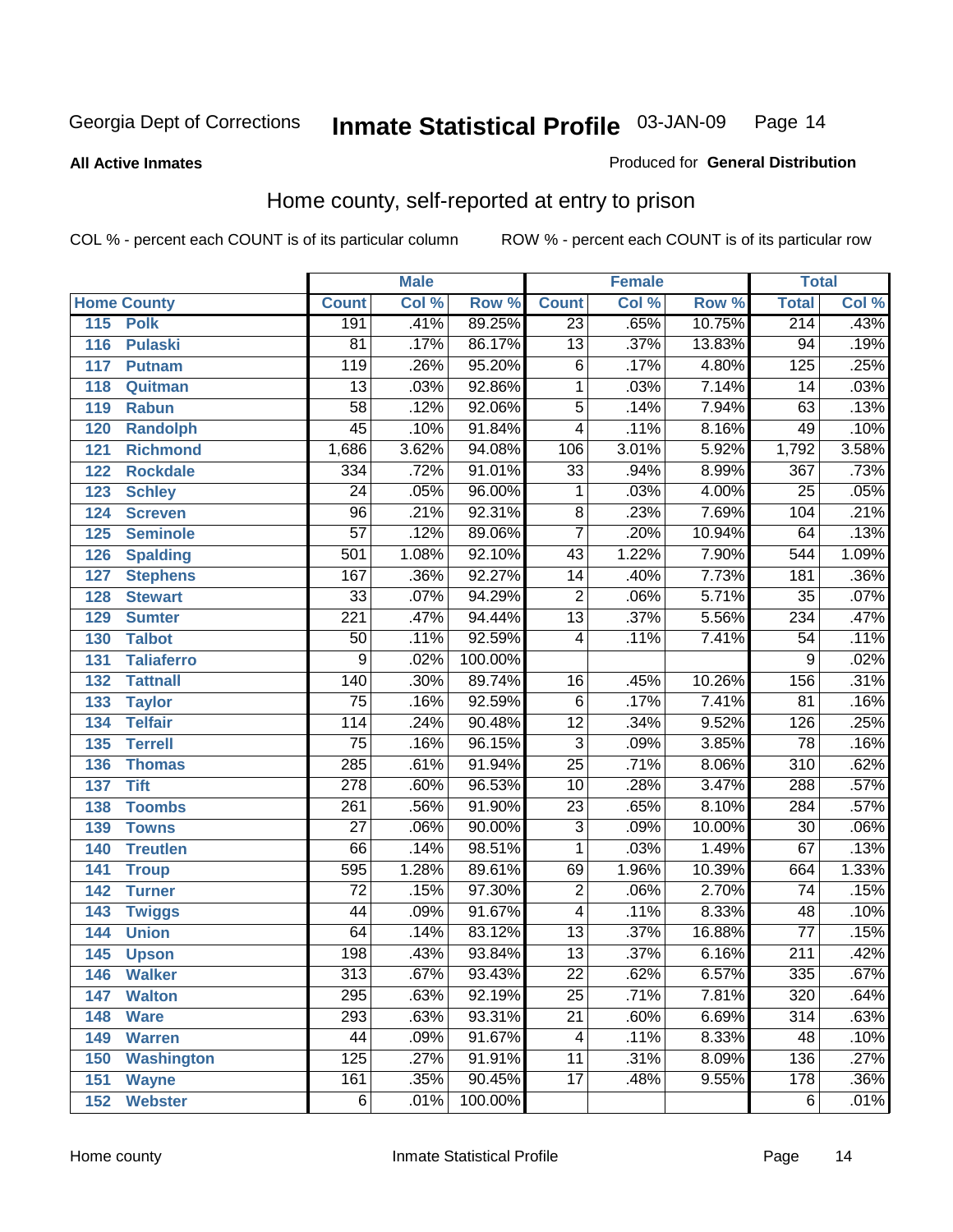#### **All Active Inmates**

#### Produced for **General Distribution**

# Home county, self-reported at entry to prison

|     |                    |                  | <b>Male</b> |         |                         | <b>Female</b> |        | <b>Total</b>     |                            |
|-----|--------------------|------------------|-------------|---------|-------------------------|---------------|--------|------------------|----------------------------|
|     | <b>Home County</b> | <b>Count</b>     | Col %       | Row %   | <b>Count</b>            | Col %         | Row %  | <b>Total</b>     | $\overline{\text{Col }^9}$ |
| 115 | <b>Polk</b>        | 191              | .41%        | 89.25%  | $\overline{23}$         | .65%          | 10.75% | 214              | .43%                       |
| 116 | <b>Pulaski</b>     | $\overline{81}$  | .17%        | 86.17%  | $\overline{13}$         | .37%          | 13.83% | $\overline{94}$  | .19%                       |
| 117 | <b>Putnam</b>      | 119              | .26%        | 95.20%  | 6                       | .17%          | 4.80%  | 125              | .25%                       |
| 118 | Quitman            | $\overline{13}$  | .03%        | 92.86%  | 1                       | .03%          | 7.14%  | 14               | .03%                       |
| 119 | <b>Rabun</b>       | $\overline{58}$  | .12%        | 92.06%  | $\overline{5}$          | .14%          | 7.94%  | 63               | .13%                       |
| 120 | <b>Randolph</b>    | $\overline{45}$  | .10%        | 91.84%  | $\overline{4}$          | .11%          | 8.16%  | 49               | .10%                       |
| 121 | <b>Richmond</b>    | 1,686            | 3.62%       | 94.08%  | 106                     | 3.01%         | 5.92%  | 1,792            | 3.58%                      |
| 122 | <b>Rockdale</b>    | 334              | .72%        | 91.01%  | $\overline{33}$         | .94%          | 8.99%  | 367              | .73%                       |
| 123 | <b>Schley</b>      | $\overline{24}$  | .05%        | 96.00%  | 1                       | .03%          | 4.00%  | $\overline{25}$  | .05%                       |
| 124 | <b>Screven</b>     | $\overline{96}$  | .21%        | 92.31%  | 8                       | .23%          | 7.69%  | 104              | .21%                       |
| 125 | <b>Seminole</b>    | $\overline{57}$  | .12%        | 89.06%  | $\overline{7}$          | .20%          | 10.94% | 64               | .13%                       |
| 126 | <b>Spalding</b>    | 501              | 1.08%       | 92.10%  | 43                      | 1.22%         | 7.90%  | 544              | 1.09%                      |
| 127 | <b>Stephens</b>    | 167              | .36%        | 92.27%  | $\overline{14}$         | .40%          | 7.73%  | 181              | .36%                       |
| 128 | <b>Stewart</b>     | $\overline{33}$  | .07%        | 94.29%  | $\overline{2}$          | .06%          | 5.71%  | $\overline{35}$  | .07%                       |
| 129 | <b>Sumter</b>      | $\overline{221}$ | .47%        | 94.44%  | $\overline{13}$         | .37%          | 5.56%  | 234              | .47%                       |
| 130 | <b>Talbot</b>      | $\overline{50}$  | .11%        | 92.59%  | 4                       | .11%          | 7.41%  | $\overline{54}$  | .11%                       |
| 131 | <b>Taliaferro</b>  | $\overline{9}$   | .02%        | 100.00% |                         |               |        | 9                | .02%                       |
| 132 | <b>Tattnall</b>    | 140              | .30%        | 89.74%  | $\overline{16}$         | .45%          | 10.26% | 156              | .31%                       |
| 133 | <b>Taylor</b>      | $\overline{75}$  | .16%        | 92.59%  | $\overline{6}$          | .17%          | 7.41%  | $\overline{81}$  | .16%                       |
| 134 | <b>Telfair</b>     | 114              | .24%        | 90.48%  | $\overline{12}$         | .34%          | 9.52%  | 126              | .25%                       |
| 135 | <b>Terrell</b>     | $\overline{75}$  | .16%        | 96.15%  | $\overline{3}$          | .09%          | 3.85%  | 78               | .16%                       |
| 136 | <b>Thomas</b>      | 285              | .61%        | 91.94%  | $\overline{25}$         | .71%          | 8.06%  | $\overline{310}$ | .62%                       |
| 137 | <b>Tift</b>        | 278              | .60%        | 96.53%  | $\overline{10}$         | .28%          | 3.47%  | 288              | .57%                       |
| 138 | <b>Toombs</b>      | $\overline{261}$ | .56%        | 91.90%  | $\overline{23}$         | .65%          | 8.10%  | 284              | .57%                       |
| 139 | <b>Towns</b>       | $\overline{27}$  | .06%        | 90.00%  | $\overline{3}$          | .09%          | 10.00% | $\overline{30}$  | .06%                       |
| 140 | <b>Treutlen</b>    | 66               | .14%        | 98.51%  | 1                       | .03%          | 1.49%  | 67               | .13%                       |
| 141 | <b>Troup</b>       | 595              | 1.28%       | 89.61%  | 69                      | 1.96%         | 10.39% | 664              | 1.33%                      |
| 142 | <b>Turner</b>      | $\overline{72}$  | .15%        | 97.30%  | $\overline{2}$          | .06%          | 2.70%  | $\overline{74}$  | .15%                       |
| 143 | <b>Twiggs</b>      | 44               | .09%        | 91.67%  | $\overline{\mathbf{4}}$ | .11%          | 8.33%  | 48               | .10%                       |
| 144 | <b>Union</b>       | 64               | .14%        | 83.12%  | $\overline{13}$         | .37%          | 16.88% | $\overline{77}$  | .15%                       |
| 145 | <b>Upson</b>       | 198              | .43%        | 93.84%  | $\overline{13}$         | .37%          | 6.16%  | $\overline{211}$ | .42%                       |
| 146 | <b>Walker</b>      | 313              | .67%        | 93.43%  | 22                      | .62%          | 6.57%  | 335              | .67%                       |
| 147 | <b>Walton</b>      | $\overline{295}$ | .63%        | 92.19%  | $\overline{25}$         | .71%          | 7.81%  | 320              | .64%                       |
| 148 | <b>Ware</b>        | 293              | .63%        | 93.31%  | $\overline{21}$         | .60%          | 6.69%  | 314              | .63%                       |
| 149 | <b>Warren</b>      | 44               | .09%        | 91.67%  | 4                       | .11%          | 8.33%  | 48               | .10%                       |
| 150 | <b>Washington</b>  | 125              | .27%        | 91.91%  | $\overline{11}$         | .31%          | 8.09%  | 136              | .27%                       |
| 151 | <b>Wayne</b>       | 161              | .35%        | 90.45%  | $\overline{17}$         | .48%          | 9.55%  | 178              | .36%                       |
|     | 152 Webster        | $\overline{6}$   | .01%        | 100.00% |                         |               |        | 6                | .01%                       |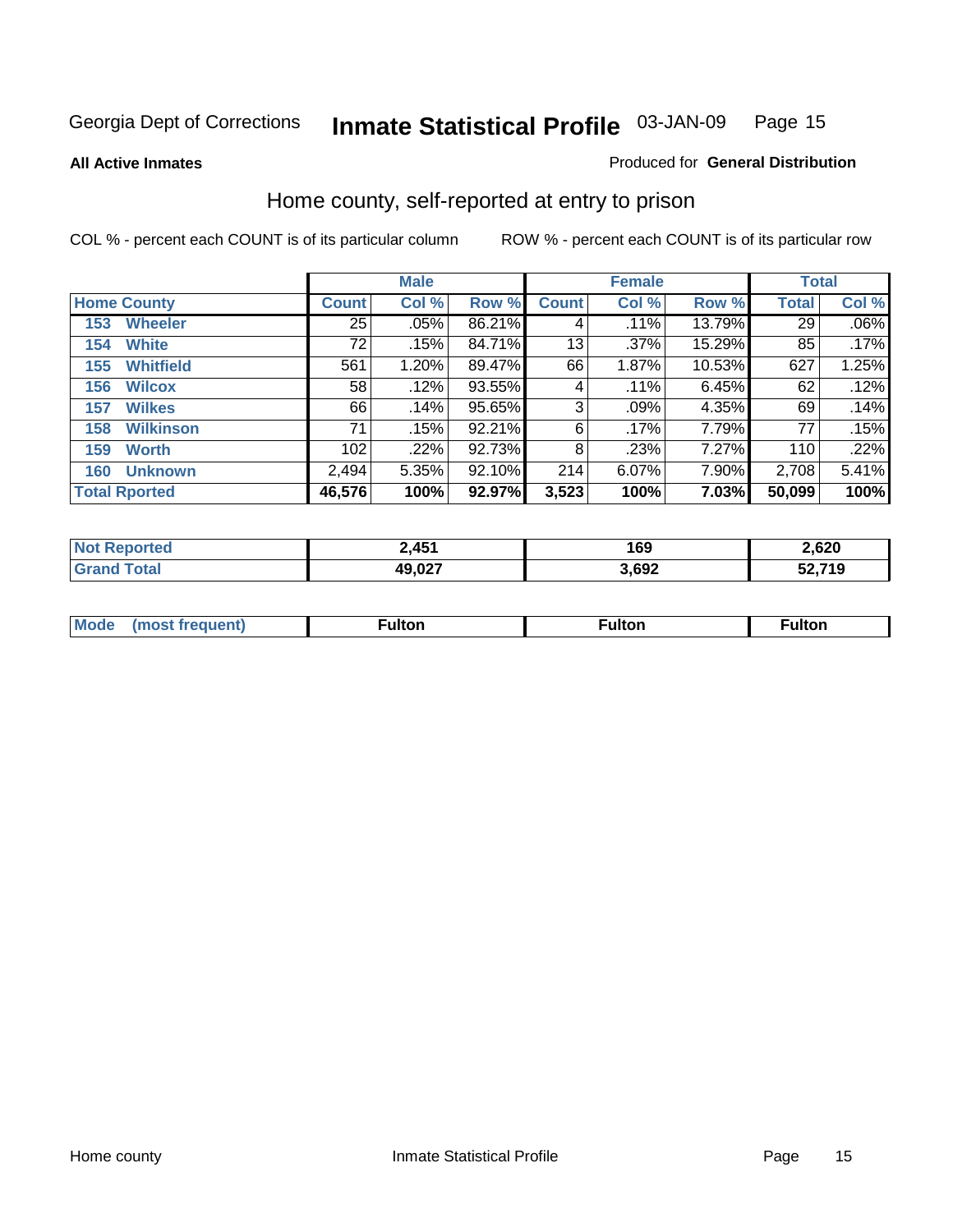**All Active Inmates**

#### Produced for **General Distribution**

# Home county, self-reported at entry to prison

|                    |                      |                 | <b>Male</b> |        |              | <b>Female</b> |        | <b>Total</b> |         |
|--------------------|----------------------|-----------------|-------------|--------|--------------|---------------|--------|--------------|---------|
| <b>Home County</b> |                      | <b>Count</b>    | Col %       | Row %  | <b>Count</b> | Col %         | Row %  | <b>Total</b> | Col %   |
| 153                | <b>Wheeler</b>       | $\overline{25}$ | .05%        | 86.21% | 4            | .11%          | 13.79% | 29           | $.06\%$ |
| 154                | <b>White</b>         | 72              | .15%        | 84.71% | 13           | $.37\%$       | 15.29% | 85           | .17%    |
| 155                | <b>Whitfield</b>     | 561             | 1.20%       | 89.47% | 66           | 1.87%         | 10.53% | 627          | 1.25%   |
| 156                | <b>Wilcox</b>        | 58              | .12%        | 93.55% | 4            | .11%          | 6.45%  | 62           | .12%    |
| 157                | <b>Wilkes</b>        | 66              | .14%        | 95.65% | 3            | .09%          | 4.35%  | 69           | .14%    |
| 158                | <b>Wilkinson</b>     | 71              | .15%        | 92.21% | 6            | .17%          | 7.79%  | 77           | .15%    |
| 159                | <b>Worth</b>         | 102             | .22%        | 92.73% | 8            | .23%          | 7.27%  | 110          | .22%    |
| 160                | <b>Unknown</b>       | 2,494           | 5.35%       | 92.10% | 214          | 6.07%         | 7.90%  | 2,708        | 5.41%   |
|                    | <b>Total Rported</b> | 46,576          | 100%        | 92.97% | 3,523        | 100%          | 7.03%  | 50,099       | 100%    |

| ported<br>'NI | 451<br>2.TV          | 169  | 2,620       |
|---------------|----------------------|------|-------------|
| . Gr          | <b>007</b><br>49,027 | ,692 | .2740<br>ាម |

| <b>Mode</b> | ---<br>.tor | <b>ulton</b> | . |
|-------------|-------------|--------------|---|
|             |             |              |   |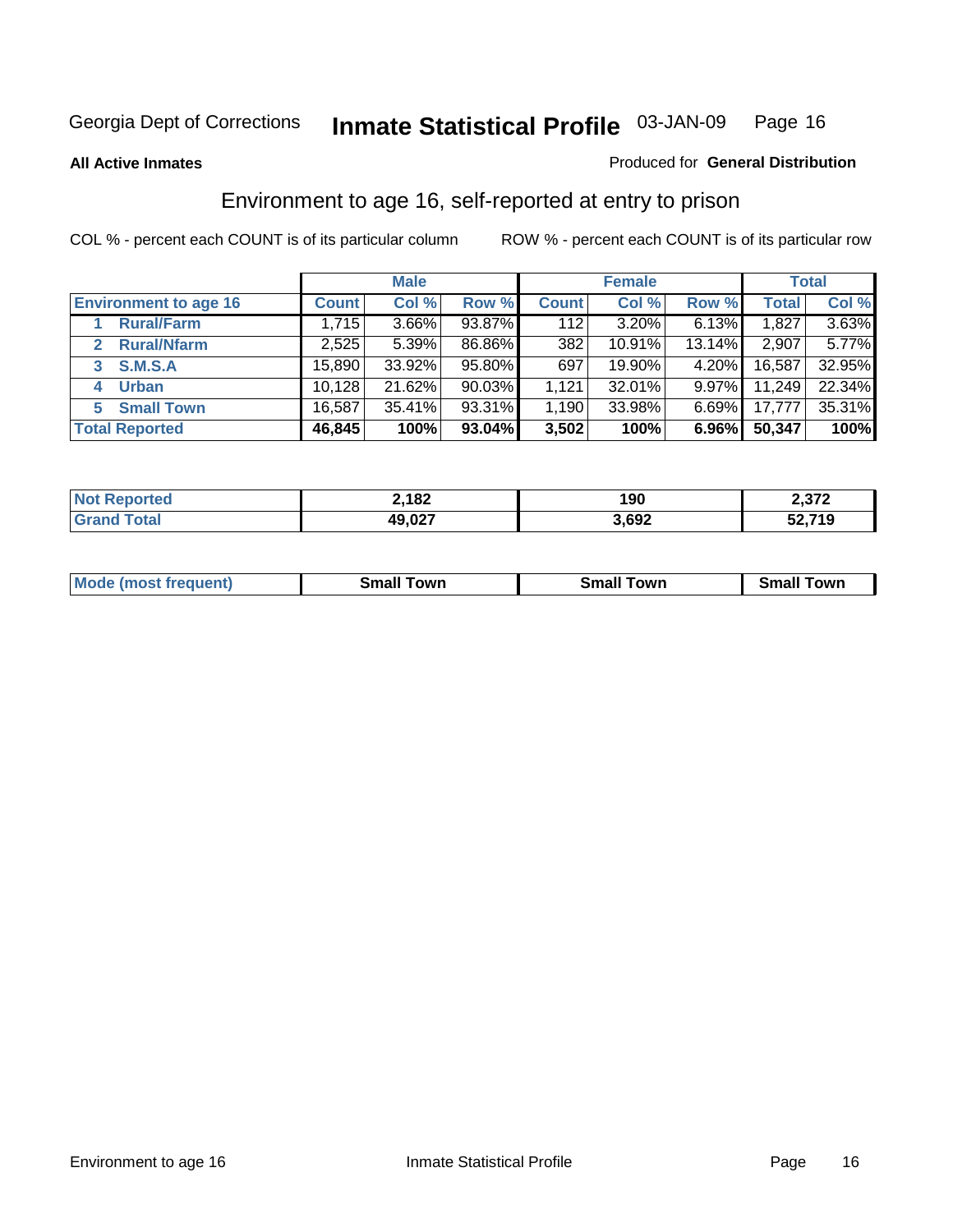**All Active Inmates**

#### Produced for **General Distribution**

# Environment to age 16, self-reported at entry to prison

|                              |              | <b>Male</b> |           |              | <b>Female</b> |          |        | <b>Total</b> |
|------------------------------|--------------|-------------|-----------|--------------|---------------|----------|--------|--------------|
| <b>Environment to age 16</b> | <b>Count</b> | Col %       | Row %     | <b>Count</b> | Col %         | Row %    | Total  | Col %        |
| <b>Rural/Farm</b>            | 1,715        | $3.66\%$    | 93.87%    | 112          | 3.20%         | 6.13%    | 1,827  | 3.63%        |
| <b>Rural/Nfarm</b><br>2      | 2,525        | 5.39%       | 86.86%    | 382          | 10.91%        | 13.14%   | 2,907  | 5.77%        |
| <b>S.M.S.A</b><br>3          | 15,890       | 33.92%      | 95.80%    | 697          | 19.90%        | 4.20%    | 16,587 | 32.95%       |
| <b>Urban</b><br>4            | 10,128       | 21.62%      | $90.03\%$ | 1,121        | 32.01%        | $9.97\%$ | 11,249 | 22.34%       |
| <b>Small Town</b><br>5       | 16,587       | 35.41%      | 93.31%    | .190         | 33.98%        | $6.69\%$ | 17,777 | 35.31%       |
| <b>Total Reported</b>        | 46,845       | 100%        | 93.04%    | 3,502        | 100%          | 6.96%    | 50,347 | 100%         |

| <b>Not Reported</b> | 2,182  | 190   | 2,372  |
|---------------------|--------|-------|--------|
| <b>Grand Total</b>  | 49,027 | 3,692 | 52,719 |

| <b>Mode</b><br>requent)<br>. | owr<br>imall | <b>Smal</b><br>owr | <b>TOW</b> |
|------------------------------|--------------|--------------------|------------|
|                              |              |                    |            |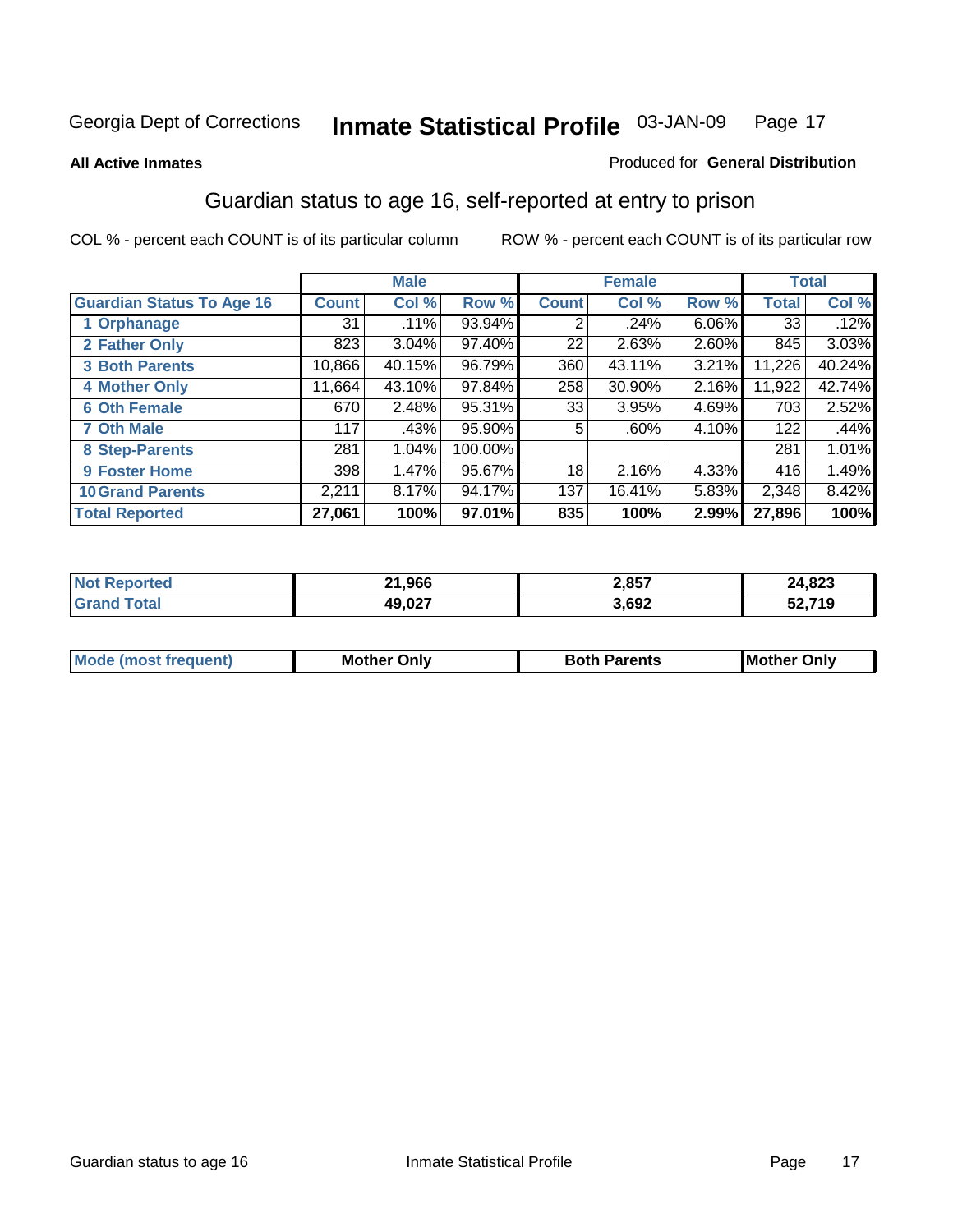#### **All Active Inmates**

#### Produced for **General Distribution**

# Guardian status to age 16, self-reported at entry to prison

|                                  |              | <b>Male</b> |         |              | <b>Female</b> |       |              | <b>Total</b> |
|----------------------------------|--------------|-------------|---------|--------------|---------------|-------|--------------|--------------|
| <b>Guardian Status To Age 16</b> | <b>Count</b> | Col %       | Row %   | <b>Count</b> | Col %         | Row % | <b>Total</b> | Col %        |
| 1 Orphanage                      | 31           | .11%        | 93.94%  | 2            | $.24\%$       | 6.06% | 33           | .12%         |
| 2 Father Only                    | 823          | 3.04%       | 97.40%  | 22           | 2.63%         | 2.60% | 845          | 3.03%        |
| <b>3 Both Parents</b>            | 10,866       | 40.15%      | 96.79%  | 360          | 43.11%        | 3.21% | 11,226       | 40.24%       |
| <b>4 Mother Only</b>             | 11,664       | 43.10%      | 97.84%  | 258          | 30.90%        | 2.16% | 11,922       | 42.74%       |
| <b>6 Oth Female</b>              | 670          | 2.48%       | 95.31%  | 33           | 3.95%         | 4.69% | 703          | 2.52%        |
| <b>7 Oth Male</b>                | 117          | .43%        | 95.90%  | 5            | .60%          | 4.10% | 122          | .44%         |
| 8 Step-Parents                   | 281          | 1.04%       | 100.00% |              |               |       | 281          | 1.01%        |
| 9 Foster Home                    | 398          | 1.47%       | 95.67%  | 18           | 2.16%         | 4.33% | 416          | 1.49%        |
| <b>10 Grand Parents</b>          | 2,211        | 8.17%       | 94.17%  | 137          | 16.41%        | 5.83% | 2,348        | 8.42%        |
| <b>Total Reported</b>            | 27,061       | 100%        | 97.01%  | 835          | 100%          | 2.99% | 27,896       | 100%         |

| . No | 21,966 | 2,857 | ,823          |
|------|--------|-------|---------------|
| . Gr | 49.027 | 3,692 | 52.719<br>IJΔ |

| Mode | Onlv<br>Mot | <b>Roth</b><br>Parents | <b>IMot</b><br>Onlv<br>∵hei |
|------|-------------|------------------------|-----------------------------|
|      |             |                        |                             |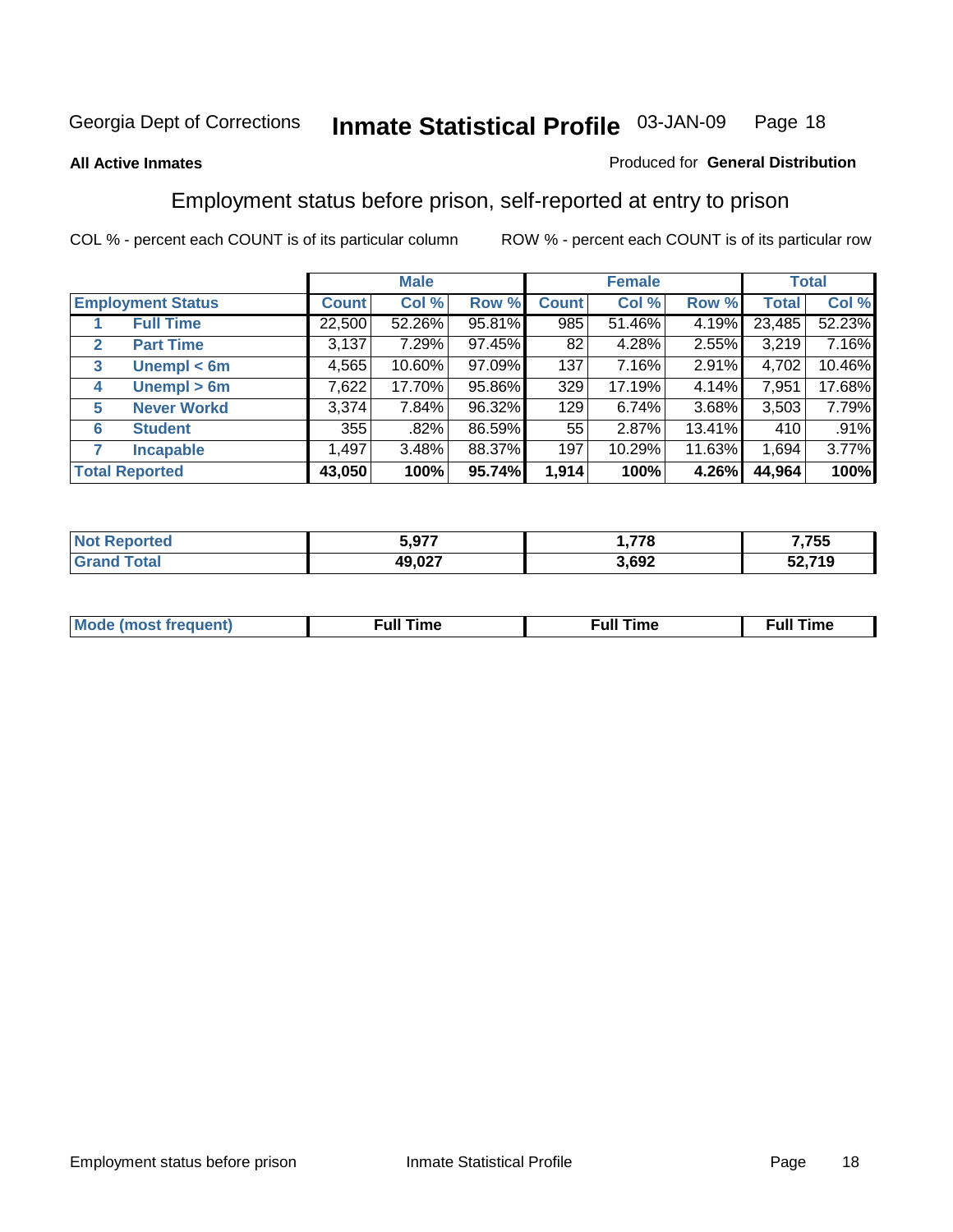#### **All Active Inmates**

#### Produced for **General Distribution**

# Employment status before prison, self-reported at entry to prison

|                                  |              | <b>Male</b> |        |              | <b>Female</b> |        |        | <b>Total</b> |
|----------------------------------|--------------|-------------|--------|--------------|---------------|--------|--------|--------------|
| <b>Employment Status</b>         | <b>Count</b> | Col %       | Row %  | <b>Count</b> | Col %         | Row %  | Total  | Col %        |
| <b>Full Time</b>                 | 22,500       | 52.26%      | 95.81% | 985          | 51.46%        | 4.19%  | 23,485 | 52.23%       |
| <b>Part Time</b><br>$\mathbf{2}$ | 3,137        | 7.29%       | 97.45% | 82           | 4.28%         | 2.55%  | 3,219  | 7.16%        |
| Unempl $<$ 6m<br>3               | 4,565        | 10.60%      | 97.09% | 137          | 7.16%         | 2.91%  | 4,702  | 10.46%       |
| Unempl > 6m<br>4                 | 7,622        | 17.70%      | 95.86% | 329          | 17.19%        | 4.14%  | 7,951  | 17.68%       |
| <b>Never Workd</b><br>5          | 3,374        | 7.84%       | 96.32% | 129          | 6.74%         | 3.68%  | 3,503  | 7.79%        |
| <b>Student</b><br>6              | 355          | .82%        | 86.59% | 55           | 2.87%         | 13.41% | 410    | .91%         |
| <b>Incapable</b>                 | 1,497        | 3.48%       | 88.37% | 197          | 10.29%        | 11.63% | 1,694  | 3.77%        |
| <b>Total Reported</b>            | 43,050       | 100%        | 95.74% | 1,914        | 100%          | 4.26%  | 44,964 | 100%         |

| n e o | 5,977            | 770   | ,755                  |
|-------|------------------|-------|-----------------------|
|       | 10 N27<br>49.VZT | 3,692 | 30 74 O<br>13<br>JL.I |

| <b>M</b> ດ | the contract of the contract of the contract of the contract of the contract of the contract of the contract of | , ull i<br>ıme<br>the contract of the contract of the contract of the contract of the contract of the contract of the contract of | ïme<br>uı<br>$\sim$ $\sim$ $\sim$ $\sim$ $\sim$ |
|------------|-----------------------------------------------------------------------------------------------------------------|-----------------------------------------------------------------------------------------------------------------------------------|-------------------------------------------------|
|            |                                                                                                                 |                                                                                                                                   |                                                 |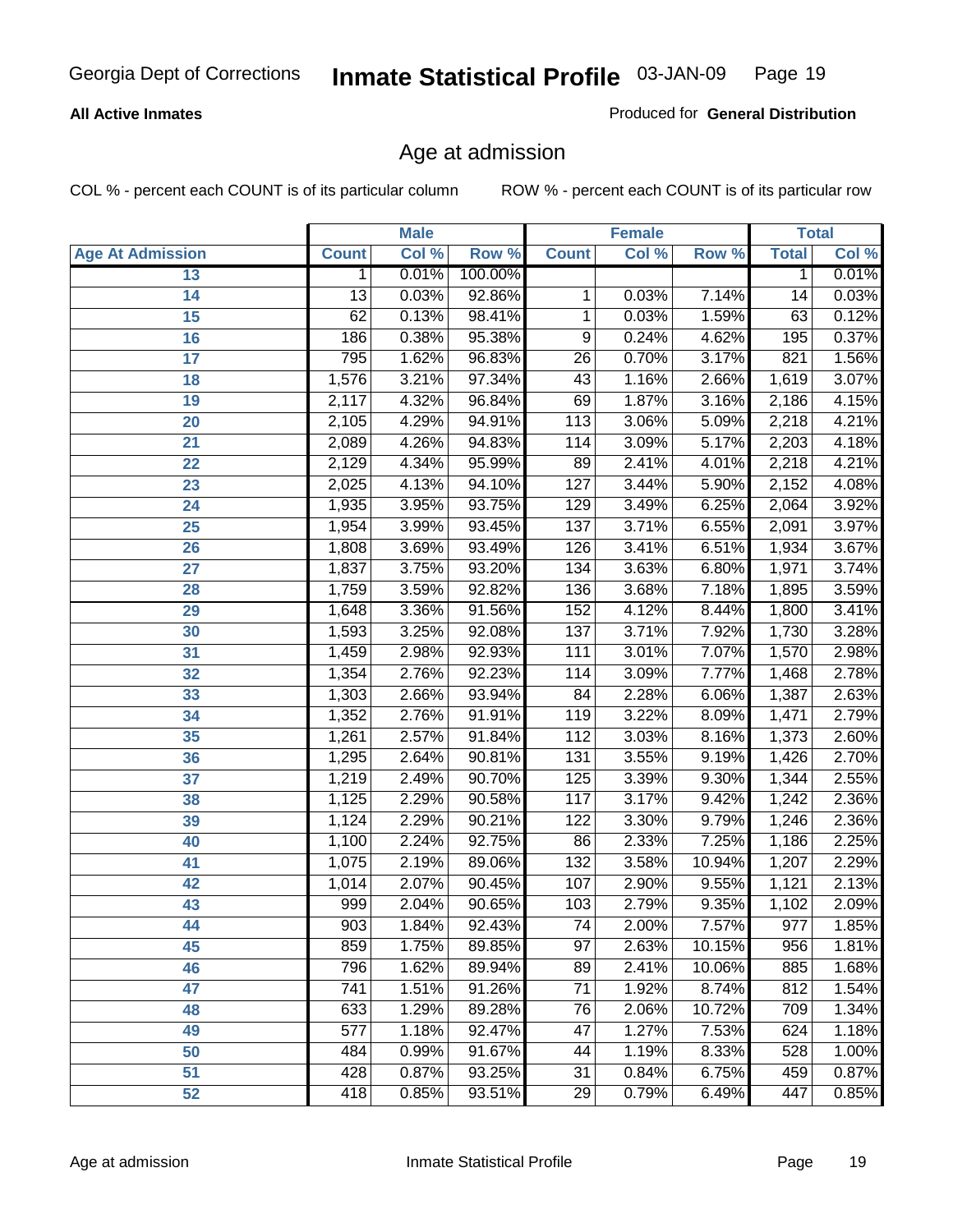#### **All Active Inmates**

Produced for **General Distribution**

# Age at admission

|                         | <b>Male</b>     |       | <b>Female</b> |                 |       | <b>Total</b> |              |       |
|-------------------------|-----------------|-------|---------------|-----------------|-------|--------------|--------------|-------|
| <b>Age At Admission</b> | <b>Count</b>    | Col % | Row %         | <b>Count</b>    | Col % | Row %        | <b>Total</b> | Col % |
| 13                      | 1               | 0.01% | 100.00%       |                 |       |              | 1            | 0.01% |
| 14                      | $\overline{13}$ | 0.03% | 92.86%        | 1               | 0.03% | 7.14%        | 14           | 0.03% |
| $\overline{15}$         | 62              | 0.13% | 98.41%        | 1               | 0.03% | 1.59%        | 63           | 0.12% |
| 16                      | 186             | 0.38% | 95.38%        | 9               | 0.24% | 4.62%        | 195          | 0.37% |
| $\overline{17}$         | 795             | 1.62% | 96.83%        | $\overline{26}$ | 0.70% | 3.17%        | 821          | 1.56% |
| 18                      | 1,576           | 3.21% | 97.34%        | 43              | 1.16% | 2.66%        | 1,619        | 3.07% |
| 19                      | 2,117           | 4.32% | 96.84%        | 69              | 1.87% | 3.16%        | 2,186        | 4.15% |
| 20                      | 2,105           | 4.29% | 94.91%        | 113             | 3.06% | 5.09%        | 2,218        | 4.21% |
| 21                      | 2,089           | 4.26% | 94.83%        | 114             | 3.09% | 5.17%        | 2,203        | 4.18% |
| 22                      | 2,129           | 4.34% | 95.99%        | 89              | 2.41% | 4.01%        | 2,218        | 4.21% |
| 23                      | 2,025           | 4.13% | 94.10%        | 127             | 3.44% | 5.90%        | 2,152        | 4.08% |
| 24                      | 1,935           | 3.95% | 93.75%        | 129             | 3.49% | 6.25%        | 2,064        | 3.92% |
| $\overline{25}$         | 1,954           | 3.99% | 93.45%        | 137             | 3.71% | 6.55%        | 2,091        | 3.97% |
| 26                      | 1,808           | 3.69% | 93.49%        | 126             | 3.41% | 6.51%        | 1,934        | 3.67% |
| 27                      | 1,837           | 3.75% | 93.20%        | 134             | 3.63% | 6.80%        | 1,971        | 3.74% |
| 28                      | 1,759           | 3.59% | 92.82%        | 136             | 3.68% | 7.18%        | 1,895        | 3.59% |
| 29                      | 1,648           | 3.36% | 91.56%        | 152             | 4.12% | 8.44%        | 1,800        | 3.41% |
| 30                      | 1,593           | 3.25% | 92.08%        | 137             | 3.71% | 7.92%        | 1,730        | 3.28% |
| 31                      | 1,459           | 2.98% | 92.93%        | 111             | 3.01% | 7.07%        | 1,570        | 2.98% |
| 32                      | 1,354           | 2.76% | 92.23%        | 114             | 3.09% | 7.77%        | 1,468        | 2.78% |
| 33                      | 1,303           | 2.66% | 93.94%        | 84              | 2.28% | 6.06%        | 1,387        | 2.63% |
| 34                      | 1,352           | 2.76% | 91.91%        | 119             | 3.22% | 8.09%        | 1,471        | 2.79% |
| 35                      | 1,261           | 2.57% | 91.84%        | 112             | 3.03% | 8.16%        | 1,373        | 2.60% |
| 36                      | 1,295           | 2.64% | 90.81%        | 131             | 3.55% | 9.19%        | 1,426        | 2.70% |
| 37                      | 1,219           | 2.49% | 90.70%        | 125             | 3.39% | 9.30%        | 1,344        | 2.55% |
| 38                      | 1,125           | 2.29% | 90.58%        | 117             | 3.17% | 9.42%        | 1,242        | 2.36% |
| 39                      | 1,124           | 2.29% | 90.21%        | 122             | 3.30% | 9.79%        | 1,246        | 2.36% |
| 40                      | 1,100           | 2.24% | 92.75%        | 86              | 2.33% | 7.25%        | 1,186        | 2.25% |
| 41                      | 1,075           | 2.19% | 89.06%        | 132             | 3.58% | 10.94%       | 1,207        | 2.29% |
| 42                      | 1,014           | 2.07% | 90.45%        | 107             | 2.90% | 9.55%        | 1,121        | 2.13% |
| 43                      | 999             | 2.04% | 90.65%        | 103             | 2.79% | 9.35%        | 1,102        | 2.09% |
| 44                      | 903             | 1.84% | 92.43%        | 74              | 2.00% | $7.57\%$     | 977          | 1.85% |
| 45                      | 859             | 1.75% | 89.85%        | $\overline{97}$ | 2.63% | 10.15%       | 956          | 1.81% |
| 46                      | 796             | 1.62% | 89.94%        | 89              | 2.41% | 10.06%       | 885          | 1.68% |
| 47                      | 741             | 1.51% | 91.26%        | 71              | 1.92% | 8.74%        | 812          | 1.54% |
| 48                      | 633             | 1.29% | 89.28%        | 76              | 2.06% | 10.72%       | 709          | 1.34% |
| 49                      | 577             | 1.18% | 92.47%        | 47              | 1.27% | 7.53%        | 624          | 1.18% |
| 50                      | 484             | 0.99% | 91.67%        | 44              | 1.19% | 8.33%        | 528          | 1.00% |
| 51                      | 428             | 0.87% | 93.25%        | $\overline{31}$ | 0.84% | 6.75%        | 459          | 0.87% |
| 52                      | 418             | 0.85% | 93.51%        | 29              | 0.79% | 6.49%        | 447          | 0.85% |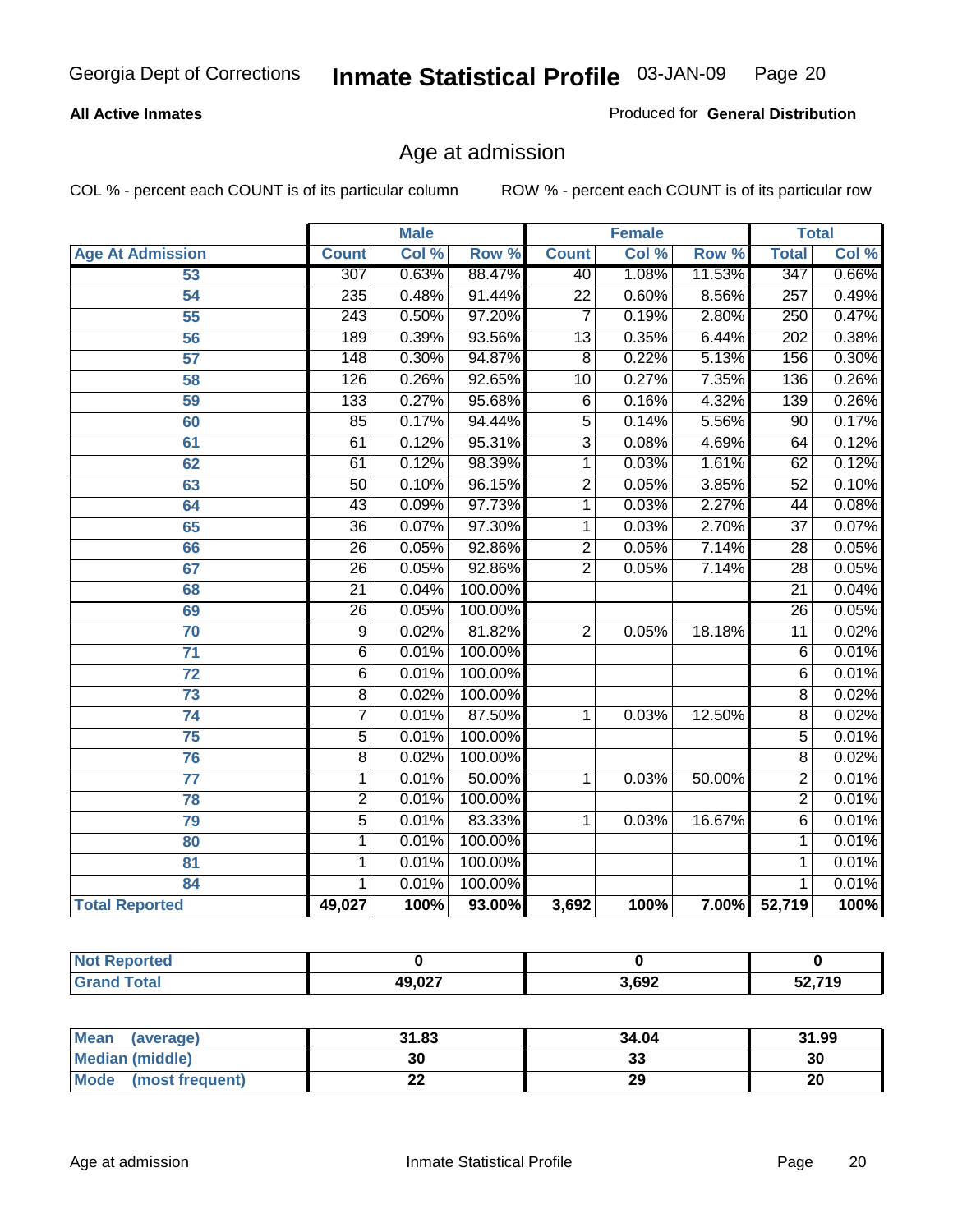#### **All Active Inmates**

Produced for **General Distribution**

# Age at admission

|                         | <b>Male</b>      |       | <b>Female</b> |                 |       | <b>Total</b> |                  |       |
|-------------------------|------------------|-------|---------------|-----------------|-------|--------------|------------------|-------|
| <b>Age At Admission</b> | <b>Count</b>     | Col % | Row %         | <b>Count</b>    | Col % | Row %        | <b>Total</b>     | Col % |
| 53                      | 307              | 0.63% | 88.47%        | 40              | 1.08% | 11.53%       | 347              | 0.66% |
| 54                      | 235              | 0.48% | 91.44%        | $\overline{22}$ | 0.60% | 8.56%        | $\overline{257}$ | 0.49% |
| $\overline{55}$         | $\overline{243}$ | 0.50% | 97.20%        | $\overline{7}$  | 0.19% | 2.80%        | $\overline{250}$ | 0.47% |
| $\overline{56}$         | 189              | 0.39% | 93.56%        | $\overline{13}$ | 0.35% | 6.44%        | 202              | 0.38% |
| $\overline{57}$         | $\overline{148}$ | 0.30% | 94.87%        | $\overline{8}$  | 0.22% | 5.13%        | 156              | 0.30% |
| 58                      | 126              | 0.26% | 92.65%        | $\overline{10}$ | 0.27% | 7.35%        | 136              | 0.26% |
| 59                      | $\overline{133}$ | 0.27% | 95.68%        | 6               | 0.16% | 4.32%        | 139              | 0.26% |
| 60                      | $\overline{85}$  | 0.17% | 94.44%        | $\overline{5}$  | 0.14% | 5.56%        | $\overline{90}$  | 0.17% |
| 61                      | 61               | 0.12% | 95.31%        | $\overline{3}$  | 0.08% | 4.69%        | 64               | 0.12% |
| 62                      | 61               | 0.12% | 98.39%        | $\overline{1}$  | 0.03% | 1.61%        | 62               | 0.12% |
| 63                      | $\overline{50}$  | 0.10% | 96.15%        | $\overline{2}$  | 0.05% | 3.85%        | $\overline{52}$  | 0.10% |
| 64                      | $\overline{43}$  | 0.09% | 97.73%        | $\overline{1}$  | 0.03% | 2.27%        | $\overline{44}$  | 0.08% |
| 65                      | $\overline{36}$  | 0.07% | 97.30%        | 1               | 0.03% | 2.70%        | $\overline{37}$  | 0.07% |
| 66                      | $\overline{26}$  | 0.05% | 92.86%        | $\overline{2}$  | 0.05% | 7.14%        | $\overline{28}$  | 0.05% |
| 67                      | 26               | 0.05% | 92.86%        | $\overline{2}$  | 0.05% | 7.14%        | $\overline{28}$  | 0.05% |
| 68                      | $\overline{21}$  | 0.04% | 100.00%       |                 |       |              | $\overline{21}$  | 0.04% |
| 69                      | 26               | 0.05% | 100.00%       |                 |       |              | $\overline{26}$  | 0.05% |
| 70                      | $\overline{9}$   | 0.02% | 81.82%        | $\overline{2}$  | 0.05% | 18.18%       | $\overline{11}$  | 0.02% |
| 71                      | $\overline{6}$   | 0.01% | 100.00%       |                 |       |              | 6                | 0.01% |
| $\overline{72}$         | $\overline{6}$   | 0.01% | 100.00%       |                 |       |              | $\overline{6}$   | 0.01% |
| $\overline{73}$         | $\overline{8}$   | 0.02% | 100.00%       |                 |       |              | $\overline{8}$   | 0.02% |
| $\overline{74}$         | $\overline{7}$   | 0.01% | 87.50%        | 1               | 0.03% | 12.50%       | $\overline{8}$   | 0.02% |
| $\overline{75}$         | $\overline{5}$   | 0.01% | 100.00%       |                 |       |              | 5                | 0.01% |
| 76                      | $\overline{8}$   | 0.02% | 100.00%       |                 |       |              | $\overline{8}$   | 0.02% |
| 77                      | $\mathbf{1}$     | 0.01% | 50.00%        | 1               | 0.03% | 50.00%       | $\overline{2}$   | 0.01% |
| 78                      | $\overline{2}$   | 0.01% | 100.00%       |                 |       |              | $\overline{2}$   | 0.01% |
| 79                      | $\overline{5}$   | 0.01% | 83.33%        | $\overline{1}$  | 0.03% | 16.67%       | 6                | 0.01% |
| 80                      | $\overline{1}$   | 0.01% | 100.00%       |                 |       |              | 1                | 0.01% |
| $\overline{81}$         | $\mathbf{1}$     | 0.01% | 100.00%       |                 |       |              | 1                | 0.01% |
| 84                      | 1                | 0.01% | 100.00%       |                 |       |              | 1                | 0.01% |
| <b>Total Reported</b>   | 49,027           | 100%  | 93.00%        | 3,692           | 100%  | $7.00\%$     | 52,719           | 100%  |

| <b>Not Reported</b> |        |       |        |
|---------------------|--------|-------|--------|
| <b>Grand Total</b>  | 49,027 | 3,692 | 52,719 |

| Mean<br>(average)              | 31.83     | 34.04    | 31.99 |
|--------------------------------|-----------|----------|-------|
| <b>Median (middle)</b>         | 30        | ^^<br>vu | 30    |
| <b>Mode</b><br>(most frequent) | <u>__</u> | 29       | 20    |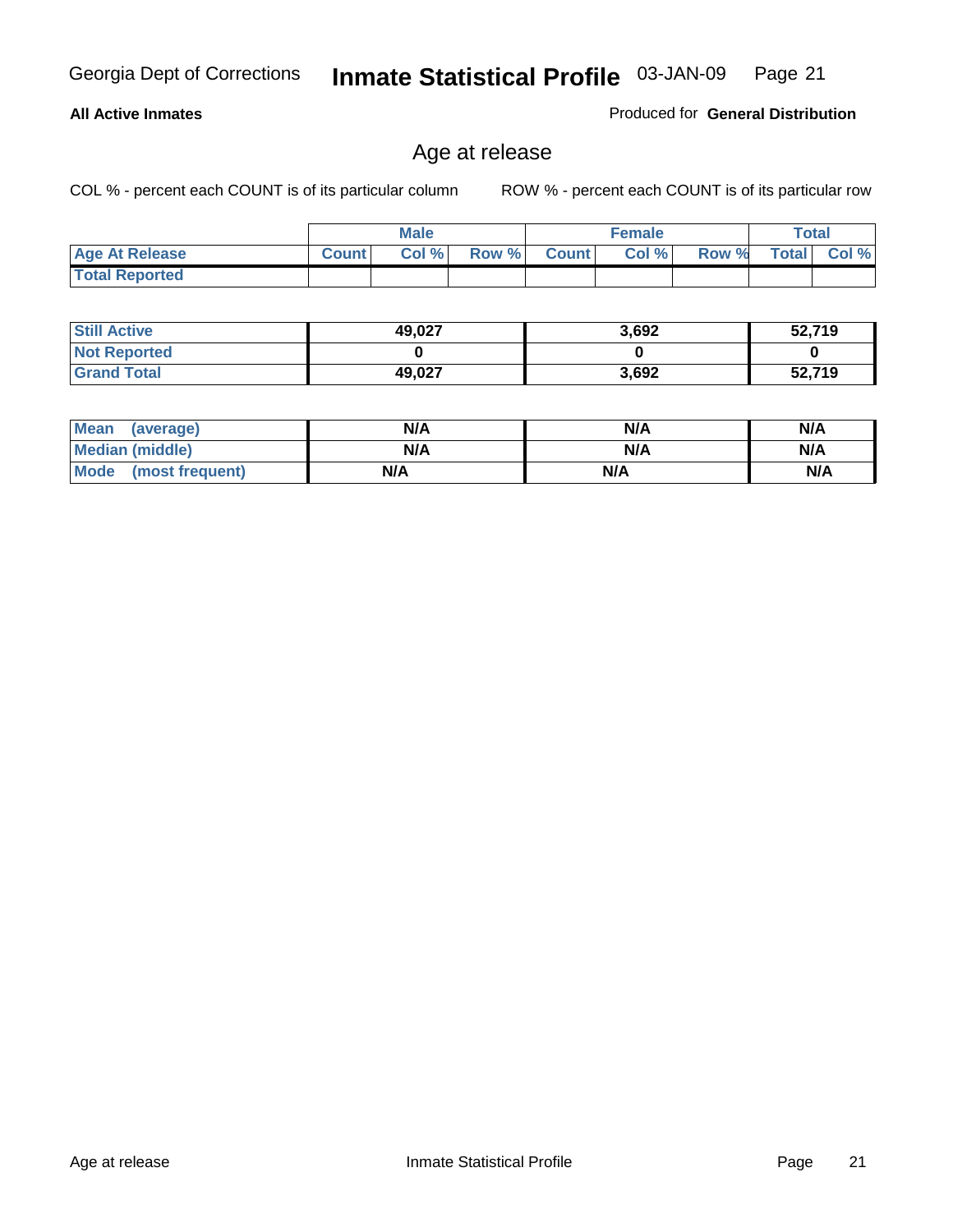#### **All Active Inmates**

Produced for **General Distribution**

# Age at release

|                       |              | <b>Male</b> |       |              | <b>Female</b> |       |              | <b>Total</b> |
|-----------------------|--------------|-------------|-------|--------------|---------------|-------|--------------|--------------|
| <b>Age At Release</b> | <b>Count</b> | Col %       | Row % | <b>Count</b> | Col %         | Row % | <b>Total</b> | Col %        |
| <b>Total Reported</b> |              |             |       |              |               |       |              |              |

| <b>Still Active</b> | 49,027 | 3,692 | 52,719 |
|---------------------|--------|-------|--------|
| <b>Not Reported</b> |        |       |        |
| <b>Grand Total</b>  | 49,027 | 3,692 | 52,719 |

| Mean (average)       | N/A | N/A | N/A |
|----------------------|-----|-----|-----|
| Median (middle)      | N/A | N/A | N/A |
| Mode (most frequent) | N/A | N/A | N/A |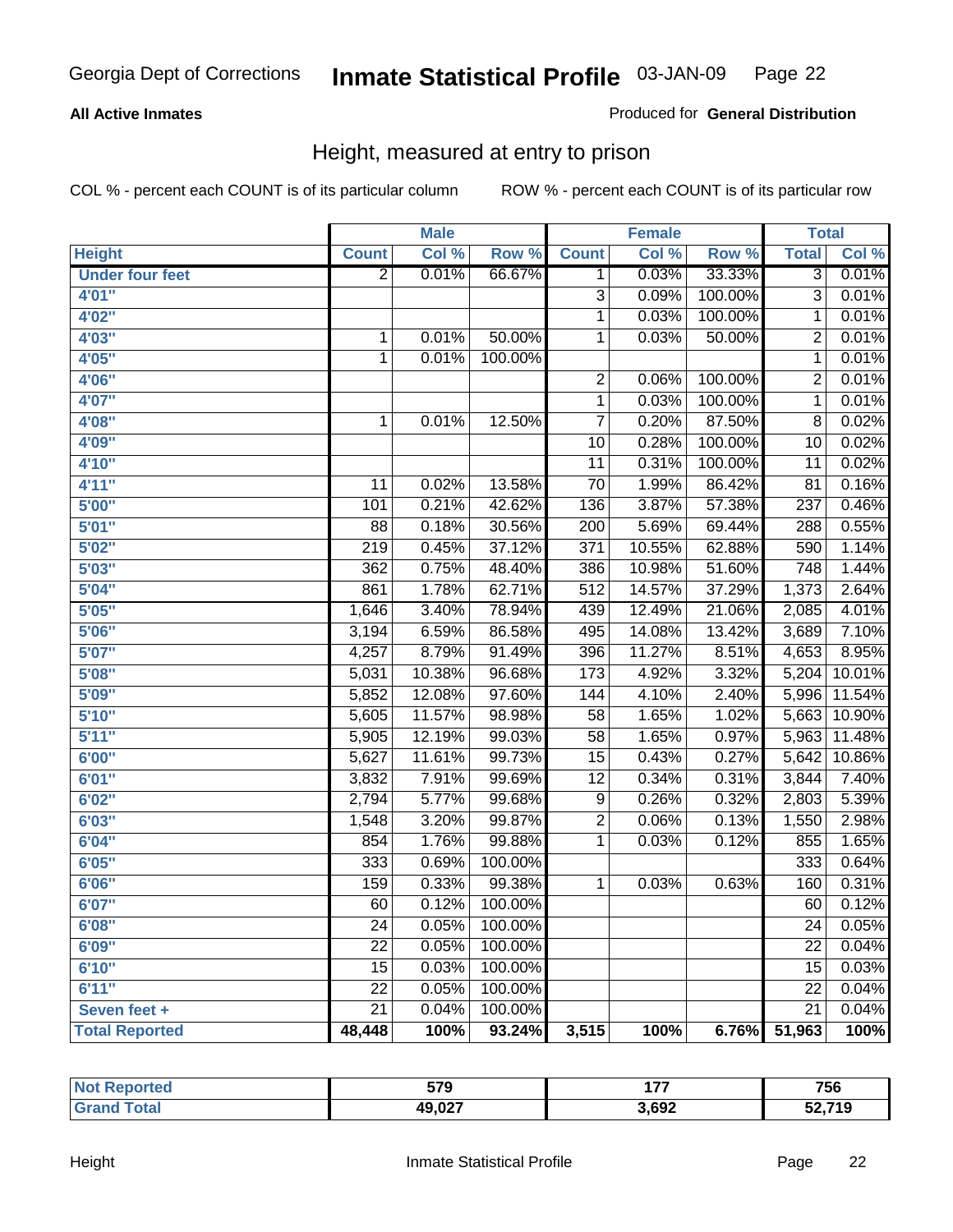#### **All Active Inmates**

#### Produced for **General Distribution**

# Height, measured at entry to prison

|                        |                  | <b>Male</b> |         |                  | <b>Female</b> |         | <b>Total</b>    |                    |
|------------------------|------------------|-------------|---------|------------------|---------------|---------|-----------------|--------------------|
| <b>Height</b>          | <b>Count</b>     | Col %       | Row %   | <b>Count</b>     | Col %         | Row %   | <b>Total</b>    | Col %              |
| <b>Under four feet</b> | $\overline{2}$   | 0.01%       | 66.67%  | 1                | 0.03%         | 33.33%  | $\overline{3}$  | 0.01%              |
| 4'01''                 |                  |             |         | 3                | 0.09%         | 100.00% | $\overline{3}$  | 0.01%              |
| 4'02"                  |                  |             |         | $\mathbf{1}$     | 0.03%         | 100.00% | $\mathbf{1}$    | 0.01%              |
| 4'03"                  | 1                | 0.01%       | 50.00%  | $\mathbf 1$      | 0.03%         | 50.00%  | $\overline{2}$  | 0.01%              |
| 4'05"                  | $\mathbf 1$      | 0.01%       | 100.00% |                  |               |         | $\overline{1}$  | 0.01%              |
| 4'06"                  |                  |             |         | $\overline{2}$   | 0.06%         | 100.00% | $\overline{2}$  | 0.01%              |
| 4'07"                  |                  |             |         | $\mathbf{1}$     | 0.03%         | 100.00% | $\mathbf{1}$    | 0.01%              |
| 4'08"                  | $\mathbf{1}$     | 0.01%       | 12.50%  | $\overline{7}$   | 0.20%         | 87.50%  | 8               | 0.02%              |
| 4'09"                  |                  |             |         | 10               | 0.28%         | 100.00% | 10              | 0.02%              |
| 4'10"                  |                  |             |         | 11               | 0.31%         | 100.00% | $\overline{11}$ | 0.02%              |
| 4'11''                 | 11               | 0.02%       | 13.58%  | $\overline{70}$  | 1.99%         | 86.42%  | $\overline{81}$ | 0.16%              |
| 5'00''                 | 101              | 0.21%       | 42.62%  | 136              | 3.87%         | 57.38%  | 237             | 0.46%              |
| 5'01''                 | $\overline{88}$  | 0.18%       | 30.56%  | $\overline{200}$ | 5.69%         | 69.44%  | 288             | 0.55%              |
| 5'02''                 | $\overline{219}$ | 0.45%       | 37.12%  | $\overline{371}$ | 10.55%        | 62.88%  | 590             | 1.14%              |
| 5'03''                 | 362              | 0.75%       | 48.40%  | 386              | 10.98%        | 51.60%  | 748             | 1.44%              |
| 5'04''                 | 861              | 1.78%       | 62.71%  | 512              | 14.57%        | 37.29%  | 1,373           | 2.64%              |
| 5'05''                 | 1,646            | 3.40%       | 78.94%  | 439              | 12.49%        | 21.06%  | 2,085           | 4.01%              |
| 5'06''                 | 3,194            | 6.59%       | 86.58%  | 495              | 14.08%        | 13.42%  | 3,689           | 7.10%              |
| 5'07''                 | 4,257            | 8.79%       | 91.49%  | 396              | 11.27%        | 8.51%   | 4,653           | 8.95%              |
| 5'08''                 | 5,031            | 10.38%      | 96.68%  | $\overline{173}$ | 4.92%         | 3.32%   | 5,204           | 10.01%             |
| 5'09''                 | 5,852            | 12.08%      | 97.60%  | 144              | 4.10%         | 2.40%   | 5,996           | 11.54%             |
| 5'10''                 | 5,605            | 11.57%      | 98.98%  | $\overline{58}$  | 1.65%         | 1.02%   | 5,663           | 10.90%             |
| 5'11''                 | 5,905            | 12.19%      | 99.03%  | $\overline{58}$  | 1.65%         | 0.97%   | 5,963           | 11.48%             |
| 6'00''                 | 5,627            | 11.61%      | 99.73%  | $\overline{15}$  | 0.43%         | 0.27%   | 5,642           | 10.86%             |
| 6'01''                 | 3,832            | 7.91%       | 99.69%  | $\overline{12}$  | 0.34%         | 0.31%   | 3,844           | 7.40%              |
| 6'02''                 | 2,794            | 5.77%       | 99.68%  | $\overline{9}$   | 0.26%         | 0.32%   | 2,803           | 5.39%              |
| 6'03''                 | 1,548            | 3.20%       | 99.87%  | $\overline{2}$   | 0.06%         | 0.13%   | 1,550           | 2.98%              |
| 6'04''                 | 854              | 1.76%       | 99.88%  | $\mathbf 1$      | 0.03%         | 0.12%   | 855             | 1.65%              |
| 6'05''                 | 333              | 0.69%       | 100.00% |                  |               |         | 333             | 0.64%              |
| 6'06''                 | 159              | 0.33%       | 99.38%  | $\mathbf{1}$     | 0.03%         | 0.63%   | 160             | 0.31%              |
| 6'07''                 | 60               | 0.12%       | 100.00% |                  |               |         | 60              | 0.12%              |
| 6'08''                 | $\overline{24}$  | 0.05%       | 100.00% |                  |               |         | 24              | 0.05%              |
| 6'09''                 | $\overline{22}$  | 0.05%       | 100.00% |                  |               |         | $\overline{22}$ | 0.04%              |
| 6'10''                 | 15               | 0.03%       | 100.00% |                  |               |         | 15              | 0.03%              |
| 6'11''                 | 22               | 0.05%       | 100.00% |                  |               |         | 22              | 0.04%              |
| Seven feet +           | $\overline{21}$  | 0.04%       | 100.00% |                  |               |         | $\overline{21}$ | 0.04%              |
| <b>Total Reported</b>  | 48,448           | 100%        | 93.24%  | 3,515            | 100%          | 6.76%   | 51,963          | $\overline{100\%}$ |

| rted<br><b>NO1</b> | 579    | ---   | 756    |
|--------------------|--------|-------|--------|
| <b>c</b> otal      | 49,027 | 3,692 | 20.74c |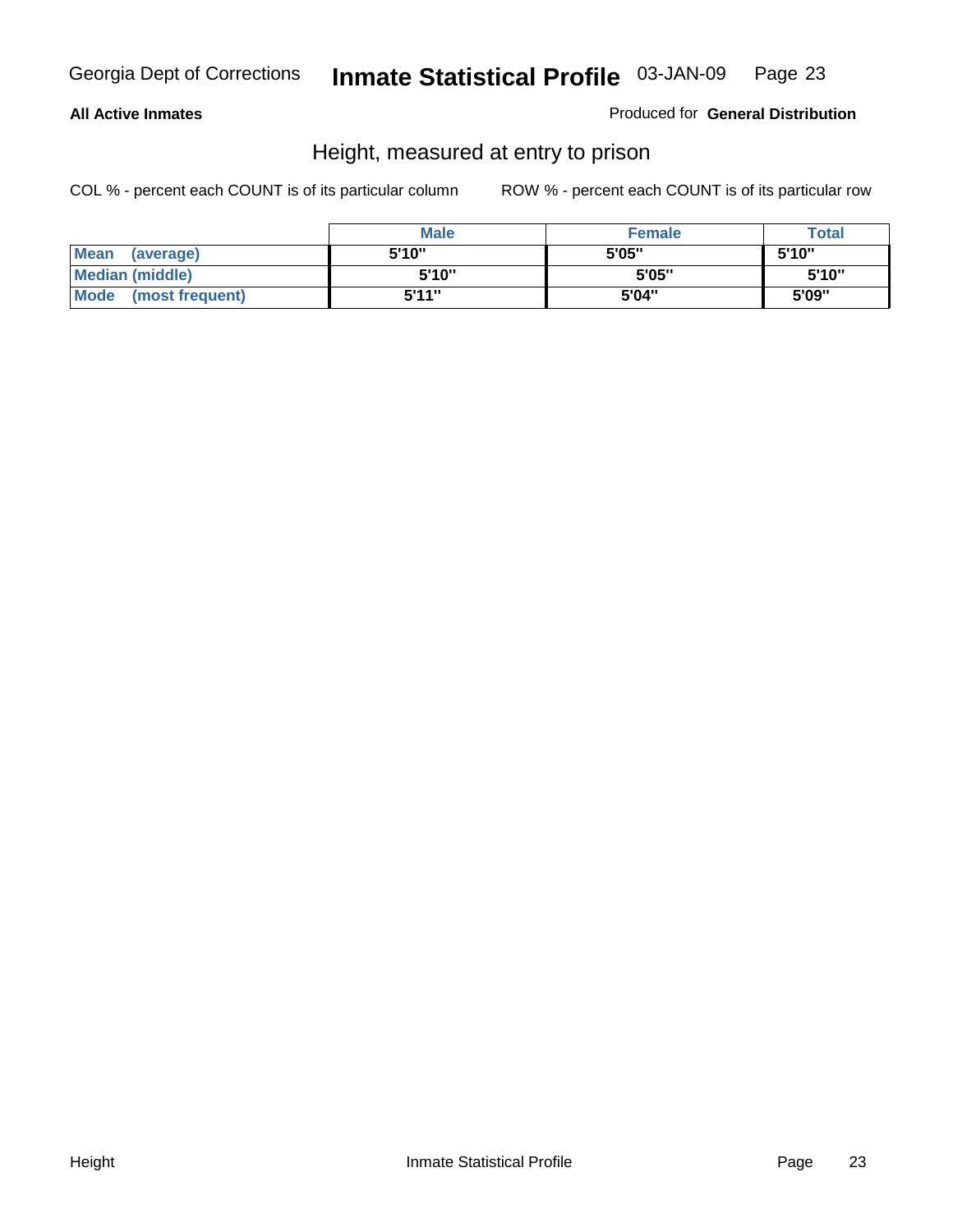#### **All Active Inmates**

Produced for **General Distribution**

# Height, measured at entry to prison

|                        | <b>Male</b> | <b>Female</b> | <b>Total</b> |
|------------------------|-------------|---------------|--------------|
| Mean (average)         | 5'10"       | 5'05"         | 5'10''       |
| <b>Median (middle)</b> | 5'10''      | 5'05"         | 5'10"        |
| Mode (most frequent)   | 5'11"       | 5'04"         | 5'09"        |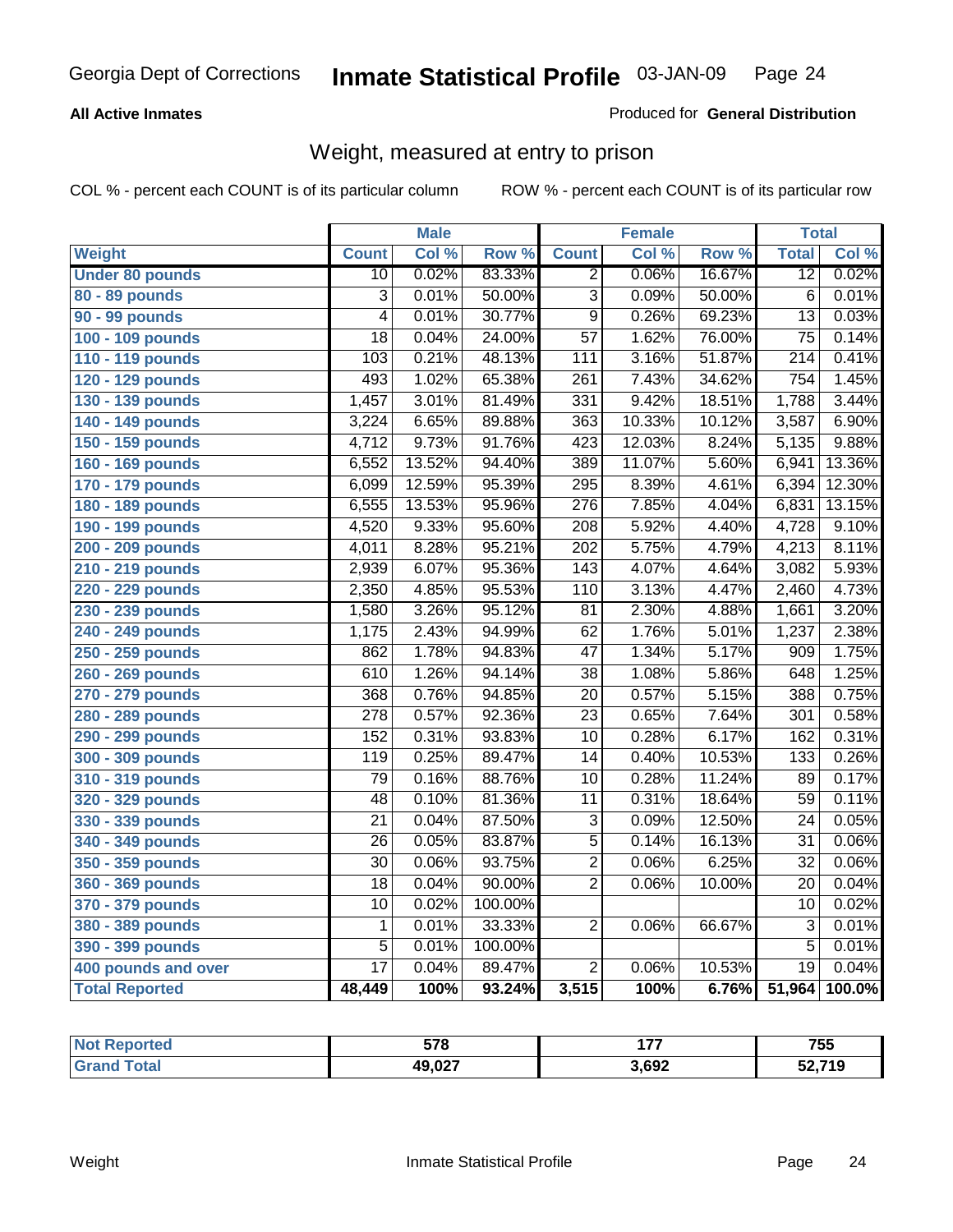#### **All Active Inmates**

#### Produced for **General Distribution**

# Weight, measured at entry to prison

|                        |                  | <b>Male</b> |         |                  | <b>Female</b> |        | <b>Total</b>     |        |
|------------------------|------------------|-------------|---------|------------------|---------------|--------|------------------|--------|
| Weight                 | <b>Count</b>     | Col %       | Row %   | <b>Count</b>     | Col %         | Row %  | <b>Total</b>     | Col %  |
| <b>Under 80 pounds</b> | $\overline{10}$  | 0.02%       | 83.33%  | $\overline{2}$   | 0.06%         | 16.67% | $\overline{12}$  | 0.02%  |
| 80 - 89 pounds         | $\overline{3}$   | 0.01%       | 50.00%  | $\overline{3}$   | 0.09%         | 50.00% | $\overline{6}$   | 0.01%  |
| 90 - 99 pounds         | $\overline{4}$   | 0.01%       | 30.77%  | $\overline{9}$   | 0.26%         | 69.23% | $\overline{13}$  | 0.03%  |
| 100 - 109 pounds       | $\overline{18}$  | 0.04%       | 24.00%  | $\overline{57}$  | 1.62%         | 76.00% | $\overline{75}$  | 0.14%  |
| 110 - 119 pounds       | 103              | 0.21%       | 48.13%  | 111              | 3.16%         | 51.87% | $\overline{214}$ | 0.41%  |
| 120 - 129 pounds       | 493              | 1.02%       | 65.38%  | $\overline{261}$ | 7.43%         | 34.62% | 754              | 1.45%  |
| 130 - 139 pounds       | 1,457            | 3.01%       | 81.49%  | 331              | 9.42%         | 18.51% | 1,788            | 3.44%  |
| 140 - 149 pounds       | 3,224            | 6.65%       | 89.88%  | $\overline{363}$ | 10.33%        | 10.12% | 3,587            | 6.90%  |
| 150 - 159 pounds       | 4,712            | 9.73%       | 91.76%  | 423              | 12.03%        | 8.24%  | 5,135            | 9.88%  |
| 160 - 169 pounds       | 6,552            | 13.52%      | 94.40%  | 389              | 11.07%        | 5.60%  | 6,941            | 13.36% |
| 170 - 179 pounds       | 6,099            | 12.59%      | 95.39%  | 295              | 8.39%         | 4.61%  | 6,394            | 12.30% |
| 180 - 189 pounds       | 6,555            | 13.53%      | 95.96%  | $\overline{276}$ | 7.85%         | 4.04%  | 6,831            | 13.15% |
| 190 - 199 pounds       | 4,520            | 9.33%       | 95.60%  | $\overline{208}$ | 5.92%         | 4.40%  | 4,728            | 9.10%  |
| 200 - 209 pounds       | 4,011            | 8.28%       | 95.21%  | $\overline{202}$ | 5.75%         | 4.79%  | 4,213            | 8.11%  |
| 210 - 219 pounds       | 2,939            | 6.07%       | 95.36%  | $\overline{143}$ | 4.07%         | 4.64%  | 3,082            | 5.93%  |
| 220 - 229 pounds       | 2,350            | 4.85%       | 95.53%  | 110              | 3.13%         | 4.47%  | 2,460            | 4.73%  |
| 230 - 239 pounds       | 1,580            | 3.26%       | 95.12%  | $\overline{81}$  | 2.30%         | 4.88%  | 1,661            | 3.20%  |
| 240 - 249 pounds       | 1,175            | 2.43%       | 94.99%  | $\overline{62}$  | 1.76%         | 5.01%  | 1,237            | 2.38%  |
| 250 - 259 pounds       | 862              | 1.78%       | 94.83%  | $\overline{47}$  | 1.34%         | 5.17%  | 909              | 1.75%  |
| 260 - 269 pounds       | 610              | 1.26%       | 94.14%  | $\overline{38}$  | 1.08%         | 5.86%  | 648              | 1.25%  |
| 270 - 279 pounds       | 368              | 0.76%       | 94.85%  | $\overline{20}$  | 0.57%         | 5.15%  | 388              | 0.75%  |
| 280 - 289 pounds       | $\overline{278}$ | 0.57%       | 92.36%  | $\overline{23}$  | 0.65%         | 7.64%  | $\overline{301}$ | 0.58%  |
| 290 - 299 pounds       | 152              | 0.31%       | 93.83%  | $\overline{10}$  | 0.28%         | 6.17%  | 162              | 0.31%  |
| 300 - 309 pounds       | 119              | 0.25%       | 89.47%  | $\overline{14}$  | 0.40%         | 10.53% | 133              | 0.26%  |
| 310 - 319 pounds       | $\overline{79}$  | 0.16%       | 88.76%  | $\overline{10}$  | 0.28%         | 11.24% | 89               | 0.17%  |
| 320 - 329 pounds       | $\overline{48}$  | 0.10%       | 81.36%  | $\overline{11}$  | 0.31%         | 18.64% | $\overline{59}$  | 0.11%  |
| 330 - 339 pounds       | $\overline{21}$  | 0.04%       | 87.50%  | 3                | 0.09%         | 12.50% | 24               | 0.05%  |
| 340 - 349 pounds       | 26               | 0.05%       | 83.87%  | $\overline{5}$   | 0.14%         | 16.13% | $\overline{31}$  | 0.06%  |
| 350 - 359 pounds       | $\overline{30}$  | 0.06%       | 93.75%  | $\overline{2}$   | 0.06%         | 6.25%  | $\overline{32}$  | 0.06%  |
| 360 - 369 pounds       | 18               | 0.04%       | 90.00%  | $\overline{2}$   | 0.06%         | 10.00% | 20               | 0.04%  |
| 370 - 379 pounds       | $\overline{10}$  | 0.02%       | 100.00% |                  |               |        | $\overline{10}$  | 0.02%  |
| 380 - 389 pounds       | $\mathbf{1}$     | 0.01%       | 33.33%  | $\overline{2}$   | 0.06%         | 66.67% | $\overline{3}$   | 0.01%  |
| 390 - 399 pounds       | $\overline{5}$   | 0.01%       | 100.00% |                  |               |        | $\overline{5}$   | 0.01%  |
| 400 pounds and over    | $\overline{17}$  | 0.04%       | 89.47%  | $\overline{2}$   | 0.06%         | 10.53% | $\overline{19}$  | 0.04%  |
| <b>Total Reported</b>  | 48,449           | 100%        | 93.24%  | 3,515            | 100%          | 6.76%  | 51,964           | 100.0% |

| <b>Reported</b><br>NO. | 578    | .<br>. | 755    |
|------------------------|--------|--------|--------|
| 'ota.                  | 49,027 | 3,692  | 52,719 |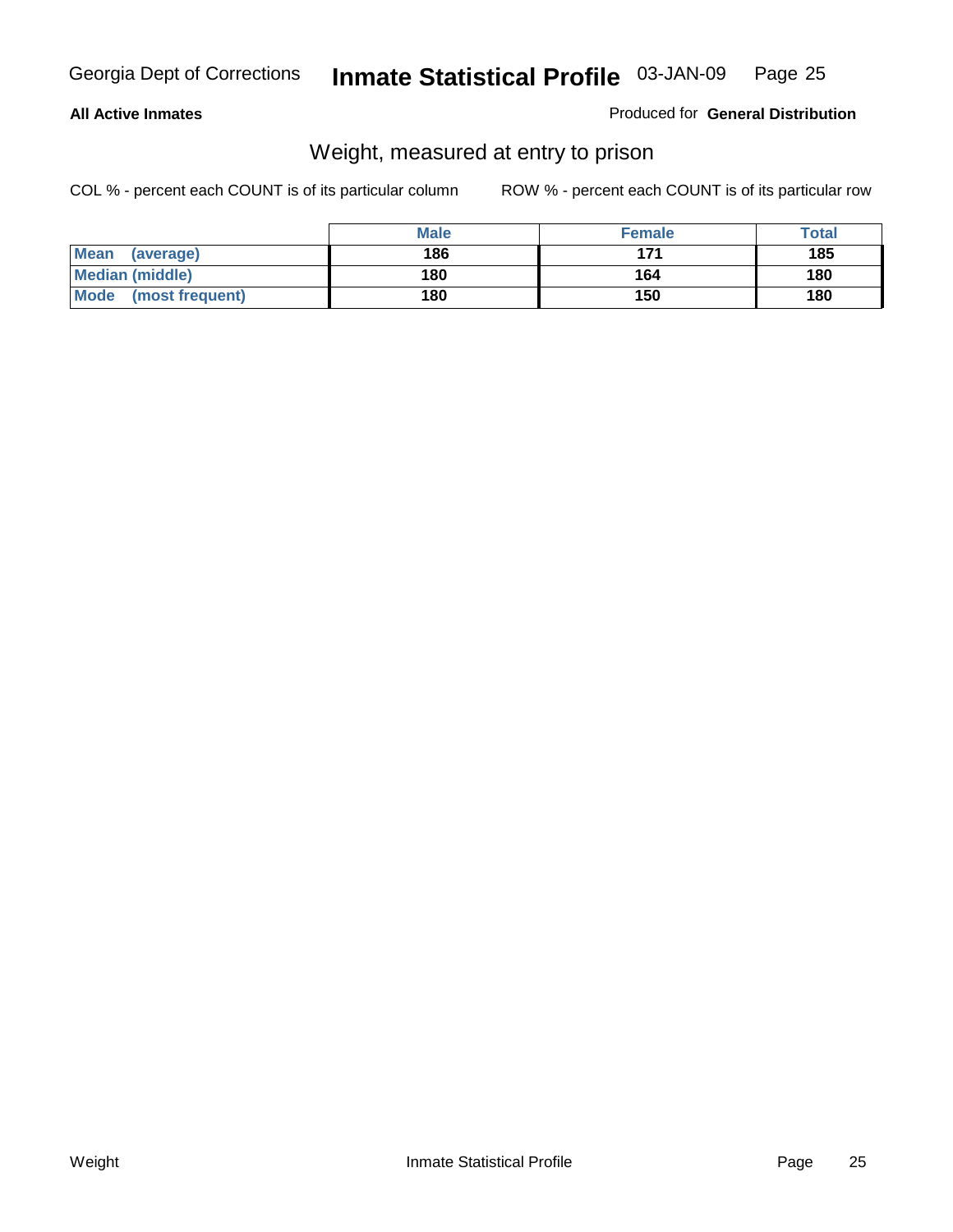#### **All Active Inmates**

#### Produced for **General Distribution**

# Weight, measured at entry to prison

|                          | <b>Male</b> | <b>Female</b> | <b>Total</b> |
|--------------------------|-------------|---------------|--------------|
| <b>Mean</b><br>(average) | 186         | 171           | 185          |
| <b>Median (middle)</b>   | 180         | 164           | 180          |
| Mode (most frequent)     | 180         | 150           | 180          |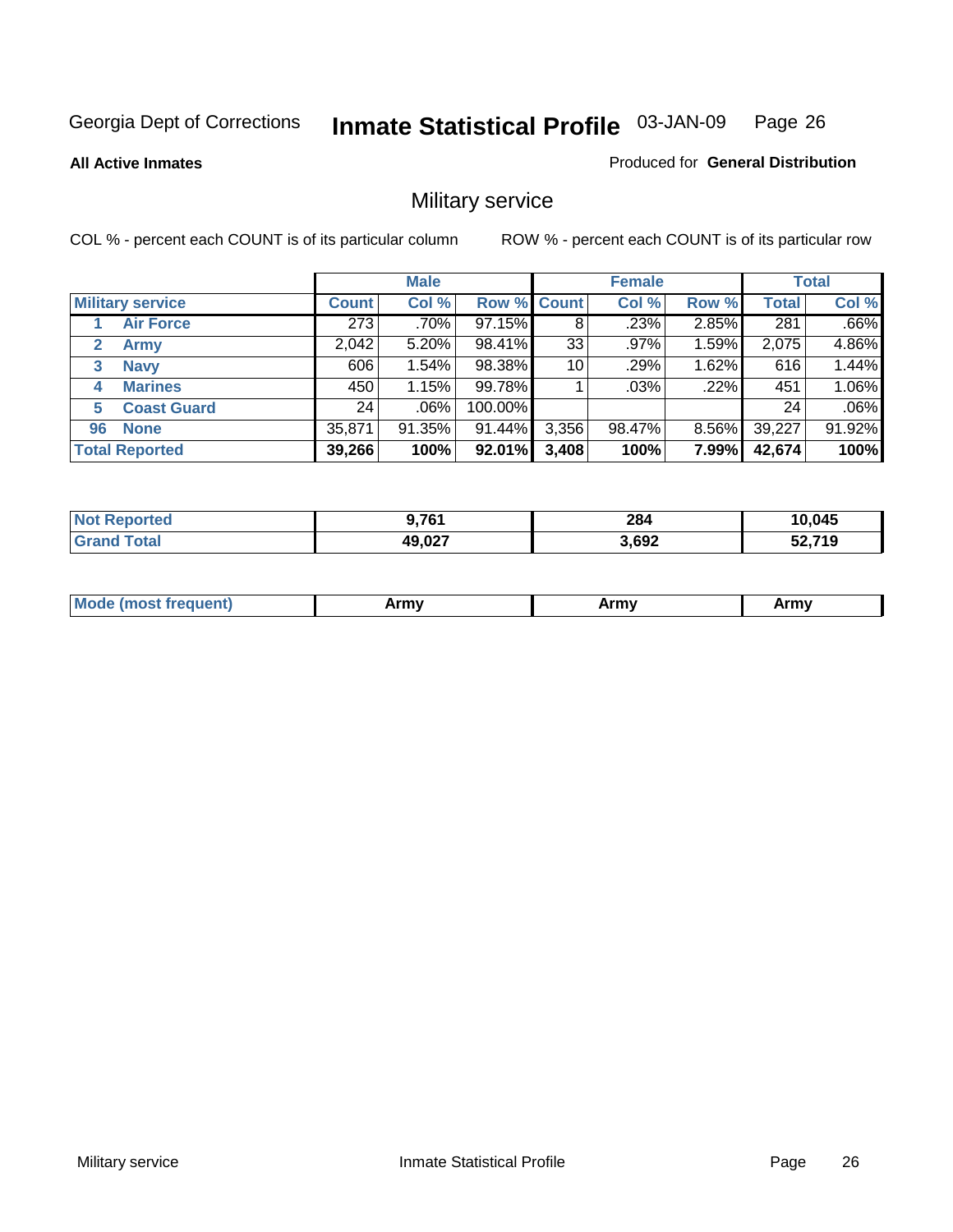**All Active Inmates**

#### Produced for **General Distribution**

# Military service

|                         |              | <b>Male</b> |             |       | <b>Female</b> |          |              | <b>Total</b> |
|-------------------------|--------------|-------------|-------------|-------|---------------|----------|--------------|--------------|
| <b>Military service</b> | <b>Count</b> | Col %       | Row % Count |       | Col %         | Row %    | <b>Total</b> | Col %        |
| <b>Air Force</b>        | 273          | .70%        | 97.15%      | 8     | .23%          | 2.85%    | 281          | .66%         |
| <b>Army</b>             | 2,042        | 5.20%       | 98.41%      | 33    | .97%          | 1.59%    | 2,075        | 4.86%        |
| <b>Navy</b><br>3        | 606          | 1.54%       | 98.38%      | 10    | .29%          | 1.62%    | 616          | 1.44%        |
| <b>Marines</b><br>4     | 450          | 1.15%       | 99.78%      |       | $.03\%$       | .22%     | 451          | 1.06%        |
| <b>Coast Guard</b><br>5 | 24           | $.06\%$     | 100.00%     |       |               |          | 24           | .06%         |
| <b>None</b><br>96       | 35,871       | $91.35\%$   | 91.44%      | 3,356 | 98.47%        | $8.56\%$ | 39,227       | 91.92%       |
| <b>Total Reported</b>   | 39,266       | 100%        | 92.01%      | 3,408 | 100%          | 7.99%    | 42,674       | 100%         |

| тео<br><b>N</b> | ).761  | 284<br>$\sim$ $\sim$ | 10,045         |
|-----------------|--------|----------------------|----------------|
|                 | 49,027 | 3,692                | 52,719<br>JL.I |

|  | <b>Mode</b><br>reauent)<br>.ost if | Army | Army | Army |
|--|------------------------------------|------|------|------|
|--|------------------------------------|------|------|------|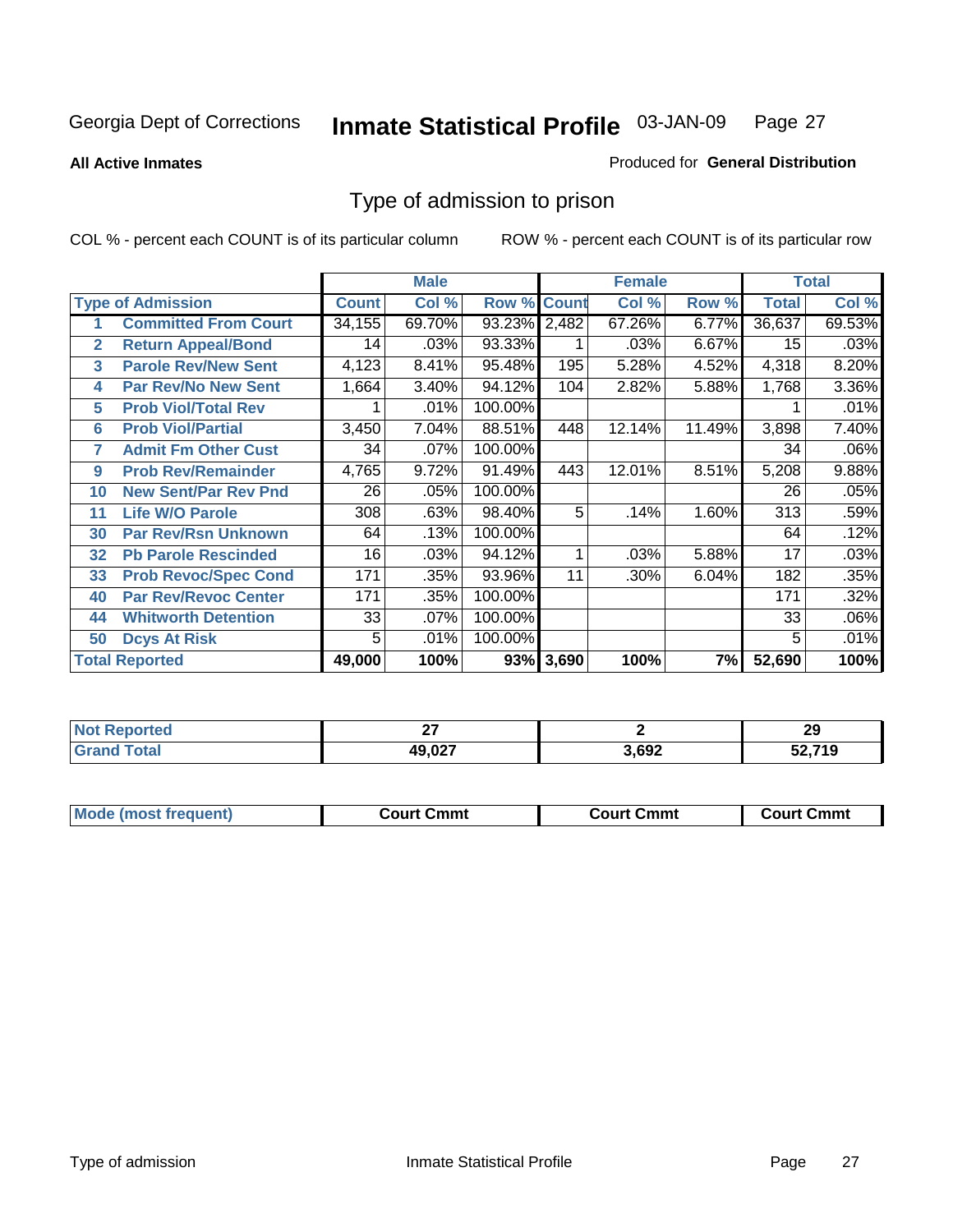**All Active Inmates**

#### Produced for **General Distribution**

# Type of admission to prison

|              |                             |              | <b>Male</b> |                    |           | <b>Female</b> |        |              | <b>Total</b> |
|--------------|-----------------------------|--------------|-------------|--------------------|-----------|---------------|--------|--------------|--------------|
|              | <b>Type of Admission</b>    | <b>Count</b> | Col %       | <b>Row % Count</b> |           | Col %         | Row %  | <b>Total</b> | Col %        |
| 1            | <b>Committed From Court</b> | 34,155       | 69.70%      | 93.23% 2,482       |           | 67.26%        | 6.77%  | 36,637       | 69.53%       |
| $\mathbf{2}$ | <b>Return Appeal/Bond</b>   | 14           | .03%        | 93.33%             |           | .03%          | 6.67%  | 15           | .03%         |
| 3            | <b>Parole Rev/New Sent</b>  | 4,123        | 8.41%       | 95.48%             | 195       | 5.28%         | 4.52%  | 4,318        | 8.20%        |
| 4            | <b>Par Rev/No New Sent</b>  | 1,664        | 3.40%       | 94.12%             | 104       | 2.82%         | 5.88%  | 1,768        | 3.36%        |
| 5            | <b>Prob Viol/Total Rev</b>  |              | .01%        | 100.00%            |           |               |        |              | .01%         |
| 6            | <b>Prob Viol/Partial</b>    | 3,450        | 7.04%       | 88.51%             | 448       | 12.14%        | 11.49% | 3,898        | 7.40%        |
| 7            | <b>Admit Fm Other Cust</b>  | 34           | $.07\%$     | 100.00%            |           |               |        | 34           | .06%         |
| 9            | <b>Prob Rev/Remainder</b>   | 4,765        | 9.72%       | 91.49%             | 443       | 12.01%        | 8.51%  | 5,208        | 9.88%        |
| 10           | <b>New Sent/Par Rev Pnd</b> | 26           | .05%        | 100.00%            |           |               |        | 26           | .05%         |
| 11           | <b>Life W/O Parole</b>      | 308          | .63%        | 98.40%             | 5         | .14%          | 1.60%  | 313          | .59%         |
| 30           | <b>Par Rev/Rsn Unknown</b>  | 64           | .13%        | 100.00%            |           |               |        | 64           | .12%         |
| 32           | <b>Pb Parole Rescinded</b>  | 16           | .03%        | 94.12%             | 1         | .03%          | 5.88%  | 17           | .03%         |
| 33           | <b>Prob Revoc/Spec Cond</b> | 171          | .35%        | 93.96%             | 11        | .30%          | 6.04%  | 182          | .35%         |
| 40           | <b>Par Rev/Revoc Center</b> | 171          | .35%        | 100.00%            |           |               |        | 171          | .32%         |
| 44           | <b>Whitworth Detention</b>  | 33           | $.07\%$     | 100.00%            |           |               |        | 33           | .06%         |
| 50           | <b>Dcys At Risk</b>         | 5            | .01%        | 100.00%            |           |               |        | 5            | .01%         |
|              | <b>Total Reported</b>       | 49,000       | 100%        |                    | 93% 3,690 | 100%          | 7%     | 52,690       | 100%         |

| ≺eportea   | $\sim$          |      | ົ         |
|------------|-----------------|------|-----------|
| <b>NOT</b> |                 |      | 29        |
|            | 10.027<br>- . - | ,692 | 740<br>19 |

| <b>Mode</b><br><b>Cmmւ</b><br>Cmmt<br>Cmmt<br>frequent)<br>∴∩urt<br>Court (<br>:ourt<br>. |  |  |
|-------------------------------------------------------------------------------------------|--|--|
|                                                                                           |  |  |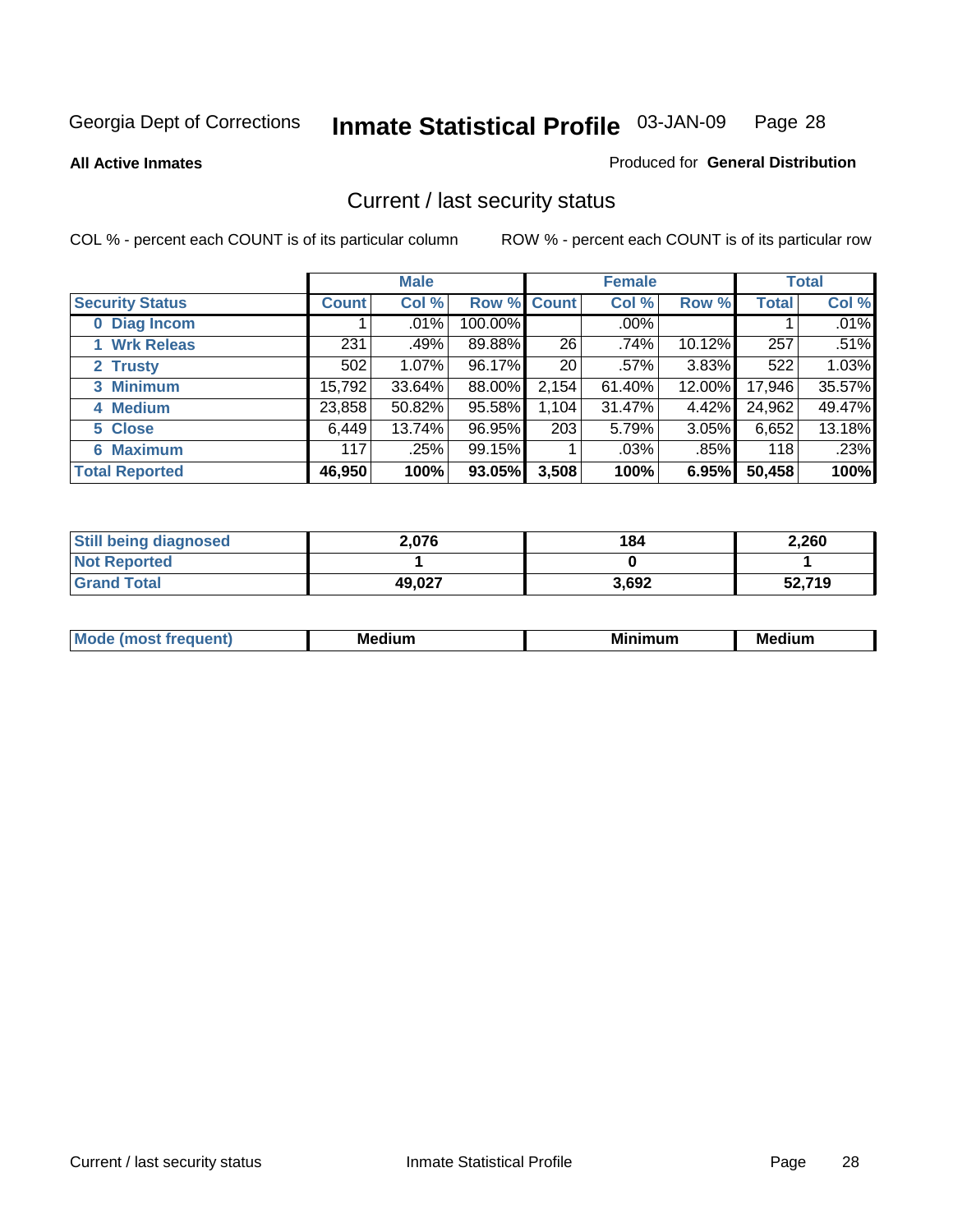**All Active Inmates**

#### Produced for **General Distribution**

# Current / last security status

|                        |              | <b>Male</b> |                    |       | <b>Female</b> |        |              | <b>Total</b> |
|------------------------|--------------|-------------|--------------------|-------|---------------|--------|--------------|--------------|
| <b>Security Status</b> | <b>Count</b> | Col %       | <b>Row % Count</b> |       | Col %         | Row %  | <b>Total</b> | Col %        |
| 0 Diag Incom           |              | .01%        | 100.00%            |       | $.00\%$       |        |              | .01%         |
| 1 Wrk Releas           | 231          | .49%        | 89.88%             | 26    | .74%          | 10.12% | 257          | .51%         |
| 2 Trusty               | 502          | 1.07%       | 96.17%             | 20    | $.57\%$       | 3.83%  | 522          | 1.03%        |
| 3 Minimum              | 15,792       | 33.64%      | 88.00%             | 2,154 | 61.40%        | 12.00% | 17,946       | 35.57%       |
| 4 Medium               | 23,858       | 50.82%      | 95.58%             | 1,104 | 31.47%        | 4.42%  | 24,962       | 49.47%       |
| 5 Close                | 6,449        | 13.74%      | 96.95%             | 203   | 5.79%         | 3.05%  | 6,652        | 13.18%       |
| <b>6 Maximum</b>       | 117          | .25%        | 99.15%             |       | .03%          | .85%   | 118          | .23%         |
| <b>Total Reported</b>  | 46,950       | 100%        | 93.05%             | 3,508 | 100%          | 6.95%  | 50,458       | 100%         |

| <b>Still being diagnosed</b> | 2,076  | 184   | 2,260  |
|------------------------------|--------|-------|--------|
| <b>Not Reported</b>          |        |       |        |
| <b>Grand Total</b>           | 49,027 | 3,692 | 52,719 |

| $M_{\Omega}$<br>יחב | M۵<br>dium | <b>BAL.</b><br>num | Mer<br>dium |
|---------------------|------------|--------------------|-------------|
|                     |            |                    |             |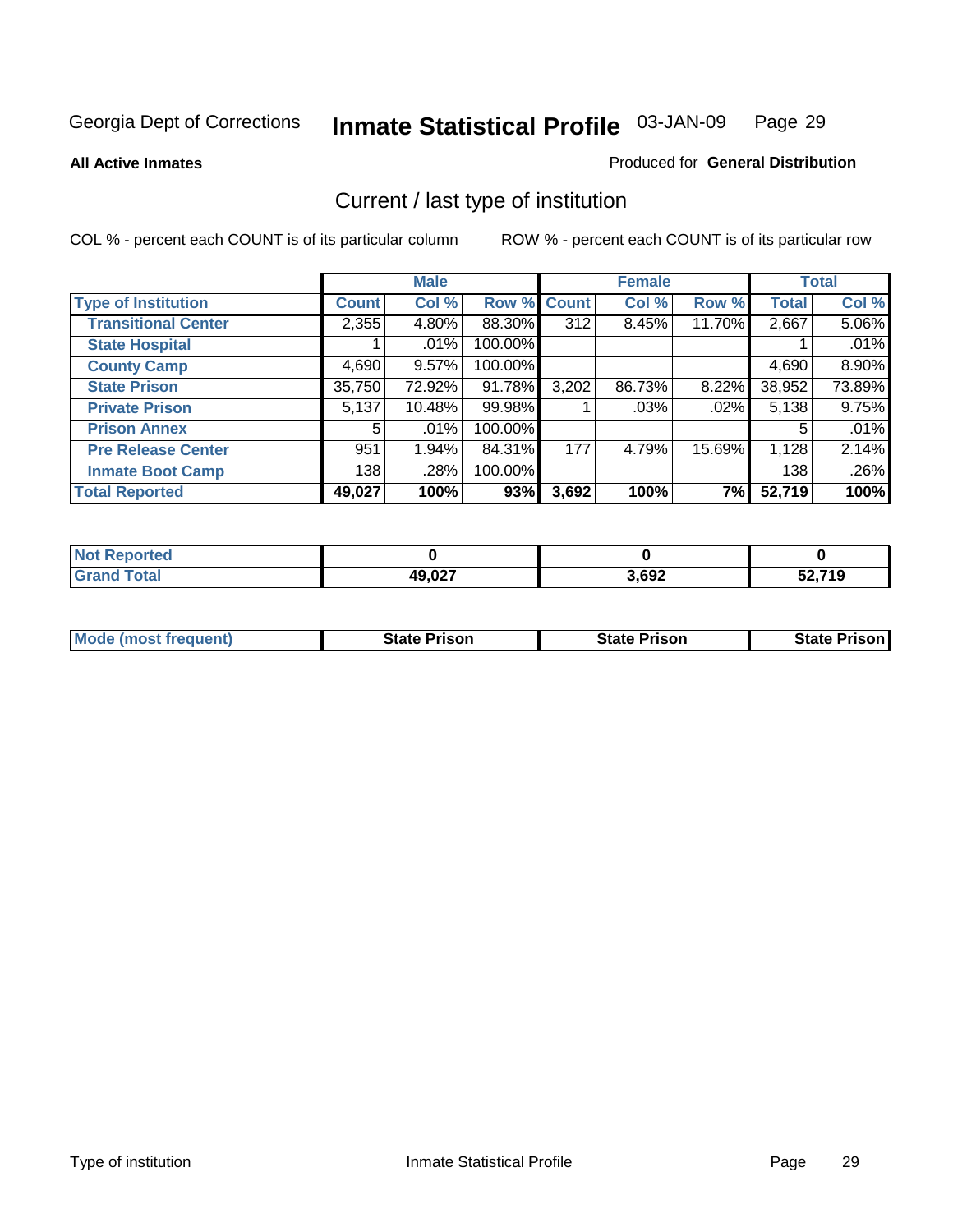**All Active Inmates**

#### Produced for **General Distribution**

# Current / last type of institution

|                            |              | <b>Male</b> |             |                  | <b>Female</b> |          |              | <b>Total</b> |
|----------------------------|--------------|-------------|-------------|------------------|---------------|----------|--------------|--------------|
| <b>Type of Institution</b> | <b>Count</b> | Col %       | Row % Count |                  | Col %         | Row %    | <b>Total</b> | Col %        |
| <b>Transitional Center</b> | 2,355        | 4.80%       | 88.30%      | $\overline{312}$ | 8.45%         | 11.70%   | 2,667        | $5.06\%$     |
| <b>State Hospital</b>      |              | $.01\%$     | 100.00%     |                  |               |          |              | .01%         |
| <b>County Camp</b>         | 4,690        | 9.57%       | 100.00%     |                  |               |          | 4,690        | 8.90%        |
| <b>State Prison</b>        | 35,750       | 72.92%      | 91.78%      | 3,202            | 86.73%        | $8.22\%$ | 38,952       | 73.89%       |
| <b>Private Prison</b>      | 5,137        | 10.48%      | 99.98%      |                  | $.03\%$       | .02%     | 5,138        | 9.75%        |
| <b>Prison Annex</b>        | 5            | $.01\%$     | 100.00%     |                  |               |          | 5            | .01%         |
| <b>Pre Release Center</b>  | 951          | 1.94%       | 84.31%      | 177              | 4.79%         | 15.69%   | 1,128        | 2.14%        |
| <b>Inmate Boot Camp</b>    | 138          | .28%        | 100.00%     |                  |               |          | 138          | .26%         |
| <b>Total Reported</b>      | 49,027       | 100%        | 93%         | 3,692            | 100%          | 7%       | 52,719       | 100%         |

| oorted<br>I NOT       |        |       |        |
|-----------------------|--------|-------|--------|
| <b>otal</b><br>. Grar | 49,027 | 3,692 | 52,719 |

| <b>Mode (most frequent)</b> | <b>State Prison</b> | <b>State Prison</b> | <b>State Prison I</b> |
|-----------------------------|---------------------|---------------------|-----------------------|
|                             |                     |                     |                       |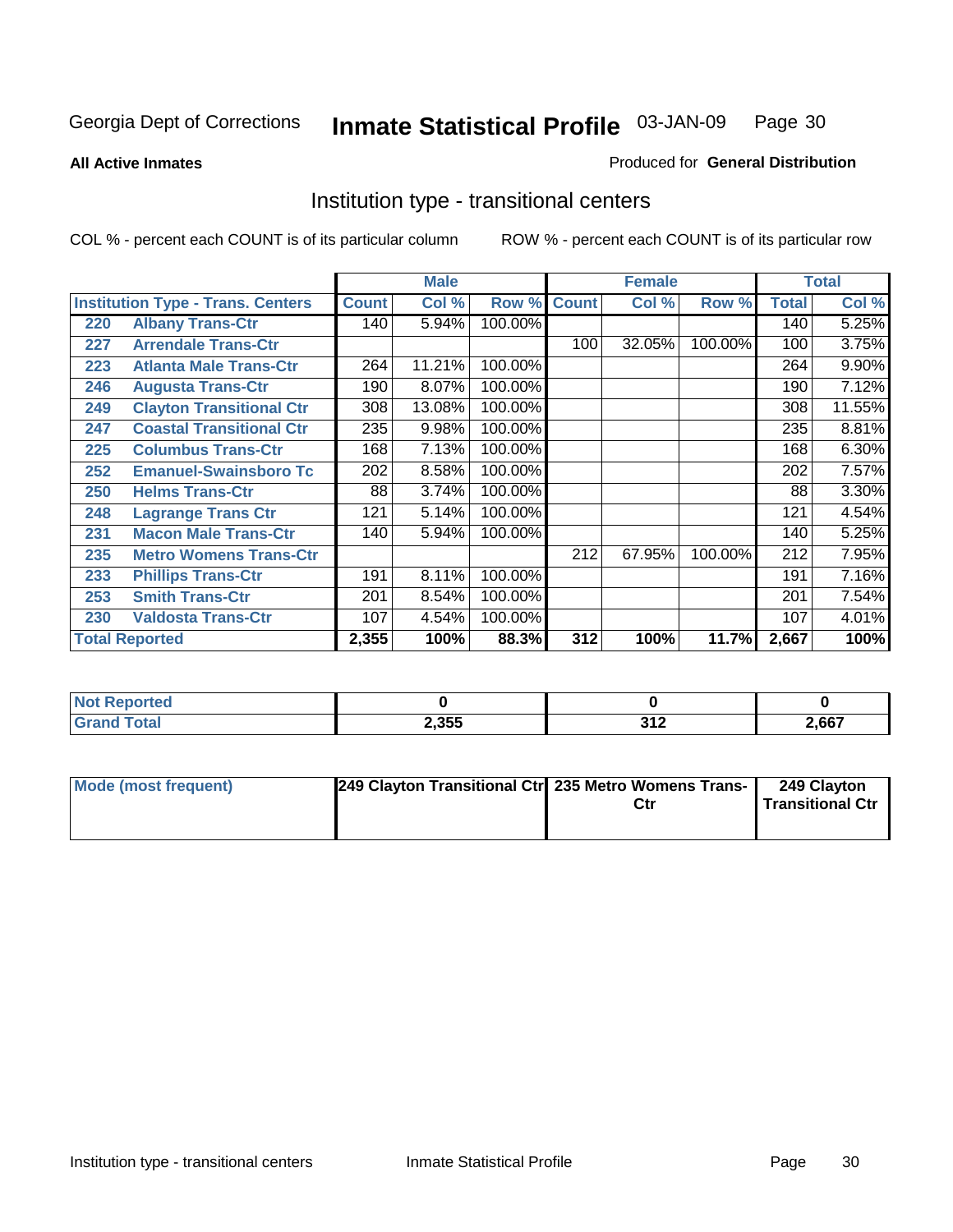**All Active Inmates**

#### Produced for **General Distribution**

# Institution type - transitional centers

|     |                                          | <b>Male</b>  |        | <b>Female</b> |              |        | <b>Total</b> |              |        |
|-----|------------------------------------------|--------------|--------|---------------|--------------|--------|--------------|--------------|--------|
|     | <b>Institution Type - Trans. Centers</b> | <b>Count</b> | Col %  | Row %         | <b>Count</b> | Col %  | Row %        | <b>Total</b> | Col %  |
| 220 | <b>Albany Trans-Ctr</b>                  | 140          | 5.94%  | 100.00%       |              |        |              | 140          | 5.25%  |
| 227 | <b>Arrendale Trans-Ctr</b>               |              |        |               | 100          | 32.05% | 100.00%      | 100          | 3.75%  |
| 223 | <b>Atlanta Male Trans-Ctr</b>            | 264          | 11.21% | 100.00%       |              |        |              | 264          | 9.90%  |
| 246 | <b>Augusta Trans-Ctr</b>                 | 190          | 8.07%  | 100.00%       |              |        |              | 190          | 7.12%  |
| 249 | <b>Clayton Transitional Ctr</b>          | 308          | 13.08% | 100.00%       |              |        |              | 308          | 11.55% |
| 247 | <b>Coastal Transitional Ctr</b>          | 235          | 9.98%  | 100.00%       |              |        |              | 235          | 8.81%  |
| 225 | <b>Columbus Trans-Ctr</b>                | 168          | 7.13%  | 100.00%       |              |        |              | 168          | 6.30%  |
| 252 | <b>Emanuel-Swainsboro Tc</b>             | 202          | 8.58%  | 100.00%       |              |        |              | 202          | 7.57%  |
| 250 | <b>Helms Trans-Ctr</b>                   | 88           | 3.74%  | 100.00%       |              |        |              | 88           | 3.30%  |
| 248 | <b>Lagrange Trans Ctr</b>                | 121          | 5.14%  | 100.00%       |              |        |              | 121          | 4.54%  |
| 231 | <b>Macon Male Trans-Ctr</b>              | 140          | 5.94%  | 100.00%       |              |        |              | 140          | 5.25%  |
| 235 | <b>Metro Womens Trans-Ctr</b>            |              |        |               | 212          | 67.95% | 100.00%      | 212          | 7.95%  |
| 233 | <b>Phillips Trans-Ctr</b>                | 191          | 8.11%  | 100.00%       |              |        |              | 191          | 7.16%  |
| 253 | <b>Smith Trans-Ctr</b>                   | 201          | 8.54%  | 100.00%       |              |        |              | 201          | 7.54%  |
| 230 | <b>Valdosta Trans-Ctr</b>                | 107          | 4.54%  | 100.00%       |              |        |              | 107          | 4.01%  |
|     | <b>Total Reported</b>                    | 2,355        | 100%   | 88.3%         | 312          | 100%   | 11.7%        | 2,667        | 100%   |

| Nt<br>rrea |       |                                                        |       |
|------------|-------|--------------------------------------------------------|-------|
|            | 2,355 | 242<br>$\mathbf{v}$ is a set of $\mathbf{v}$<br>$\sim$ | 2,667 |

| Mode (most frequent) | 249 Clayton Transitional Ctr 235 Metro Womens Trans- | Ctr | 249 Clayton<br><b>Transitional Ctr</b> |
|----------------------|------------------------------------------------------|-----|----------------------------------------|
|                      |                                                      |     |                                        |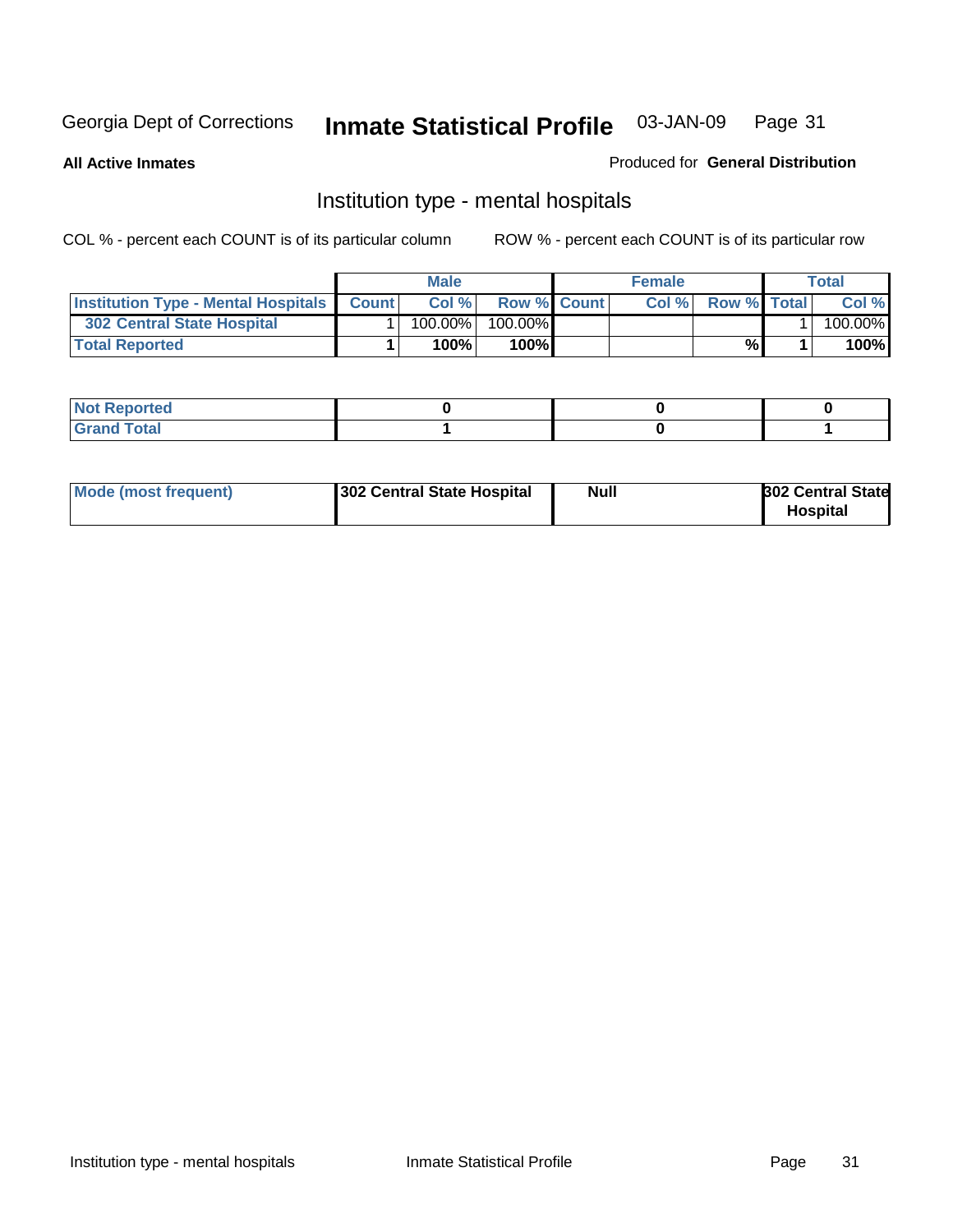**All Active Inmates**

#### Produced for **General Distribution**

# Institution type - mental hospitals

|                                                  | <b>Male</b> |                    | <b>Female</b> |                    | Total   |
|--------------------------------------------------|-------------|--------------------|---------------|--------------------|---------|
| <b>Institution Type - Mental Hospitals Count</b> | Col%        | <b>Row % Count</b> | Col%          | <b>Row % Total</b> | Col %   |
| <b>302 Central State Hospital</b>                | $100.00\%$  | 100.00%            |               |                    | 100.00% |
| <b>Total Reported</b>                            | 100%        | 100%               |               | %                  | 100%    |

| Not Reported |  |  |
|--------------|--|--|
| <b>otal</b>  |  |  |

| Mode (most frequent)<br>302 Central State Hospital | Null | <b>302 Central State</b><br><b>Hospital</b> |
|----------------------------------------------------|------|---------------------------------------------|
|----------------------------------------------------|------|---------------------------------------------|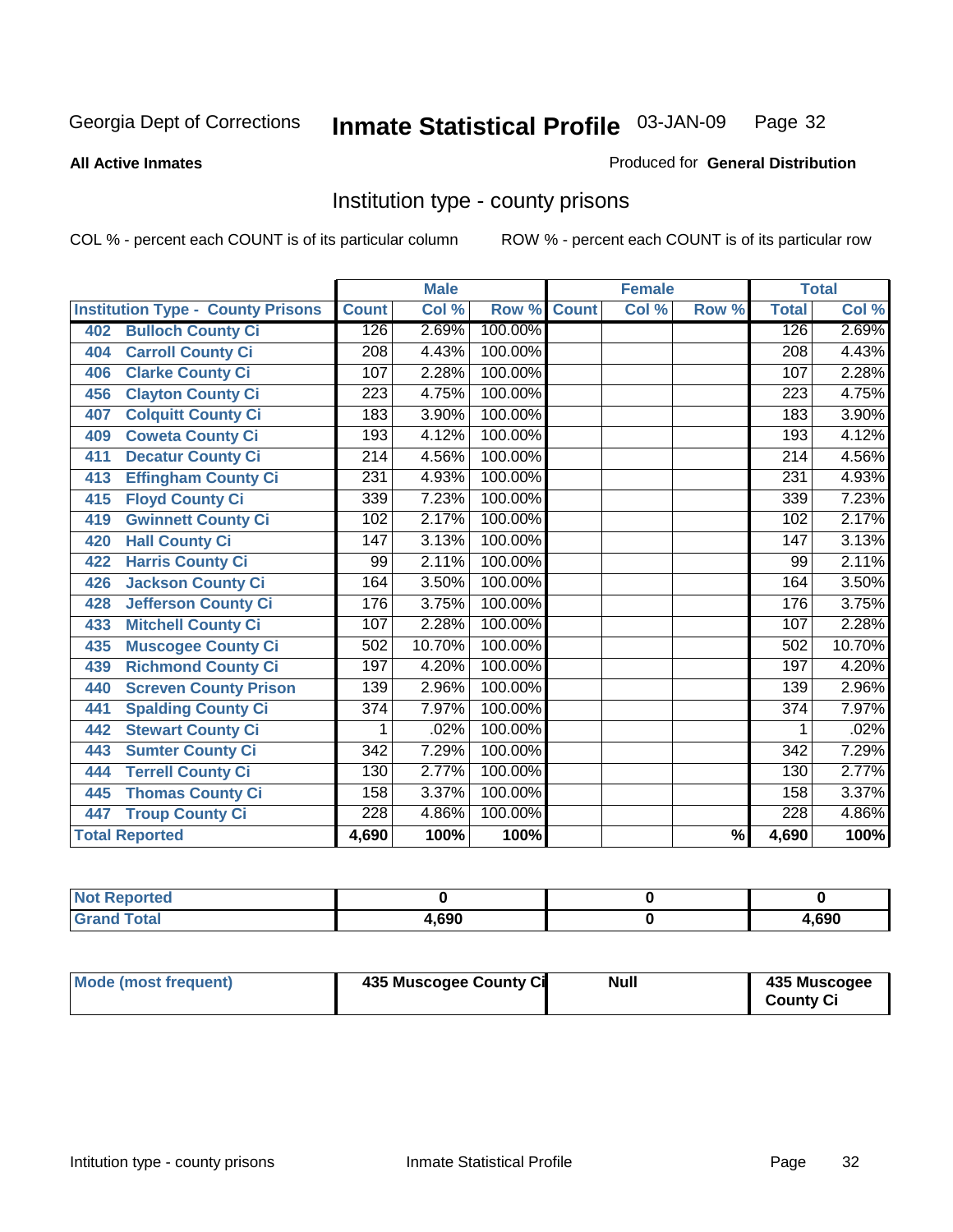#### **All Active Inmates**

#### Produced for **General Distribution**

# Institution type - county prisons

|                                          |                  | <b>Male</b> |         |              | <b>Female</b> |                          |                  | <b>Total</b> |
|------------------------------------------|------------------|-------------|---------|--------------|---------------|--------------------------|------------------|--------------|
| <b>Institution Type - County Prisons</b> | <b>Count</b>     | Col %       | Row %   | <b>Count</b> | Col %         | Row %                    | <b>Total</b>     | Col %        |
| <b>Bulloch County Ci</b><br>402          | 126              | 2.69%       | 100.00% |              |               |                          | 126              | 2.69%        |
| <b>Carroll County Ci</b><br>404          | $\overline{208}$ | 4.43%       | 100.00% |              |               |                          | $\overline{208}$ | 4.43%        |
| <b>Clarke County Ci</b><br>406           | 107              | 2.28%       | 100.00% |              |               |                          | 107              | 2.28%        |
| <b>Clayton County Ci</b><br>456          | 223              | 4.75%       | 100.00% |              |               |                          | 223              | 4.75%        |
| <b>Colquitt County Ci</b><br>407         | 183              | 3.90%       | 100.00% |              |               |                          | 183              | 3.90%        |
| <b>Coweta County Ci</b><br>409           | 193              | 4.12%       | 100.00% |              |               |                          | 193              | 4.12%        |
| <b>Decatur County Ci</b><br>411          | 214              | 4.56%       | 100.00% |              |               |                          | 214              | 4.56%        |
| <b>Effingham County Ci</b><br>413        | 231              | 4.93%       | 100.00% |              |               |                          | 231              | 4.93%        |
| <b>Floyd County Ci</b><br>415            | 339              | 7.23%       | 100.00% |              |               |                          | 339              | 7.23%        |
| <b>Gwinnett County Ci</b><br>419         | 102              | 2.17%       | 100.00% |              |               |                          | 102              | 2.17%        |
| <b>Hall County Ci</b><br>420             | $\overline{147}$ | 3.13%       | 100.00% |              |               |                          | $\overline{147}$ | 3.13%        |
| <b>Harris County Ci</b><br>422           | 99               | 2.11%       | 100.00% |              |               |                          | 99               | 2.11%        |
| <b>Jackson County Ci</b><br>426          | 164              | 3.50%       | 100.00% |              |               |                          | 164              | 3.50%        |
| <b>Jefferson County Ci</b><br>428        | 176              | 3.75%       | 100.00% |              |               |                          | 176              | 3.75%        |
| <b>Mitchell County Ci</b><br>433         | 107              | 2.28%       | 100.00% |              |               |                          | 107              | 2.28%        |
| <b>Muscogee County Ci</b><br>435         | 502              | 10.70%      | 100.00% |              |               |                          | 502              | 10.70%       |
| <b>Richmond County Ci</b><br>439         | 197              | 4.20%       | 100.00% |              |               |                          | 197              | 4.20%        |
| <b>Screven County Prison</b><br>440      | 139              | 2.96%       | 100.00% |              |               |                          | 139              | 2.96%        |
| <b>Spalding County Ci</b><br>441         | 374              | 7.97%       | 100.00% |              |               |                          | 374              | 7.97%        |
| <b>Stewart County Ci</b><br>442          | 1                | .02%        | 100.00% |              |               |                          | 1                | .02%         |
| <b>Sumter County Ci</b><br>443           | $\overline{342}$ | 7.29%       | 100.00% |              |               |                          | $\overline{342}$ | 7.29%        |
| <b>Terrell County Ci</b><br>444          | 130              | 2.77%       | 100.00% |              |               |                          | 130              | 2.77%        |
| <b>Thomas County Ci</b><br>445           | 158              | 3.37%       | 100.00% |              |               |                          | 158              | 3.37%        |
| <b>Troup County Ci</b><br>447            | 228              | 4.86%       | 100.00% |              |               |                          | 228              | 4.86%        |
| <b>Total Reported</b>                    | 4,690            | 100%        | 100%    |              |               | $\overline{\frac{9}{6}}$ | 4,690            | 100%         |

| τeα                                |      |                   |
|------------------------------------|------|-------------------|
| $\sim$ $\sim$ $\sim$ $\sim$ $\sim$ | .690 | <b>COO</b><br>リコし |

| Mode (most frequent) | 435 Muscogee County Ci | <b>Null</b> | 435 Muscogee     |
|----------------------|------------------------|-------------|------------------|
|                      |                        |             | <b>County Ci</b> |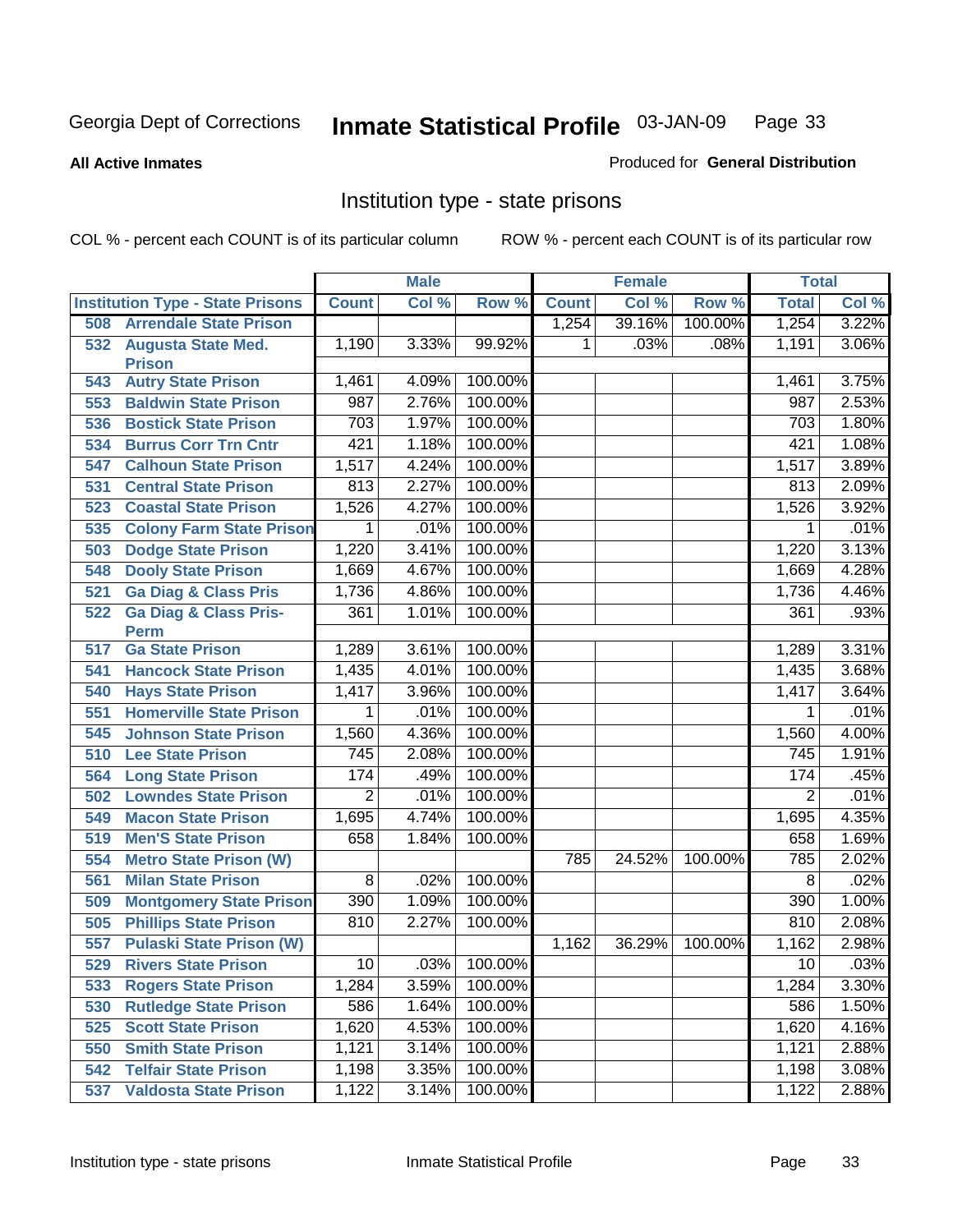#### **All Active Inmates**

#### Produced for **General Distribution**

# Institution type - state prisons

|     |                                            |                | <b>Male</b> |         |              | <b>Female</b> |         | <b>Total</b>     |       |
|-----|--------------------------------------------|----------------|-------------|---------|--------------|---------------|---------|------------------|-------|
|     | <b>Institution Type - State Prisons</b>    | <b>Count</b>   | Col %       | Row %   | <b>Count</b> | Col %         | Row %   | <b>Total</b>     | Col % |
| 508 | <b>Arrendale State Prison</b>              |                |             |         | 1,254        | 39.16%        | 100.00% | 1,254            | 3.22% |
| 532 | <b>Augusta State Med.</b><br><b>Prison</b> | 1,190          | 3.33%       | 99.92%  | 1            | .03%          | .08%    | 1,191            | 3.06% |
| 543 | <b>Autry State Prison</b>                  | 1,461          | 4.09%       | 100.00% |              |               |         | 1,461            | 3.75% |
| 553 | <b>Baldwin State Prison</b>                | 987            | 2.76%       | 100.00% |              |               |         | 987              | 2.53% |
| 536 | <b>Bostick State Prison</b>                | 703            | 1.97%       | 100.00% |              |               |         | 703              | 1.80% |
| 534 | <b>Burrus Corr Trn Cntr</b>                | 421            | 1.18%       | 100.00% |              |               |         | 421              | 1.08% |
| 547 | <b>Calhoun State Prison</b>                | 1,517          | 4.24%       | 100.00% |              |               |         | 1,517            | 3.89% |
| 531 | <b>Central State Prison</b>                | 813            | 2.27%       | 100.00% |              |               |         | 813              | 2.09% |
| 523 | <b>Coastal State Prison</b>                | 1,526          | 4.27%       | 100.00% |              |               |         | 1,526            | 3.92% |
| 535 | <b>Colony Farm State Prison</b>            | 1              | .01%        | 100.00% |              |               |         | 1                | .01%  |
| 503 | <b>Dodge State Prison</b>                  | 1,220          | 3.41%       | 100.00% |              |               |         | 1,220            | 3.13% |
| 548 | <b>Dooly State Prison</b>                  | 1,669          | 4.67%       | 100.00% |              |               |         | 1,669            | 4.28% |
| 521 | <b>Ga Diag &amp; Class Pris</b>            | 1,736          | 4.86%       | 100.00% |              |               |         | 1,736            | 4.46% |
| 522 | <b>Ga Diag &amp; Class Pris-</b>           | 361            | 1.01%       | 100.00% |              |               |         | 361              | .93%  |
|     | <b>Perm</b>                                |                |             |         |              |               |         |                  |       |
| 517 | <b>Ga State Prison</b>                     | 1,289          | 3.61%       | 100.00% |              |               |         | 1,289            | 3.31% |
| 541 | <b>Hancock State Prison</b>                | 1,435          | 4.01%       | 100.00% |              |               |         | 1,435            | 3.68% |
| 540 | <b>Hays State Prison</b>                   | 1,417          | 3.96%       | 100.00% |              |               |         | 1,417            | 3.64% |
| 551 | <b>Homerville State Prison</b>             | 1              | .01%        | 100.00% |              |               |         | 1                | .01%  |
| 545 | <b>Johnson State Prison</b>                | 1,560          | 4.36%       | 100.00% |              |               |         | 1,560            | 4.00% |
| 510 | <b>Lee State Prison</b>                    | 745            | 2.08%       | 100.00% |              |               |         | $\overline{745}$ | 1.91% |
| 564 | <b>Long State Prison</b>                   | 174            | .49%        | 100.00% |              |               |         | 174              | .45%  |
| 502 | <b>Lowndes State Prison</b>                | $\overline{2}$ | .01%        | 100.00% |              |               |         | $\overline{2}$   | .01%  |
| 549 | <b>Macon State Prison</b>                  | 1,695          | 4.74%       | 100.00% |              |               |         | 1,695            | 4.35% |
| 519 | <b>Men'S State Prison</b>                  | 658            | 1.84%       | 100.00% |              |               |         | 658              | 1.69% |
| 554 | <b>Metro State Prison (W)</b>              |                |             |         | 785          | 24.52%        | 100.00% | 785              | 2.02% |
| 561 | <b>Milan State Prison</b>                  | 8              | .02%        | 100.00% |              |               |         | 8                | .02%  |
| 509 | <b>Montgomery State Prison</b>             | 390            | 1.09%       | 100.00% |              |               |         | 390              | 1.00% |
| 505 | <b>Phillips State Prison</b>               | 810            | 2.27%       | 100.00% |              |               |         | 810              | 2.08% |
| 557 | <b>Pulaski State Prison (W)</b>            |                |             |         | 1,162        | 36.29%        | 100.00% | 1,162            | 2.98% |
| 529 | <b>Rivers State Prison</b>                 | 10             | .03%        | 100.00% |              |               |         | 10               | .03%  |
| 533 | <b>Rogers State Prison</b>                 | 1,284          | 3.59%       | 100.00% |              |               |         | 1,284            | 3.30% |
| 530 | <b>Rutledge State Prison</b>               | 586            | 1.64%       | 100.00% |              |               |         | 586              | 1.50% |
| 525 | <b>Scott State Prison</b>                  | 1,620          | 4.53%       | 100.00% |              |               |         | 1,620            | 4.16% |
| 550 | <b>Smith State Prison</b>                  | 1,121          | 3.14%       | 100.00% |              |               |         | 1,121            | 2.88% |
| 542 | <b>Telfair State Prison</b>                | 1,198          | 3.35%       | 100.00% |              |               |         | 1,198            | 3.08% |
| 537 | <b>Valdosta State Prison</b>               | 1,122          | 3.14%       | 100.00% |              |               |         | 1,122            | 2.88% |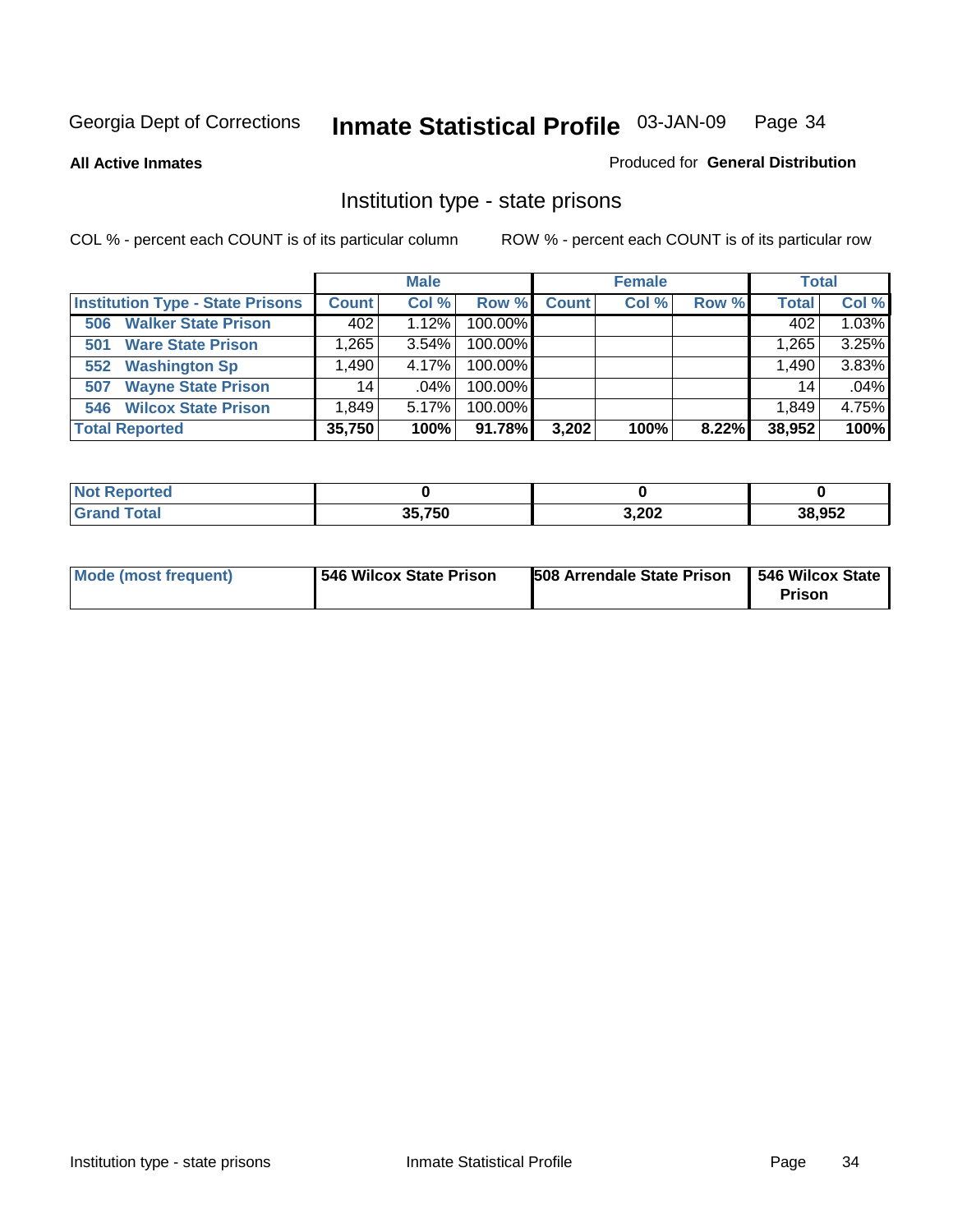**All Active Inmates**

#### Produced for **General Distribution**

# Institution type - state prisons

|                                         |              | <b>Male</b> |         |              | <b>Female</b> |       | <b>Total</b> |       |
|-----------------------------------------|--------------|-------------|---------|--------------|---------------|-------|--------------|-------|
| <b>Institution Type - State Prisons</b> | <b>Count</b> | Col %       | Row %   | <b>Count</b> | Col %         | Row % | <b>Total</b> | Col % |
| <b>Walker State Prison</b><br>506       | 402          | 1.12%       | 100.00% |              |               |       | 402          | 1.03% |
| <b>Ware State Prison</b><br>501         | .265         | 3.54%       | 100.00% |              |               |       | 1,265        | 3.25% |
| <b>Washington Sp</b><br>552             | .490         | 4.17%       | 100.00% |              |               |       | 1,490        | 3.83% |
| <b>Wayne State Prison</b><br>507        | 14.          | $.04\%$     | 100.00% |              |               |       | 14           | .04%  |
| <b>Wilcox State Prison</b><br>546       | 849. ا       | 5.17%       | 100.00% |              |               |       | 1,849        | 4.75% |
| <b>Total Reported</b>                   | 35,750       | 100%        | 91.78%  | 3,202        | 100%          | 8.22% | 38,952       | 100%  |

| : Reported<br>' NOT |        |       |        |
|---------------------|--------|-------|--------|
| 'otal               | 35,750 | 3,202 | 38,952 |

| 546 Wilcox State Prison<br><b>Mode (most frequent)</b> | 508 Arrendale State Prison | <b>546 Wilcox State</b><br>Prison |
|--------------------------------------------------------|----------------------------|-----------------------------------|
|--------------------------------------------------------|----------------------------|-----------------------------------|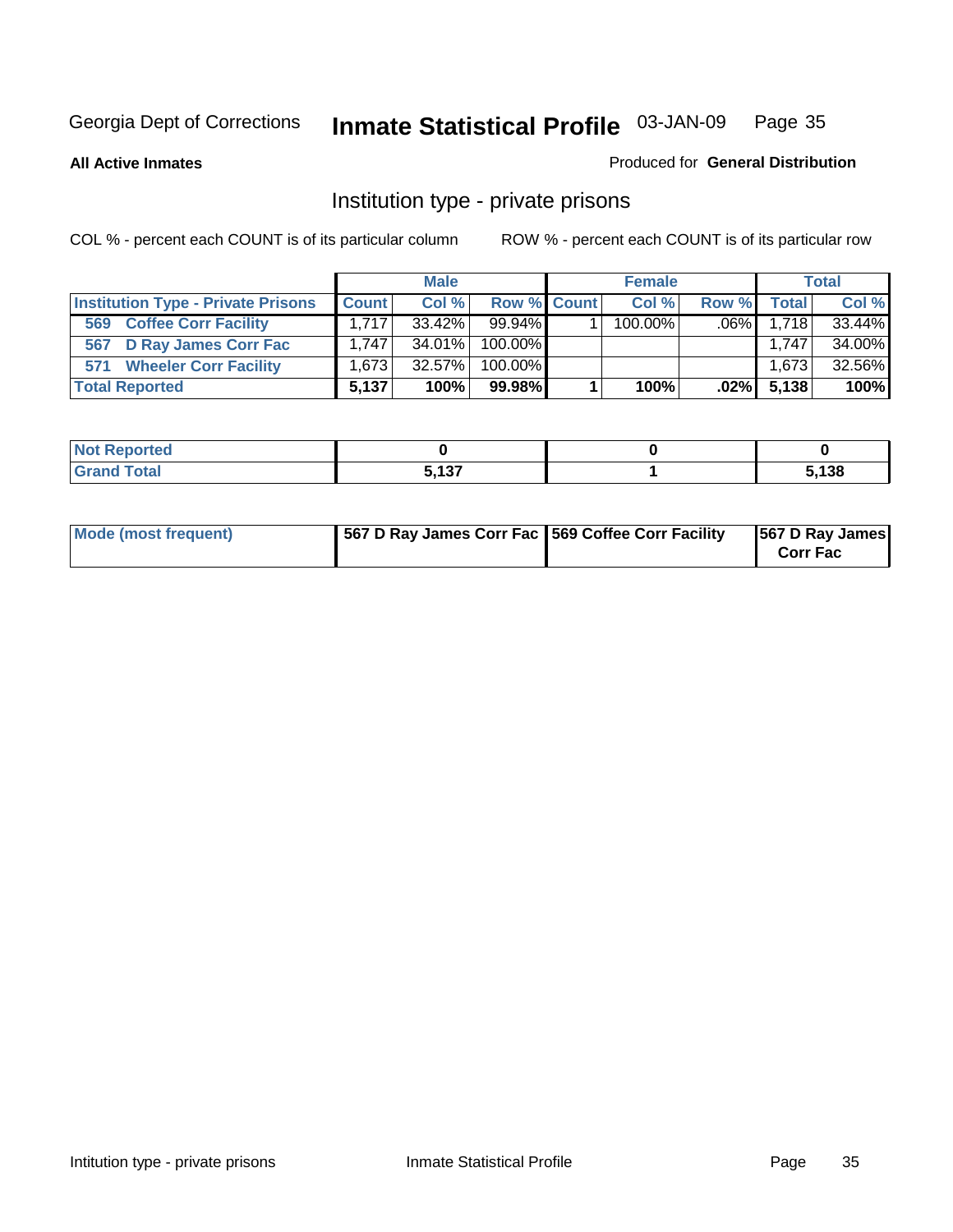#### **All Active Inmates**

#### Produced for **General Distribution**

# Institution type - private prisons

|                                           |              | <b>Male</b> |             | <b>Female</b> |         |               | <b>Total</b> |
|-------------------------------------------|--------------|-------------|-------------|---------------|---------|---------------|--------------|
| <b>Institution Type - Private Prisons</b> | <b>Count</b> | Col %       | Row % Count | Col %         | Row %   | <b>Total</b>  | Col %        |
| <b>Coffee Corr Facility</b><br>569        | 1.717        | $33.42\%$   | $99.94\%$   | $100.00\%$    | $.06\%$ | 1.718         | 33.44%       |
| D Ray James Corr Fac<br>567               | 1.747        | $34.01\%$   | $100.00\%$  |               |         | 1,747         | 34.00%       |
| <b>Wheeler Corr Facility</b><br>571       | 1.673        | $32.57\%$   | $100.00\%$  |               |         | 1,673         | 32.56%       |
| <b>Total Reported</b>                     | 5.137        | 100%        | 99.98%      | 100%          |         | $.02\%$ 5,138 | 100%         |

| ported<br><b>NOT</b><br><b>UGP</b> |                          |                |
|------------------------------------|--------------------------|----------------|
| <b>Total</b>                       | <b>E 497</b><br>- -<br>. | $^{\circ}$ 138 |

| Mode (most frequent) | 567 D Ray James Corr Fac 569 Coffee Corr Facility |  | 567 D Ray James<br><b>Corr Fac</b> |
|----------------------|---------------------------------------------------|--|------------------------------------|
|----------------------|---------------------------------------------------|--|------------------------------------|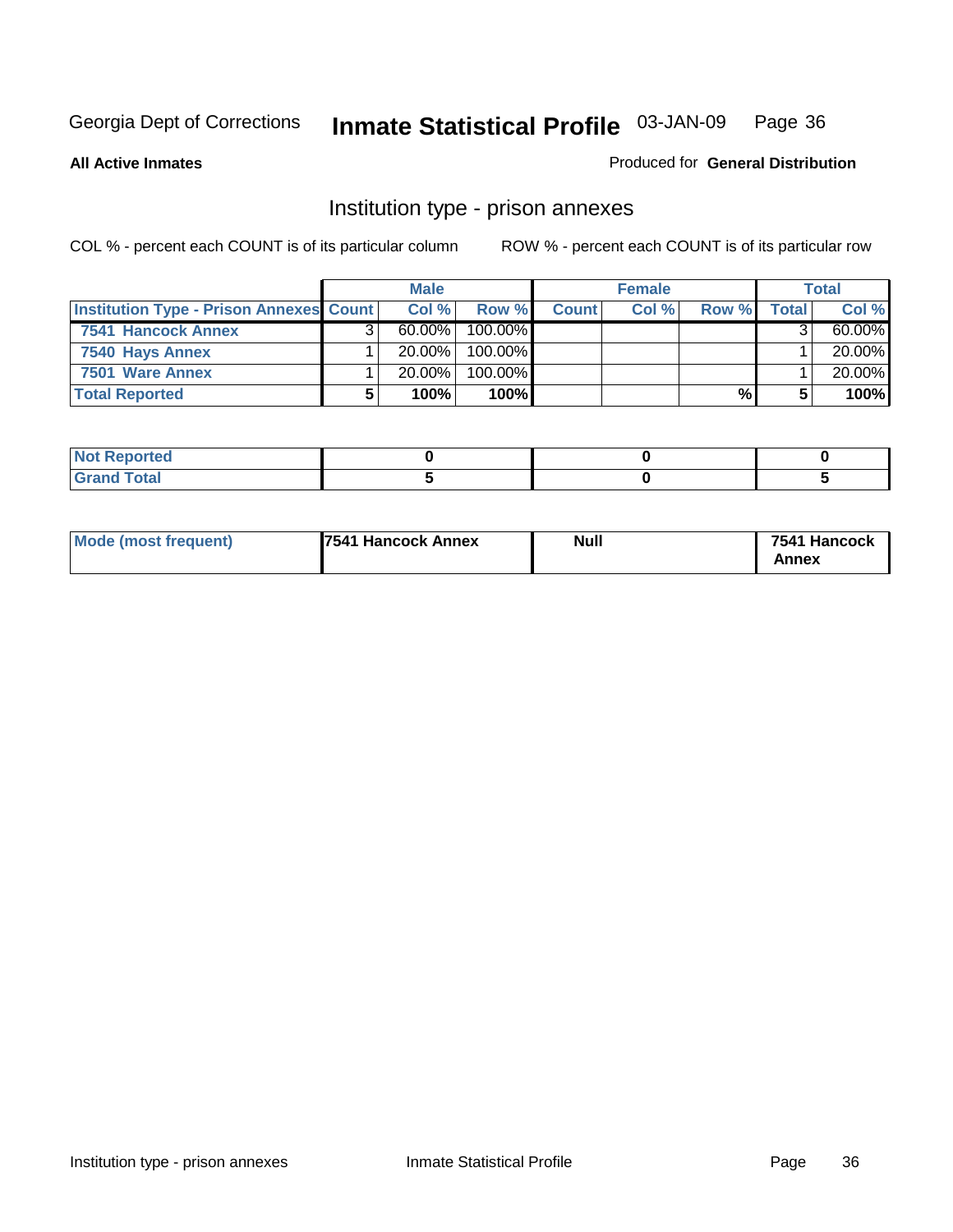**All Active Inmates**

```
Produced for General Distribution
```
# Institution type - prison annexes

|                                                | <b>Male</b> |            |              | <b>Female</b> |       |       | <b>Total</b> |
|------------------------------------------------|-------------|------------|--------------|---------------|-------|-------|--------------|
| <b>Institution Type - Prison Annexes Count</b> | Col %       | Row %      | <b>Count</b> | Col %         | Row % | Total | Col %        |
| 7541 Hancock Annex                             | $60.00\%$   | $100.00\%$ |              |               |       |       | 60.00%       |
| 7540 Hays Annex                                | $20.00\%$   | $100.00\%$ |              |               |       |       | 20.00%       |
| 7501 Ware Annex                                | $20.00\%$   | $100.00\%$ |              |               |       |       | 20.00%       |
| <b>Total Reported</b>                          | 100%        | 100%       |              |               | %     |       | 100%         |

| ____ |  |  |
|------|--|--|

| Mode (most frequent) | <b>7541 Hancock Annex</b> | <b>Null</b> | 7541 Hancock<br>Annex |
|----------------------|---------------------------|-------------|-----------------------|
|----------------------|---------------------------|-------------|-----------------------|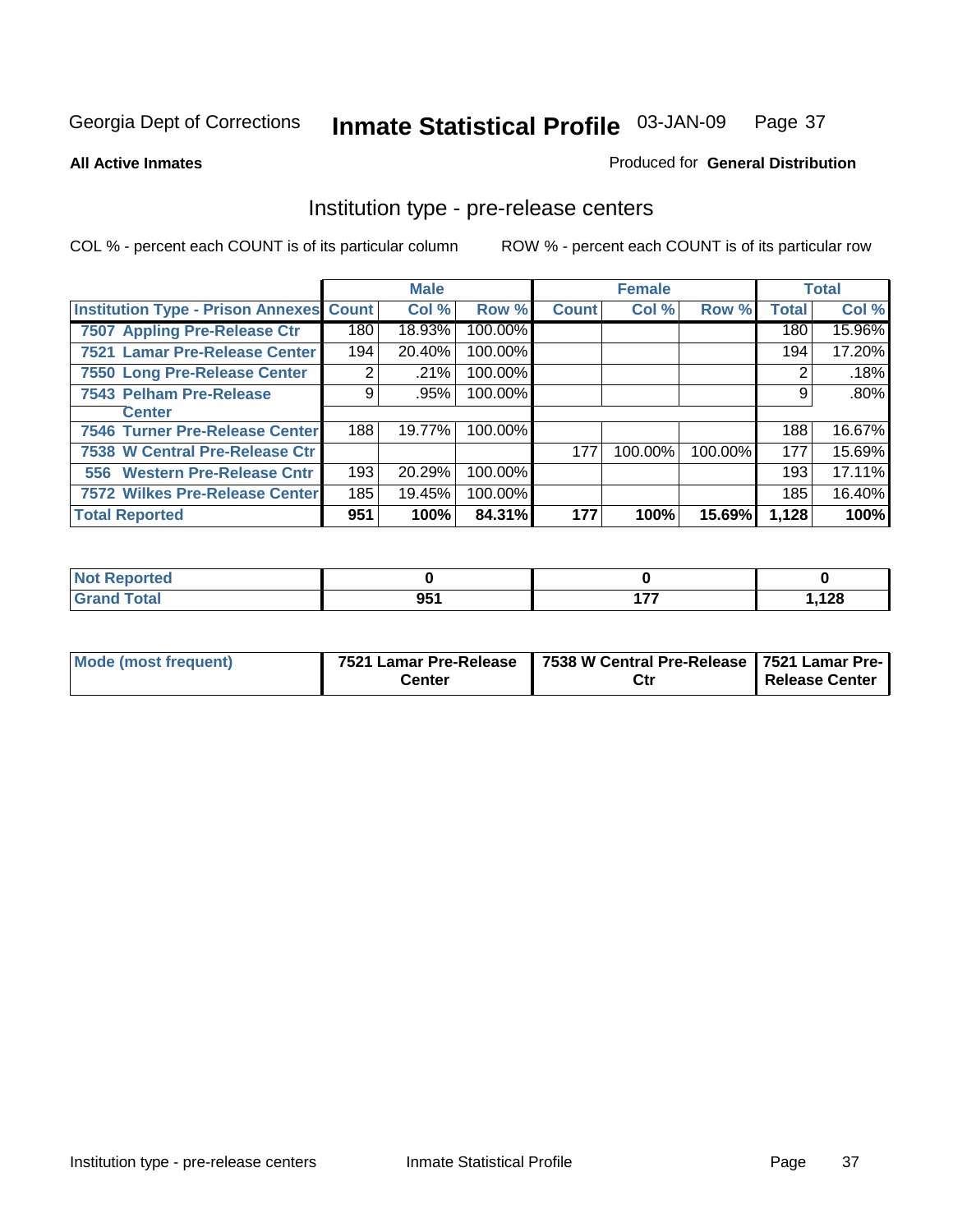**All Active Inmates**

Produced for **General Distribution**

### Institution type - pre-release centers

|                                                |     | <b>Male</b> |         |              | <b>Female</b> |         |              | <b>Total</b> |
|------------------------------------------------|-----|-------------|---------|--------------|---------------|---------|--------------|--------------|
| <b>Institution Type - Prison Annexes Count</b> |     | Col %       | Row %   | <b>Count</b> | Col %         | Row %   | <b>Total</b> | Col %        |
| 7507 Appling Pre-Release Ctr                   | 180 | 18.93%      | 100.00% |              |               |         | 180          | 15.96%       |
| 7521 Lamar Pre-Release Center                  | 194 | 20.40%      | 100.00% |              |               |         | 194          | 17.20%       |
| 7550 Long Pre-Release Center                   | 2   | .21%        | 100.00% |              |               |         |              | .18%         |
| 7543 Pelham Pre-Release                        | 9   | .95%        | 100.00% |              |               |         | 9            | $.80\%$      |
| <b>Center</b>                                  |     |             |         |              |               |         |              |              |
| 7546 Turner Pre-Release Center                 | 188 | 19.77%      | 100.00% |              |               |         | 188          | 16.67%       |
| 7538 W Central Pre-Release Ctr                 |     |             |         | 177          | 100.00%       | 100.00% | 177          | 15.69%       |
| 556 Western Pre-Release Cntr                   | 193 | 20.29%      | 100.00% |              |               |         | 193          | 17.11%       |
| 7572 Wilkes Pre-Release Center                 | 185 | 19.45%      | 100.00% |              |               |         | 185          | 16.40%       |
| <b>Total Reported</b>                          | 951 | 100%        | 84.31%  | 177          | 100%          | 15.69%  | 1,128        | 100%         |

| Reported     |     |       |
|--------------|-----|-------|
| <b>Total</b> | 951 | 1,128 |

| Mode (most frequent) | 7521 Lamar Pre-Release | 7538 W Central Pre-Release 7521 Lamar Pre- |                |
|----------------------|------------------------|--------------------------------------------|----------------|
|                      | Center                 | Ctr                                        | Release Center |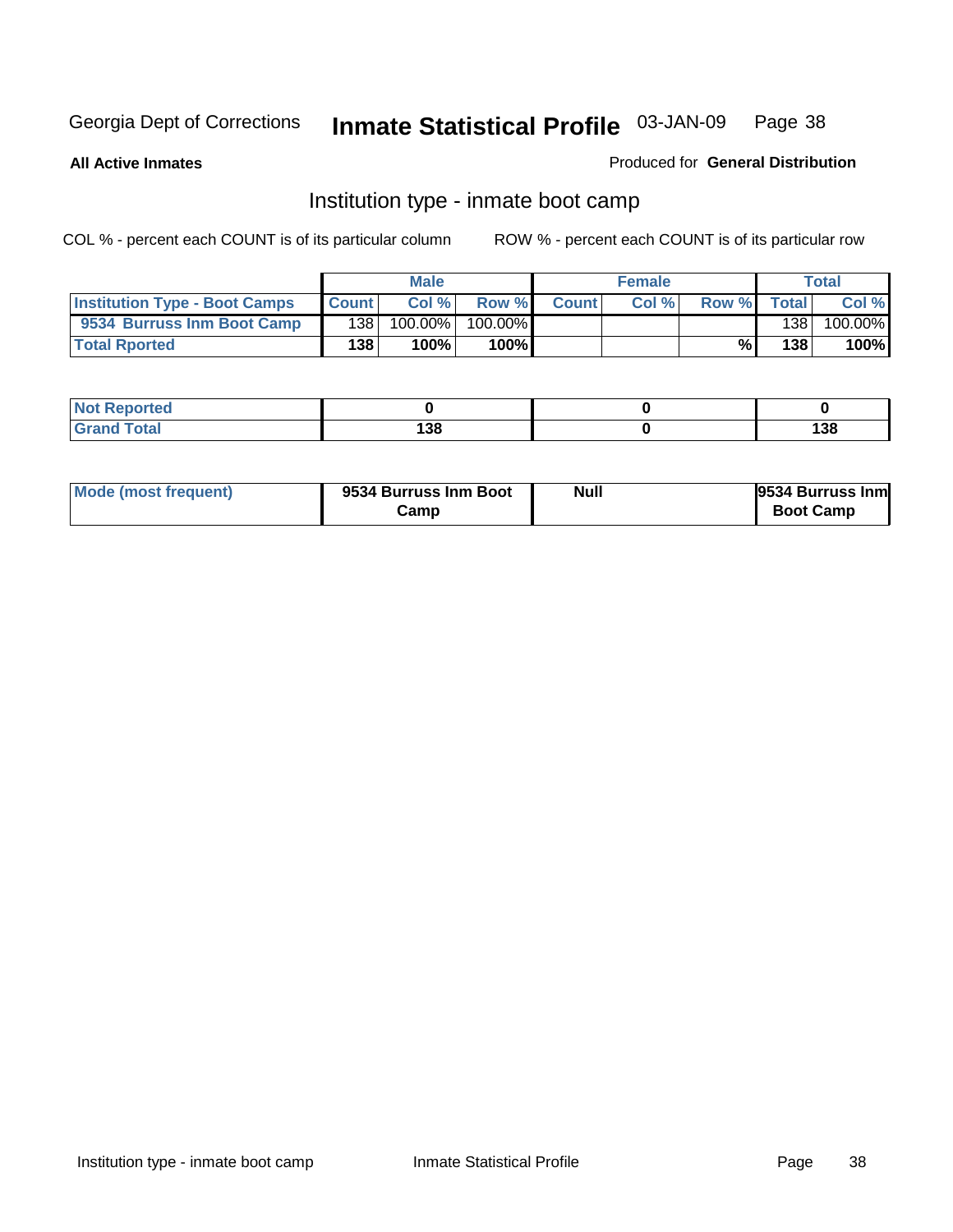**All Active Inmates**

### Produced for **General Distribution**

### Institution type - inmate boot camp

|                                      |              | <b>Male</b> |         |              | <b>Female</b> |       |       | Total   |
|--------------------------------------|--------------|-------------|---------|--------------|---------------|-------|-------|---------|
| <b>Institution Type - Boot Camps</b> | <b>Count</b> | Col %       | Row %   | <b>Count</b> | Col%          | Row % | Total | Col %   |
| 9534 Burruss Inm Boot Camp           | 1381         | 100.00%     | 100.00% |              |               |       | 138   | 100.00% |
| <b>Total Rported</b>                 | 138          | 100%        | 100%    |              |               | %⊾    | 138   | 100%    |

| <b>rted</b><br>$\sim$ |           |                   |
|-----------------------|-----------|-------------------|
| $\sim$<br>$-0.01$     | 138<br>__ | 120<br>סט ו<br>__ |

| Mode (most frequent) | 9534 Burruss Inm Boot | <b>Null</b> | 9534 Burruss Inm |
|----------------------|-----------------------|-------------|------------------|
|                      | Camp                  |             | <b>Boot Camp</b> |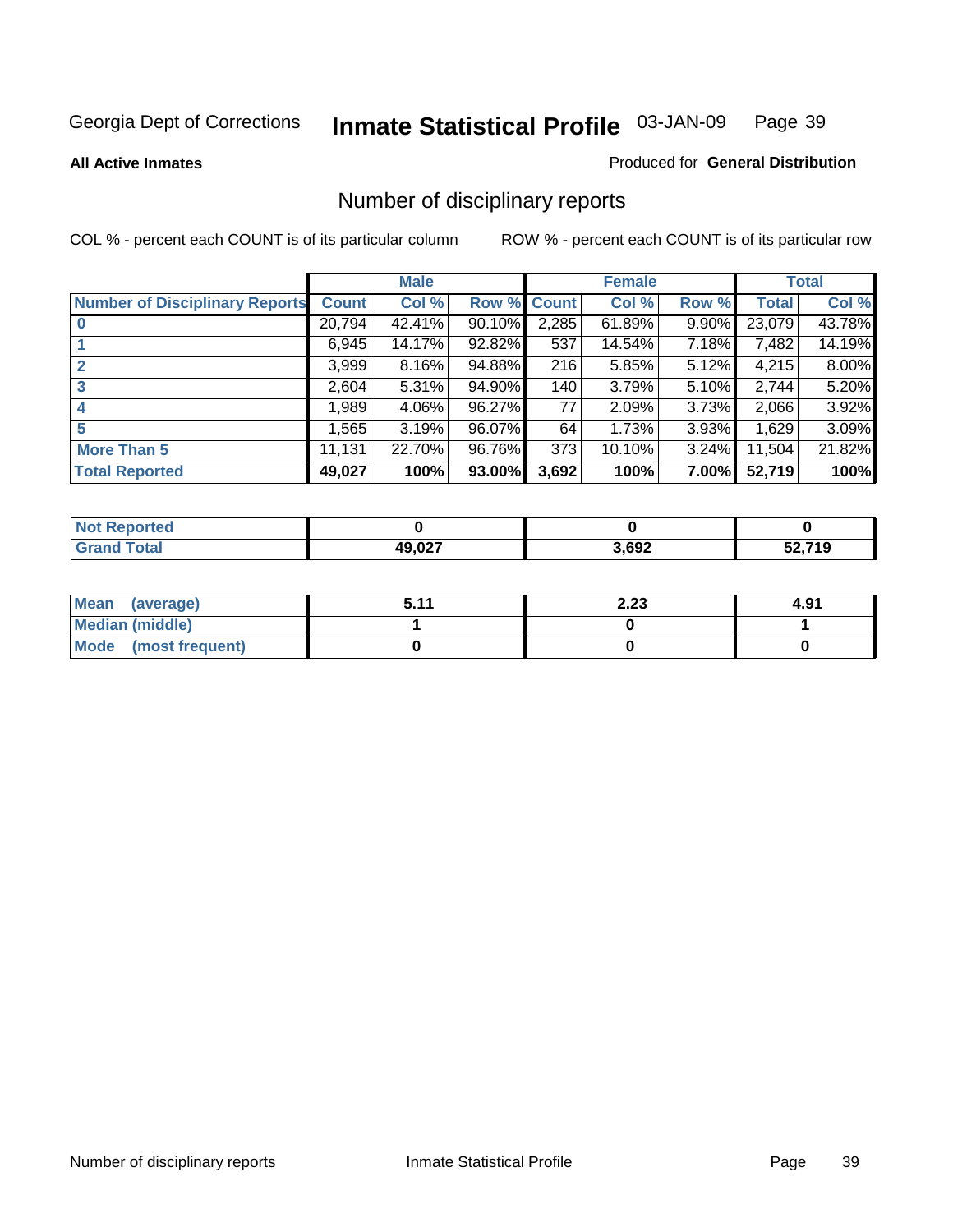#### **All Active Inmates**

#### Produced for **General Distribution**

# Number of disciplinary reports

|                                       |              | <b>Male</b> |        |              | <b>Female</b> |          |              | <b>Total</b> |
|---------------------------------------|--------------|-------------|--------|--------------|---------------|----------|--------------|--------------|
| <b>Number of Disciplinary Reports</b> | <b>Count</b> | Col %       | Row %  | <b>Count</b> | Col %         | Row %    | <b>Total</b> | Col %        |
|                                       | 20,794       | 42.41%      | 90.10% | 2,285        | 61.89%        | $9.90\%$ | 23,079       | 43.78%       |
|                                       | 6,945        | 14.17%      | 92.82% | 537          | 14.54%        | 7.18%    | 7,482        | 14.19%       |
| 2                                     | 3,999        | 8.16%       | 94.88% | 216          | 5.85%         | 5.12%    | 4,215        | 8.00%        |
| 3                                     | 2,604        | 5.31%       | 94.90% | 140          | 3.79%         | 5.10%    | 2,744        | 5.20%        |
|                                       | .989         | 4.06%       | 96.27% | 77           | 2.09%         | $3.73\%$ | 2,066        | 3.92%        |
| 5                                     | ,565         | 3.19%       | 96.07% | 64           | 1.73%         | 3.93%    | 1,629        | 3.09%        |
| <b>More Than 5</b>                    | 11,131       | 22.70%      | 96.76% | 373          | 10.10%        | $3.24\%$ | 11,504       | 21.82%       |
| <b>Total Reported</b>                 | 49,027       | 100%        | 93.00% | 3,692        | 100%          | 7.00%    | 52,719       | 100%         |

| $\sim$ 10 | <b>AQ 027</b> | 3,692 | 740 |
|-----------|---------------|-------|-----|
| _____     |               |       | י   |

| Mean (average)       | 511 | 2.23 | 4.91 |
|----------------------|-----|------|------|
| Median (middle)      |     |      |      |
| Mode (most frequent) |     |      |      |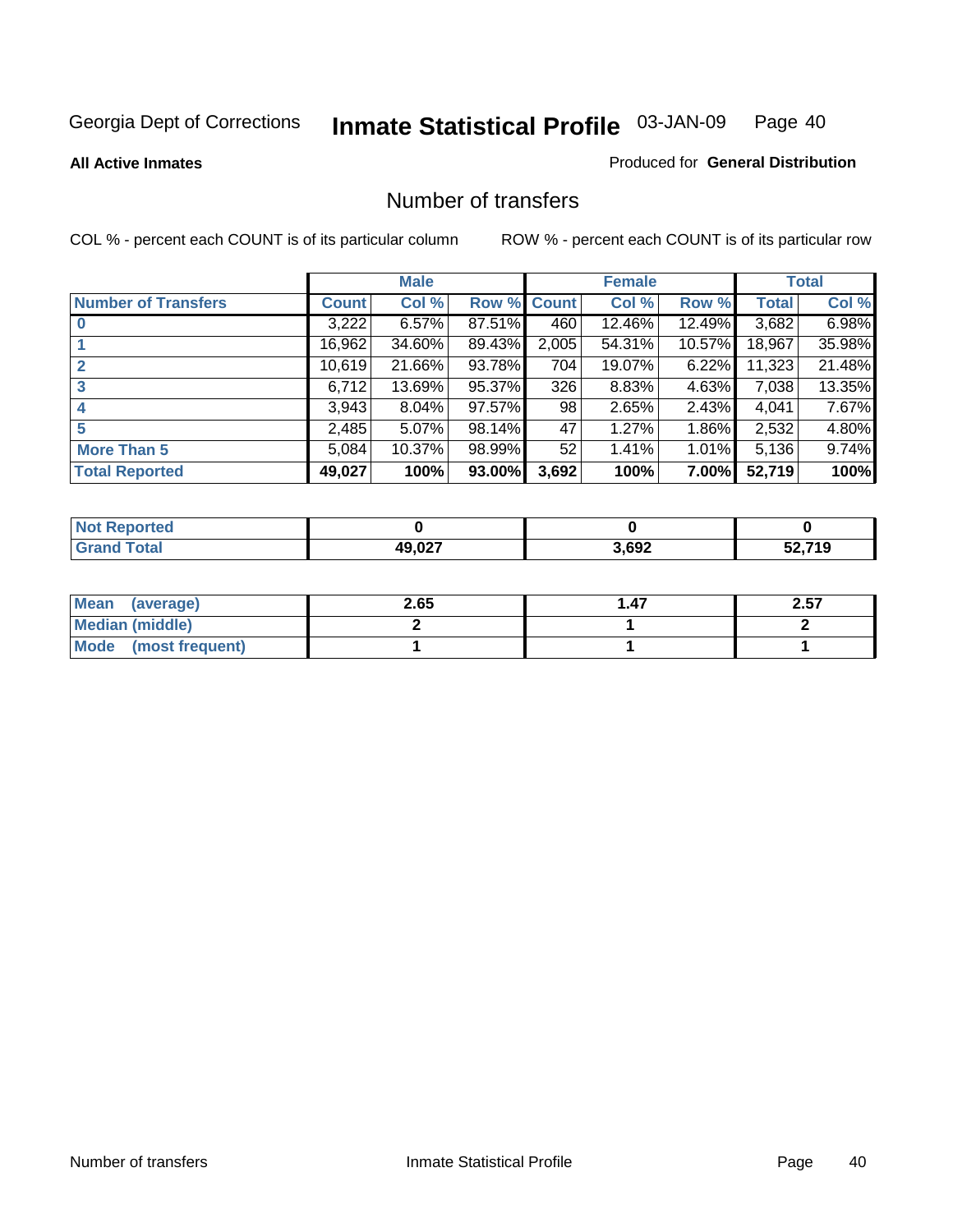**All Active Inmates**

#### Produced for **General Distribution**

### Number of transfers

|                            |         | <b>Male</b> |                    |       | <b>Female</b> |          |              | <b>Total</b> |
|----------------------------|---------|-------------|--------------------|-------|---------------|----------|--------------|--------------|
| <b>Number of Transfers</b> | Count l | Col %       | <b>Row % Count</b> |       | Col %         | Row %    | <b>Total</b> | Col %        |
|                            | 3,222   | 6.57%       | 87.51%             | 460   | 12.46%        | 12.49%   | 3,682        | 6.98%        |
|                            | 16,962  | 34.60%      | 89.43%             | 2,005 | 54.31%        | 10.57%   | 18,967       | 35.98%       |
|                            | 10,619  | 21.66%      | 93.78%             | 704   | 19.07%        | 6.22%    | 11,323       | 21.48%       |
| 3                          | 6,712   | 13.69%      | 95.37%             | 326   | 8.83%         | 4.63%    | 7,038        | 13.35%       |
|                            | 3,943   | 8.04%       | 97.57%             | 98    | 2.65%         | $2.43\%$ | 4,041        | 7.67%        |
| 5                          | 2,485   | 5.07%       | 98.14%             | 47    | 1.27%         | 1.86%    | 2,532        | 4.80%        |
| <b>More Than 5</b>         | 5,084   | 10.37%      | 98.99%             | 52    | 1.41%         | $1.01\%$ | 5,136        | 9.74%        |
| <b>Total Reported</b>      | 49,027  | 100%        | 93.00%             | 3,692 | 100%          | 7.00%    | 52,719       | 100%         |

| N         |       |       |        |
|-----------|-------|-------|--------|
| $\sim$ 10 | 10.02 | 3,692 | につ フィハ |
| ______    | __    |       | . .    |

| Mean (average)       | 2.65 | l .47 | 2.57 |
|----------------------|------|-------|------|
| Median (middle)      |      |       |      |
| Mode (most frequent) |      |       |      |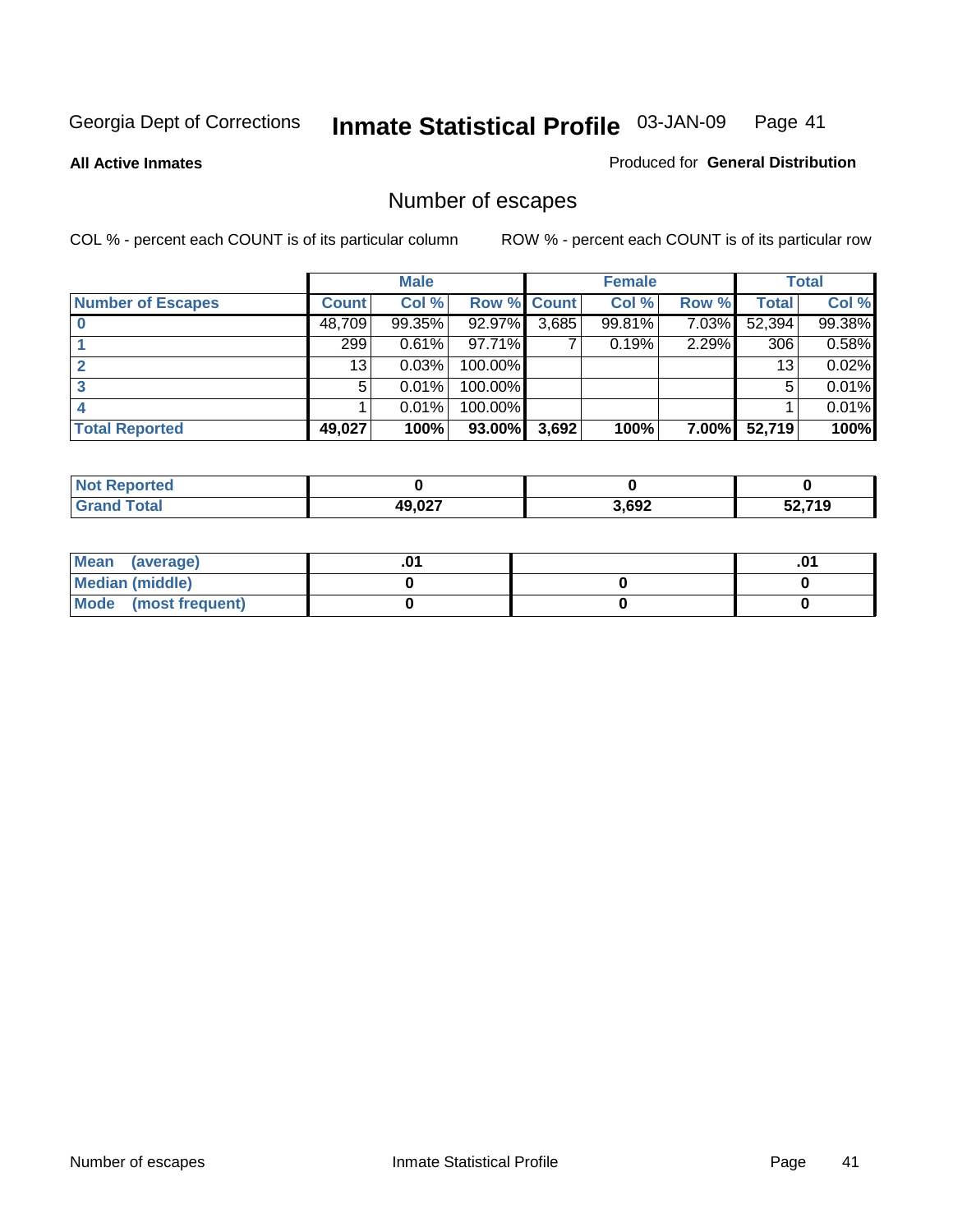**All Active Inmates**

### Produced for **General Distribution**

# Number of escapes

|                          |         | <b>Male</b> |                    |       | <b>Female</b> |          |        | <b>Total</b> |
|--------------------------|---------|-------------|--------------------|-------|---------------|----------|--------|--------------|
| <b>Number of Escapes</b> | Count l | Col %       | <b>Row % Count</b> |       | Col %         | Row %    | Total  | Col %        |
|                          | 48,709  | $99.35\%$   | 92.97%             | 3,685 | 99.81%        | $7.03\%$ | 52,394 | 99.38%       |
|                          | 299     | 0.61%       | 97.71%             |       | 0.19%         | 2.29%    | 306    | 0.58%        |
|                          | 13      | 0.03%       | 100.00%            |       |               |          | 13     | 0.02%        |
|                          | 5.      | 0.01%       | 100.00%            |       |               |          | 5      | 0.01%        |
|                          |         | 0.01%       | 100.00%            |       |               |          |        | 0.01%        |
| <b>Total Reported</b>    | 49,027  | 100%        | 93.00%             | 3,692 | 100%          | $7.00\%$ | 52,719 | 100%         |

| тео      |                          |       |        |
|----------|--------------------------|-------|--------|
| $T0$ tol | 10 N 27<br>$\sim$ $\sim$ | 3,692 | 52,719 |

| Mean (average)       |  | ו ש. |
|----------------------|--|------|
| Median (middle)      |  |      |
| Mode (most frequent) |  |      |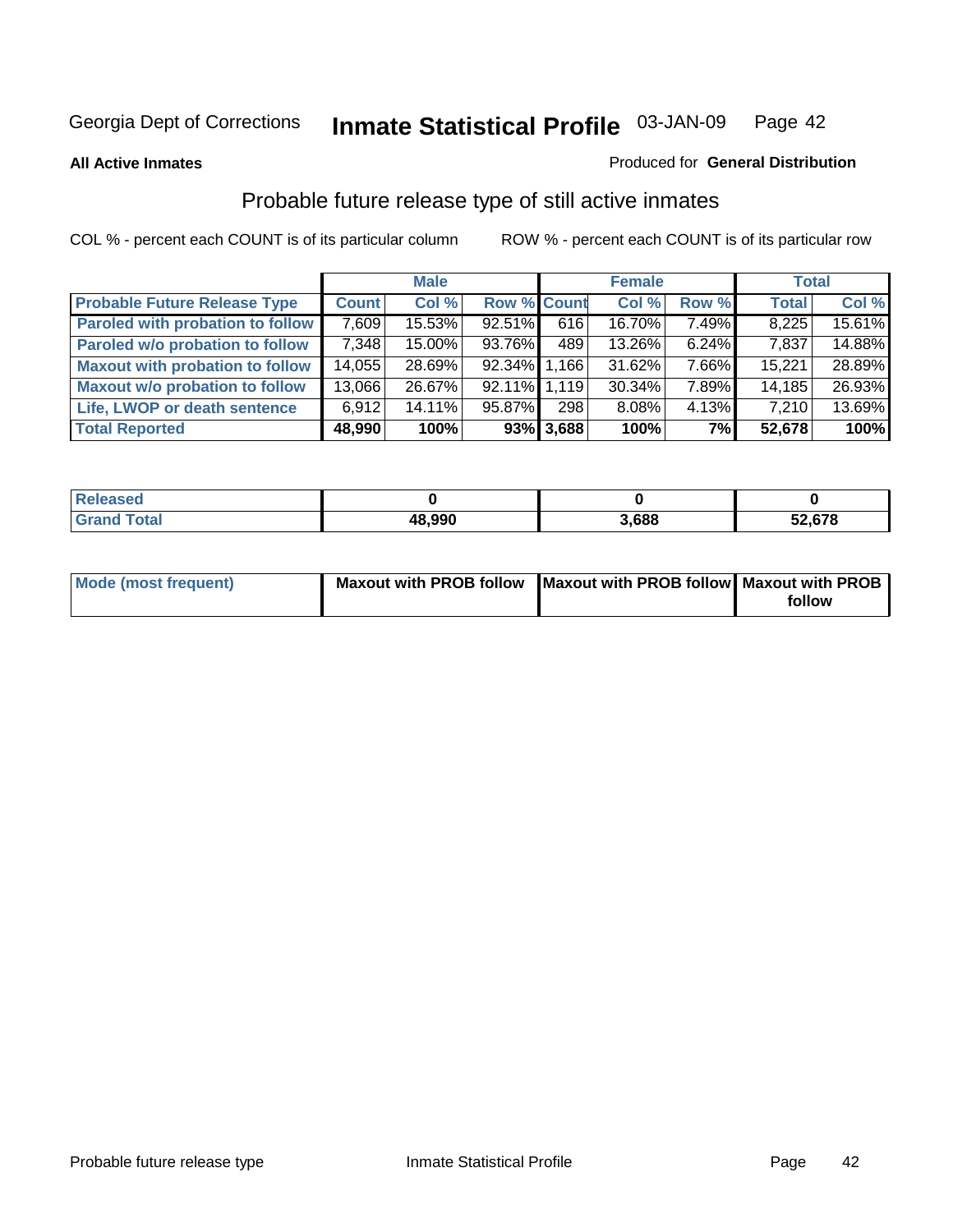**All Active Inmates**

#### Produced for **General Distribution**

# Probable future release type of still active inmates

|                                         |              | <b>Male</b> |                    |              | <b>Female</b> |          | <b>Total</b> |        |
|-----------------------------------------|--------------|-------------|--------------------|--------------|---------------|----------|--------------|--------|
| <b>Probable Future Release Type</b>     | <b>Count</b> | Col %       | <b>Row % Count</b> |              | Col %         | Row %    | <b>Total</b> | Col %  |
| <b>Paroled with probation to follow</b> | 7,609        | 15.53%      | 92.51%             | 616          | 16.70%        | 7.49%    | 8,225        | 15.61% |
| Paroled w/o probation to follow         | 7,348        | 15.00%      | 93.76%             | 489          | 13.26%        | $6.24\%$ | 7,837        | 14.88% |
| <b>Maxout with probation to follow</b>  | 14,055       | 28.69%      | 92.34% 1.166       |              | 31.62%        | 7.66%    | 15,221       | 28.89% |
| <b>Maxout w/o probation to follow</b>   | 13,066       | 26.67%      | 92.11% 1.119       |              | 30.34%        | 7.89%    | 14,185       | 26.93% |
| Life, LWOP or death sentence            | 6,912        | 14.11%      | 95.87%             | 298          | 8.08%         | $4.13\%$ | 7,210        | 13.69% |
| <b>Total Reported</b>                   | 48,990       | 100%        |                    | $93\%$ 3,688 | 100%          | 7%       | 52,678       | 100%   |

| Released               |        |       |        |
|------------------------|--------|-------|--------|
| <b>Total</b><br>. Grar | 48,990 | 3.688 | 52,678 |

| Mode (most frequent) | Maxout with PROB follow Maxout with PROB follow Maxout with PROB |        |
|----------------------|------------------------------------------------------------------|--------|
|                      |                                                                  | follow |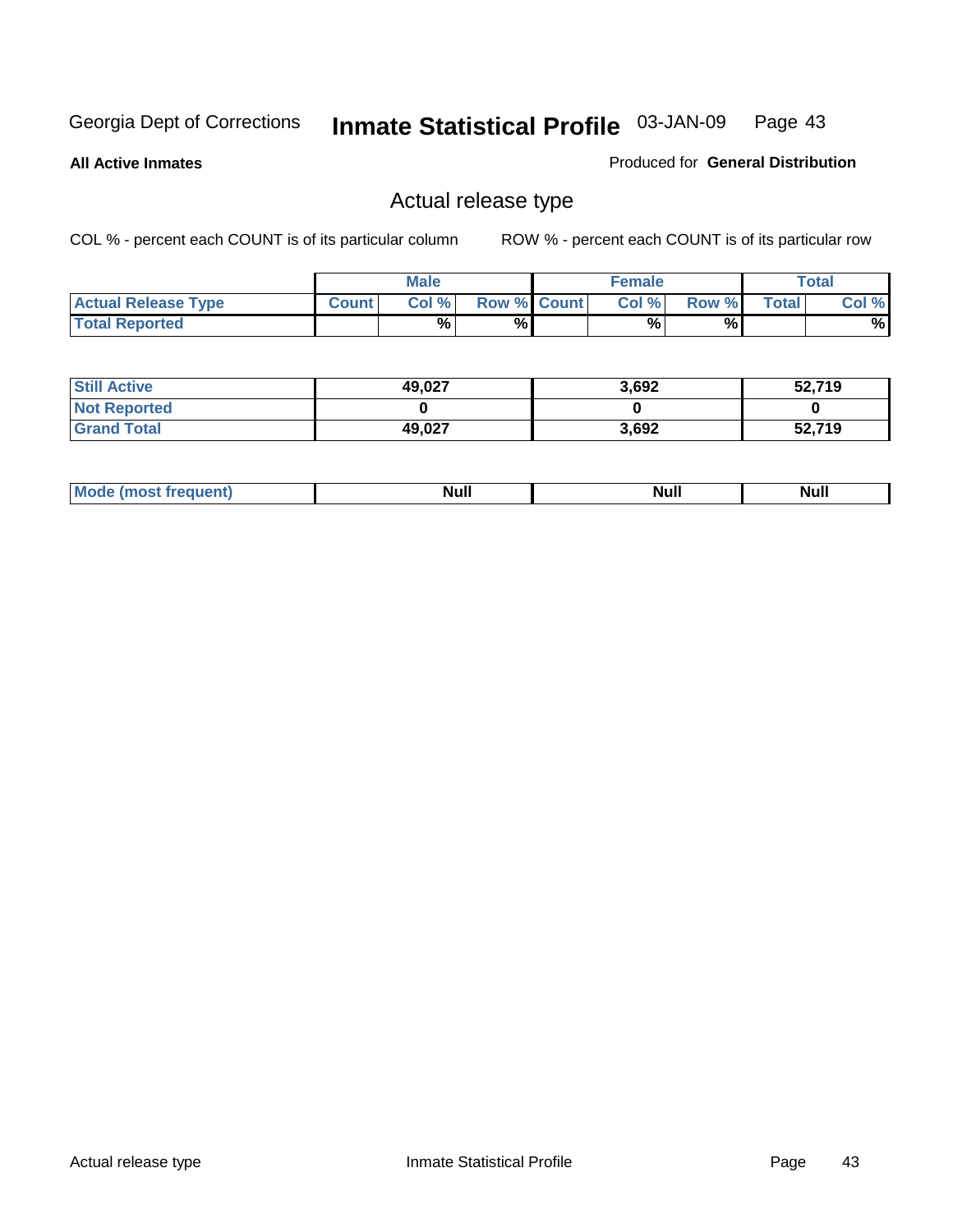**All Active Inmates**

#### Produced for **General Distribution**

### Actual release type

|                            |              | <b>Male</b> |                    | <b>Female</b> |       |              | <b>Total</b> |
|----------------------------|--------------|-------------|--------------------|---------------|-------|--------------|--------------|
| <b>Actual Release Type</b> | <b>Count</b> | Col %       | <b>Row % Count</b> | Col %1        | Row % | <b>Total</b> | Col %        |
| <b>Total Reported</b>      |              | $\%$        | %                  | %             | %     |              | %            |

| <b>Still Active</b> | 49,027 | 3,692 | 52,719 |
|---------------------|--------|-------|--------|
| <b>Not Reported</b> |        |       |        |
| <b>Grand Total</b>  | 49,027 | 3,692 | 52,719 |

| M<br>_____<br>_____ | NI | Null | $\cdots$ |
|---------------------|----|------|----------|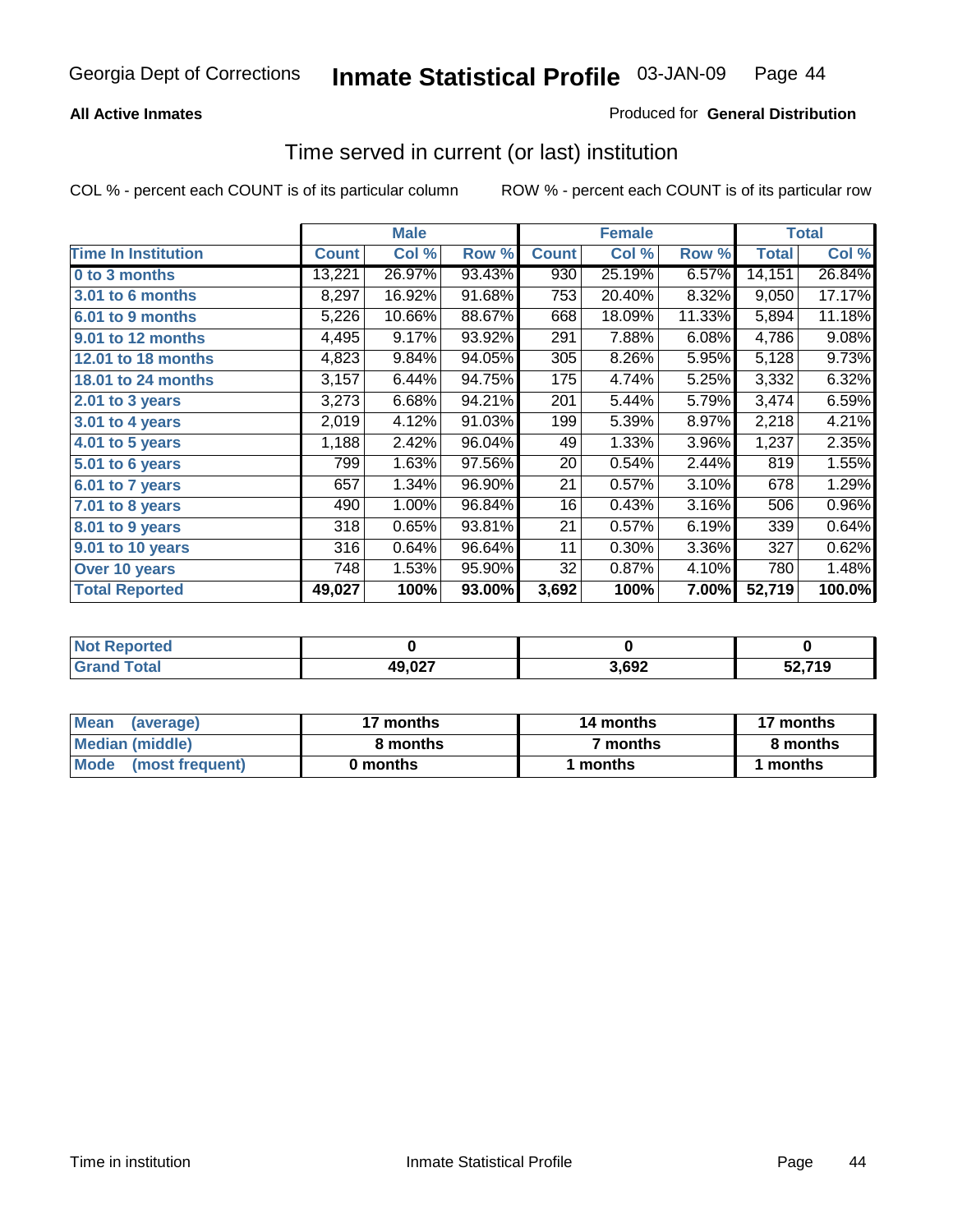### **All Active Inmates**

### Produced for **General Distribution**

### Time served in current (or last) institution

|                            |              | <b>Male</b> |        |              | <b>Female</b> |        |        | <b>Total</b> |
|----------------------------|--------------|-------------|--------|--------------|---------------|--------|--------|--------------|
| <b>Time In Institution</b> | <b>Count</b> | Col %       | Row %  | <b>Count</b> | Col %         | Row %  | Total  | Col %        |
| 0 to 3 months              | 13,221       | 26.97%      | 93.43% | 930          | 25.19%        | 6.57%  | 14,151 | 26.84%       |
| 3.01 to 6 months           | 8,297        | 16.92%      | 91.68% | 753          | 20.40%        | 8.32%  | 9,050  | 17.17%       |
| 6.01 to 9 months           | 5,226        | 10.66%      | 88.67% | 668          | 18.09%        | 11.33% | 5,894  | 11.18%       |
| 9.01 to 12 months          | 4,495        | 9.17%       | 93.92% | 291          | 7.88%         | 6.08%  | 4,786  | 9.08%        |
| 12.01 to 18 months         | 4,823        | 9.84%       | 94.05% | 305          | 8.26%         | 5.95%  | 5,128  | 9.73%        |
| <b>18.01 to 24 months</b>  | 3,157        | 6.44%       | 94.75% | 175          | 4.74%         | 5.25%  | 3,332  | 6.32%        |
| 2.01 to 3 years            | 3,273        | 6.68%       | 94.21% | 201          | 5.44%         | 5.79%  | 3,474  | 6.59%        |
| 3.01 to 4 years            | 2,019        | 4.12%       | 91.03% | 199          | 5.39%         | 8.97%  | 2,218  | 4.21%        |
| 4.01 to 5 years            | 1,188        | 2.42%       | 96.04% | 49           | 1.33%         | 3.96%  | 1,237  | 2.35%        |
| 5.01 to 6 years            | 799          | 1.63%       | 97.56% | 20           | 0.54%         | 2.44%  | 819    | 1.55%        |
| $6.01$ to 7 years          | 657          | 1.34%       | 96.90% | 21           | 0.57%         | 3.10%  | 678    | 1.29%        |
| 7.01 to 8 years            | 490          | 1.00%       | 96.84% | 16           | 0.43%         | 3.16%  | 506    | 0.96%        |
| 8.01 to 9 years            | 318          | 0.65%       | 93.81% | 21           | 0.57%         | 6.19%  | 339    | 0.64%        |
| 9.01 to 10 years           | 316          | 0.64%       | 96.64% | 11           | 0.30%         | 3.36%  | 327    | 0.62%        |
| Over 10 years              | 748          | 1.53%       | 95.90% | 32           | 0.87%         | 4.10%  | 780    | 1.48%        |
| <b>Total Reported</b>      | 49,027       | 100%        | 93.00% | 3,692        | 100%          | 7.00%  | 52,719 | 100.0%       |

| <b>Not R</b><br>Reported |        |                   |             |
|--------------------------|--------|-------------------|-------------|
| `otal                    | 49,027 | 3.69 <sup>o</sup> | 30 74 A<br> |

| <b>Mean</b><br>(average) | 17 months | 14 months           | 17 months |
|--------------------------|-----------|---------------------|-----------|
| Median (middle)          | 8 months  | <sup>7</sup> months | 8 months  |
| Mode<br>(most frequent)  | 0 months  | 1 months            | months    |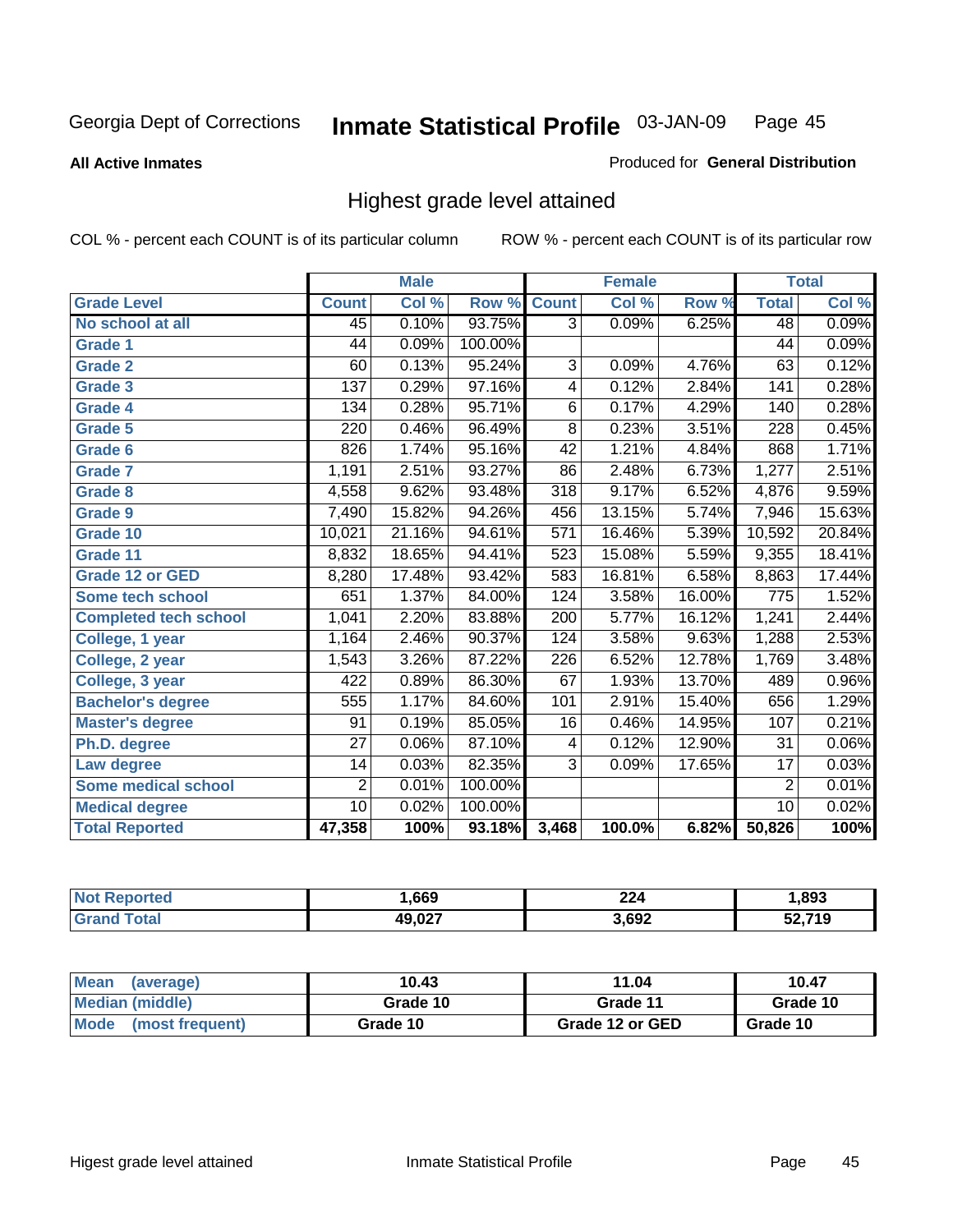**All Active Inmates**

#### Produced for **General Distribution**

### Highest grade level attained

|                              |                 | <b>Male</b> |         |                  | <b>Female</b> |        |                 | <b>Total</b> |
|------------------------------|-----------------|-------------|---------|------------------|---------------|--------|-----------------|--------------|
| <b>Grade Level</b>           | <b>Count</b>    | Col %       | Row %   | <b>Count</b>     | Col %         | Row %  | <b>Total</b>    | Col %        |
| No school at all             | 45              | 0.10%       | 93.75%  | $\overline{3}$   | 0.09%         | 6.25%  | 48              | 0.09%        |
| Grade 1                      | 44              | 0.09%       | 100.00% |                  |               |        | $\overline{44}$ | 0.09%        |
| <b>Grade 2</b>               | 60              | 0.13%       | 95.24%  | 3                | 0.09%         | 4.76%  | 63              | 0.12%        |
| <b>Grade 3</b>               | 137             | 0.29%       | 97.16%  | 4                | 0.12%         | 2.84%  | 141             | 0.28%        |
| Grade 4                      | 134             | 0.28%       | 95.71%  | $\overline{6}$   | 0.17%         | 4.29%  | 140             | 0.28%        |
| Grade 5                      | 220             | 0.46%       | 96.49%  | $\overline{8}$   | 0.23%         | 3.51%  | 228             | 0.45%        |
| Grade 6                      | 826             | 1.74%       | 95.16%  | 42               | 1.21%         | 4.84%  | 868             | 1.71%        |
| <b>Grade 7</b>               | 1,191           | 2.51%       | 93.27%  | 86               | 2.48%         | 6.73%  | 1,277           | 2.51%        |
| <b>Grade 8</b>               | 4,558           | 9.62%       | 93.48%  | $\overline{318}$ | 9.17%         | 6.52%  | 4,876           | 9.59%        |
| Grade 9                      | 7,490           | 15.82%      | 94.26%  | 456              | 13.15%        | 5.74%  | 7,946           | 15.63%       |
| Grade 10                     | 10,021          | 21.16%      | 94.61%  | 571              | 16.46%        | 5.39%  | 10,592          | 20.84%       |
| Grade 11                     | 8,832           | 18.65%      | 94.41%  | 523              | 15.08%        | 5.59%  | 9,355           | 18.41%       |
| <b>Grade 12 or GED</b>       | 8,280           | 17.48%      | 93.42%  | 583              | 16.81%        | 6.58%  | 8,863           | 17.44%       |
| <b>Some tech school</b>      | 651             | 1.37%       | 84.00%  | 124              | 3.58%         | 16.00% | 775             | 1.52%        |
| <b>Completed tech school</b> | 1,041           | 2.20%       | 83.88%  | 200              | 5.77%         | 16.12% | 1,241           | 2.44%        |
| College, 1 year              | 1,164           | 2.46%       | 90.37%  | 124              | 3.58%         | 9.63%  | 1,288           | 2.53%        |
| College, 2 year              | 1,543           | 3.26%       | 87.22%  | 226              | 6.52%         | 12.78% | 1,769           | 3.48%        |
| College, 3 year              | 422             | 0.89%       | 86.30%  | 67               | 1.93%         | 13.70% | 489             | 0.96%        |
| <b>Bachelor's degree</b>     | 555             | 1.17%       | 84.60%  | 101              | 2.91%         | 15.40% | 656             | 1.29%        |
| <b>Master's degree</b>       | 91              | 0.19%       | 85.05%  | 16               | 0.46%         | 14.95% | 107             | 0.21%        |
| Ph.D. degree                 | $\overline{27}$ | 0.06%       | 87.10%  | 4                | 0.12%         | 12.90% | 31              | $0.06\%$     |
| Law degree                   | 14              | 0.03%       | 82.35%  | $\overline{3}$   | 0.09%         | 17.65% | $\overline{17}$ | 0.03%        |
| <b>Some medical school</b>   | $\overline{2}$  | 0.01%       | 100.00% |                  |               |        | $\overline{2}$  | 0.01%        |
| <b>Medical degree</b>        | $\overline{10}$ | 0.02%       | 100.00% |                  |               |        | 10              | 0.02%        |
| <b>Total Reported</b>        | 47,358          | 100%        | 93.18%  | 3,468            | 100.0%        | 6.82%  | 50,826          | 100%         |

| .669   | ົ<br>44 | .893     |
|--------|---------|----------|
| 10.027 | 3,692   | 740<br>Ð |

| <b>Mean</b><br>(average)       | 10.43    | 11.04           | 10.47    |
|--------------------------------|----------|-----------------|----------|
| Median (middle)                | Grade 10 | Grade 11        | Grade 10 |
| <b>Mode</b><br>(most frequent) | Grade 10 | Grade 12 or GED | Grade 10 |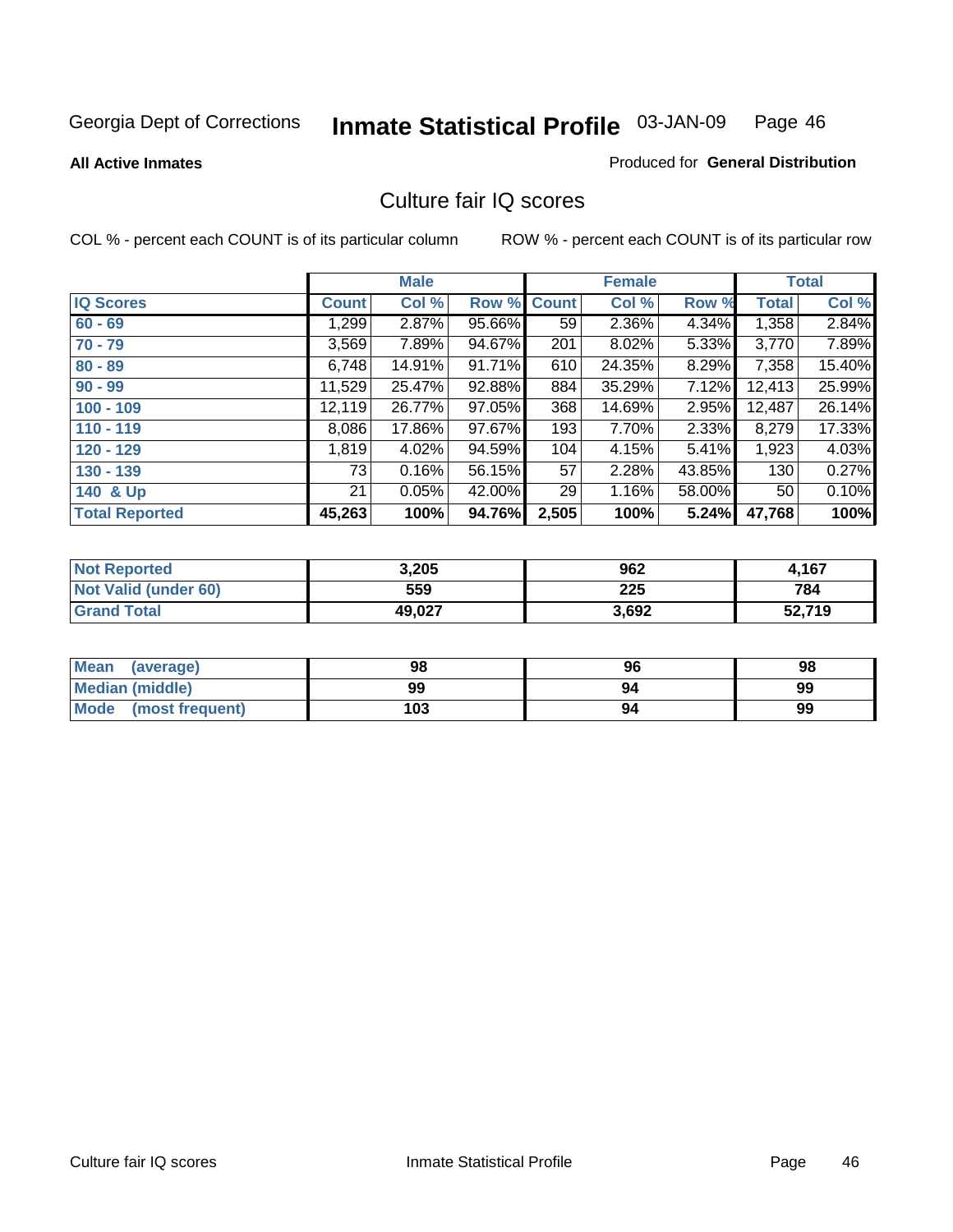Produced for **General Distribution**

#### **All Active Inmates**

### Culture fair IQ scores

|                       |              | <b>Male</b> |        |              | <b>Female</b> |        |              | <b>Total</b> |
|-----------------------|--------------|-------------|--------|--------------|---------------|--------|--------------|--------------|
| <b>IQ Scores</b>      | <b>Count</b> | Col %       | Row %  | <b>Count</b> | Col %         | Row %  | <b>Total</b> | Col %        |
| $60 - 69$             | 1,299        | 2.87%       | 95.66% | 59           | 2.36%         | 4.34%  | 1,358        | 2.84%        |
| $70 - 79$             | 3,569        | 7.89%       | 94.67% | 201          | 8.02%         | 5.33%  | 3,770        | 7.89%        |
| $80 - 89$             | 6,748        | 14.91%      | 91.71% | 610          | 24.35%        | 8.29%  | 7,358        | 15.40%       |
| $90 - 99$             | 11,529       | 25.47%      | 92.88% | 884          | 35.29%        | 7.12%  | 12,413       | 25.99%       |
| $100 - 109$           | 12,119       | 26.77%      | 97.05% | 368          | 14.69%        | 2.95%  | 12,487       | 26.14%       |
| $110 - 119$           | 8,086        | 17.86%      | 97.67% | 193          | 7.70%         | 2.33%  | 8,279        | 17.33%       |
| $120 - 129$           | 1,819        | 4.02%       | 94.59% | 104          | 4.15%         | 5.41%  | 1,923        | 4.03%        |
| $130 - 139$           | 73           | 0.16%       | 56.15% | 57           | 2.28%         | 43.85% | 130          | 0.27%        |
| 140 & Up              | 21           | 0.05%       | 42.00% | 29           | 1.16%         | 58.00% | 50           | 0.10%        |
| <b>Total Reported</b> | 45,263       | 100%        | 94.76% | 2,505        | 100%          | 5.24%  | 47,768       | 100%         |

| <b>Not Reported</b>  | 3,205  | 962   | 4,167  |
|----------------------|--------|-------|--------|
| Not Valid (under 60) | 559    | 225   | 784    |
| <b>Grand Total</b>   | 49,027 | 3,692 | 52,719 |

| <b>Mean</b><br>(average) | 98  | 96 | 98 |
|--------------------------|-----|----|----|
| <b>Median (middle)</b>   | 99  | 94 | 99 |
| Mode (most frequent)     | 103 | 94 | 99 |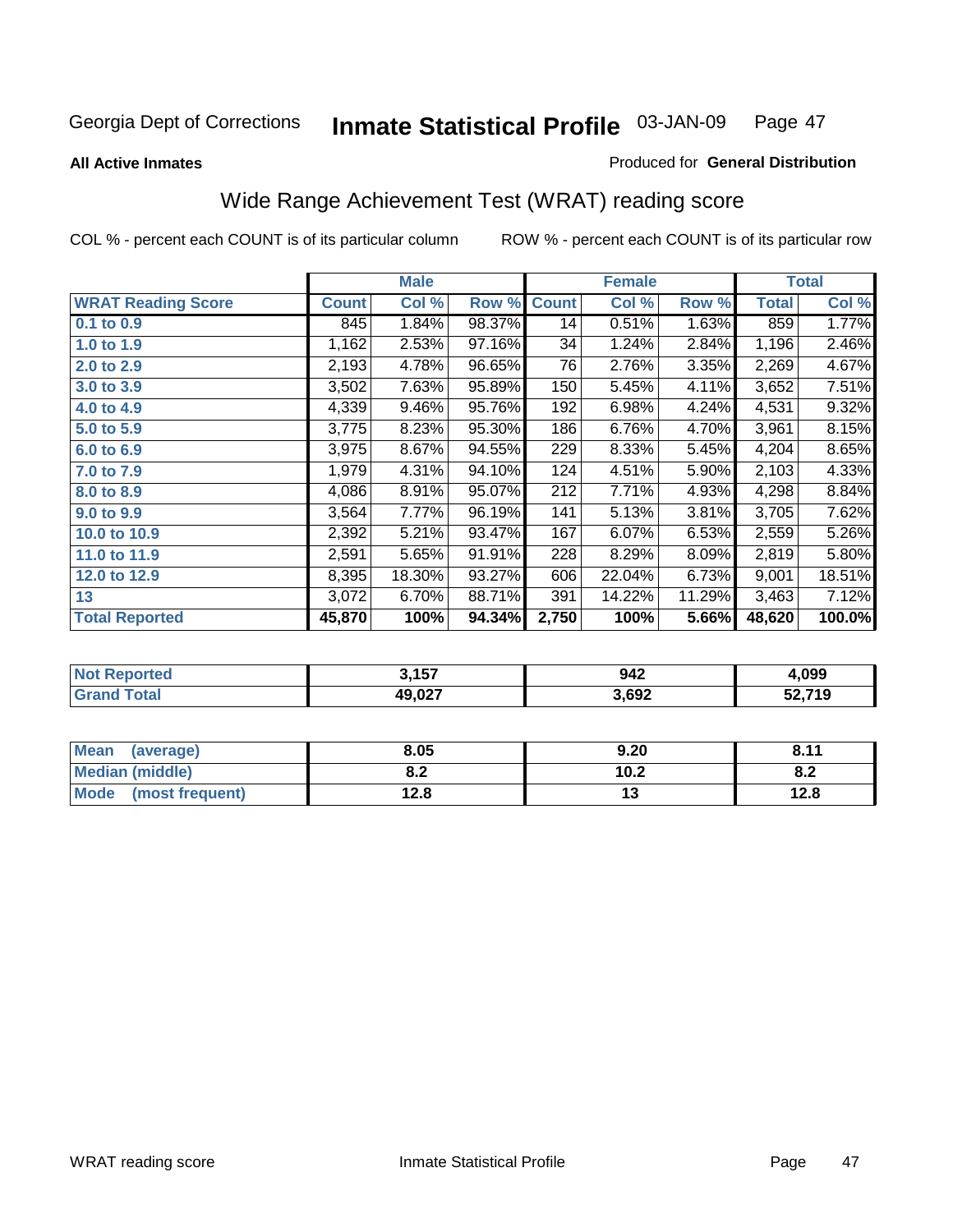#### **All Active Inmates**

### Produced for **General Distribution**

# Wide Range Achievement Test (WRAT) reading score

|                           |              | <b>Male</b> |        |                  | <b>Female</b> |        |              | <b>Total</b> |
|---------------------------|--------------|-------------|--------|------------------|---------------|--------|--------------|--------------|
| <b>WRAT Reading Score</b> | <b>Count</b> | Col %       | Row %  | <b>Count</b>     | Col %         | Row %  | <b>Total</b> | Col %        |
| 0.1 to 0.9                | 845          | 1.84%       | 98.37% | 14               | 0.51%         | 1.63%  | 859          | 1.77%        |
| 1.0 to 1.9                | 1,162        | 2.53%       | 97.16% | 34               | 1.24%         | 2.84%  | 1,196        | 2.46%        |
| 2.0 to 2.9                | 2,193        | 4.78%       | 96.65% | 76               | 2.76%         | 3.35%  | 2,269        | 4.67%        |
| 3.0 to 3.9                | 3,502        | 7.63%       | 95.89% | 150              | 5.45%         | 4.11%  | 3,652        | 7.51%        |
| 4.0 to 4.9                | 4,339        | 9.46%       | 95.76% | 192              | 6.98%         | 4.24%  | 4,531        | 9.32%        |
| 5.0 to 5.9                | 3,775        | 8.23%       | 95.30% | 186              | 6.76%         | 4.70%  | 3,961        | 8.15%        |
| 6.0 to 6.9                | 3,975        | 8.67%       | 94.55% | $\overline{2}29$ | 8.33%         | 5.45%  | 4,204        | 8.65%        |
| 7.0 to 7.9                | 1,979        | 4.31%       | 94.10% | 124              | 4.51%         | 5.90%  | 2,103        | 4.33%        |
| 8.0 to 8.9                | 4,086        | 8.91%       | 95.07% | 212              | 7.71%         | 4.93%  | 4,298        | 8.84%        |
| 9.0 to 9.9                | 3,564        | 7.77%       | 96.19% | 141              | 5.13%         | 3.81%  | 3,705        | 7.62%        |
| 10.0 to 10.9              | 2,392        | 5.21%       | 93.47% | 167              | 6.07%         | 6.53%  | 2,559        | 5.26%        |
| 11.0 to 11.9              | 2,591        | 5.65%       | 91.91% | 228              | 8.29%         | 8.09%  | 2,819        | 5.80%        |
| 12.0 to 12.9              | 8,395        | 18.30%      | 93.27% | 606              | 22.04%        | 6.73%  | 9,001        | 18.51%       |
| 13                        | 3,072        | 6.70%       | 88.71% | 391              | 14.22%        | 11.29% | 3,463        | 7.12%        |
| <b>Total Reported</b>     | 45,870       | 100%        | 94.34% | 2,750            | 100%          | 5.66%  | 48,620       | 100.0%       |

| NO | <b>157</b><br>.   | 942   | .099   |
|----|-------------------|-------|--------|
|    | 49 N 27<br>49.VZ. | 3,692 | 52,719 |

| <b>Mean</b><br>(average) | 8.05       | 9.20 | 0.11<br>O.11 |
|--------------------------|------------|------|--------------|
| <b>Median (middle)</b>   | י ה<br>0.Z | 10.2 | O.A          |
| Mode<br>(most frequent)  | 12.8       | . .  | 12.8         |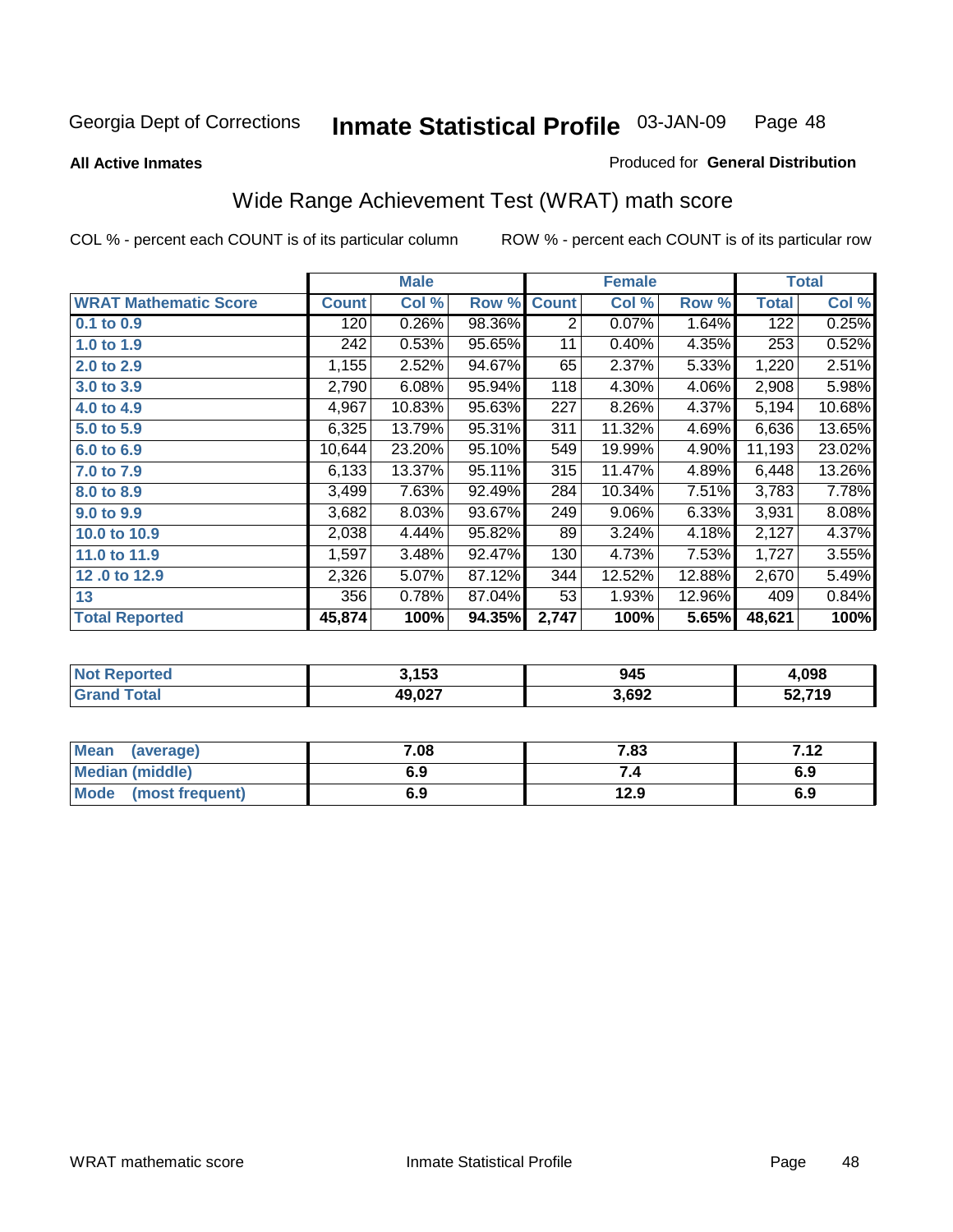**All Active Inmates**

#### Produced for **General Distribution**

# Wide Range Achievement Test (WRAT) math score

|                              |              | <b>Male</b> |        |              | <b>Female</b> |        |              | <b>Total</b> |
|------------------------------|--------------|-------------|--------|--------------|---------------|--------|--------------|--------------|
| <b>WRAT Mathematic Score</b> | <b>Count</b> | Col %       | Row %  | <b>Count</b> | Col %         | Row %  | <b>Total</b> | Col %        |
| 0.1 to 0.9                   | 120          | 0.26%       | 98.36% | 2            | 0.07%         | 1.64%  | 122          | 0.25%        |
| 1.0 to 1.9                   | 242          | 0.53%       | 95.65% | 11           | 0.40%         | 4.35%  | 253          | 0.52%        |
| 2.0 to 2.9                   | 1,155        | 2.52%       | 94.67% | 65           | 2.37%         | 5.33%  | 1,220        | 2.51%        |
| 3.0 to 3.9                   | 2,790        | 6.08%       | 95.94% | 118          | 4.30%         | 4.06%  | 2,908        | 5.98%        |
| 4.0 to 4.9                   | 4,967        | 10.83%      | 95.63% | 227          | 8.26%         | 4.37%  | 5,194        | 10.68%       |
| 5.0 to 5.9                   | 6,325        | 13.79%      | 95.31% | 311          | 11.32%        | 4.69%  | 6,636        | 13.65%       |
| 6.0 to 6.9                   | 10,644       | 23.20%      | 95.10% | 549          | 19.99%        | 4.90%  | 11,193       | 23.02%       |
| 7.0 to 7.9                   | 6,133        | 13.37%      | 95.11% | 315          | 11.47%        | 4.89%  | 6,448        | 13.26%       |
| 8.0 to 8.9                   | 3,499        | 7.63%       | 92.49% | 284          | 10.34%        | 7.51%  | 3,783        | 7.78%        |
| 9.0 to 9.9                   | 3,682        | 8.03%       | 93.67% | 249          | 9.06%         | 6.33%  | 3,931        | 8.08%        |
| 10.0 to 10.9                 | 2,038        | 4.44%       | 95.82% | 89           | 3.24%         | 4.18%  | 2,127        | 4.37%        |
| 11.0 to 11.9                 | 1,597        | 3.48%       | 92.47% | 130          | 4.73%         | 7.53%  | 1,727        | 3.55%        |
| 12.0 to 12.9                 | 2,326        | 5.07%       | 87.12% | 344          | 12.52%        | 12.88% | 2,670        | 5.49%        |
| 13                           | 356          | 0.78%       | 87.04% | 53           | 1.93%         | 12.96% | 409          | 0.84%        |
| <b>Total Reported</b>        | 45,874       | 100%        | 94.35% | 2,747        | 100%          | 5.65%  | 48,621       | 100%         |

|      | 3,153  | 945   | .098   |
|------|--------|-------|--------|
| otal | 10 N27 | 3,692 | 52,719 |

| <b>Mean</b><br>(average)       | 7.08 | 7.83 | フィク<br>. 2 |
|--------------------------------|------|------|------------|
| <b>Median (middle)</b>         | 6.9  |      | 6.9        |
| <b>Mode</b><br>(most frequent) | 6.9  | 12.9 | 6.9        |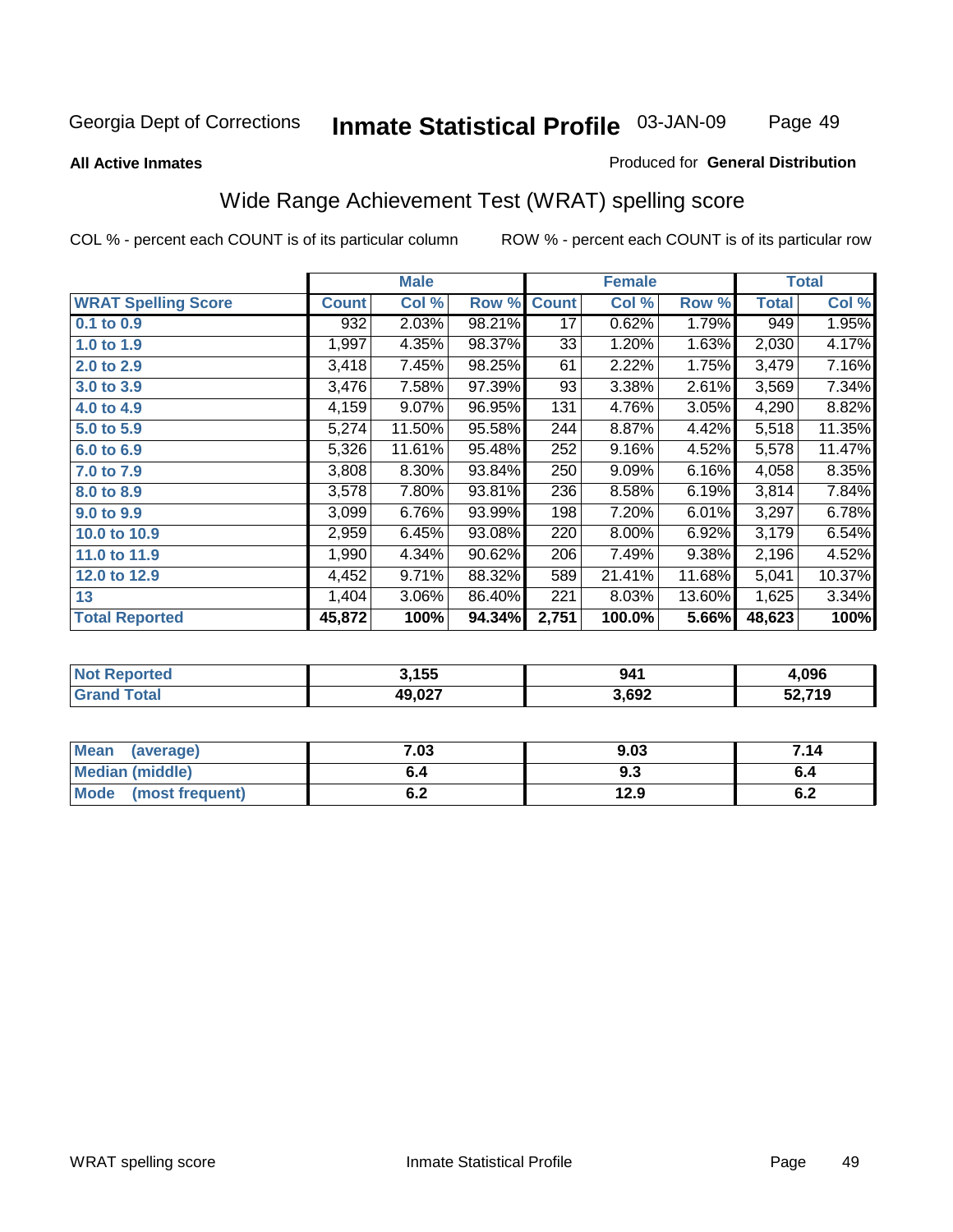Page 49

#### **All Active Inmates**

#### Produced for **General Distribution**

### Wide Range Achievement Test (WRAT) spelling score

|                            |              | <b>Male</b> |        |              | <b>Female</b> |        |              | <b>Total</b> |
|----------------------------|--------------|-------------|--------|--------------|---------------|--------|--------------|--------------|
| <b>WRAT Spelling Score</b> | <b>Count</b> | Col %       | Row %  | <b>Count</b> | Col %         | Row %  | <b>Total</b> | Col %        |
| $0.1$ to $0.9$             | 932          | 2.03%       | 98.21% | 17           | 0.62%         | 1.79%  | 949          | 1.95%        |
| 1.0 to 1.9                 | 1,997        | 4.35%       | 98.37% | 33           | 1.20%         | 1.63%  | 2,030        | 4.17%        |
| 2.0 to 2.9                 | 3,418        | 7.45%       | 98.25% | 61           | 2.22%         | 1.75%  | 3,479        | 7.16%        |
| 3.0 to 3.9                 | 3,476        | 7.58%       | 97.39% | 93           | 3.38%         | 2.61%  | 3,569        | 7.34%        |
| 4.0 to 4.9                 | 4,159        | 9.07%       | 96.95% | 131          | 4.76%         | 3.05%  | 4,290        | 8.82%        |
| 5.0 to 5.9                 | 5,274        | 11.50%      | 95.58% | 244          | 8.87%         | 4.42%  | 5,518        | 11.35%       |
| 6.0 to 6.9                 | 5,326        | 11.61%      | 95.48% | 252          | 9.16%         | 4.52%  | 5,578        | 11.47%       |
| 7.0 to 7.9                 | 3,808        | 8.30%       | 93.84% | 250          | 9.09%         | 6.16%  | 4,058        | 8.35%        |
| 8.0 to 8.9                 | 3,578        | 7.80%       | 93.81% | 236          | 8.58%         | 6.19%  | 3,814        | 7.84%        |
| 9.0 to 9.9                 | 3,099        | 6.76%       | 93.99% | 198          | 7.20%         | 6.01%  | 3,297        | 6.78%        |
| 10.0 to 10.9               | 2,959        | 6.45%       | 93.08% | 220          | 8.00%         | 6.92%  | 3,179        | 6.54%        |
| 11.0 to 11.9               | 1,990        | 4.34%       | 90.62% | 206          | 7.49%         | 9.38%  | 2,196        | 4.52%        |
| 12.0 to 12.9               | 4,452        | 9.71%       | 88.32% | 589          | 21.41%        | 11.68% | 5,041        | 10.37%       |
| 13                         | 1,404        | 3.06%       | 86.40% | 221          | 8.03%         | 13.60% | 1,625        | 3.34%        |
| <b>Total Reported</b>      | 45,872       | 100%        | 94.34% | 2,751        | 100.0%        | 5.66%  | 48,623       | 100%         |

| .155   | 941   | .096 |
|--------|-------|------|
| דממ מו | 3,692 | .719 |

| Mean (average)         | 7.03       | 9.03 | 7.14       |
|------------------------|------------|------|------------|
| <b>Median (middle)</b> | b.4        | ৬.১  |            |
| Mode (most frequent)   | r n<br>ο.Ζ | 12.9 | c -<br>0.4 |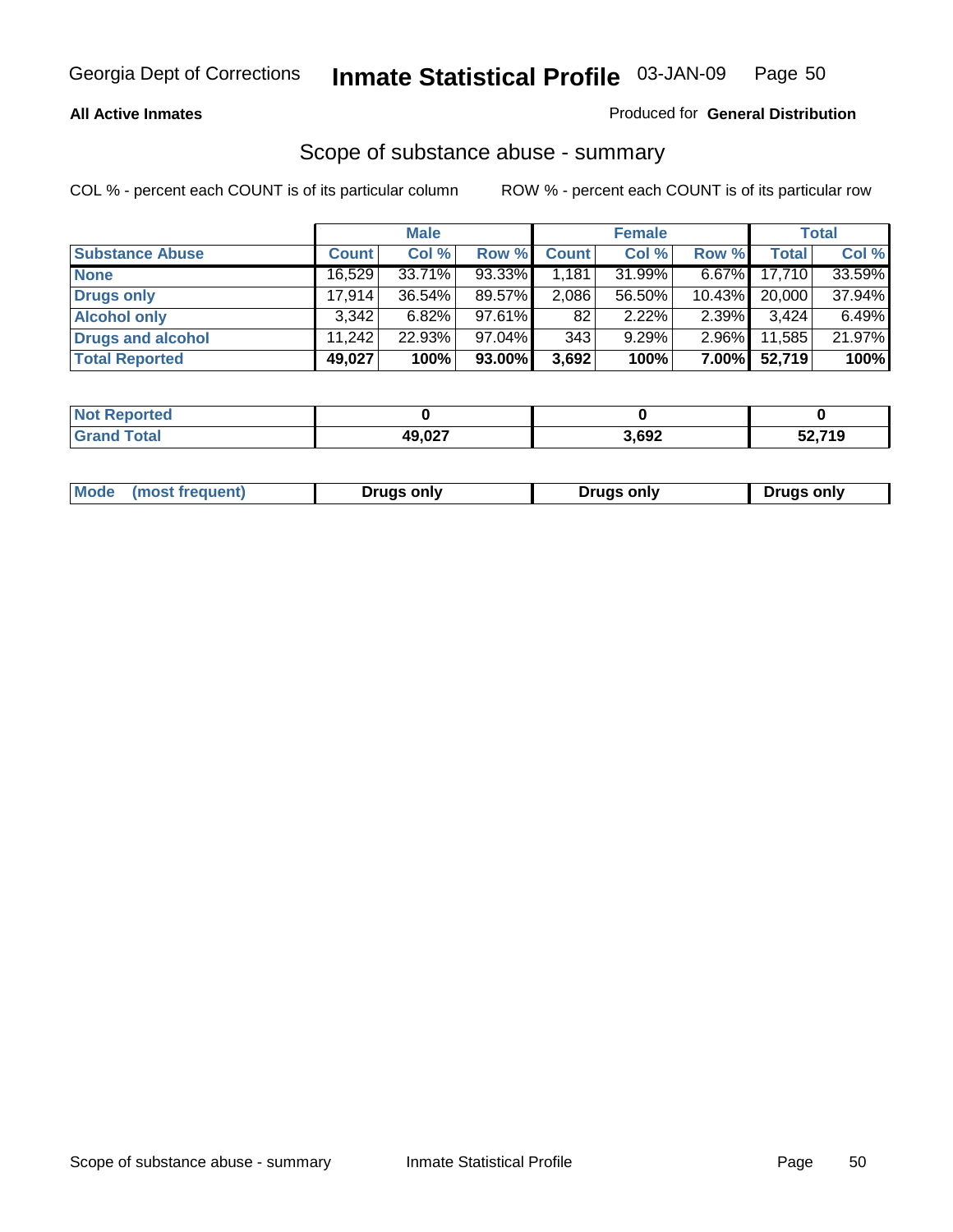#### **All Active Inmates**

### Produced for **General Distribution**

### Scope of substance abuse - summary

|                        |              | <b>Male</b> |           |              | <b>Female</b> |           |              | <b>Total</b> |
|------------------------|--------------|-------------|-----------|--------------|---------------|-----------|--------------|--------------|
| <b>Substance Abuse</b> | <b>Count</b> | Col %       | Row %     | <b>Count</b> | Col %         | Row %     | <b>Total</b> | Col %        |
| <b>None</b>            | 16,529       | 33.71%      | $93.33\%$ | 1.181        | 31.99%        | $6.67\%$  | 17.710       | 33.59%       |
| Drugs only             | 17.914       | $36.54\%$   | 89.57%    | 2,086        | 56.50%        | $10.43\%$ | 20,000       | 37.94%       |
| <b>Alcohol only</b>    | 3.342        | $6.82\%$    | $97.61\%$ | 82           | 2.22%         | $2.39\%$  | 3,424        | 6.49%        |
| Drugs and alcohol      | 11.242       | 22.93%      | $97.04\%$ | 343          | 9.29%         | $2.96\%$  | 11,585       | 21.97%       |
| <b>Total Reported</b>  | 49,027       | 100%        | 93.00%    | 3,692        | 100%          | 7.00%     | 52,719       | 100%         |

| <b>Not Reported</b> |                 |       |        |
|---------------------|-----------------|-------|--------|
| <b>Grand Total</b>  | 49 027<br>9.UZ. | 3,692 | 52,719 |

|  | Mode<br>(most frequent) | Drugs only | <b>Drugs only</b> | <b>Drugs only</b> |
|--|-------------------------|------------|-------------------|-------------------|
|--|-------------------------|------------|-------------------|-------------------|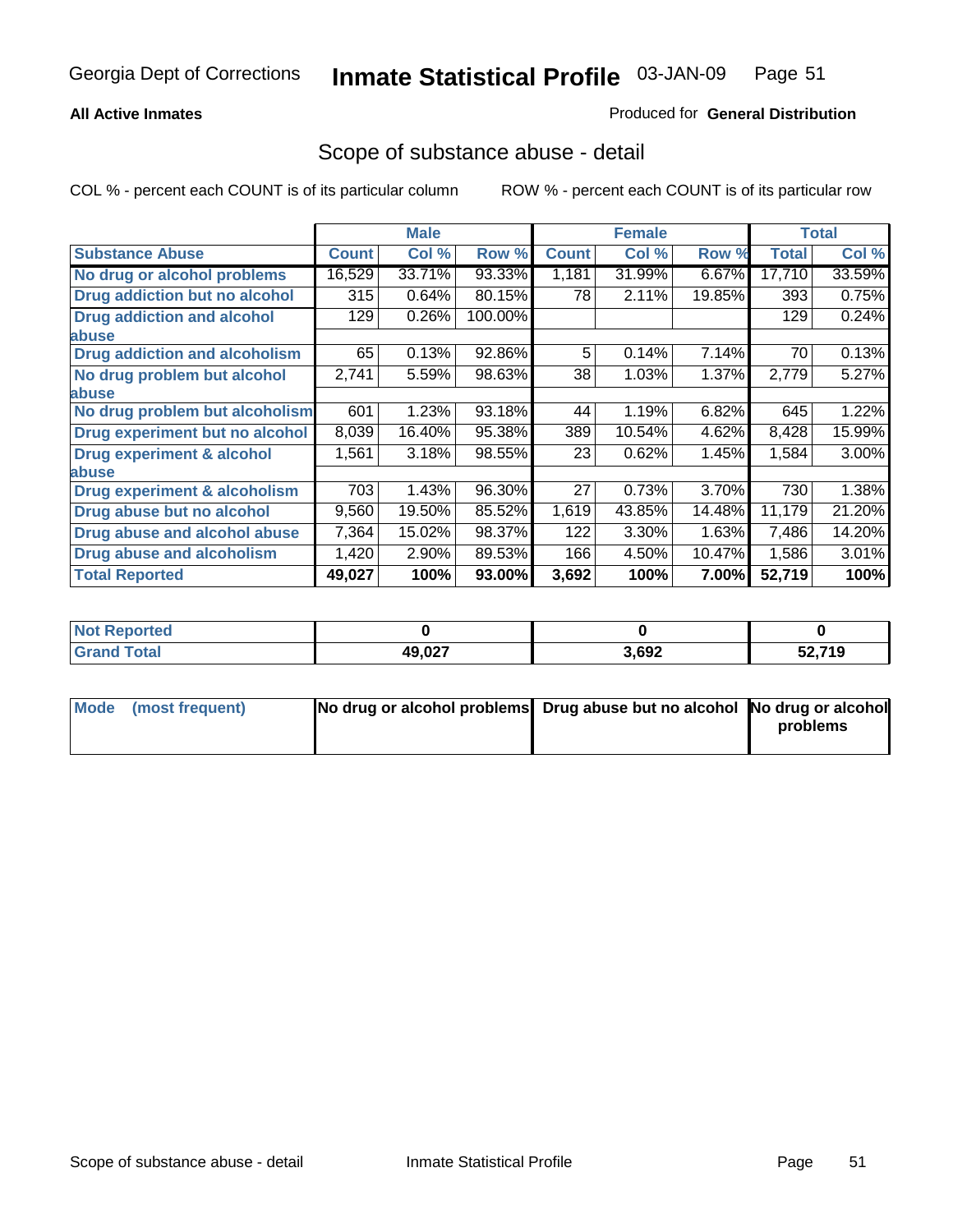#### **All Active Inmates**

### Produced for **General Distribution**

### Scope of substance abuse - detail

|                                      |              | <b>Male</b> |         |              | <b>Female</b> |        |              | <b>Total</b> |
|--------------------------------------|--------------|-------------|---------|--------------|---------------|--------|--------------|--------------|
| <b>Substance Abuse</b>               | <b>Count</b> | Col %       | Row %   | <b>Count</b> | Col %         | Row %  | <b>Total</b> | Col %        |
| No drug or alcohol problems          | 16,529       | 33.71%      | 93.33%  | 1,181        | 31.99%        | 6.67%  | 17,710       | 33.59%       |
| Drug addiction but no alcohol        | 315          | 0.64%       | 80.15%  | 78           | 2.11%         | 19.85% | 393          | 0.75%        |
| <b>Drug addiction and alcohol</b>    | 129          | 0.26%       | 100.00% |              |               |        | 129          | 0.24%        |
| <b>labuse</b>                        |              |             |         |              |               |        |              |              |
| <b>Drug addiction and alcoholism</b> | 65           | 0.13%       | 92.86%  | 5            | 0.14%         | 7.14%  | 70           | 0.13%        |
| No drug problem but alcohol          | 2,741        | 5.59%       | 98.63%  | 38           | 1.03%         | 1.37%  | 2,779        | 5.27%        |
| abuse                                |              |             |         |              |               |        |              |              |
| No drug problem but alcoholism       | 601          | 1.23%       | 93.18%  | 44           | 1.19%         | 6.82%  | 645          | 1.22%        |
| Drug experiment but no alcohol       | 8,039        | 16.40%      | 95.38%  | 389          | 10.54%        | 4.62%  | 8,428        | 15.99%       |
| <b>Drug experiment &amp; alcohol</b> | 1,561        | 3.18%       | 98.55%  | 23           | 0.62%         | 1.45%  | 1,584        | $3.00\%$     |
| abuse                                |              |             |         |              |               |        |              |              |
| Drug experiment & alcoholism         | 703          | 1.43%       | 96.30%  | 27           | 0.73%         | 3.70%  | 730          | 1.38%        |
| Drug abuse but no alcohol            | 9,560        | 19.50%      | 85.52%  | 1,619        | 43.85%        | 14.48% | 11,179       | 21.20%       |
| Drug abuse and alcohol abuse         | 7,364        | 15.02%      | 98.37%  | 122          | 3.30%         | 1.63%  | 7,486        | 14.20%       |
| Drug abuse and alcoholism            | 1,420        | 2.90%       | 89.53%  | 166          | 4.50%         | 10.47% | 1,586        | 3.01%        |
| <b>Total Reported</b>                | 49,027       | 100%        | 93.00%  | 3,692        | 100%          | 7.00%  | 52,719       | 100%         |

| : Reported<br><b>NOT</b> |                          |       |             |
|--------------------------|--------------------------|-------|-------------|
| <b>cotal</b>             | 80 N.Y<br>19.UZ <i>i</i> | 3,692 | .2740<br>19 |

| Mode (most frequent) | No drug or alcohol problems Drug abuse but no alcohol No drug or alcohol |          |
|----------------------|--------------------------------------------------------------------------|----------|
|                      |                                                                          | problems |
|                      |                                                                          |          |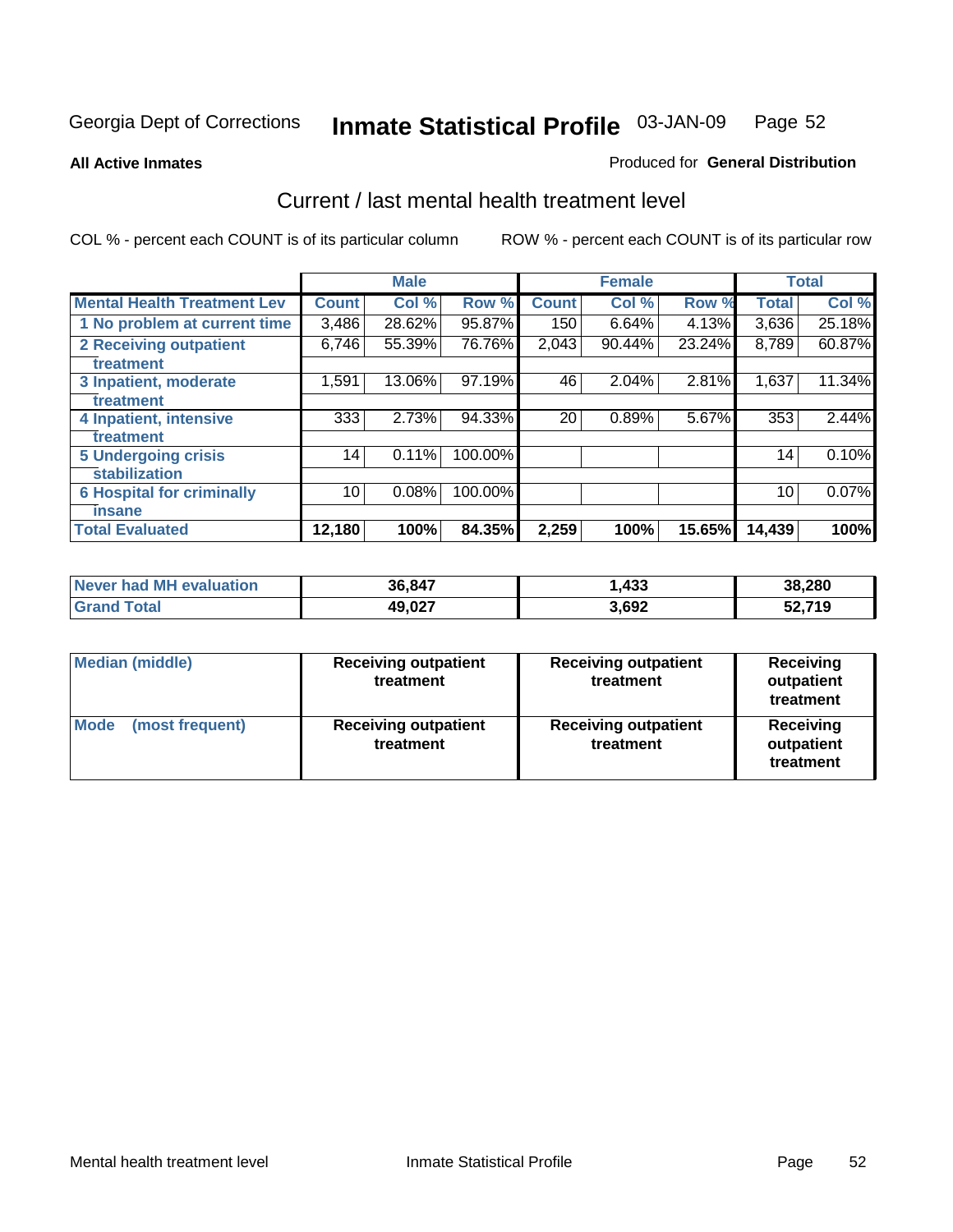#### **All Active Inmates**

#### Produced for **General Distribution**

### Current / last mental health treatment level

|                                    |              | <b>Male</b> |         |              | <b>Female</b> |        |              | <b>Total</b> |
|------------------------------------|--------------|-------------|---------|--------------|---------------|--------|--------------|--------------|
| <b>Mental Health Treatment Lev</b> | <b>Count</b> | Col %       | Row %   | <b>Count</b> | Col%          | Row %  | <b>Total</b> | Col %        |
| 1 No problem at current time       | 3,486        | 28.62%      | 95.87%  | 150          | 6.64%         | 4.13%  | 3,636        | 25.18%       |
| <b>2 Receiving outpatient</b>      | 6,746        | 55.39%      | 76.76%  | 2,043        | 90.44%        | 23.24% | 8,789        | 60.87%       |
| treatment                          |              |             |         |              |               |        |              |              |
| 3 Inpatient, moderate              | 1,591        | 13.06%      | 97.19%  | 46           | 2.04%         | 2.81%  | 1,637        | 11.34%       |
| treatment                          |              |             |         |              |               |        |              |              |
| 4 Inpatient, intensive             | 333          | 2.73%       | 94.33%  | 20           | 0.89%         | 5.67%  | 353          | 2.44%        |
| treatment                          |              |             |         |              |               |        |              |              |
| <b>5 Undergoing crisis</b>         | 14           | 0.11%       | 100.00% |              |               |        | 14           | 0.10%        |
| stabilization                      |              |             |         |              |               |        |              |              |
| <b>6 Hospital for criminally</b>   | 10           | 0.08%       | 100.00% |              |               |        | 10           | 0.07%        |
| insane                             |              |             |         |              |               |        |              |              |
| <b>Total Evaluated</b>             | 12,180       | 100%        | 84.35%  | 2,259        | 100%          | 15.65% | 14,439       | 100%         |

| Never had MH evaluation        | 36,847 | ,433  | 38,280 |
|--------------------------------|--------|-------|--------|
| $\tau$ otal<br>ˈGrand <b>∖</b> | 49,027 | 3,692 | 52,719 |

| <b>Median (middle)</b>         | <b>Receiving outpatient</b><br>treatment | <b>Receiving outpatient</b><br>treatment | <b>Receiving</b><br>outpatient<br>treatment |  |
|--------------------------------|------------------------------------------|------------------------------------------|---------------------------------------------|--|
| <b>Mode</b><br>(most frequent) | <b>Receiving outpatient</b><br>treatment | <b>Receiving outpatient</b><br>treatment | <b>Receiving</b><br>outpatient<br>treatment |  |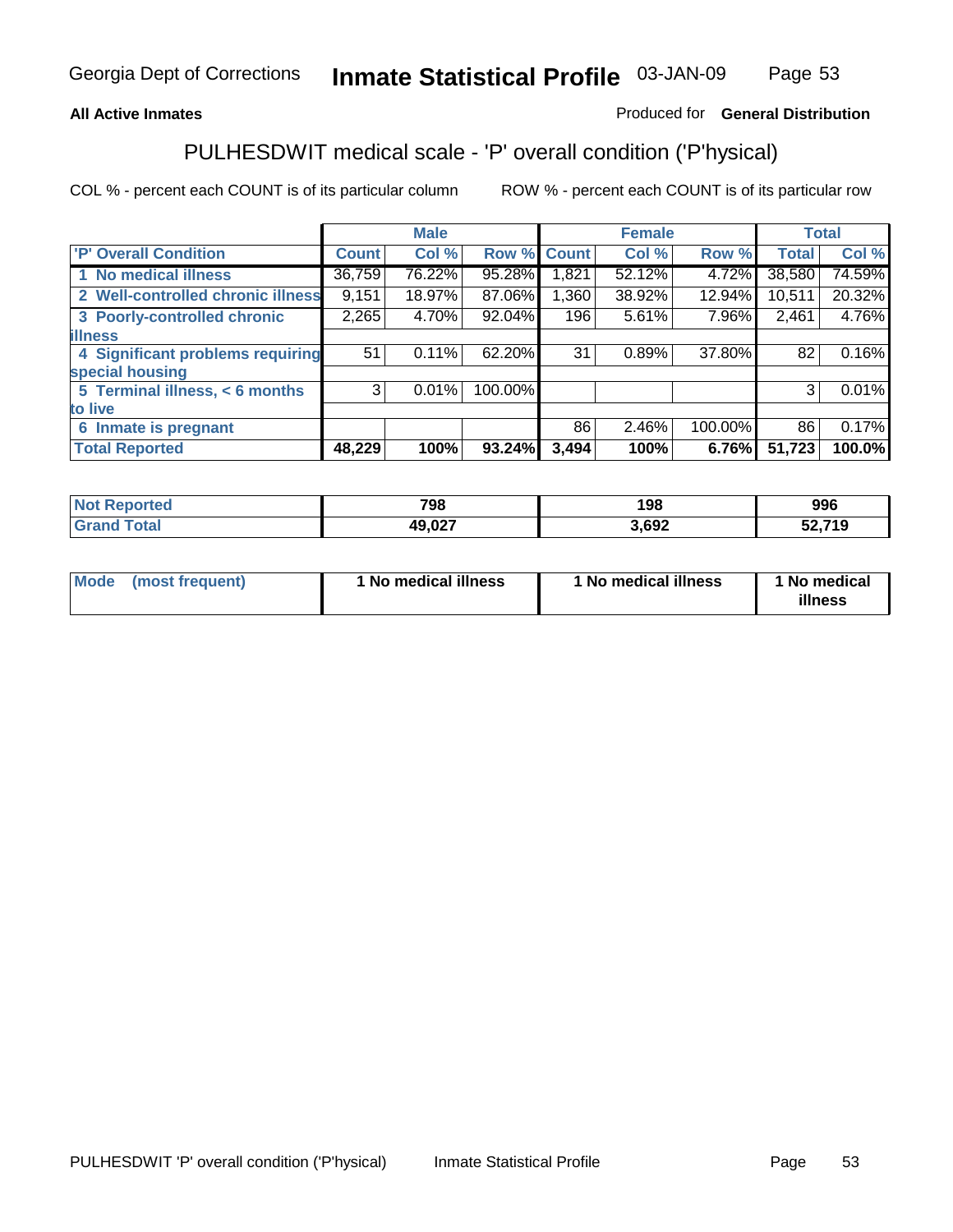### **All Active Inmates**

### Produced for **General Distribution**

# PULHESDWIT medical scale - 'P' overall condition ('P'hysical)

|                                   |              | <b>Male</b> |         |              | <b>Female</b> |         |              | <b>Total</b> |
|-----------------------------------|--------------|-------------|---------|--------------|---------------|---------|--------------|--------------|
| 'P' Overall Condition             | <b>Count</b> | Col %       | Row %   | <b>Count</b> | Col %         | Row %   | <b>Total</b> | Col %        |
| 1 No medical illness              | 36,759       | 76.22%      | 95.28%  | 821.ا        | 52.12%        | 4.72%   | 38,580       | 74.59%       |
| 2 Well-controlled chronic illness | 9,151        | 18.97%      | 87.06%  | 1,360        | 38.92%        | 12.94%  | 10,511       | 20.32%       |
| 3 Poorly-controlled chronic       | 2,265        | 4.70%       | 92.04%  | 196          | 5.61%         | 7.96%   | 2,461        | 4.76%        |
| <b>illness</b>                    |              |             |         |              |               |         |              |              |
| 4 Significant problems requiring  | 51           | 0.11%       | 62.20%  | 31           | 0.89%         | 37.80%  | 82           | 0.16%        |
| special housing                   |              |             |         |              |               |         |              |              |
| 5 Terminal illness, < 6 months    | 3            | 0.01%       | 100.00% |              |               |         | 3            | 0.01%        |
| to live                           |              |             |         |              |               |         |              |              |
| Inmate is pregnant<br>6           |              |             |         | 86           | 2.46%         | 100.00% | 86           | 0.17%        |
| <b>Total Reported</b>             | 48,229       | 100%        | 93.24%  | 3,494        | 100%          | 6.76%   | 51,723       | 100.0%       |

| <b>Not</b><br><b>Reported</b> | 798    | 198   | 996    |
|-------------------------------|--------|-------|--------|
| <b>Total</b><br>'Grano        | 49,027 | 3,692 | 52,719 |

| Mode (most frequent) | 1 No medical illness | 1 No medical illness | 1 No medical |
|----------------------|----------------------|----------------------|--------------|
|                      |                      |                      | illness      |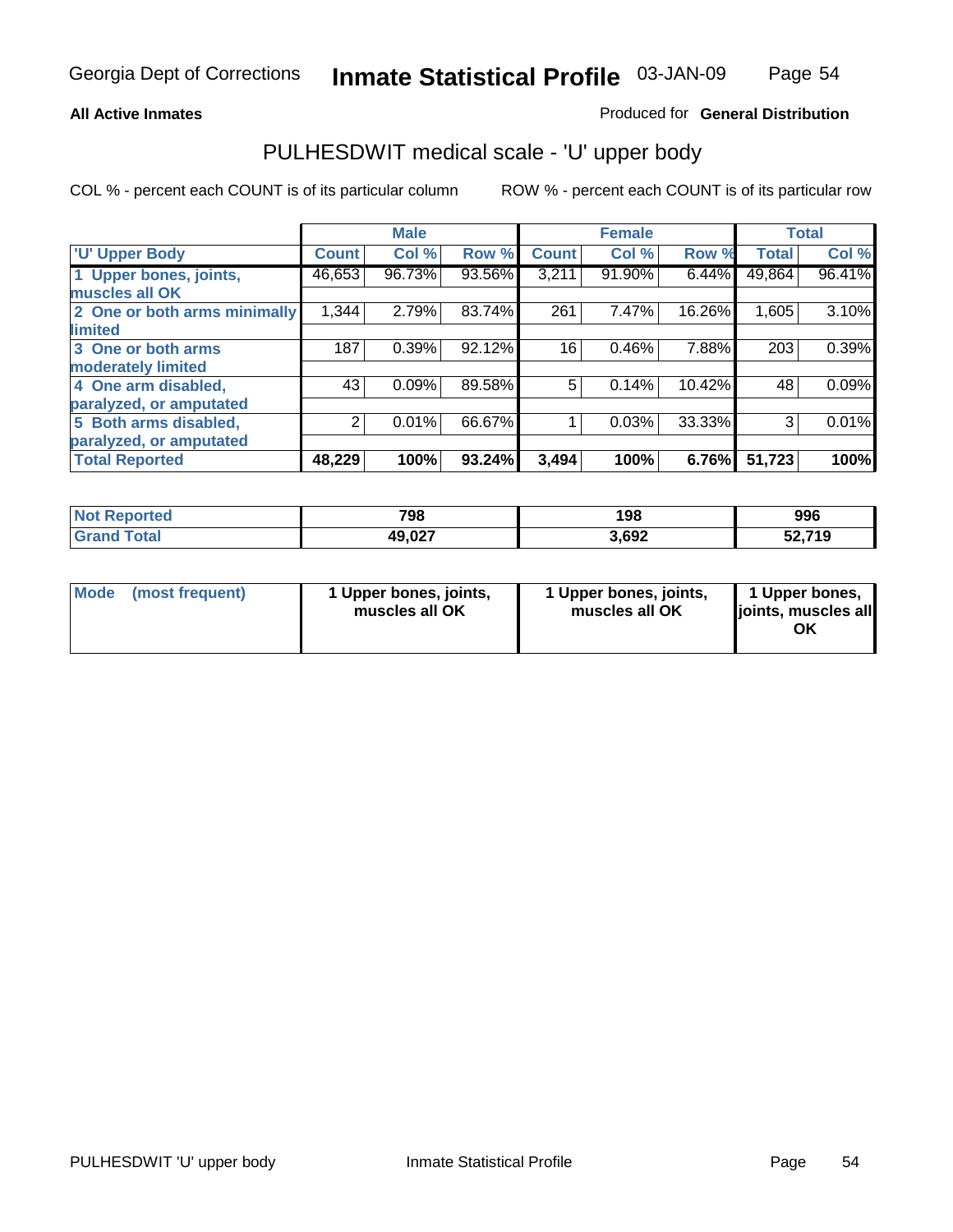### **All Active Inmates**

### Produced for **General Distribution**

### PULHESDWIT medical scale - 'U' upper body

|                              |              | <b>Male</b> |        |              | <b>Female</b> |        |              | <b>Total</b> |
|------------------------------|--------------|-------------|--------|--------------|---------------|--------|--------------|--------------|
| <b>U' Upper Body</b>         | <b>Count</b> | Col %       | Row %  | <b>Count</b> | Col %         | Row %  | <b>Total</b> | Col %        |
| 1 Upper bones, joints,       | 46,653       | 96.73%      | 93.56% | 3,211        | 91.90%        | 6.44%  | 49,864       | 96.41%       |
| muscles all OK               |              |             |        |              |               |        |              |              |
| 2 One or both arms minimally | 1,344        | 2.79%       | 83.74% | 261          | 7.47%         | 16.26% | 1,605        | 3.10%        |
| limited                      |              |             |        |              |               |        |              |              |
| 3 One or both arms           | 187          | 0.39%       | 92.12% | 16           | 0.46%         | 7.88%  | 203          | 0.39%        |
| moderately limited           |              |             |        |              |               |        |              |              |
| 4 One arm disabled,          | 43           | 0.09%       | 89.58% | 5            | 0.14%         | 10.42% | 48           | 0.09%        |
| paralyzed, or amputated      |              |             |        |              |               |        |              |              |
| 5 Both arms disabled,        | 2            | 0.01%       | 66.67% |              | 0.03%         | 33.33% | 3            | 0.01%        |
| paralyzed, or amputated      |              |             |        |              |               |        |              |              |
| <b>Total Reported</b>        | 48,229       | 100%        | 93.24% | 3,494        | 100%          | 6.76%  | 51,723       | 100%         |

| <b>Reported</b><br>' Not | 798    | 198   | 996    |
|--------------------------|--------|-------|--------|
| 'otal<br>'Grano          | 49,027 | 3,692 | 52,719 |

| <b>Mode</b> | (most frequent) | 1 Upper bones, joints,<br>muscles all OK | 1 Upper bones, joints,<br>muscles all OK | 1 Upper bones,<br>joints, muscles all<br>ΟK |
|-------------|-----------------|------------------------------------------|------------------------------------------|---------------------------------------------|
|-------------|-----------------|------------------------------------------|------------------------------------------|---------------------------------------------|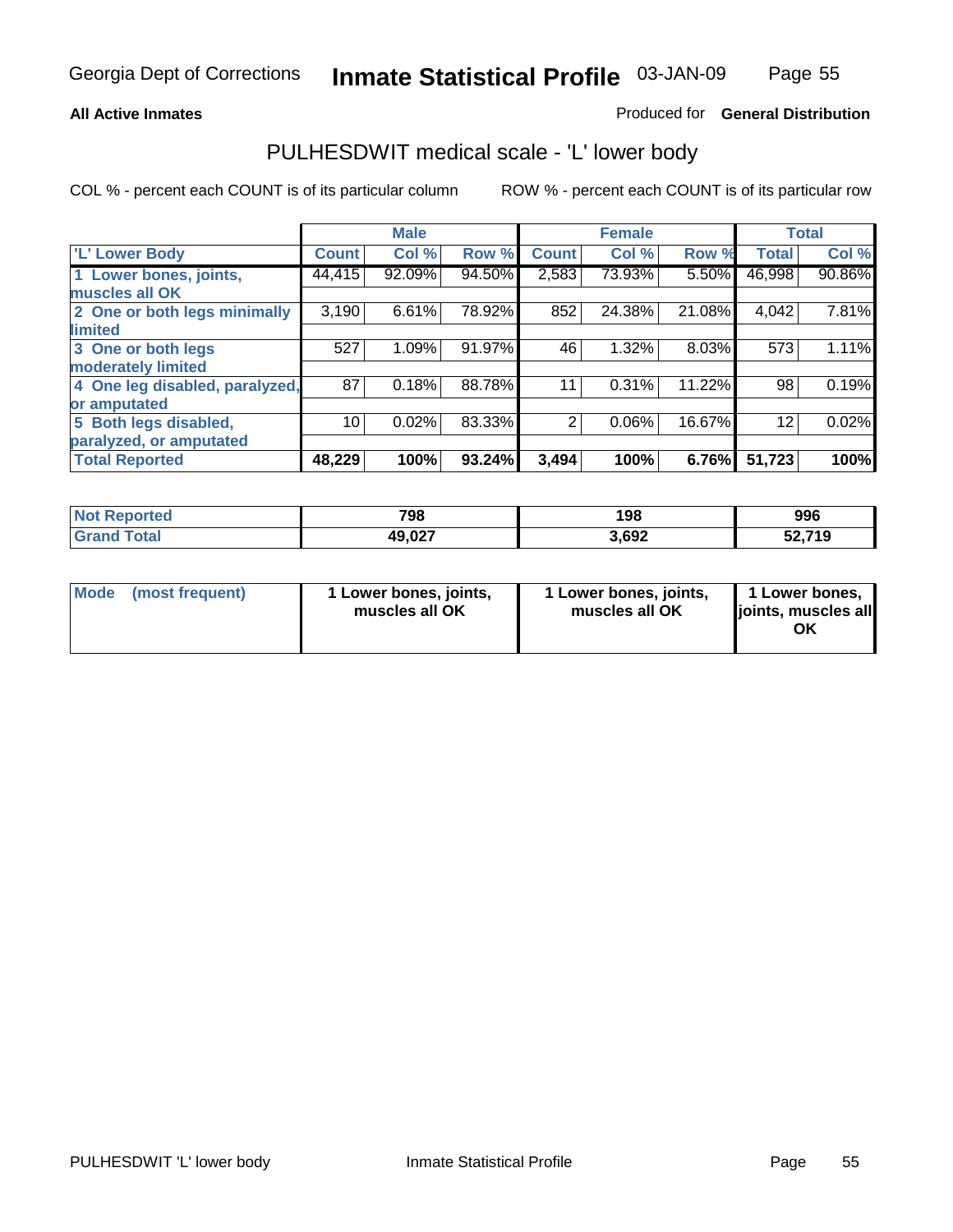#### **All Active Inmates**

### Produced for **General Distribution**

### PULHESDWIT medical scale - 'L' lower body

|                                |                    | <b>Male</b> |        |                | <b>Female</b> |        |              | <b>Total</b> |
|--------------------------------|--------------------|-------------|--------|----------------|---------------|--------|--------------|--------------|
| <b>L' Lower Body</b>           | Count <sup>1</sup> | Col %       | Row %  | <b>Count</b>   | Col %         | Row %  | <b>Total</b> | Col %        |
| 1 Lower bones, joints,         | 44,415             | 92.09%      | 94.50% | 2,583          | 73.93%        | 5.50%  | 46,998       | 90.86%       |
| muscles all OK                 |                    |             |        |                |               |        |              |              |
| 2 One or both legs minimally   | 3,190              | 6.61%       | 78.92% | 852            | 24.38%        | 21.08% | 4,042        | 7.81%        |
| limited                        |                    |             |        |                |               |        |              |              |
| 3 One or both legs             | 527                | 1.09%       | 91.97% | 46             | 1.32%         | 8.03%  | 573          | 1.11%        |
| moderately limited             |                    |             |        |                |               |        |              |              |
| 4 One leg disabled, paralyzed, | 87                 | 0.18%       | 88.78% | 11             | 0.31%         | 11.22% | 98           | 0.19%        |
| or amputated                   |                    |             |        |                |               |        |              |              |
| 5 Both legs disabled,          | 10                 | 0.02%       | 83.33% | $\overline{2}$ | 0.06%         | 16.67% | 12           | 0.02%        |
| paralyzed, or amputated        |                    |             |        |                |               |        |              |              |
| <b>Total Reported</b>          | 48,229             | 100%        | 93.24% | 3,494          | 100%          | 6.76%  | 51,723       | 100%         |

| <b>Not Reported</b> | 798    | 198   | 996    |
|---------------------|--------|-------|--------|
| $\tau$ otal<br>Gran | 49,027 | 3,692 | 52,719 |

|  | Mode (most frequent) | 1 Lower bones, joints,<br>muscles all OK | 1 Lower bones, joints,<br>muscles all OK | 1 Lower bones,<br>joints, muscles all<br>OK |
|--|----------------------|------------------------------------------|------------------------------------------|---------------------------------------------|
|--|----------------------|------------------------------------------|------------------------------------------|---------------------------------------------|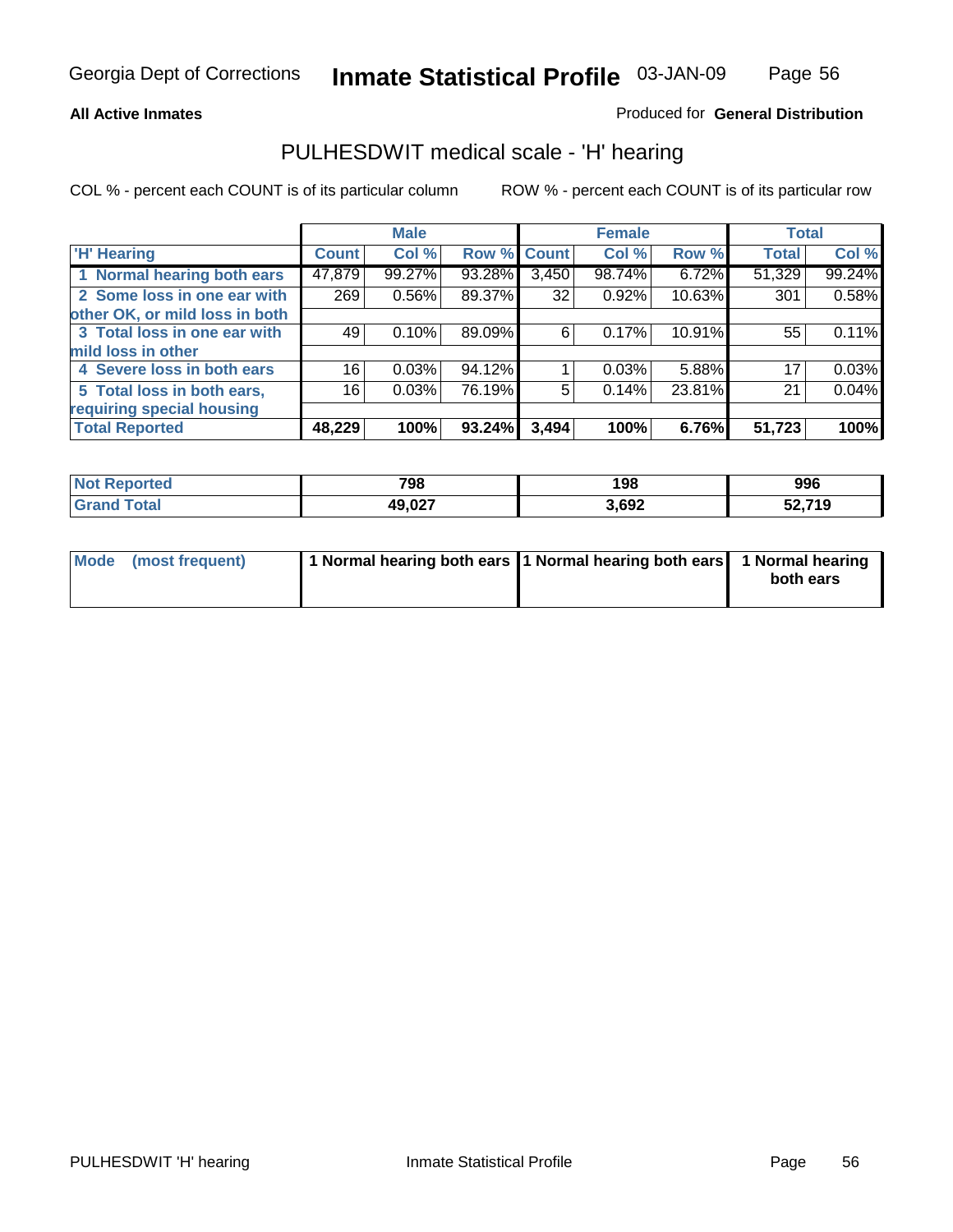#### **All Active Inmates**

### Produced for **General Distribution**

### PULHESDWIT medical scale - 'H' hearing

COL % - percent each COUNT is of its particular column ROW % - percent each COUNT is of its particular row

|                                |              | <b>Male</b> |             |       | <b>Female</b> |        | <b>Total</b> |        |
|--------------------------------|--------------|-------------|-------------|-------|---------------|--------|--------------|--------|
| <b>H'</b> Hearing              | <b>Count</b> | Col %       | Row % Count |       | Col %         | Row %  | <b>Total</b> | Col %  |
| 1 Normal hearing both ears     | 47,879       | 99.27%      | 93.28%      | 3,450 | 98.74%        | 6.72%  | 51,329       | 99.24% |
| 2 Some loss in one ear with    | 269          | 0.56%       | 89.37%      | 32    | 0.92%         | 10.63% | 301          | 0.58%  |
| other OK, or mild loss in both |              |             |             |       |               |        |              |        |
| 3 Total loss in one ear with   | 49           | 0.10%       | 89.09%      | 6     | 0.17%         | 10.91% | 55           | 0.11%  |
| mild loss in other             |              |             |             |       |               |        |              |        |
| 4 Severe loss in both ears     | 16           | 0.03%       | 94.12%      |       | 0.03%         | 5.88%  | 17           | 0.03%  |
| 5 Total loss in both ears,     | 16           | 0.03%       | 76.19%      | 5     | 0.14%         | 23.81% | 21           | 0.04%  |
| requiring special housing      |              |             |             |       |               |        |              |        |
| <b>Total Reported</b>          | 48,229       | 100%        | 93.24%      | 3,494 | 100%          | 6.76%  | 51,723       | 100%   |

| <b>rted</b> | 798    | 198  | 996          |
|-------------|--------|------|--------------|
|             | 49,027 | ,692 | ,719<br>JL.I |

| Mode (most frequent) | 1 Normal hearing both ears   1 Normal hearing both ears   1 Normal hearing |           |
|----------------------|----------------------------------------------------------------------------|-----------|
|                      |                                                                            | both ears |
|                      |                                                                            |           |

Page 56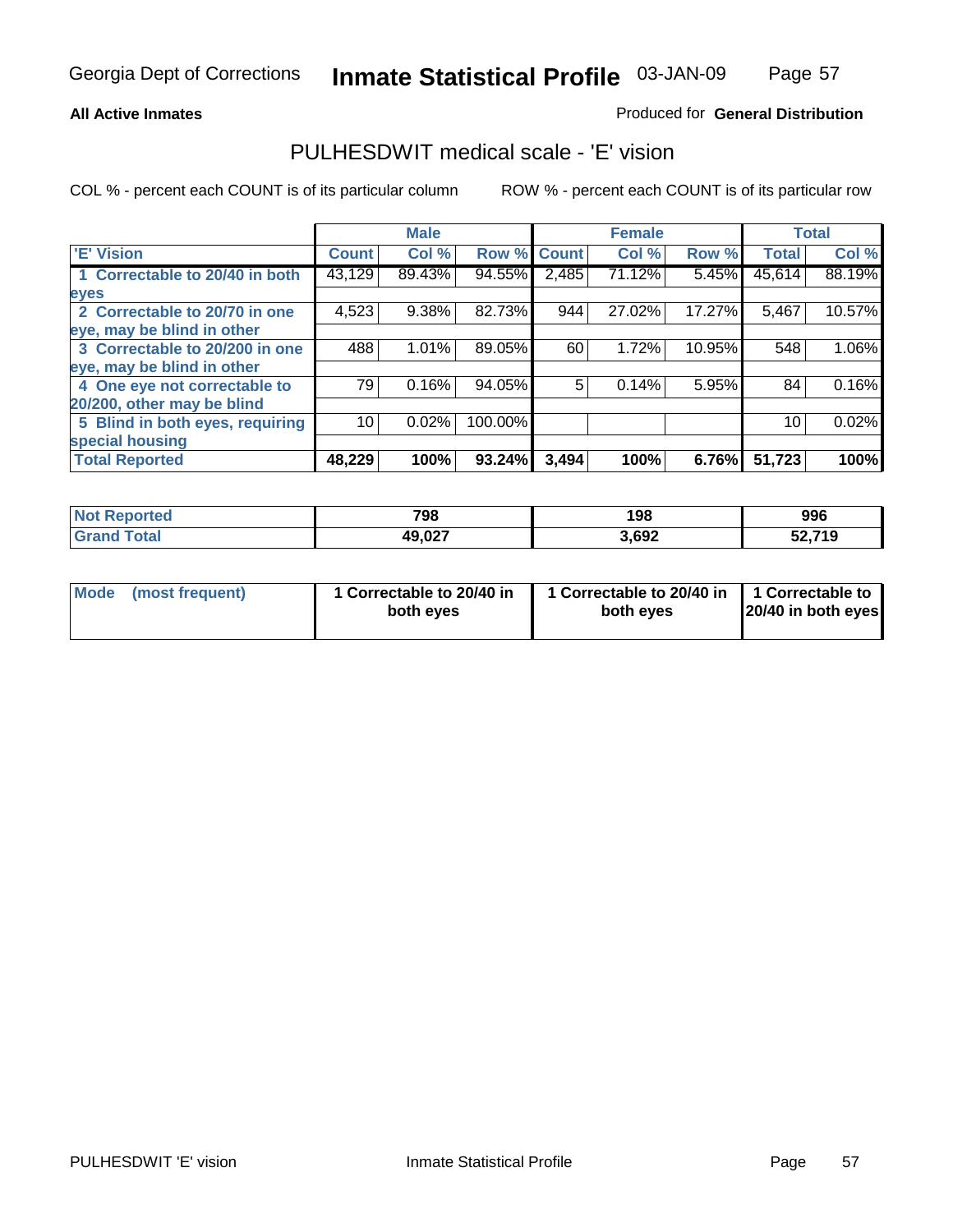#### **All Active Inmates**

### Produced for **General Distribution**

### PULHESDWIT medical scale - 'E' vision

|                                 |                 | <b>Male</b> |             |       | <b>Female</b> |        |              | <b>Total</b> |
|---------------------------------|-----------------|-------------|-------------|-------|---------------|--------|--------------|--------------|
| 'E' Vision                      | <b>Count</b>    | Col %       | Row % Count |       | Col %         | Row %  | <b>Total</b> | Col %        |
| 1 Correctable to 20/40 in both  | 43,129          | 89.43%      | 94.55%      | 2,485 | 71.12%        | 5.45%  | 45,614       | 88.19%       |
| eyes                            |                 |             |             |       |               |        |              |              |
| 2 Correctable to 20/70 in one   | 4,523           | 9.38%       | 82.73%      | 944   | 27.02%        | 17.27% | 5,467        | 10.57%       |
| eye, may be blind in other      |                 |             |             |       |               |        |              |              |
| 3 Correctable to 20/200 in one  | 488             | 1.01%       | 89.05%      | 60    | 1.72%         | 10.95% | 548          | 1.06%        |
| eye, may be blind in other      |                 |             |             |       |               |        |              |              |
| 4 One eye not correctable to    | 79              | 0.16%       | 94.05%      | 5     | 0.14%         | 5.95%  | 84           | 0.16%        |
| 20/200, other may be blind      |                 |             |             |       |               |        |              |              |
| 5 Blind in both eyes, requiring | 10 <sup>1</sup> | 0.02%       | 100.00%     |       |               |        | 10           | 0.02%        |
| special housing                 |                 |             |             |       |               |        |              |              |
| <b>Total Reported</b>           | 48,229          | 100%        | 93.24%      | 3,494 | 100%          | 6.76%  | 51,723       | 100%         |

| ' NOI<br>≺eported<br>. | 798              | 198   | 996    |
|------------------------|------------------|-------|--------|
|                        | 49 N27<br>19.VZI | 3,692 | 52,719 |

|  | Mode (most frequent) | 1 Correctable to 20/40 in<br>both eves | 1 Correctable to 20/40 in   1 Correctable to<br>both eves | 20/40 in both eyes |
|--|----------------------|----------------------------------------|-----------------------------------------------------------|--------------------|
|--|----------------------|----------------------------------------|-----------------------------------------------------------|--------------------|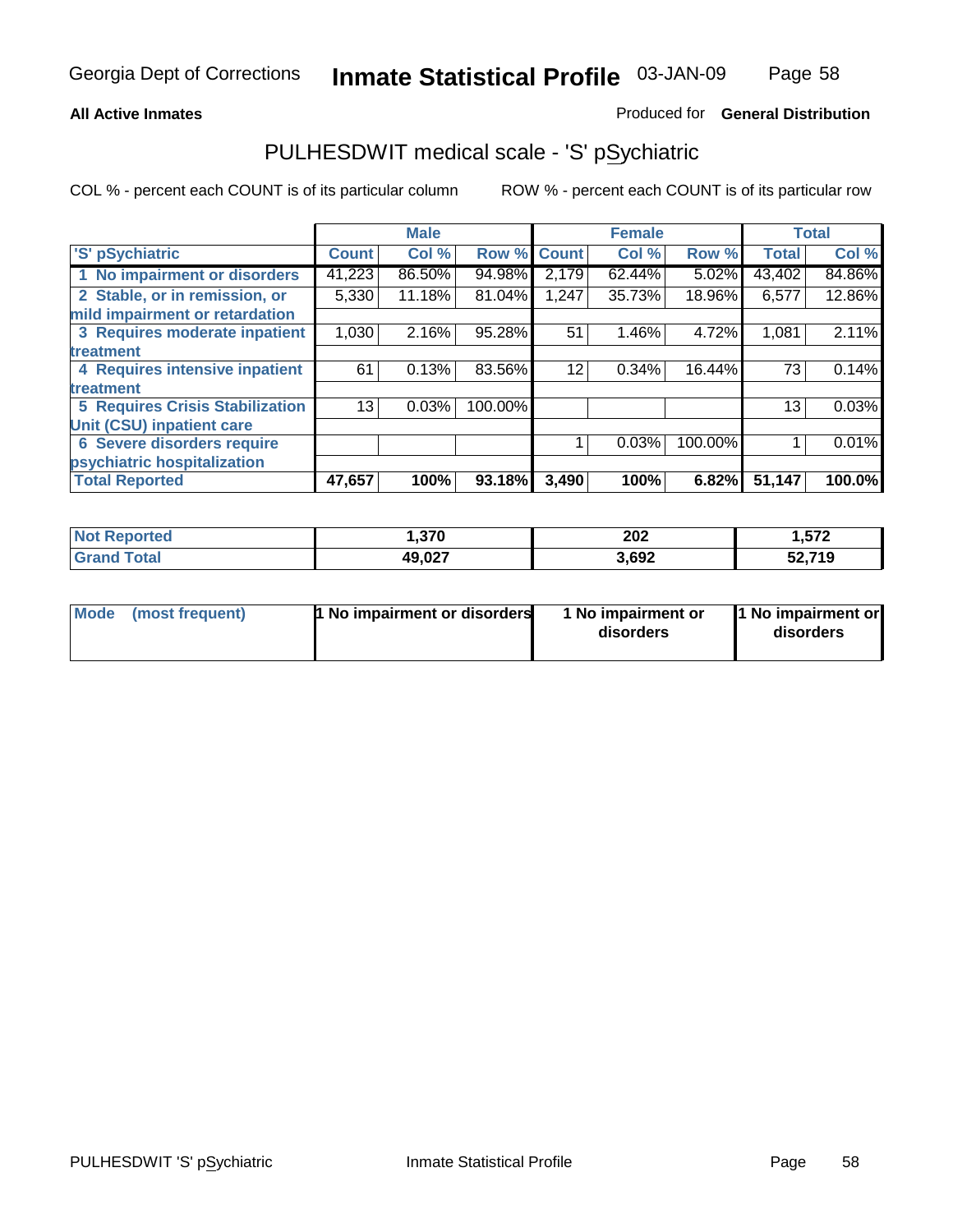#### **All Active Inmates**

#### Produced for **General Distribution**

### PULHESDWIT medical scale - 'S' pSychiatric

|                                        |              | <b>Male</b> |         |              | <b>Female</b> |         |              | <b>Total</b> |
|----------------------------------------|--------------|-------------|---------|--------------|---------------|---------|--------------|--------------|
| 'S' pSychiatric                        | <b>Count</b> | Col %       | Row %   | <b>Count</b> | Col %         | Row %   | <b>Total</b> | Col %        |
| 1 No impairment or disorders           | 41,223       | 86.50%      | 94.98%  | 2,179        | 62.44%        | 5.02%   | 43,402       | 84.86%       |
| 2 Stable, or in remission, or          | 5,330        | 11.18%      | 81.04%  | 1,247        | 35.73%        | 18.96%  | 6,577        | 12.86%       |
| mild impairment or retardation         |              |             |         |              |               |         |              |              |
| 3 Requires moderate inpatient          | 1,030        | 2.16%       | 95.28%  | 51           | 1.46%         | 4.72%   | 1,081        | 2.11%        |
| treatment                              |              |             |         |              |               |         |              |              |
| 4 Requires intensive inpatient         | 61           | 0.13%       | 83.56%  | 12           | 0.34%         | 16.44%  | 73           | 0.14%        |
| treatment                              |              |             |         |              |               |         |              |              |
| <b>5 Requires Crisis Stabilization</b> | 13           | 0.03%       | 100.00% |              |               |         | 13           | 0.03%        |
| <b>Unit (CSU) inpatient care</b>       |              |             |         |              |               |         |              |              |
| <b>6 Severe disorders require</b>      |              |             |         |              | 0.03%         | 100.00% |              | 0.01%        |
| psychiatric hospitalization            |              |             |         |              |               |         |              |              |
| <b>Total Reported</b>                  | 47,657       | 100%        | 93.18%  | 3,490        | 100%          | 6.82%   | 51,147       | 100.0%       |

| <b>Not Reported</b> | 1,370  | 202   | 1,572  |
|---------------------|--------|-------|--------|
| <b>Grand Total</b>  | 49,027 | 3,692 | 52,719 |

| Mode<br>1 No impairment or disorders<br>(most frequent) | 1 No impairment or<br>disorders | 1 No impairment or<br>disorders |
|---------------------------------------------------------|---------------------------------|---------------------------------|
|---------------------------------------------------------|---------------------------------|---------------------------------|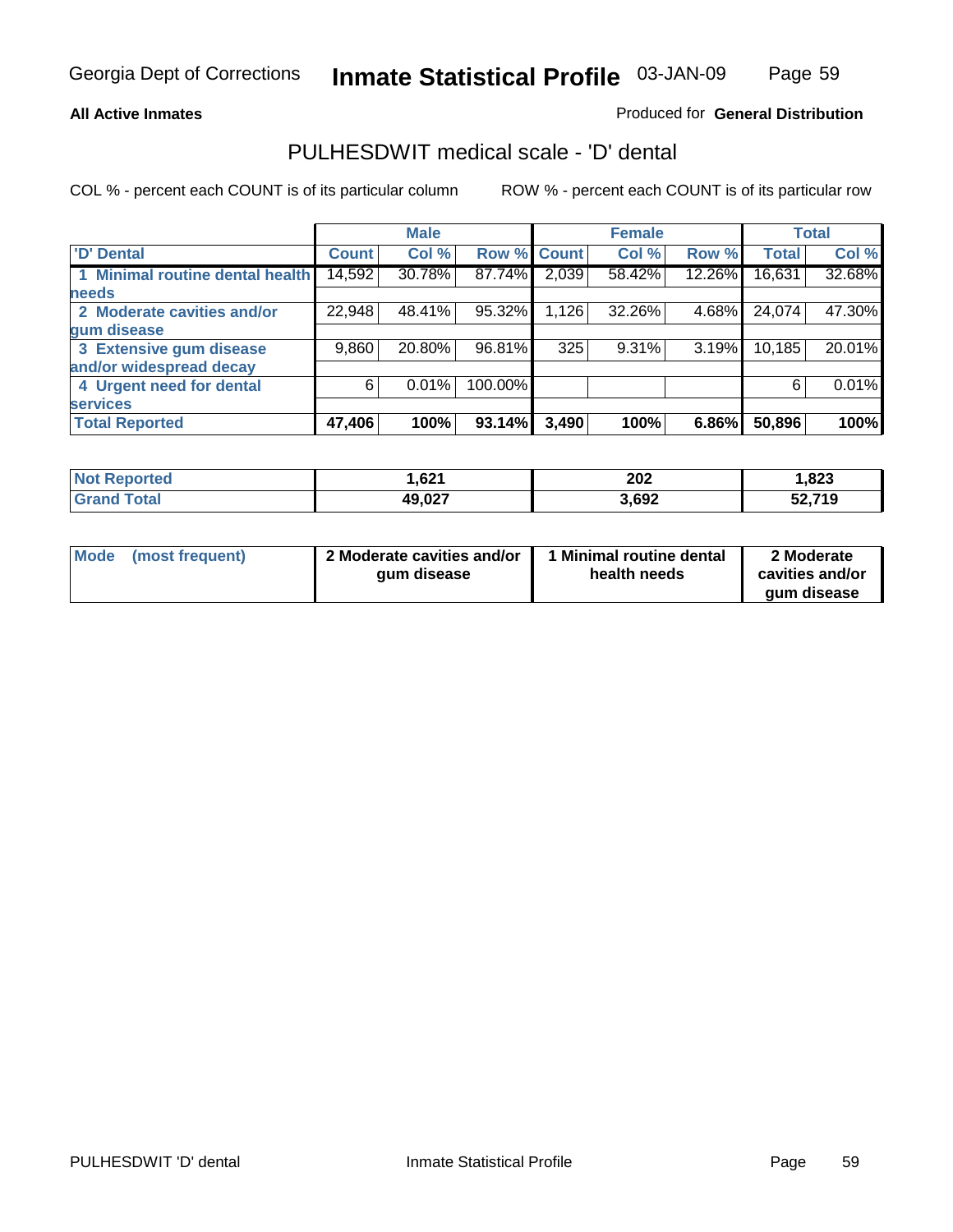Page 59

### **All Active Inmates**

### Produced for **General Distribution**

### PULHESDWIT medical scale - 'D' dental

|                                 |        | <b>Male</b> |             |       | <b>Female</b> |        |              | <b>Total</b> |
|---------------------------------|--------|-------------|-------------|-------|---------------|--------|--------------|--------------|
| <b>D' Dental</b>                | Count! | Col %       | Row % Count |       | Col %         | Row %  | <b>Total</b> | Col %        |
| 1 Minimal routine dental health | 14,592 | 30.78%      | 87.74%      | 2,039 | 58.42%        | 12.26% | 16,631       | 32.68%       |
| <b>needs</b>                    |        |             |             |       |               |        |              |              |
| 2 Moderate cavities and/or      | 22,948 | 48.41%      | 95.32%      | 1,126 | 32.26%        | 4.68%  | 24,074       | 47.30%       |
| gum disease                     |        |             |             |       |               |        |              |              |
| 3 Extensive gum disease         | 9,860  | 20.80%      | 96.81%      | 325   | 9.31%         | 3.19%  | 10,185       | 20.01%       |
| and/or widespread decay         |        |             |             |       |               |        |              |              |
| 4 Urgent need for dental        | 6      | 0.01%       | 100.00%     |       |               |        | 6            | $0.01\%$     |
| <b>services</b>                 |        |             |             |       |               |        |              |              |
| <b>Total Reported</b>           | 47,406 | 100%        | 93.14%      | 3,490 | 100%          | 6.86%  | 50,896       | 100%         |

| orted<br>NO.            | ,621   | 202<br>___ | ,823   |
|-------------------------|--------|------------|--------|
| <b>Total</b><br>' Gran⊾ | 49,027 | 3,692      | 52,719 |

| <b>Mode</b><br>(most frequent) | 2 Moderate cavities and/or<br>qum disease | Minimal routine dental<br>health needs | 2 Moderate<br>cavities and/or<br>qum disease |
|--------------------------------|-------------------------------------------|----------------------------------------|----------------------------------------------|
|                                |                                           |                                        |                                              |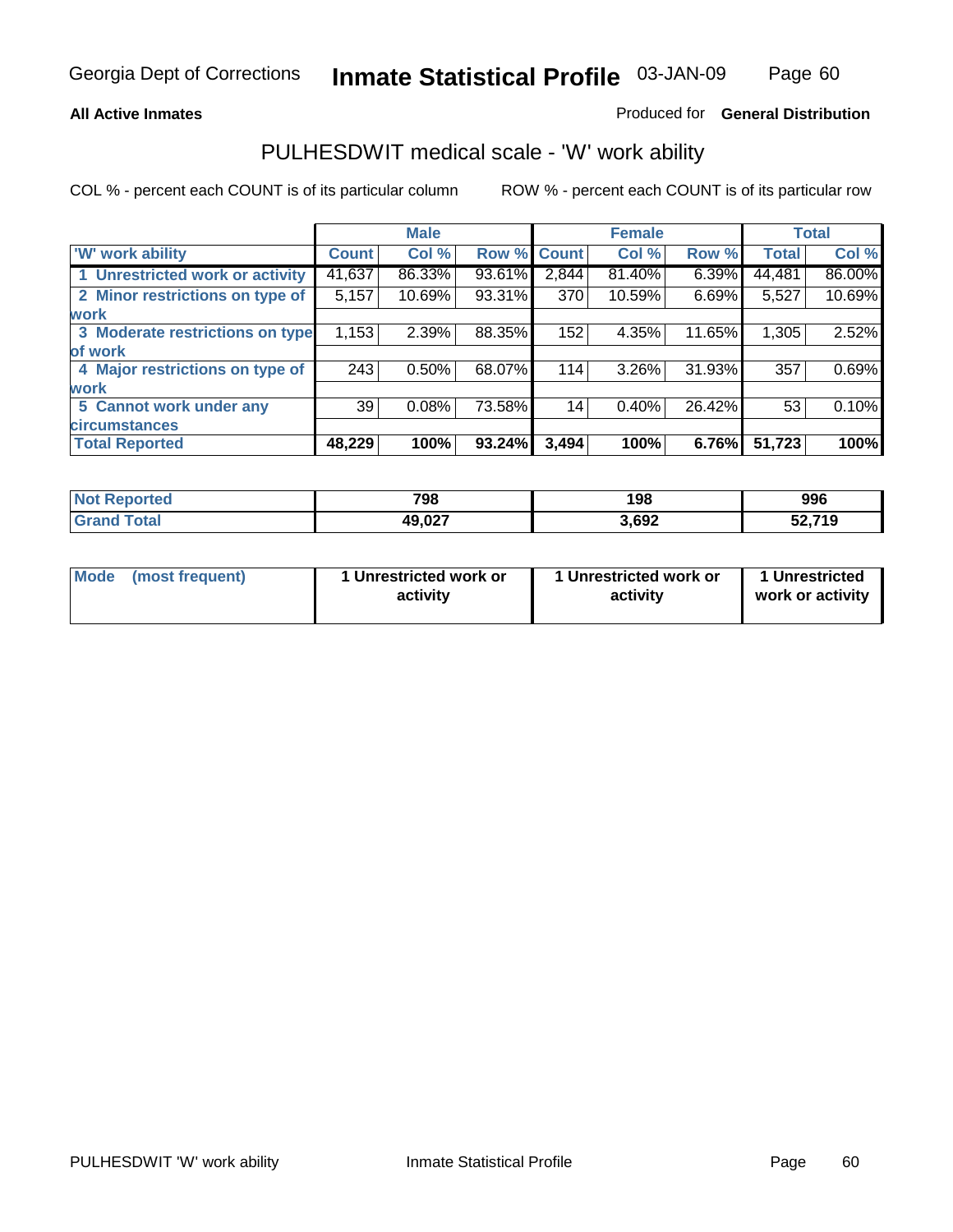#### **All Active Inmates**

#### Produced for **General Distribution**

### PULHESDWIT medical scale - 'W' work ability

COL % - percent each COUNT is of its particular column ROW % - percent each COUNT is of its particular row

|                                 |              | <b>Male</b> |        |              | <b>Female</b> |        |              | <b>Total</b> |
|---------------------------------|--------------|-------------|--------|--------------|---------------|--------|--------------|--------------|
| W' work ability                 | <b>Count</b> | Col %       | Row %  | <b>Count</b> | Col %         | Row %  | <b>Total</b> | Col %        |
| 1 Unrestricted work or activity | 41,637       | 86.33%      | 93.61% | 2,844        | 81.40%        | 6.39%  | 44,481       | 86.00%       |
| 2 Minor restrictions on type of | 5,157        | 10.69%      | 93.31% | 370          | 10.59%        | 6.69%  | 5,527        | 10.69%       |
| <b>work</b>                     |              |             |        |              |               |        |              |              |
| 3 Moderate restrictions on type | 1,153        | 2.39%       | 88.35% | 152          | 4.35%         | 11.65% | 1,305        | 2.52%        |
| of work                         |              |             |        |              |               |        |              |              |
| 4 Major restrictions on type of | 243          | 0.50%       | 68.07% | 114          | 3.26%         | 31.93% | 357          | 0.69%        |
| <b>work</b>                     |              |             |        |              |               |        |              |              |
| 5 Cannot work under any         | 39           | 0.08%       | 73.58% | 14           | 0.40%         | 26.42% | 53           | 0.10%        |
| <b>circumstances</b>            |              |             |        |              |               |        |              |              |
| <b>Total Reported</b>           | 48,229       | 100%        | 93.24% | 3,494        | 100%          | 6.76%  | 51,723       | 100%         |

| <b>Not Reported</b>   | 798    | 198   | 996    |
|-----------------------|--------|-------|--------|
| Total<br><b>Grand</b> | 49,027 | 3,692 | 52,719 |

| Mode            | 1 Unrestricted work or | 1 Unrestricted work or | 1 Unrestricted   |
|-----------------|------------------------|------------------------|------------------|
| (most frequent) | activity               | activity               | work or activity |

Page 60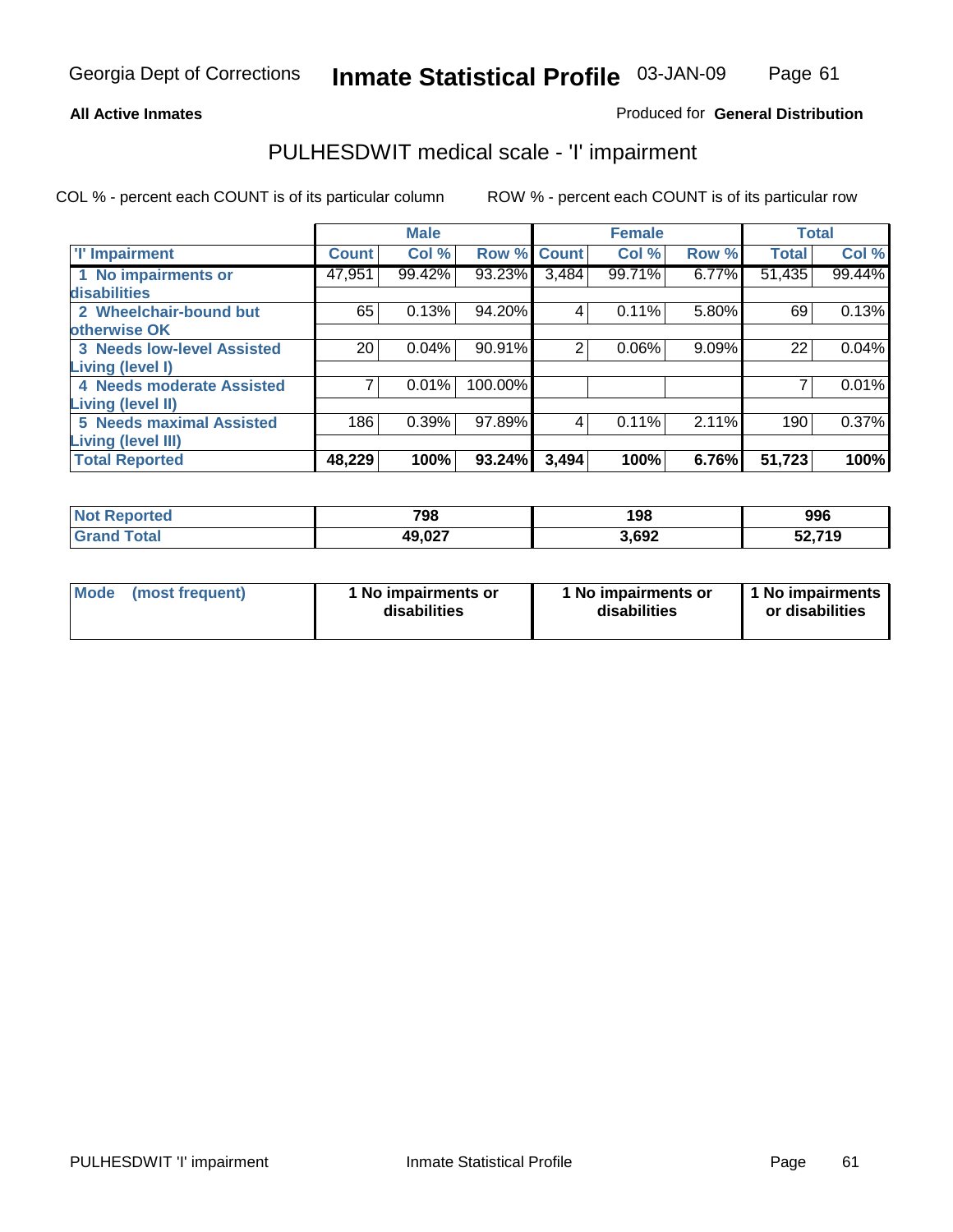### Page 61

#### **All Active Inmates**

### Produced for **General Distribution**

### PULHESDWIT medical scale - 'I' impairment

|                                   |              | <b>Male</b> |             |                | <b>Female</b> |       | <b>Total</b> |        |
|-----------------------------------|--------------|-------------|-------------|----------------|---------------|-------|--------------|--------|
| <b>T' Impairment</b>              | <b>Count</b> | Col %       | Row % Count |                | Col %         | Row % | <b>Total</b> | Col %  |
| 1 No impairments or               | 47,951       | 99.42%      | 93.23%      | 3,484          | 99.71%        | 6.77% | 51,435       | 99.44% |
| disabilities                      |              |             |             |                |               |       |              |        |
| 2 Wheelchair-bound but            | 65           | 0.13%       | 94.20%      | 4              | 0.11%         | 5.80% | 69           | 0.13%  |
| otherwise OK                      |              |             |             |                |               |       |              |        |
| <b>3 Needs low-level Assisted</b> | 20           | 0.04%       | 90.91%      | $\overline{2}$ | 0.06%         | 9.09% | 22           | 0.04%  |
| Living (level I)                  |              |             |             |                |               |       |              |        |
| 4 Needs moderate Assisted         |              | 0.01%       | 100.00%     |                |               |       |              | 0.01%  |
| <b>Living (level II)</b>          |              |             |             |                |               |       |              |        |
| <b>5 Needs maximal Assisted</b>   | 186          | 0.39%       | 97.89%      | 4              | 0.11%         | 2.11% | 190          | 0.37%  |
| <b>Living (level III)</b>         |              |             |             |                |               |       |              |        |
| <b>Total Reported</b>             | 48,229       | 100%        | 93.24%      | 3,494          | 100%          | 6.76% | 51,723       | 100%   |

| $^{\mathrm{H}}$ Not.<br>Reported | 798    | 198   | 996           |
|----------------------------------|--------|-------|---------------|
| <b>Total</b><br><b>Grand</b>     | 49,027 | 3,692 | 52,719<br>JŁ. |

| Mode | (most frequent) | 1 No impairments or<br>disabilities | 1 No impairments or<br>disabilities | 1 1 No impairments<br>or disabilities |
|------|-----------------|-------------------------------------|-------------------------------------|---------------------------------------|
|------|-----------------|-------------------------------------|-------------------------------------|---------------------------------------|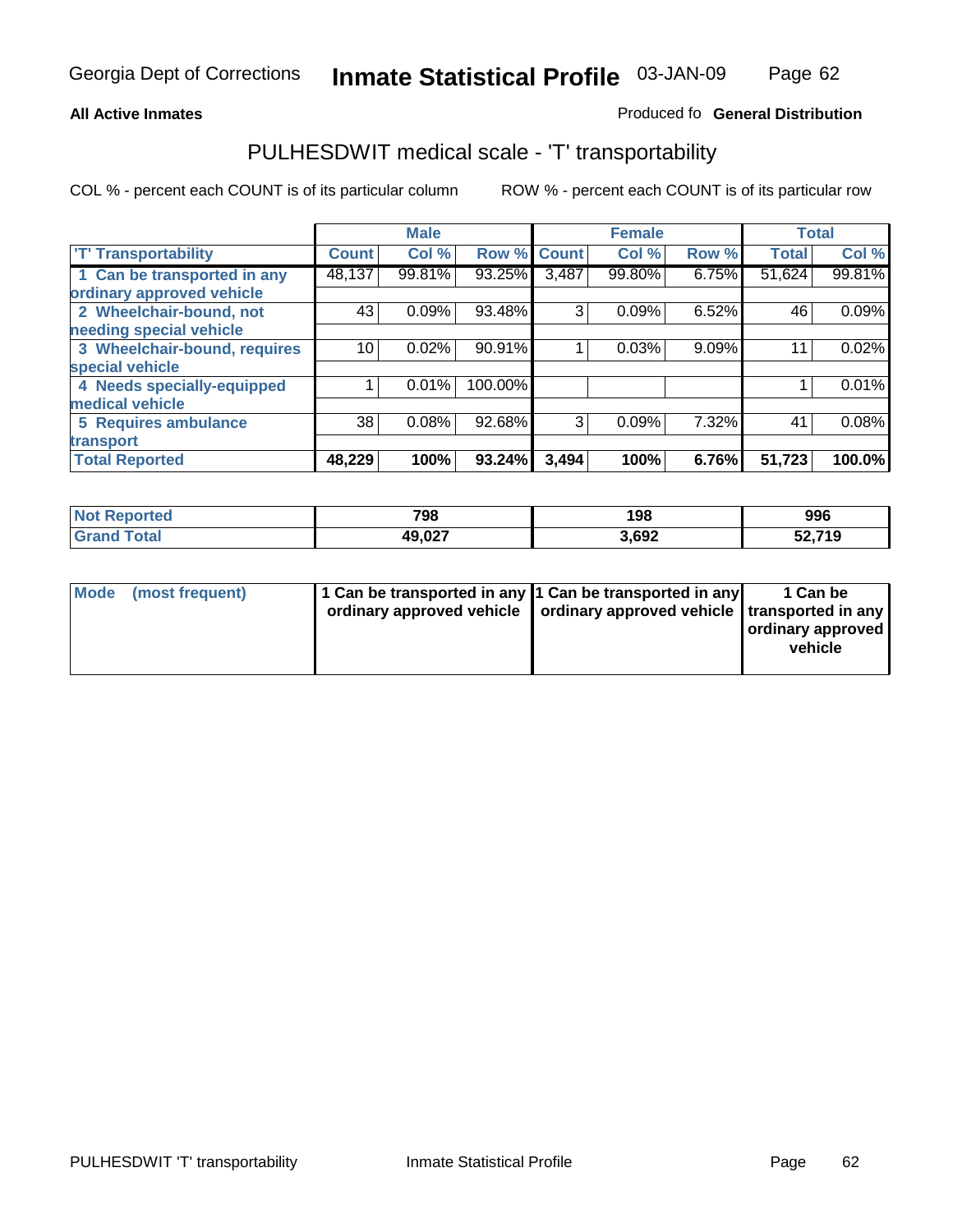#### **Inmate Statistical Profile** 03-JAN-09 Page Page 62

### All Active Inmates **All Active Inmates All Active Inmates Produced fo General Distribution**

### PULHESDWIT medical scale - 'T' transportability

|                              |              | <b>Male</b> |             |       | <b>Female</b> |       |              | <b>Total</b> |
|------------------------------|--------------|-------------|-------------|-------|---------------|-------|--------------|--------------|
| <b>T' Transportability</b>   | <b>Count</b> | Col %       | Row % Count |       | Col %         | Row % | <b>Total</b> | Col %        |
| 1 Can be transported in any  | 48,137       | 99.81%      | 93.25%      | 3,487 | 99.80%        | 6.75% | 51,624       | 99.81%       |
| ordinary approved vehicle    |              |             |             |       |               |       |              |              |
| 2 Wheelchair-bound, not      | 43           | 0.09%       | 93.48%      | 3     | 0.09%         | 6.52% | 46           | 0.09%        |
| needing special vehicle      |              |             |             |       |               |       |              |              |
| 3 Wheelchair-bound, requires | 10           | 0.02%       | 90.91%      |       | 0.03%         | 9.09% | 11           | 0.02%        |
| special vehicle              |              |             |             |       |               |       |              |              |
| 4 Needs specially-equipped   |              | 0.01%       | 100.00%     |       |               |       |              | 0.01%        |
| medical vehicle              |              |             |             |       |               |       |              |              |
| <b>5 Requires ambulance</b>  | 38           | 0.08%       | 92.68%      | 3     | 0.09%         | 7.32% | 41           | 0.08%        |
| transport                    |              |             |             |       |               |       |              |              |
| <b>Total Reported</b>        | 48,229       | 100%        | 93.24%      | 3,494 | 100%          | 6.76% | 51,723       | 100.0%       |

| <b>Not</b><br>Reported       | 798    | 198   | 996           |
|------------------------------|--------|-------|---------------|
| <b>Total</b><br><b>Grand</b> | 49,027 | 3,692 | 52,719<br>JZ. |

| Mode (most frequent) | 1 Can be transported in any 1 Can be transported in any | ordinary approved vehicle   ordinary approved vehicle   transported in any | 1 Can be<br>  ordinary approved  <br>vehicle |
|----------------------|---------------------------------------------------------|----------------------------------------------------------------------------|----------------------------------------------|
|                      |                                                         |                                                                            |                                              |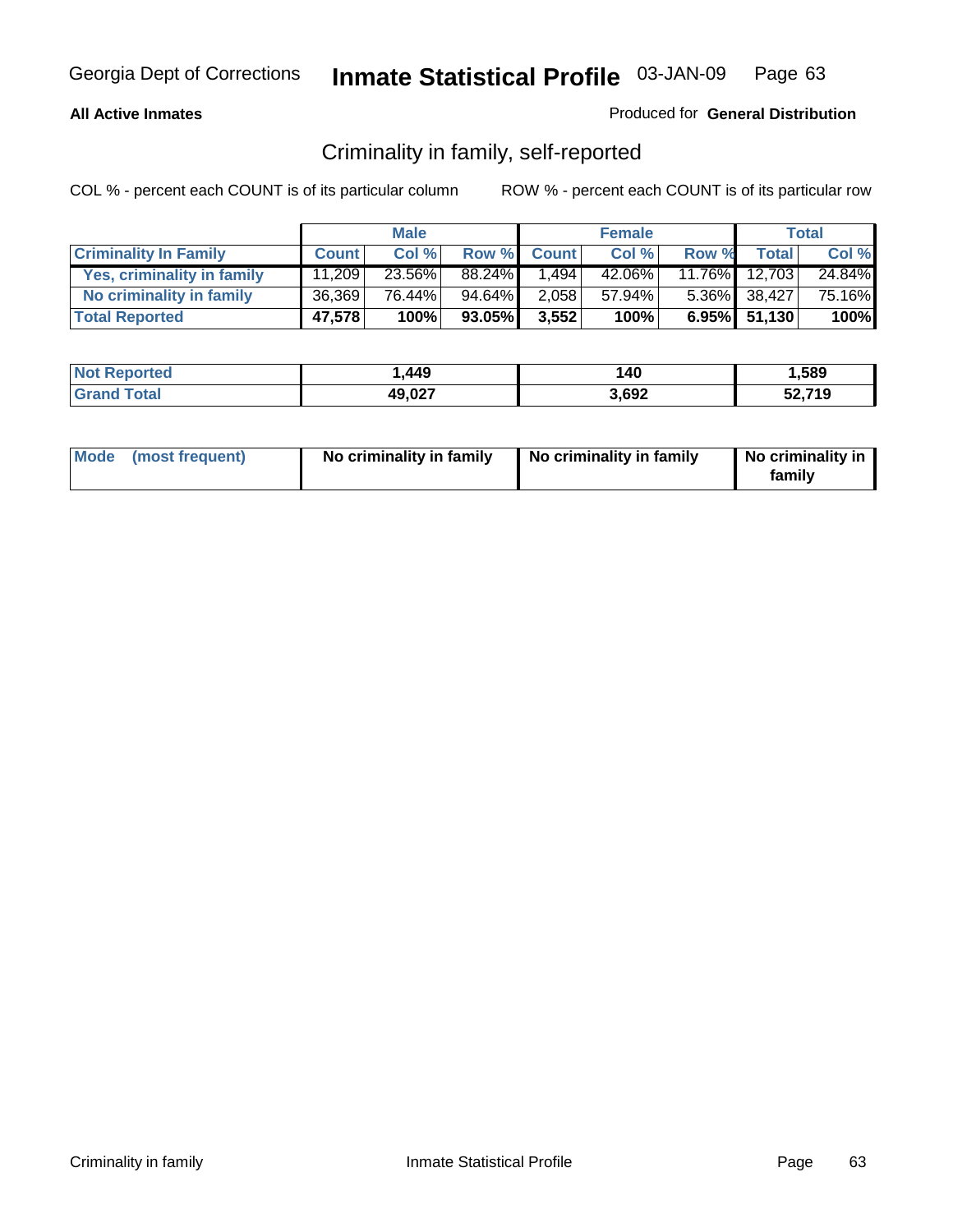### **All Active Inmates**

### Produced for **General Distribution**

### Criminality in family, self-reported

|                              |              | <b>Male</b> |        |              | <b>Female</b> |           |                 | <b>Total</b> |
|------------------------------|--------------|-------------|--------|--------------|---------------|-----------|-----------------|--------------|
| <b>Criminality In Family</b> | <b>Count</b> | Col %       | Row %  | <b>Count</b> | Col %         | Row %     | Total           | Col %        |
| Yes, criminality in family   | 11.209       | 23.56%      | 88.24% | 1,494        | 42.06%        | $11.76\%$ | 12,703          | 24.84%       |
| No criminality in family     | 36,369       | 76.44%      | 94.64% | 2,058        | 57.94%        |           | 5.36% 38,427    | 75.16%       |
| <b>Total Reported</b>        | 47,578       | 100%        | 93.05% | 3,552        | 100%          |           | $6.95\%$ 51,130 | 100%         |

| <b>Not Reported</b>   | . 449. | 140   | .589   |
|-----------------------|--------|-------|--------|
| Гоtal<br><b>Grand</b> | 49,027 | 3,692 | 52,719 |

|  | Mode (most frequent) | No criminality in family | No criminality in family | No criminality in<br>family |
|--|----------------------|--------------------------|--------------------------|-----------------------------|
|--|----------------------|--------------------------|--------------------------|-----------------------------|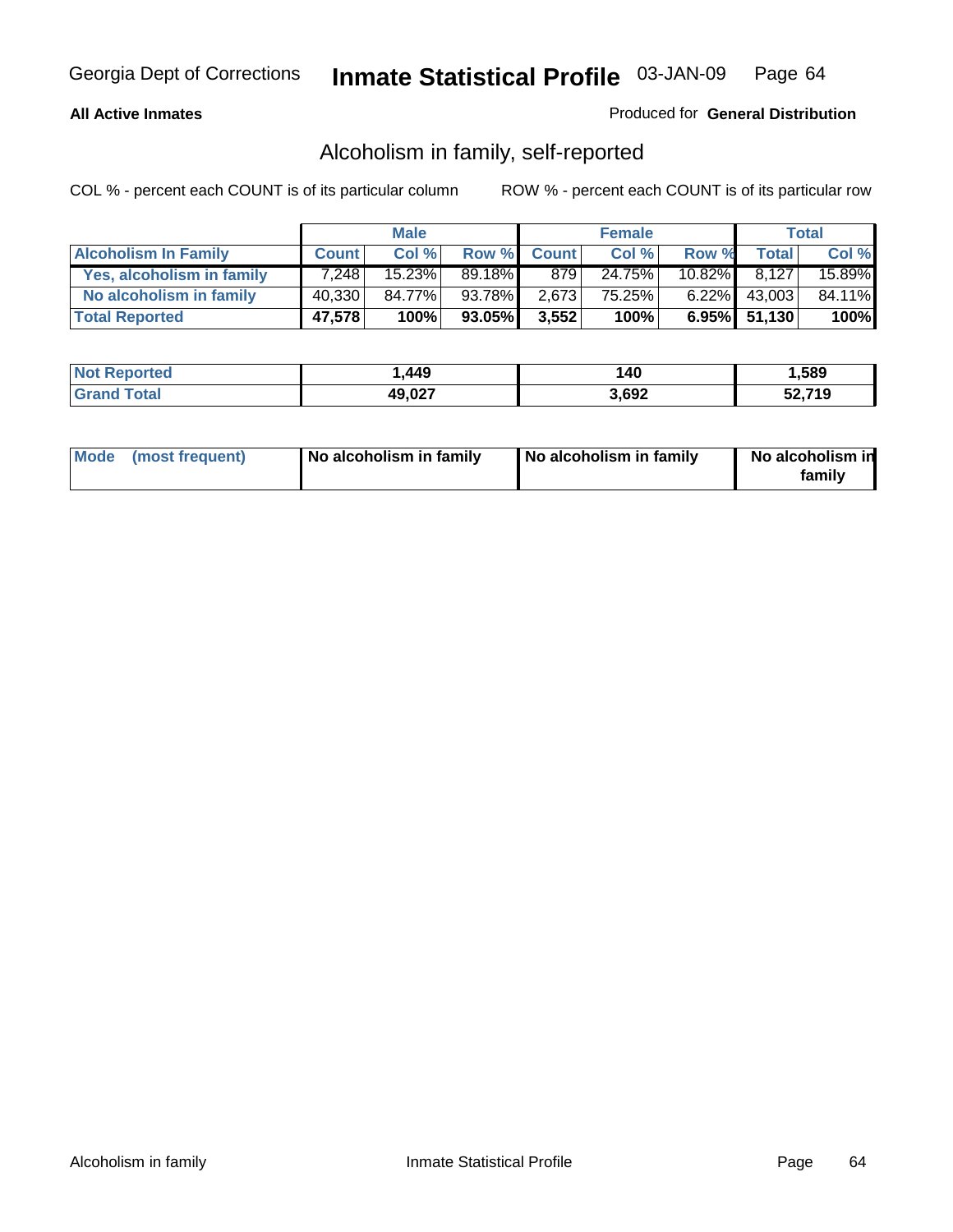### **All Active Inmates**

### Produced for **General Distribution**

### Alcoholism in family, self-reported

|                             |              | <b>Male</b> |        |             | <b>Female</b> |        |              | Total  |
|-----------------------------|--------------|-------------|--------|-------------|---------------|--------|--------------|--------|
| <b>Alcoholism In Family</b> | <b>Count</b> | Col %       |        | Row % Count | Col %         | Row %  | <b>Total</b> | Col %  |
| Yes, alcoholism in family   | 7.248        | 15.23%      | 89.18% | 879         | 24.75%        | 10.82% | 8.127        | 15.89% |
| No alcoholism in family     | 40,330       | 84.77%      | 93.78% | 2,673       | 75.25%        |        | 6.22% 43,003 | 84.11% |
| <b>Total Reported</b>       | 47,578       | 100%        | 93.05% | 3,552       | 100%          |        | 6.95% 51,130 | 100%   |

| <b>Not Reported</b>     | . 449. . | 140   | .589   |
|-------------------------|----------|-------|--------|
| <b>Grand</b><br>l Total | 49,027   | 3,692 | 52,719 |

|  | Mode (most frequent) | No alcoholism in family | No alcoholism in family | No alcoholism in<br>family |
|--|----------------------|-------------------------|-------------------------|----------------------------|
|--|----------------------|-------------------------|-------------------------|----------------------------|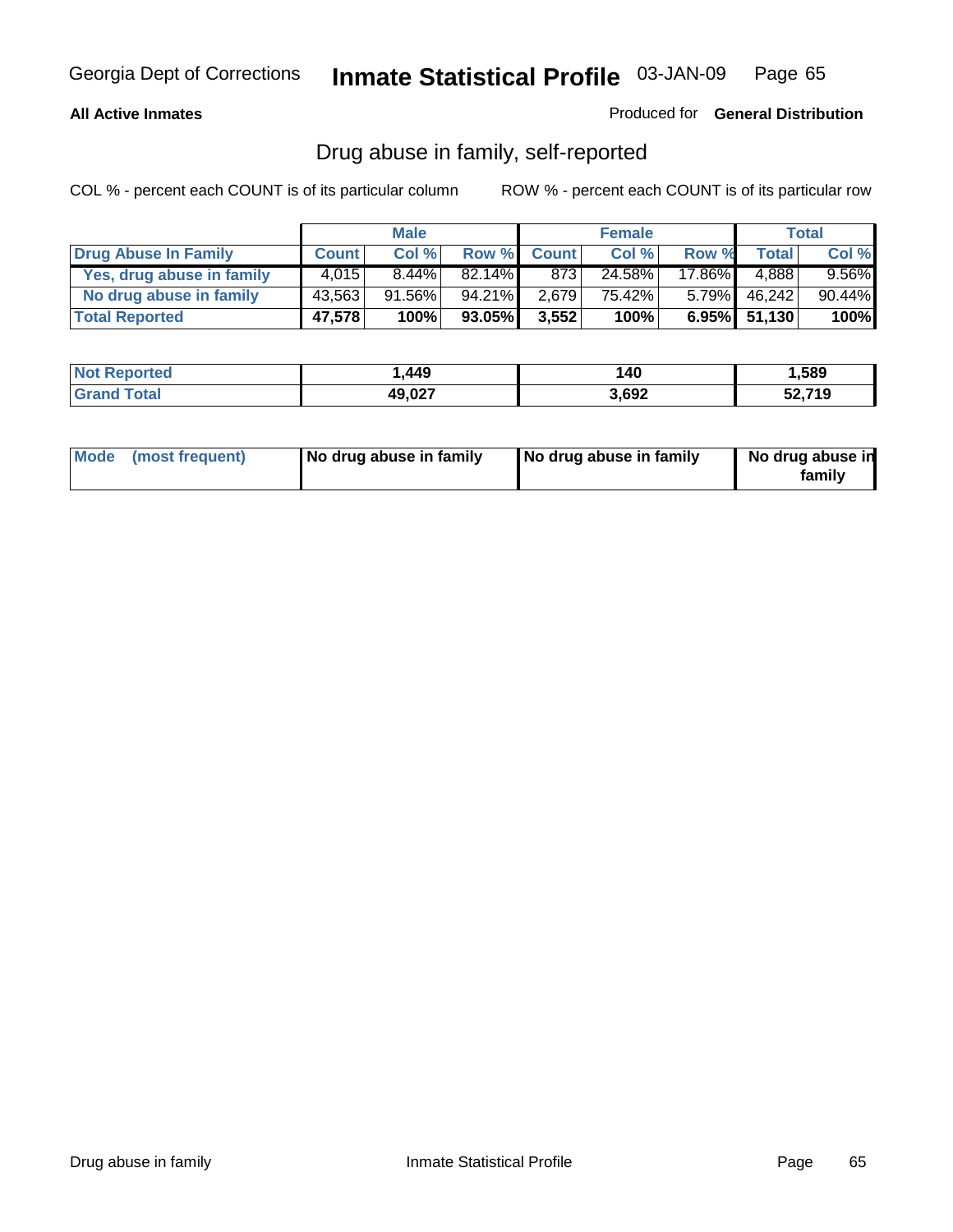### **All Active Inmates**

Produced for **General Distribution**

### Drug abuse in family, self-reported

|                           |              | <b>Male</b> |           |              | <b>Female</b> |          |              | <b>Total</b> |
|---------------------------|--------------|-------------|-----------|--------------|---------------|----------|--------------|--------------|
| Drug Abuse In Family      | <b>Count</b> | Col %       | Row %     | <b>Count</b> | Col %         | Row %    | Total        | Col %        |
| Yes, drug abuse in family | 4.015        | $8.44\%$    | $82.14\%$ | 873          | 24.58%        | 17.86%   | 4.888        | $9.56\%$     |
| No drug abuse in family   | 43,563       | $91.56\%$   | 94.21%    | 2,679        | 75.42%        | $5.79\%$ | 46,242       | 90.44%       |
| <b>Total Reported</b>     | 47,578       | 100%        | 93.05%    | 3,552        | 100%          |          | 6.95% 51,130 | 100%         |

| <b>Not Reported</b>   | . 449. | 140   | .589   |
|-----------------------|--------|-------|--------|
| Гоtal<br><b>Grand</b> | 49,027 | 3,692 | 52,719 |

|  | Mode (most frequent) | No drug abuse in family | No drug abuse in family | No drug abuse in<br>family |
|--|----------------------|-------------------------|-------------------------|----------------------------|
|--|----------------------|-------------------------|-------------------------|----------------------------|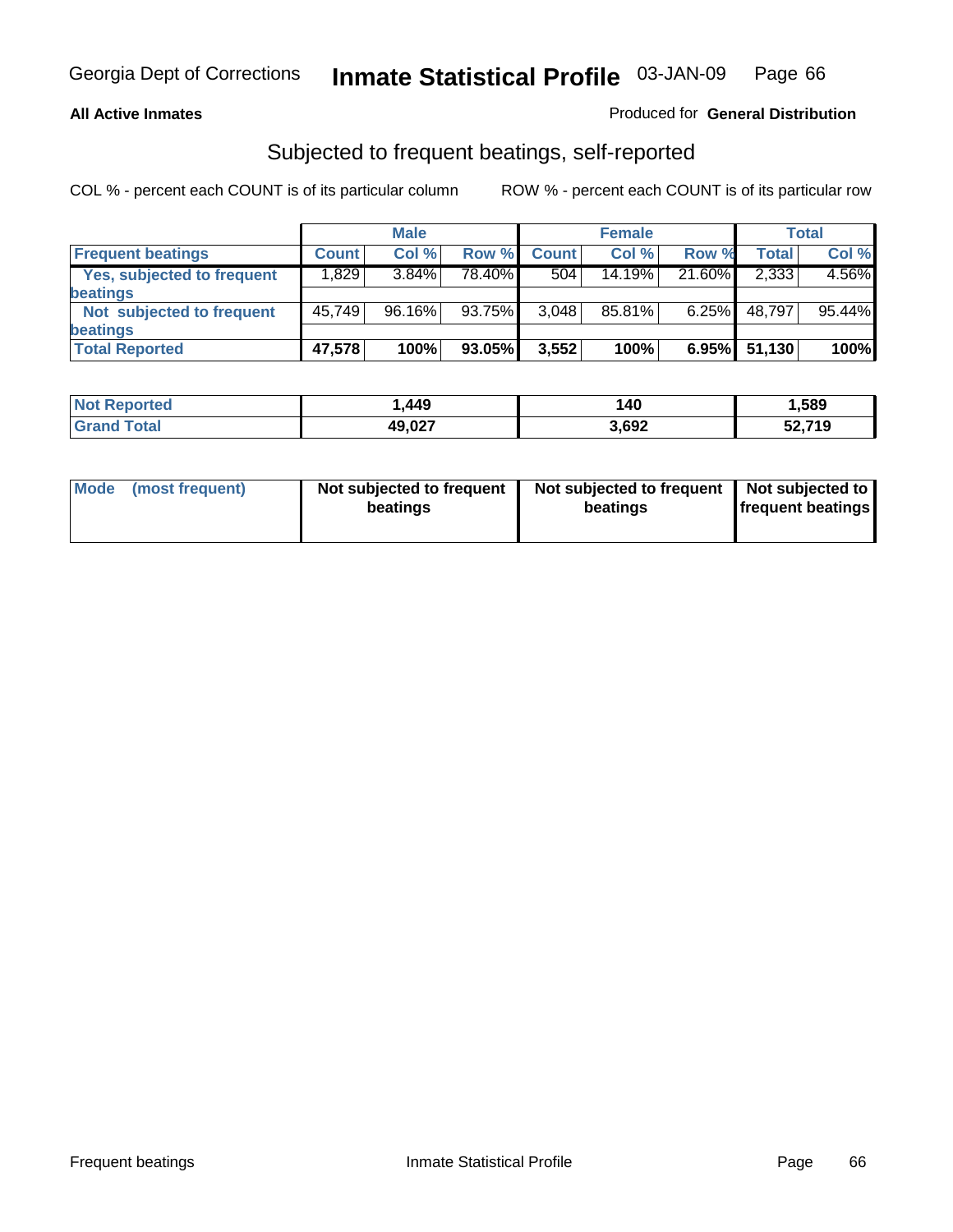### **All Active Inmates**

### Produced for **General Distribution**

### Subjected to frequent beatings, self-reported

|                            |              | <b>Male</b> |        |              | <b>Female</b> |          |        | Total  |
|----------------------------|--------------|-------------|--------|--------------|---------------|----------|--------|--------|
| <b>Frequent beatings</b>   | <b>Count</b> | Col %       | Row %  | <b>Count</b> | Col%          | Row %    | Total  | Col %  |
| Yes, subjected to frequent | 1,829        | $3.84\%$    | 78.40% | 504          | 14.19%        | 21.60%   | 2,333  | 4.56%  |
| beatings                   |              |             |        |              |               |          |        |        |
| Not subjected to frequent  | 45.749       | 96.16%      | 93.75% | 3,048        | 85.81%        | $6.25\%$ | 48,797 | 95.44% |
| beatings                   |              |             |        |              |               |          |        |        |
| <b>Total Reported</b>      | 47,578       | 100%        | 93.05% | 3,552        | 100%          | 6.95%    | 51,130 | 100%   |

| rted<br>NO: | . ,449 | 140   | ,589   |
|-------------|--------|-------|--------|
| . Gro       | 49,027 | 3,692 | 52,719 |

| Mode (most frequent) | Not subjected to frequent<br>beatings | Not subjected to frequent   Not subjected to  <br>beatings | <b>frequent beatings</b> |  |
|----------------------|---------------------------------------|------------------------------------------------------------|--------------------------|--|
|                      |                                       |                                                            |                          |  |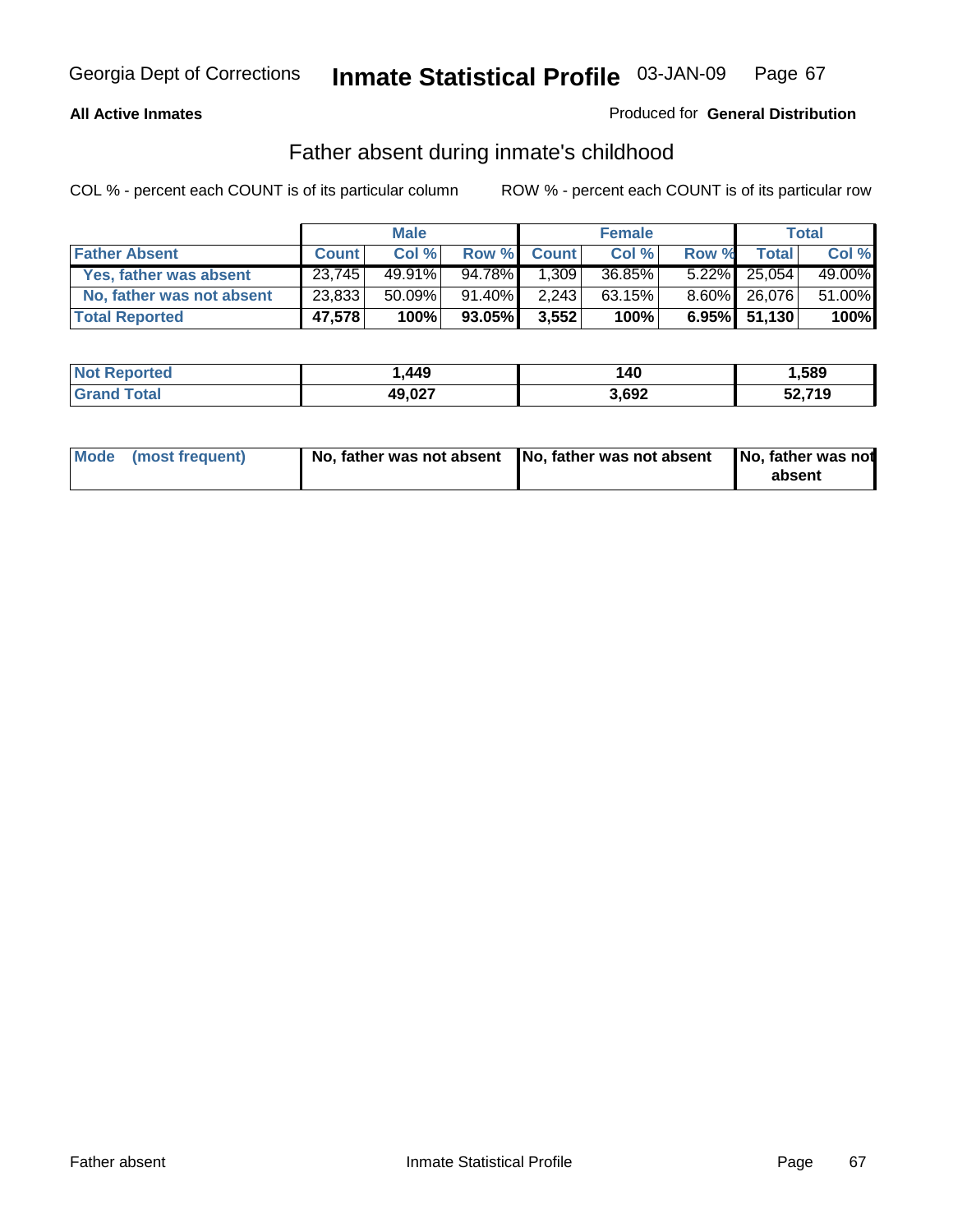#### **All Active Inmates**

### Produced for **General Distribution**

### Father absent during inmate's childhood

|                           |              | <b>Male</b> |           |              | <b>Female</b> |       |                 | Total  |
|---------------------------|--------------|-------------|-----------|--------------|---------------|-------|-----------------|--------|
| <b>Father Absent</b>      | <b>Count</b> | Col %       | Row %     | <b>Count</b> | Col %         | Row % | Total           | Col %  |
| Yes, father was absent    | 23,745       | $49.91\%$   | 94.78%    | 1,309        | 36.85%        |       | $5.22\%$ 25,054 | 49.00% |
| No, father was not absent | 23,833       | $50.09\%$   | $91.40\%$ | 2,243        | 63.15%        |       | 8.60% 26,076    | 51.00% |
| <b>Total Reported</b>     | 47,578       | 100%        | 93.05%    | 3,552        | 100%          |       | $6.95\%$ 51,130 | 100%   |

| <b>Not Reported</b> | . 449  | 140   | .589   |
|---------------------|--------|-------|--------|
| <b>Srand Total</b>  | 49,027 | 3,692 | 52,719 |

| Mode (most frequent) |  | 「No, father was not absent ┃No, father was not absent ┃No, father was not | absent |
|----------------------|--|---------------------------------------------------------------------------|--------|
|----------------------|--|---------------------------------------------------------------------------|--------|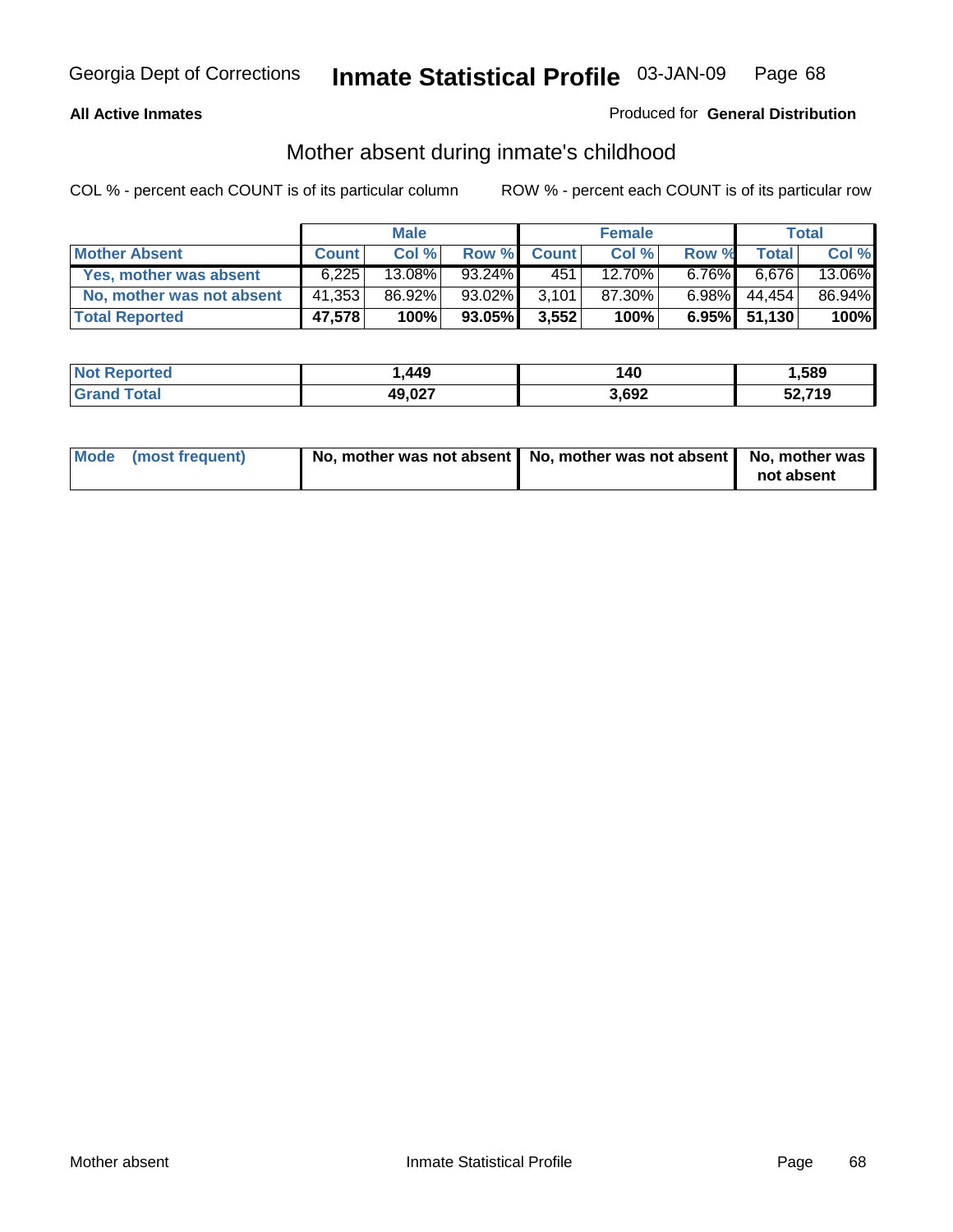### **All Active Inmates**

### Produced for **General Distribution**

### Mother absent during inmate's childhood

|                           |              | <b>Male</b> |           |              | <b>Female</b> |          |              | Total  |
|---------------------------|--------------|-------------|-----------|--------------|---------------|----------|--------------|--------|
| <b>Mother Absent</b>      | <b>Count</b> | Col %       | Row %     | <b>Count</b> | Col %         | Row %    | Total        | Col %  |
| Yes, mother was absent    | 6.225        | 13.08%      | $93.24\%$ | 451          | 12.70%        | $6.76\%$ | 6,676        | 13.06% |
| No, mother was not absent | 41,353       | 86.92%      | 93.02%    | 3.101        | 87.30%        | $6.98\%$ | 44.454       | 86.94% |
| <b>Total Reported</b>     | 47,578       | 100%        | 93.05%    | 3,552        | 100%          |          | 6.95% 51,130 | 100%   |

| <b>Not Reported</b>   | . 449. | 140   | .589   |
|-----------------------|--------|-------|--------|
| Гоtal<br><b>Grand</b> | 49,027 | 3,692 | 52,719 |

| Mode (most frequent) | No, mother was not absent   No, mother was not absent   No, mother was | not absent |
|----------------------|------------------------------------------------------------------------|------------|
|----------------------|------------------------------------------------------------------------|------------|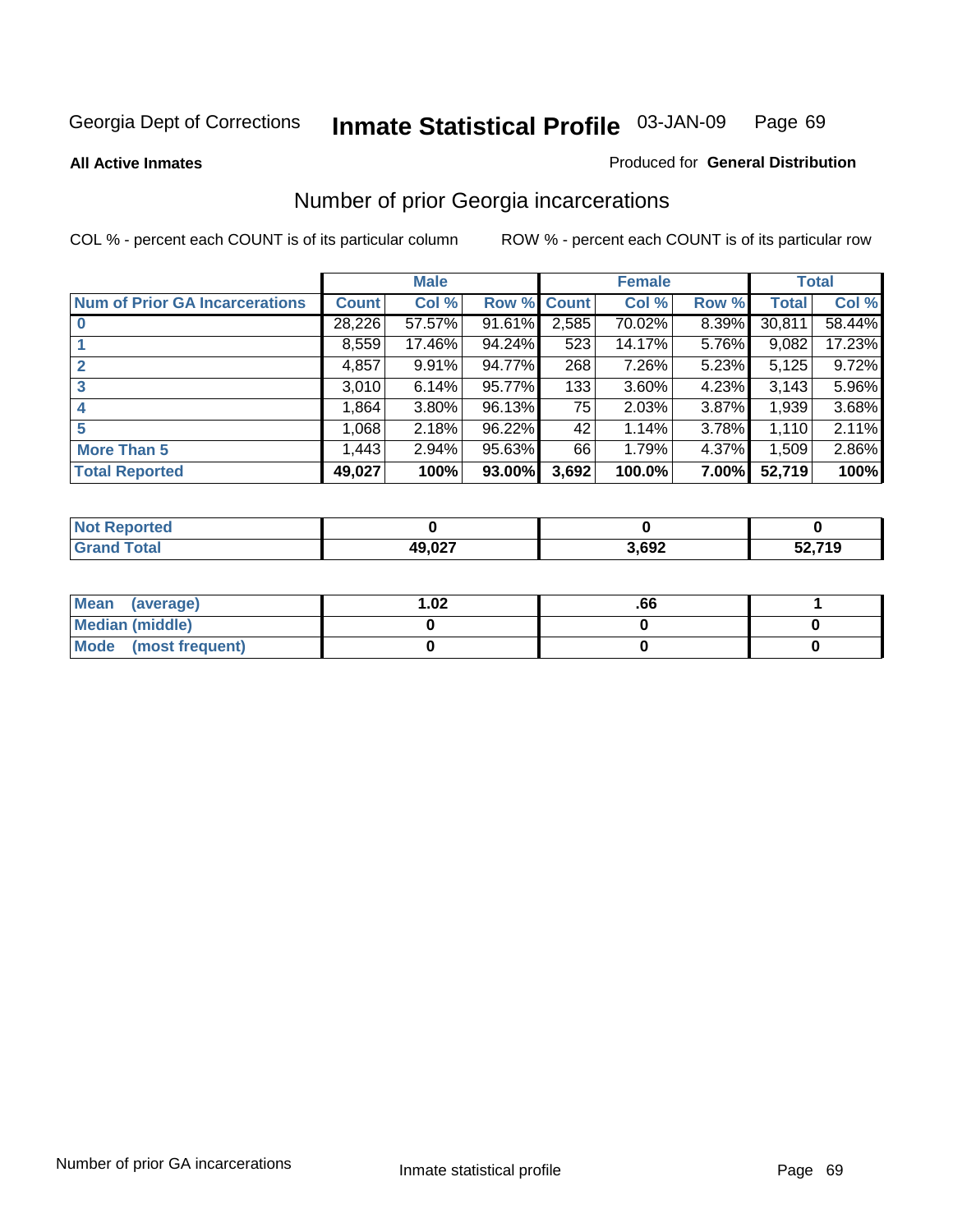**All Active Inmates**

### Produced for **General Distribution**

### Number of prior Georgia incarcerations

|                                       |              | <b>Male</b> |                    |       | <b>Female</b> |       |        | <b>Total</b> |
|---------------------------------------|--------------|-------------|--------------------|-------|---------------|-------|--------|--------------|
| <b>Num of Prior GA Incarcerations</b> | <b>Count</b> | Col %       | <b>Row % Count</b> |       | Col %         | Row % | Total  | Col %        |
| $\bf{0}$                              | 28,226       | 57.57%      | 91.61%             | 2,585 | 70.02%        | 8.39% | 30,811 | 58.44%       |
|                                       | 8,559        | 17.46%      | 94.24%             | 523   | 14.17%        | 5.76% | 9,082  | 17.23%       |
|                                       | 4,857        | 9.91%       | 94.77%             | 268   | 7.26%         | 5.23% | 5,125  | 9.72%        |
| 3                                     | 3,010        | 6.14%       | 95.77%             | 133   | 3.60%         | 4.23% | 3.143  | 5.96%        |
|                                       | 1,864        | 3.80%       | 96.13%             | 75    | 2.03%         | 3.87% | 1,939  | 3.68%        |
| 5                                     | 1,068        | 2.18%       | 96.22%             | 42    | 1.14%         | 3.78% | 1,110  | 2.11%        |
| <b>More Than 5</b>                    | 1,443        | 2.94%       | 95.63%             | 66    | 1.79%         | 4.37% | 1,509  | 2.86%        |
| <b>Total Reported</b>                 | 49,027       | 100%        | 93.00%             | 3,692 | 100.0%        | 7.00% | 52,719 | 100%         |

| <b>Not</b><br><b>orted</b> |        |       |        |
|----------------------------|--------|-------|--------|
| 'otal                      | 49,027 | 3,692 | 52,719 |

| Mean (average)       | l.O2 | .00 |  |
|----------------------|------|-----|--|
| Median (middle)      |      |     |  |
| Mode (most frequent) |      |     |  |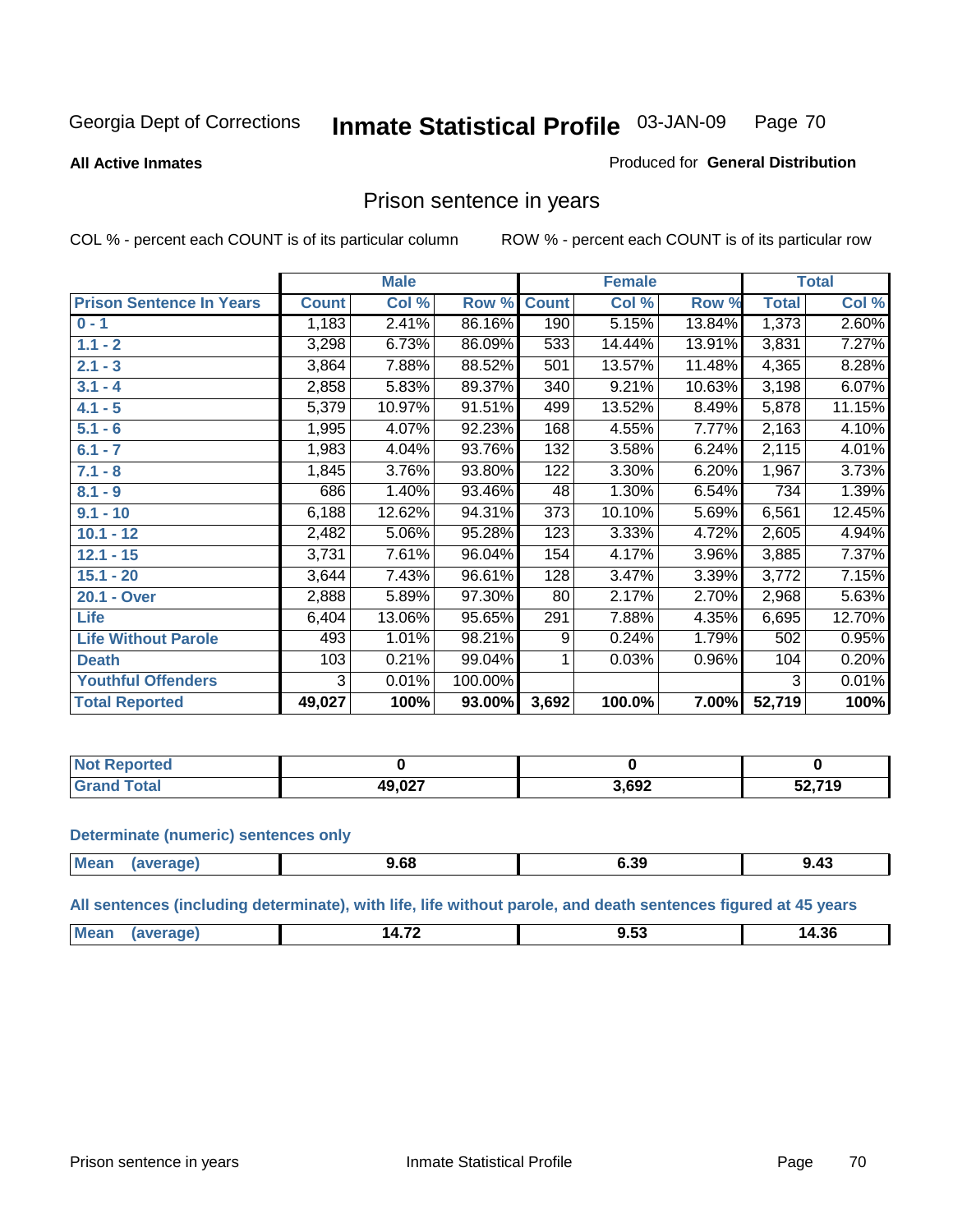#### **All Active Inmates**

#### Produced for **General Distribution**

### Prison sentence in years

COL % - percent each COUNT is of its particular column ROW % - percent each COUNT is of its particular row

|                                 |              | <b>Male</b> |         |              | <b>Female</b> |        |              | <b>Total</b> |
|---------------------------------|--------------|-------------|---------|--------------|---------------|--------|--------------|--------------|
| <b>Prison Sentence In Years</b> | <b>Count</b> | Col %       | Row %   | <b>Count</b> | Col %         | Row %  | <b>Total</b> | Col %        |
| $0 - 1$                         | 1,183        | 2.41%       | 86.16%  | 190          | 5.15%         | 13.84% | 1,373        | 2.60%        |
| $1.1 - 2$                       | 3,298        | 6.73%       | 86.09%  | 533          | 14.44%        | 13.91% | 3,831        | 7.27%        |
| $2.1 - 3$                       | 3,864        | 7.88%       | 88.52%  | 501          | 13.57%        | 11.48% | 4,365        | 8.28%        |
| $3.1 - 4$                       | 2,858        | 5.83%       | 89.37%  | 340          | 9.21%         | 10.63% | 3,198        | 6.07%        |
| $4.1 - 5$                       | 5,379        | 10.97%      | 91.51%  | 499          | 13.52%        | 8.49%  | 5,878        | 11.15%       |
| $5.1 - 6$                       | 1,995        | 4.07%       | 92.23%  | 168          | 4.55%         | 7.77%  | 2,163        | 4.10%        |
| $6.1 - 7$                       | 1,983        | 4.04%       | 93.76%  | 132          | 3.58%         | 6.24%  | 2,115        | 4.01%        |
| $7.1 - 8$                       | 1,845        | 3.76%       | 93.80%  | 122          | 3.30%         | 6.20%  | 1,967        | 3.73%        |
| $8.1 - 9$                       | 686          | 1.40%       | 93.46%  | 48           | 1.30%         | 6.54%  | 734          | 1.39%        |
| $9.1 - 10$                      | 6,188        | 12.62%      | 94.31%  | 373          | 10.10%        | 5.69%  | 6,561        | 12.45%       |
| $10.1 - 12$                     | 2,482        | 5.06%       | 95.28%  | 123          | 3.33%         | 4.72%  | 2,605        | 4.94%        |
| $12.1 - 15$                     | 3,731        | 7.61%       | 96.04%  | 154          | 4.17%         | 3.96%  | 3,885        | 7.37%        |
| $15.1 - 20$                     | 3,644        | 7.43%       | 96.61%  | 128          | 3.47%         | 3.39%  | 3,772        | 7.15%        |
| 20.1 - Over                     | 2,888        | 5.89%       | 97.30%  | 80           | 2.17%         | 2.70%  | 2,968        | 5.63%        |
| <b>Life</b>                     | 6,404        | 13.06%      | 95.65%  | 291          | 7.88%         | 4.35%  | 6,695        | 12.70%       |
| <b>Life Without Parole</b>      | 493          | 1.01%       | 98.21%  | 9            | 0.24%         | 1.79%  | 502          | 0.95%        |
| <b>Death</b>                    | 103          | 0.21%       | 99.04%  |              | 0.03%         | 0.96%  | 104          | 0.20%        |
| <b>Youthful Offenders</b>       | 3            | 0.01%       | 100.00% |              |               |        | 3            | 0.01%        |
| <b>Total Reported</b>           | 49,027       | 100%        | 93.00%  | 3,692        | 100.0%        | 7.00%  | 52,719       | 100%         |

| <b>Not Reported</b>            |        |      |        |
|--------------------------------|--------|------|--------|
| <b>otal</b><br>GT <sup>2</sup> | 49,027 | ,692 | 52.719 |

#### **Determinate (numeric) sentences only**

| Mear<br>1.1100 | ane | , oo<br>. | ^^<br><b>V.J.</b><br>- - - | <br>1.43<br>$ -$ |
|----------------|-----|-----------|----------------------------|------------------|
|                |     |           |                            |                  |

**All sentences (including determinate), with life, life without parole, and death sentences figured at 45 years**

| <b>M</b> c<br>$-$<br>- 71<br>. Д |  |   |      |
|----------------------------------|--|---|------|
| ___<br>$  -$                     |  | . | . to |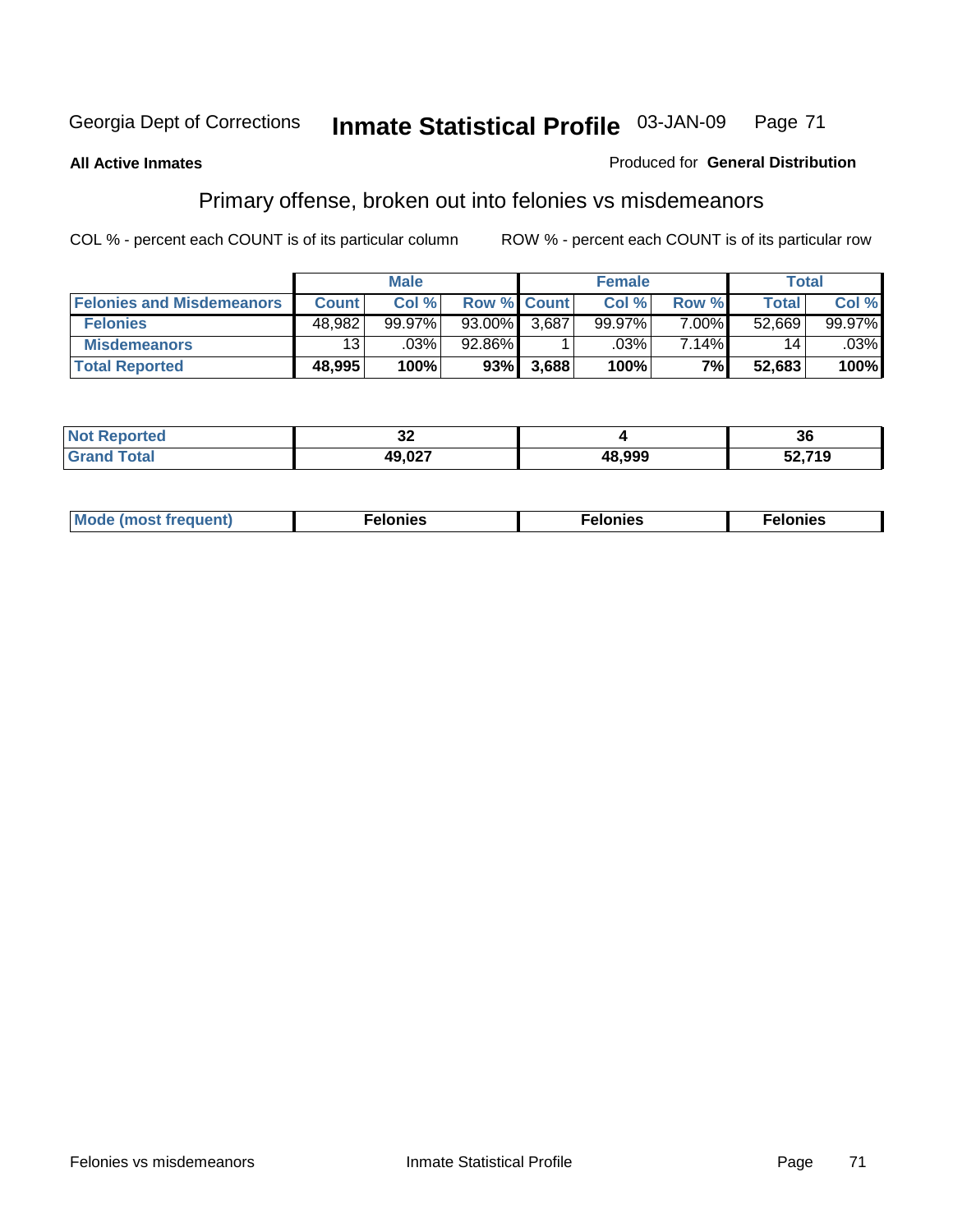#### **All Active Inmates**

#### Produced for **General Distribution**

# Primary offense, broken out into felonies vs misdemeanors

|                                  |              | <b>Male</b> |           |                    | <b>Female</b> |          | Total        |        |
|----------------------------------|--------------|-------------|-----------|--------------------|---------------|----------|--------------|--------|
| <b>Felonies and Misdemeanors</b> | <b>Count</b> | Col %       |           | <b>Row % Count</b> | Col %         | Row %    | <b>Total</b> | Col %  |
| <b>Felonies</b>                  | 48,982       | $99.97\%$   | $93.00\%$ | 3.687              | 99.97%        | $7.00\%$ | 52,669       | 99.97% |
| <b>Misdemeanors</b>              | 13           | .03%        | 92.86%    |                    | .03%          | 7.14%    | 14           | .03%   |
| <b>Total Reported</b>            | 48,995       | 100%        | 93%       | 3,688              | 100%          | 7%       | 52,683       | 100%   |

| N <sub>of</sub><br>rted.<br>$\sim$ | $\sim$<br>◡▵                       |        | ^^<br>ახ       |
|------------------------------------|------------------------------------|--------|----------------|
| Grai                               | דמה מו<br>$\overline{\phantom{a}}$ | 48.999 | ፡2.719<br>JZ,I |

| Mode (most frequent) | elonies | elonies | onies<br>-е к |
|----------------------|---------|---------|---------------|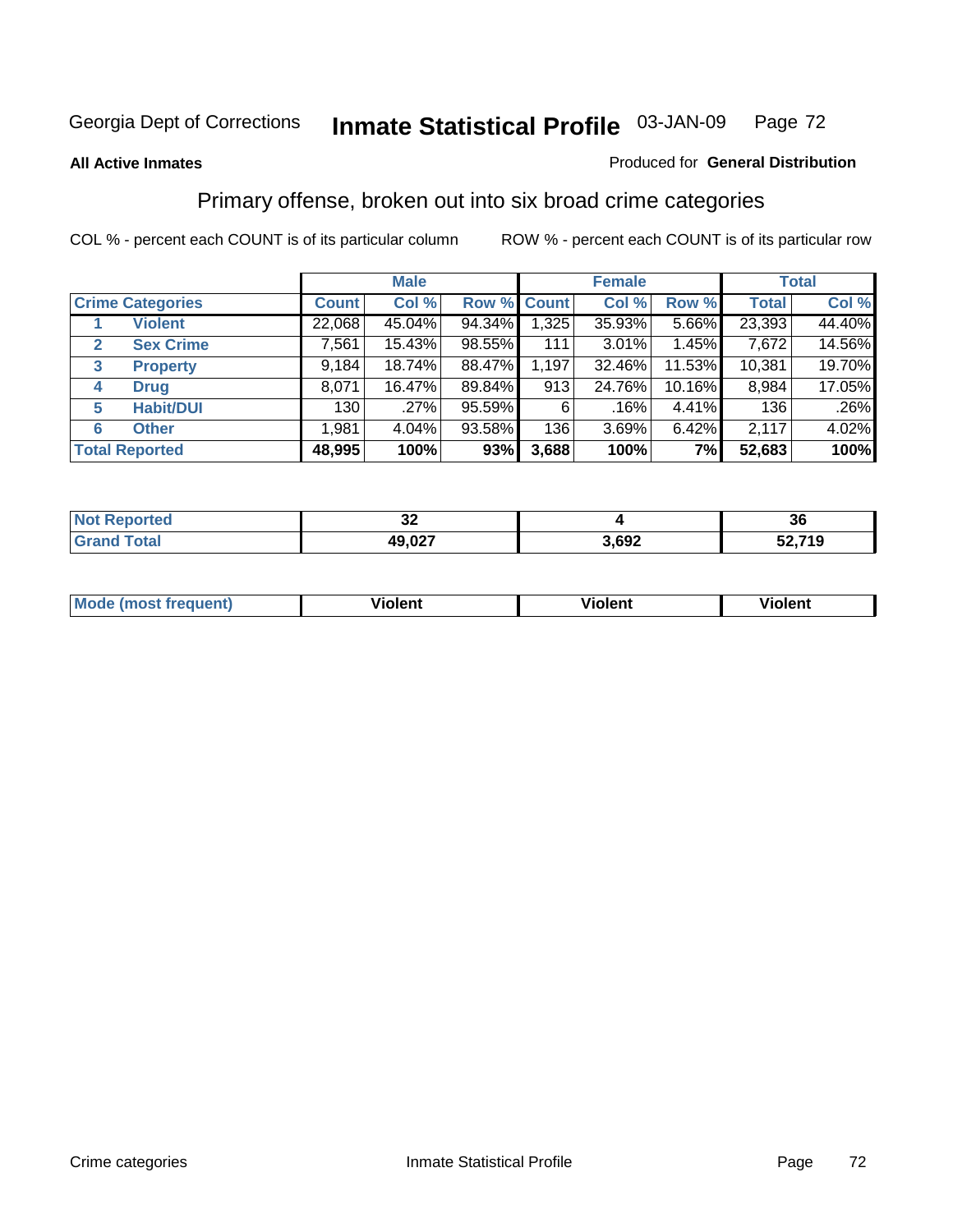#### **All Active Inmates**

#### Produced for **General Distribution**

### Primary offense, broken out into six broad crime categories

|                                  |              | <b>Male</b> |                    |       | <b>Female</b> |        |              | <b>Total</b> |
|----------------------------------|--------------|-------------|--------------------|-------|---------------|--------|--------------|--------------|
| <b>Crime Categories</b>          | <b>Count</b> | Col %       | <b>Row % Count</b> |       | Col %         | Row %  | <b>Total</b> | Col %        |
| <b>Violent</b>                   | 22,068       | 45.04%      | 94.34%             | 1,325 | 35.93%        | 5.66%  | 23,393       | 44.40%       |
| <b>Sex Crime</b><br>$\mathbf{2}$ | 7,561        | 15.43%      | 98.55%             | 111   | $3.01\%$      | 1.45%  | 7,672        | 14.56%       |
| $\mathbf{3}$<br><b>Property</b>  | 9,184        | 18.74%      | 88.47%             | 1,197 | 32.46%        | 11.53% | 10,381       | 19.70%       |
| <b>Drug</b><br>4                 | 8,071        | 16.47%      | 89.84%             | 913   | 24.76%        | 10.16% | 8,984        | 17.05%       |
| <b>Habit/DUI</b><br>5            | 130          | .27%        | 95.59%             | 6     | .16%          | 4.41%  | 136          | .26%         |
| <b>Other</b><br>6                | 1,981        | 4.04%       | 93.58%             | 136   | 3.69%         | 6.42%  | 2,117        | 4.02%        |
| <b>Total Reported</b>            | 48,995       | 100%        | 93%                | 3,688 | 100%          | 7%     | 52,683       | 100%         |

| N | IJΔ    |      | ახ           |  |
|---|--------|------|--------------|--|
|   | 10 027 | ,692 | ,719<br>JZ,I |  |

|  | <b>Mou</b><br>--- | .<br>วlent | ---<br>olent | ≀lent<br>-------- |
|--|-------------------|------------|--------------|-------------------|
|--|-------------------|------------|--------------|-------------------|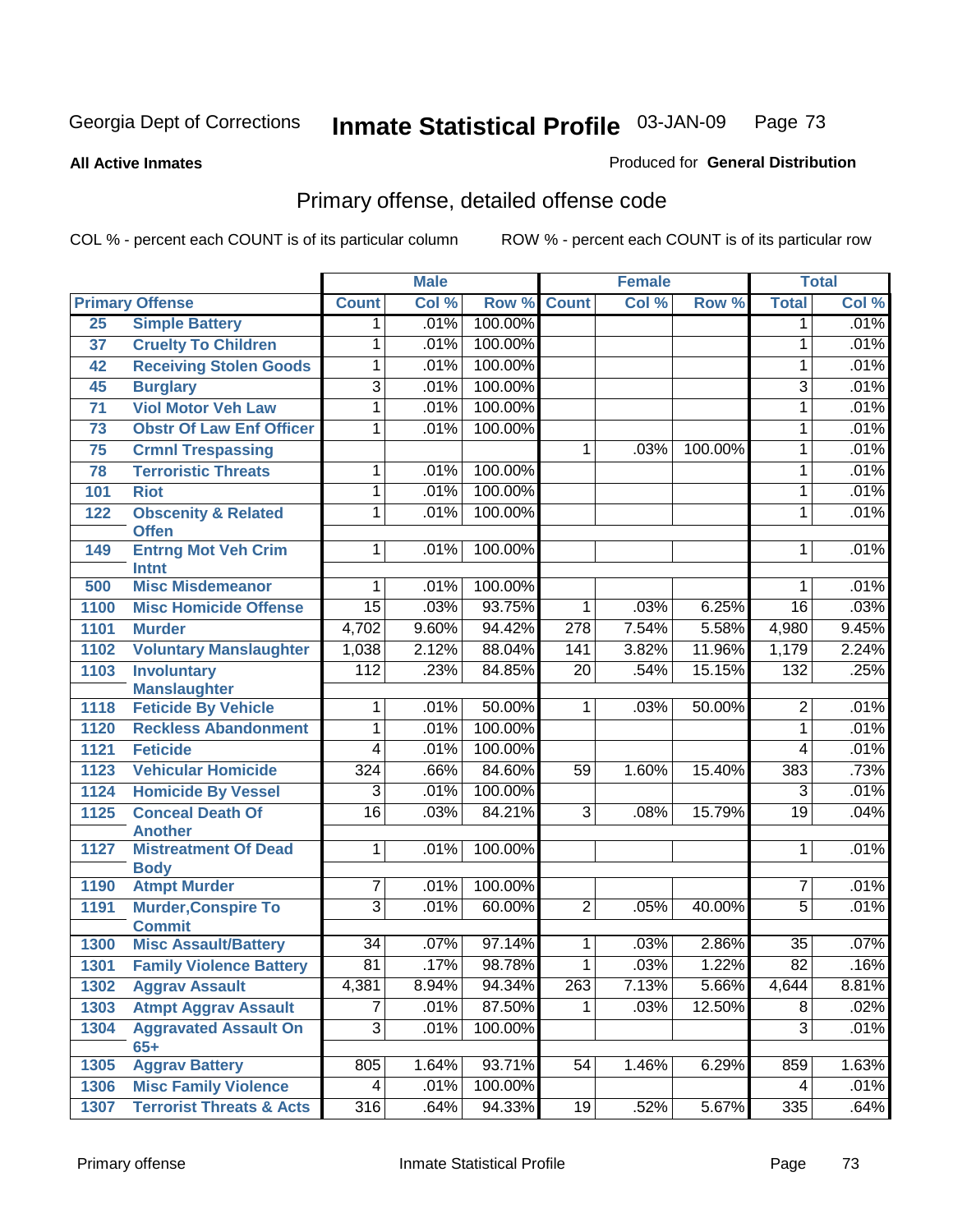**All Active Inmates**

#### Produced for **General Distribution**

# Primary offense, detailed offense code

|      |                                                |                  | <b>Male</b> |         |                 | <b>Female</b> |         |                 | <b>Total</b> |
|------|------------------------------------------------|------------------|-------------|---------|-----------------|---------------|---------|-----------------|--------------|
|      | <b>Primary Offense</b>                         | <b>Count</b>     | Col %       | Row %   | <b>Count</b>    | Col %         | Row %   | <b>Total</b>    | Col %        |
| 25   | <b>Simple Battery</b>                          | $\mathbf{1}$     | .01%        | 100.00% |                 |               |         | $\mathbf 1$     | .01%         |
| 37   | <b>Cruelty To Children</b>                     | 1                | .01%        | 100.00% |                 |               |         | 1               | .01%         |
| 42   | <b>Receiving Stolen Goods</b>                  | 1                | .01%        | 100.00% |                 |               |         | 1               | .01%         |
| 45   | <b>Burglary</b>                                | $\overline{3}$   | .01%        | 100.00% |                 |               |         | $\overline{3}$  | .01%         |
| 71   | <b>Viol Motor Veh Law</b>                      | 1                | .01%        | 100.00% |                 |               |         | 1               | .01%         |
| 73   | <b>Obstr Of Law Enf Officer</b>                | 1                | .01%        | 100.00% |                 |               |         | 1               | .01%         |
| 75   | <b>Crmnl Trespassing</b>                       |                  |             |         | 1               | .03%          | 100.00% | 1               | .01%         |
| 78   | <b>Terroristic Threats</b>                     | 1                | .01%        | 100.00% |                 |               |         | 1               | .01%         |
| 101  | <b>Riot</b>                                    | 1                | .01%        | 100.00% |                 |               |         | 1               | .01%         |
| 122  | <b>Obscenity &amp; Related</b><br><b>Offen</b> | 1                | .01%        | 100.00% |                 |               |         | 1               | .01%         |
| 149  | <b>Entrng Mot Veh Crim</b>                     | $\overline{1}$   | .01%        | 100.00% |                 |               |         | 1               | .01%         |
| 500  | <b>Intnt</b><br><b>Misc Misdemeanor</b>        | 1                | .01%        | 100.00% |                 |               |         | 1               | .01%         |
| 1100 | <b>Misc Homicide Offense</b>                   | $\overline{15}$  | .03%        | 93.75%  | $\mathbf{1}$    | .03%          | 6.25%   | $\overline{16}$ | .03%         |
| 1101 | <b>Murder</b>                                  | 4,702            | 9.60%       | 94.42%  | 278             | 7.54%         | 5.58%   | 4,980           | 9.45%        |
| 1102 | <b>Voluntary Manslaughter</b>                  | 1,038            | 2.12%       | 88.04%  | 141             | 3.82%         | 11.96%  | 1,179           | 2.24%        |
| 1103 | <b>Involuntary</b>                             | 112              | .23%        | 84.85%  | $\overline{20}$ | .54%          | 15.15%  | 132             | .25%         |
|      | <b>Manslaughter</b>                            |                  |             |         |                 |               |         |                 |              |
| 1118 | <b>Feticide By Vehicle</b>                     | 1                | .01%        | 50.00%  | 1               | .03%          | 50.00%  | $\overline{2}$  | .01%         |
| 1120 | <b>Reckless Abandonment</b>                    | 1                | .01%        | 100.00% |                 |               |         | $\overline{1}$  | .01%         |
| 1121 | <b>Feticide</b>                                | $\overline{4}$   | .01%        | 100.00% |                 |               |         | 4               | .01%         |
| 1123 | <b>Vehicular Homicide</b>                      | 324              | .66%        | 84.60%  | 59              | 1.60%         | 15.40%  | 383             | .73%         |
| 1124 | <b>Homicide By Vessel</b>                      | $\overline{3}$   | .01%        | 100.00% |                 |               |         | 3               | .01%         |
| 1125 | <b>Conceal Death Of</b><br><b>Another</b>      | $\overline{16}$  | .03%        | 84.21%  | $\overline{3}$  | .08%          | 15.79%  | 19              | .04%         |
| 1127 | <b>Mistreatment Of Dead</b><br><b>Body</b>     | $\mathbf{1}$     | .01%        | 100.00% |                 |               |         | 1               | .01%         |
| 1190 | <b>Atmpt Murder</b>                            | $\overline{7}$   | .01%        | 100.00% |                 |               |         | 7               | .01%         |
| 1191 | <b>Murder, Conspire To</b>                     | $\overline{3}$   | .01%        | 60.00%  | $\overline{2}$  | .05%          | 40.00%  | $\overline{5}$  | .01%         |
|      | <b>Commit</b>                                  |                  |             |         |                 |               |         |                 |              |
| 1300 | <b>Misc Assault/Battery</b>                    | $\overline{34}$  | .07%        | 97.14%  | $\mathbf{1}$    | .03%          | 2.86%   | $\overline{35}$ | .07%         |
| 1301 | <b>Family Violence Battery</b>                 | $\overline{81}$  | .17%        | 98.78%  | $\overline{1}$  | .03%          | 1.22%   | $\overline{82}$ | .16%         |
| 1302 | <b>Aggrav Assault</b>                          | 4,381            | 8.94%       | 94.34%  | 263             | 7.13%         | 5.66%   | 4,644           | 8.81%        |
| 1303 | <b>Atmpt Aggrav Assault</b>                    | 7                | .01%        | 87.50%  | 1.              | .03%          | 12.50%  | $\overline{8}$  | .02%         |
| 1304 | <b>Aggravated Assault On</b>                   | $\overline{3}$   | .01%        | 100.00% |                 |               |         | $\overline{3}$  | .01%         |
| 1305 | $65+$<br><b>Aggrav Battery</b>                 | 805              | 1.64%       | 93.71%  | 54              | 1.46%         | 6.29%   | 859             | 1.63%        |
| 1306 | <b>Misc Family Violence</b>                    | 4                | .01%        | 100.00% |                 |               |         | 4               | .01%         |
| 1307 | <b>Terrorist Threats &amp; Acts</b>            | $\overline{316}$ | .64%        | 94.33%  | 19              | .52%          | 5.67%   | 335             | .64%         |
|      |                                                |                  |             |         |                 |               |         |                 |              |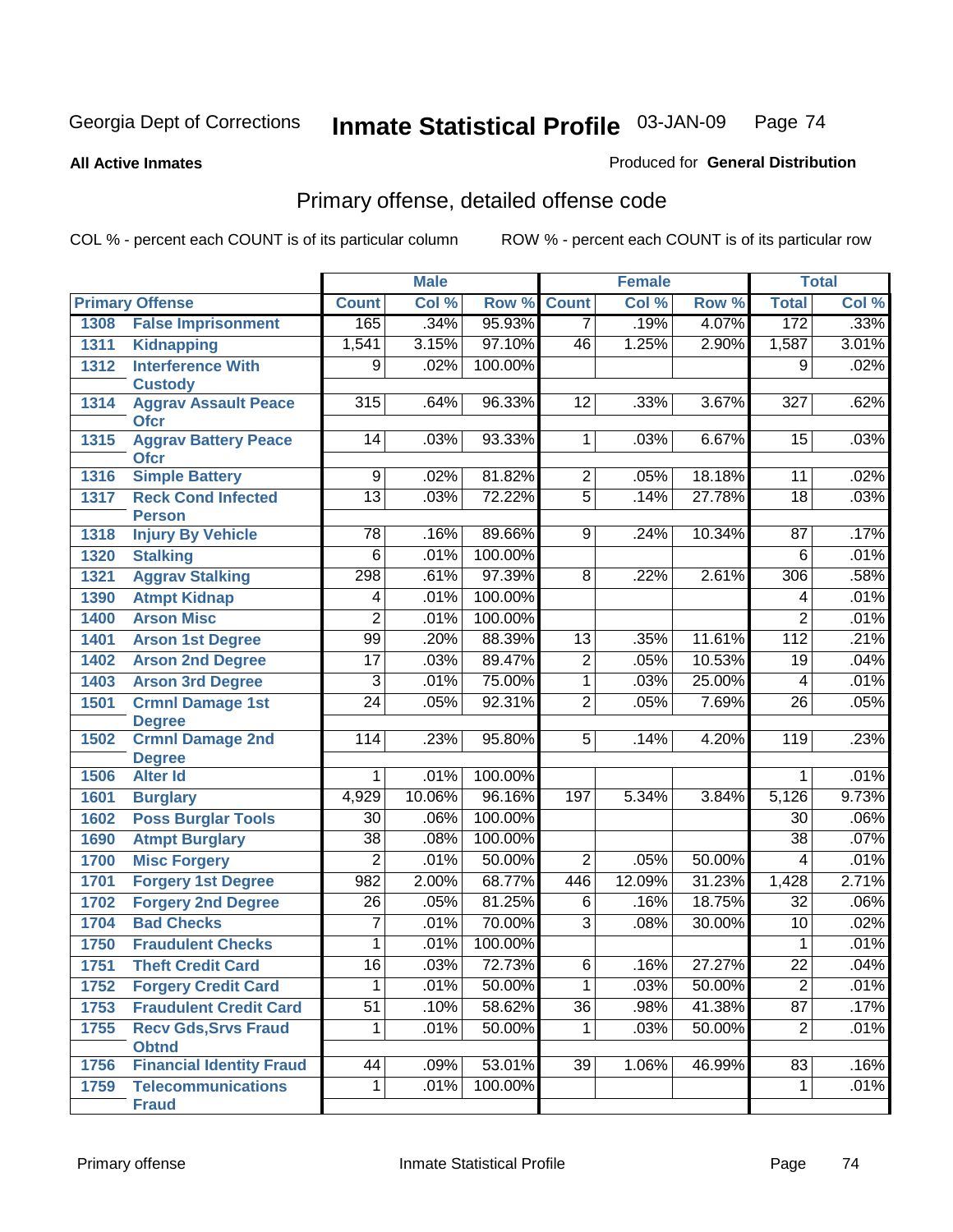**All Active Inmates**

### Produced for **General Distribution**

# Primary offense, detailed offense code

|      |                                            |                 | <b>Male</b> |         |                 | <b>Female</b> |        |                  | <b>Total</b> |
|------|--------------------------------------------|-----------------|-------------|---------|-----------------|---------------|--------|------------------|--------------|
|      | <b>Primary Offense</b>                     | <b>Count</b>    | Col %       | Row %   | <b>Count</b>    | Col %         | Row %  | <b>Total</b>     | Col %        |
| 1308 | <b>False Imprisonment</b>                  | 165             | .34%        | 95.93%  | $\overline{7}$  | .19%          | 4.07%  | 172              | .33%         |
| 1311 | <b>Kidnapping</b>                          | 1,541           | 3.15%       | 97.10%  | 46              | 1.25%         | 2.90%  | 1,587            | 3.01%        |
| 1312 | <b>Interference With</b>                   | 9               | .02%        | 100.00% |                 |               |        | 9                | .02%         |
|      | <b>Custody</b>                             |                 |             |         |                 |               |        |                  |              |
| 1314 | <b>Aggrav Assault Peace</b>                | 315             | .64%        | 96.33%  | 12              | .33%          | 3.67%  | 327              | .62%         |
|      | <b>Ofcr</b><br><b>Aggrav Battery Peace</b> | 14              | .03%        | 93.33%  | $\overline{1}$  | .03%          | 6.67%  | 15               | .03%         |
| 1315 | <b>Ofcr</b>                                |                 |             |         |                 |               |        |                  |              |
| 1316 | <b>Simple Battery</b>                      | $\overline{9}$  | .02%        | 81.82%  | $\overline{2}$  | .05%          | 18.18% | $\overline{11}$  | .02%         |
| 1317 | <b>Reck Cond Infected</b>                  | 13              | .03%        | 72.22%  | $\overline{5}$  | .14%          | 27.78% | 18               | .03%         |
|      | <b>Person</b>                              |                 |             |         |                 |               |        |                  |              |
| 1318 | <b>Injury By Vehicle</b>                   | 78              | .16%        | 89.66%  | 9               | .24%          | 10.34% | 87               | .17%         |
| 1320 | <b>Stalking</b>                            | $\overline{6}$  | .01%        | 100.00% |                 |               |        | 6                | .01%         |
| 1321 | <b>Aggrav Stalking</b>                     | 298             | .61%        | 97.39%  | 8               | .22%          | 2.61%  | 306              | .58%         |
| 1390 | <b>Atmpt Kidnap</b>                        | 4               | .01%        | 100.00% |                 |               |        | 4                | .01%         |
| 1400 | <b>Arson Misc</b>                          | $\overline{2}$  | .01%        | 100.00% |                 |               |        | $\overline{2}$   | .01%         |
| 1401 | <b>Arson 1st Degree</b>                    | 99              | .20%        | 88.39%  | 13              | .35%          | 11.61% | $\overline{112}$ | .21%         |
| 1402 | <b>Arson 2nd Degree</b>                    | $\overline{17}$ | .03%        | 89.47%  | $\overline{2}$  | .05%          | 10.53% | 19               | .04%         |
| 1403 | <b>Arson 3rd Degree</b>                    | 3               | .01%        | 75.00%  | $\overline{1}$  | .03%          | 25.00% | 4                | .01%         |
| 1501 | <b>Crmnl Damage 1st</b>                    | $\overline{24}$ | .05%        | 92.31%  | $\overline{2}$  | .05%          | 7.69%  | 26               | .05%         |
|      | <b>Degree</b>                              |                 |             |         |                 |               |        |                  |              |
| 1502 | <b>Crmnl Damage 2nd</b>                    | 114             | .23%        | 95.80%  | 5 <sup>1</sup>  | .14%          | 4.20%  | 119              | .23%         |
|      | <b>Degree</b>                              |                 |             |         |                 |               |        |                  |              |
| 1506 | <b>Alter Id</b>                            | 1               | .01%        | 100.00% |                 |               |        | 1                | .01%         |
| 1601 | <b>Burglary</b>                            | 4,929           | 10.06%      | 96.16%  | 197             | 5.34%         | 3.84%  | 5,126            | 9.73%        |
| 1602 | <b>Poss Burglar Tools</b>                  | $\overline{30}$ | .06%        | 100.00% |                 |               |        | $\overline{30}$  | .06%         |
| 1690 | <b>Atmpt Burglary</b>                      | $\overline{38}$ | .08%        | 100.00% |                 |               |        | $\overline{38}$  | .07%         |
| 1700 | <b>Misc Forgery</b>                        | $\overline{2}$  | .01%        | 50.00%  | $\overline{2}$  | .05%          | 50.00% | 4                | .01%         |
| 1701 | <b>Forgery 1st Degree</b>                  | 982             | 2.00%       | 68.77%  | 446             | 12.09%        | 31.23% | 1,428            | 2.71%        |
| 1702 | <b>Forgery 2nd Degree</b>                  | $\overline{26}$ | .05%        | 81.25%  | $\overline{6}$  | .16%          | 18.75% | $\overline{32}$  | .06%         |
| 1704 | <b>Bad Checks</b>                          | 7               | .01%        | 70.00%  | $\overline{3}$  | .08%          | 30.00% | 10               | .02%         |
| 1750 | <b>Fraudulent Checks</b>                   | 1               | .01%        | 100.00% |                 |               |        | 1                | .01%         |
| 1751 | <b>Theft Credit Card</b>                   | $\overline{16}$ | 03%         | 72.73%  | 6               | .16%          | 27.27% | $\overline{22}$  | .04%         |
| 1752 | <b>Forgery Credit Card</b>                 | 1               | .01%        | 50.00%  | $\overline{1}$  | .03%          | 50.00% | $\overline{2}$   | .01%         |
| 1753 | <b>Fraudulent Credit Card</b>              | $\overline{51}$ | .10%        | 58.62%  | $\overline{36}$ | .98%          | 41.38% | 87               | .17%         |
| 1755 | <b>Recv Gds, Srvs Fraud</b>                | 1               | .01%        | 50.00%  | $\mathbf{1}$    | .03%          | 50.00% | $\overline{2}$   | .01%         |
|      | <b>Obtnd</b>                               |                 |             |         |                 |               |        |                  |              |
| 1756 | <b>Financial Identity Fraud</b>            | 44              | .09%        | 53.01%  | 39              | 1.06%         | 46.99% | 83               | .16%         |
| 1759 | <b>Telecommunications</b>                  | $\mathbf 1$     | .01%        | 100.00% |                 |               |        | $\mathbf 1$      | .01%         |
|      | <b>Fraud</b>                               |                 |             |         |                 |               |        |                  |              |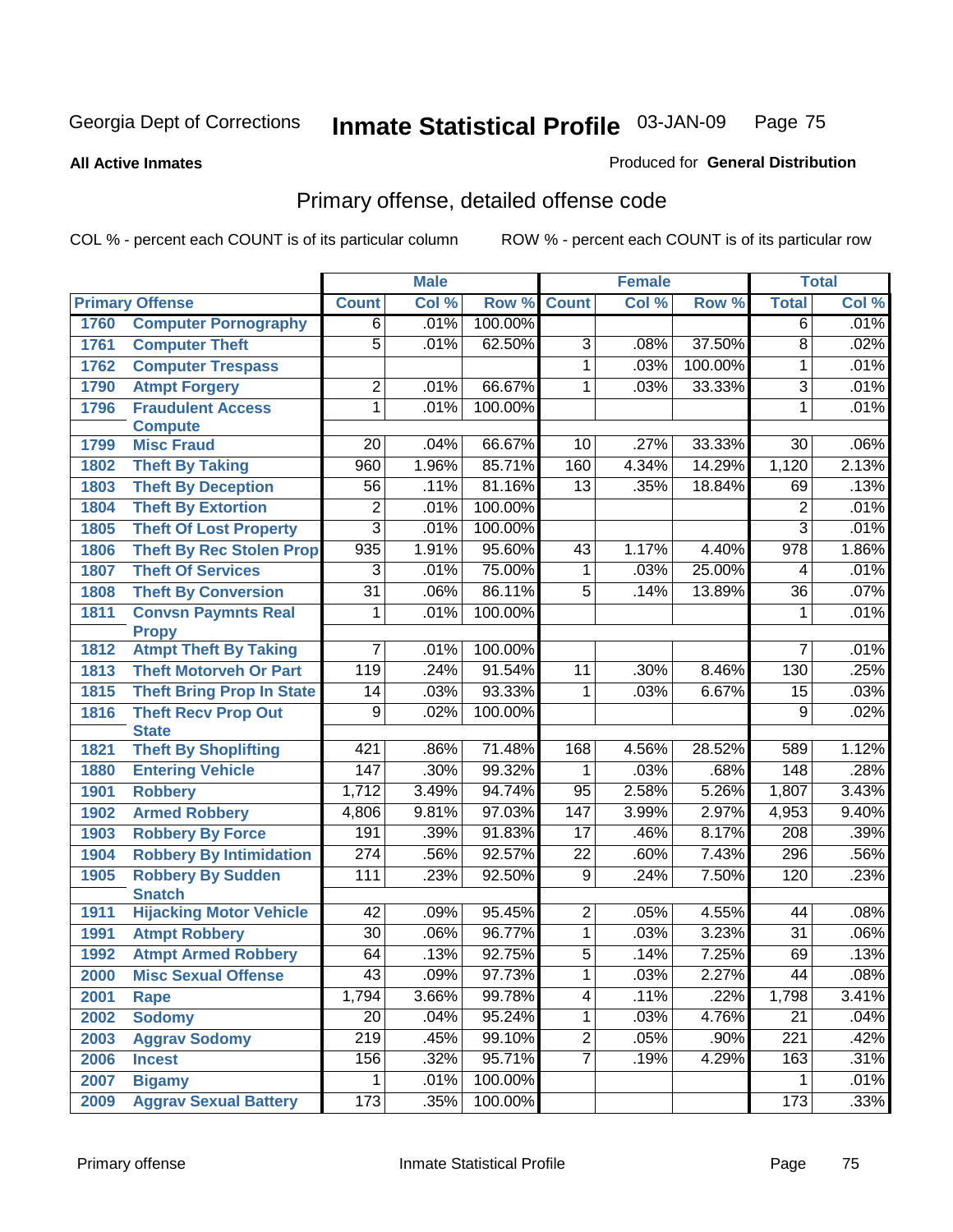**All Active Inmates**

### Produced for **General Distribution**

# Primary offense, detailed offense code

|      |                                             |                  | <b>Male</b> |         |                 | <b>Female</b> |         |                  | <b>Total</b> |
|------|---------------------------------------------|------------------|-------------|---------|-----------------|---------------|---------|------------------|--------------|
|      | <b>Primary Offense</b>                      | <b>Count</b>     | Col %       | Row %   | <b>Count</b>    | Col %         | Row %   | <b>Total</b>     | Col %        |
| 1760 | <b>Computer Pornography</b>                 | $\overline{6}$   | .01%        | 100.00% |                 |               |         | $\overline{6}$   | .01%         |
| 1761 | <b>Computer Theft</b>                       | $\overline{5}$   | .01%        | 62.50%  | $\overline{3}$  | .08%          | 37.50%  | $\overline{8}$   | .02%         |
| 1762 | <b>Computer Trespass</b>                    |                  |             |         | 1               | .03%          | 100.00% | $\mathbf{1}$     | .01%         |
| 1790 | <b>Atmpt Forgery</b>                        | $\overline{2}$   | .01%        | 66.67%  | 1               | .03%          | 33.33%  | $\overline{3}$   | .01%         |
| 1796 | <b>Fraudulent Access</b>                    | $\overline{1}$   | .01%        | 100.00% |                 |               |         | $\mathbf{1}$     | .01%         |
|      | <b>Compute</b>                              |                  |             |         |                 |               |         |                  |              |
| 1799 | <b>Misc Fraud</b>                           | $\overline{20}$  | .04%        | 66.67%  | $\overline{10}$ | .27%          | 33.33%  | 30               | .06%         |
| 1802 | <b>Theft By Taking</b>                      | 960              | 1.96%       | 85.71%  | 160             | 4.34%         | 14.29%  | 1,120            | 2.13%        |
| 1803 | <b>Theft By Deception</b>                   | 56               | .11%        | 81.16%  | $\overline{13}$ | .35%          | 18.84%  | 69               | .13%         |
| 1804 | <b>Theft By Extortion</b>                   | 2                | .01%        | 100.00% |                 |               |         | 2                | .01%         |
| 1805 | <b>Theft Of Lost Property</b>               | $\overline{3}$   | .01%        | 100.00% |                 |               |         | $\overline{3}$   | .01%         |
| 1806 | <b>Theft By Rec Stolen Prop</b>             | 935              | 1.91%       | 95.60%  | 43              | 1.17%         | 4.40%   | $\overline{978}$ | 1.86%        |
| 1807 | <b>Theft Of Services</b>                    | $\overline{3}$   | .01%        | 75.00%  | 1               | .03%          | 25.00%  | 4                | .01%         |
| 1808 | <b>Theft By Conversion</b>                  | $\overline{31}$  | .06%        | 86.11%  | $\overline{5}$  | .14%          | 13.89%  | $\overline{36}$  | .07%         |
| 1811 | <b>Convsn Paymnts Real</b>                  | 1                | .01%        | 100.00% |                 |               |         | $\mathbf 1$      | .01%         |
|      | <b>Propy</b>                                |                  |             |         |                 |               |         |                  |              |
| 1812 | <b>Atmpt Theft By Taking</b>                | $\overline{7}$   | .01%        | 100.00% |                 |               |         | $\overline{7}$   | .01%         |
| 1813 | <b>Theft Motorveh Or Part</b>               | 119              | .24%        | 91.54%  | 11              | .30%          | 8.46%   | 130              | .25%         |
| 1815 | <b>Theft Bring Prop In State</b>            | $\overline{14}$  | .03%        | 93.33%  | 1               | .03%          | 6.67%   | $\overline{15}$  | .03%         |
| 1816 | <b>Theft Recv Prop Out</b>                  | $\overline{9}$   | .02%        | 100.00% |                 |               |         | $\overline{9}$   | .02%         |
| 1821 | <b>State</b><br><b>Theft By Shoplifting</b> | 421              | .86%        | 71.48%  | 168             | 4.56%         | 28.52%  | 589              | 1.12%        |
| 1880 | <b>Entering Vehicle</b>                     | 147              | .30%        | 99.32%  | 1               | .03%          | .68%    | 148              | .28%         |
| 1901 | <b>Robbery</b>                              | 1,712            | 3.49%       | 94.74%  | $\overline{95}$ | 2.58%         | 5.26%   | 1,807            | 3.43%        |
| 1902 | <b>Armed Robbery</b>                        | 4,806            | 9.81%       | 97.03%  | 147             | 3.99%         | 2.97%   | 4,953            | 9.40%        |
| 1903 | <b>Robbery By Force</b>                     | 191              | .39%        | 91.83%  | 17              | .46%          | 8.17%   | $\overline{208}$ | .39%         |
| 1904 | <b>Robbery By Intimidation</b>              | 274              | .56%        | 92.57%  | $\overline{22}$ | .60%          | 7.43%   | 296              | .56%         |
| 1905 | <b>Robbery By Sudden</b>                    | 111              | .23%        | 92.50%  | $\overline{9}$  | .24%          | 7.50%   | 120              | .23%         |
|      | <b>Snatch</b>                               |                  |             |         |                 |               |         |                  |              |
| 1911 | <b>Hijacking Motor Vehicle</b>              | 42               | .09%        | 95.45%  | $\overline{2}$  | .05%          | 4.55%   | 44               | .08%         |
| 1991 | <b>Atmpt Robbery</b>                        | $\overline{30}$  | .06%        | 96.77%  | 1               | .03%          | 3.23%   | $\overline{31}$  | .06%         |
| 1992 | <b>Atmpt Armed Robbery</b>                  | 64               | .13%        | 92.75%  | $\overline{5}$  | .14%          | 7.25%   | 69               | .13%         |
| 2000 | <b>Misc Sexual Offense</b>                  | 43               | .09%        | 97.73%  | $\mathbf 1$     | .03%          | 2.27%   | 44               | .08%         |
| 2001 | Rape                                        | 1,794            | 3.66%       | 99.78%  | 4               | .11%          | .22%    | 1,798            | 3.41%        |
| 2002 | <b>Sodomy</b>                               | $\overline{20}$  | .04%        | 95.24%  | 1               | .03%          | 4.76%   | 21               | .04%         |
| 2003 | <b>Aggrav Sodomy</b>                        | $\overline{219}$ | .45%        | 99.10%  | $\overline{2}$  | .05%          | .90%    | $\overline{221}$ | .42%         |
| 2006 | <b>Incest</b>                               | 156              | .32%        | 95.71%  | 7               | .19%          | 4.29%   | 163              | .31%         |
| 2007 | <b>Bigamy</b>                               | 1.               | .01%        | 100.00% |                 |               |         |                  | .01%         |
| 2009 | <b>Aggrav Sexual Battery</b>                | 173              | .35%        | 100.00% |                 |               |         | 173              | .33%         |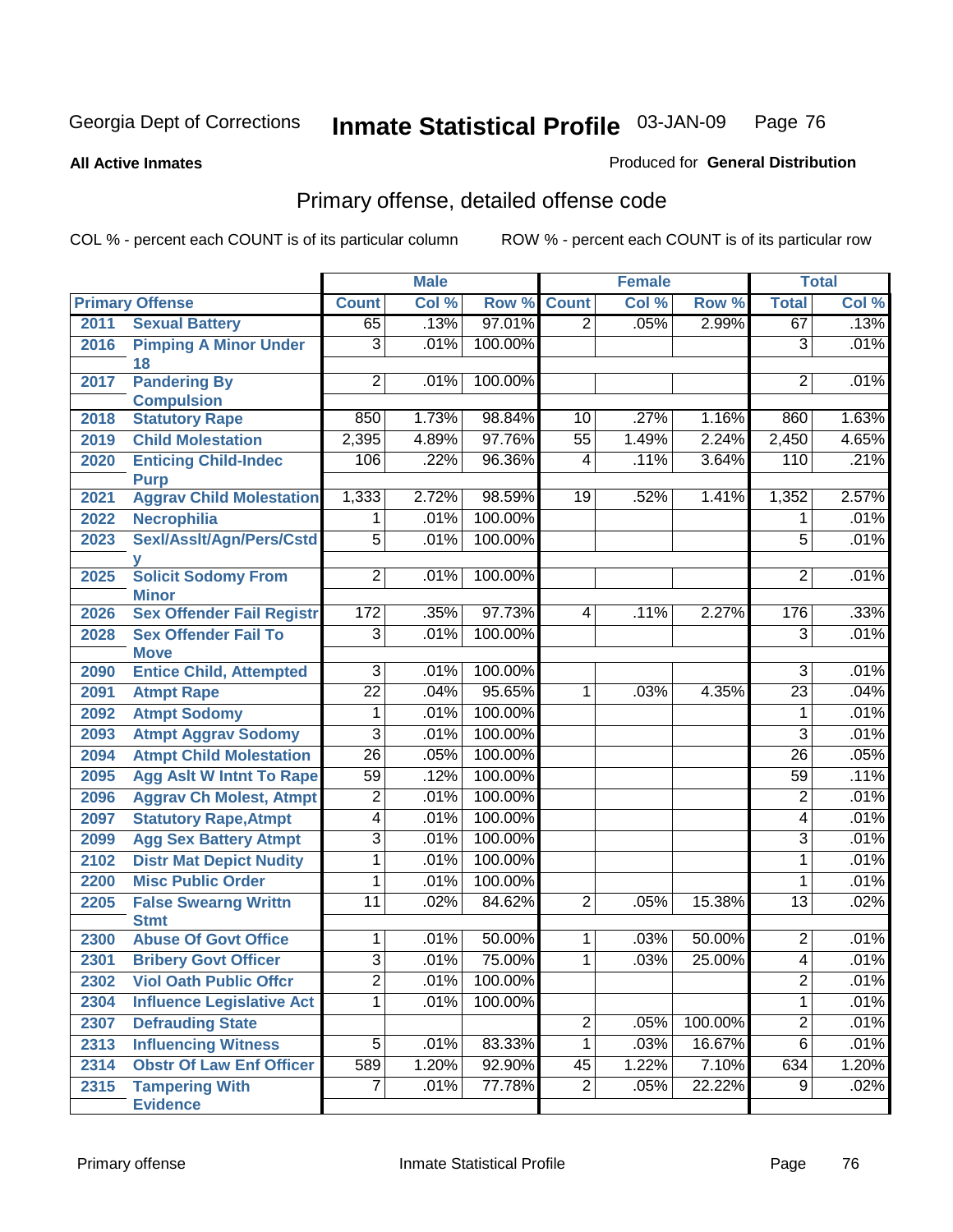**All Active Inmates**

### Produced for **General Distribution**

# Primary offense, detailed offense code

|      |                                            |                 | <b>Male</b> |         | <b>Female</b>   |       |         | <b>Total</b>    |       |
|------|--------------------------------------------|-----------------|-------------|---------|-----------------|-------|---------|-----------------|-------|
|      | <b>Primary Offense</b>                     | <b>Count</b>    | Col %       | Row %   | <b>Count</b>    | Col % | Row %   | <b>Total</b>    | Col % |
| 2011 | <b>Sexual Battery</b>                      | 65              | .13%        | 97.01%  | $\overline{2}$  | .05%  | 2.99%   | 67              | .13%  |
| 2016 | <b>Pimping A Minor Under</b><br>18         | $\overline{3}$  | .01%        | 100.00% |                 |       |         | $\overline{3}$  | .01%  |
| 2017 | <b>Pandering By</b>                        | $\overline{2}$  | .01%        | 100.00% |                 |       |         | $\overline{2}$  | .01%  |
|      | <b>Compulsion</b>                          |                 |             |         |                 |       |         |                 |       |
| 2018 | <b>Statutory Rape</b>                      | 850             | 1.73%       | 98.84%  | 10              | .27%  | 1.16%   | 860             | 1.63% |
| 2019 | <b>Child Molestation</b>                   | 2,395           | 4.89%       | 97.76%  | $\overline{55}$ | 1.49% | 2.24%   | 2,450           | 4.65% |
| 2020 | <b>Enticing Child-Indec</b><br><b>Purp</b> | 106             | .22%        | 96.36%  | $\overline{4}$  | .11%  | 3.64%   | 110             | .21%  |
| 2021 | <b>Aggrav Child Molestation</b>            | 1,333           | 2.72%       | 98.59%  | 19              | .52%  | 1.41%   | 1,352           | 2.57% |
| 2022 | Necrophilia                                | 1               | .01%        | 100.00% |                 |       |         | 1               | .01%  |
| 2023 | Sexl/Asslt/Agn/Pers/Cstd                   | $\overline{5}$  | .01%        | 100.00% |                 |       |         | 5               | .01%  |
| 2025 | <b>Solicit Sodomy From</b><br><b>Minor</b> | $\overline{2}$  | .01%        | 100.00% |                 |       |         | $\overline{2}$  | .01%  |
| 2026 | <b>Sex Offender Fail Registr</b>           | 172             | .35%        | 97.73%  | $\vert 4 \vert$ | .11%  | 2.27%   | 176             | .33%  |
| 2028 | <b>Sex Offender Fail To</b><br><b>Move</b> | $\overline{3}$  | .01%        | 100.00% |                 |       |         | $\overline{3}$  | .01%  |
| 2090 | <b>Entice Child, Attempted</b>             | $\overline{3}$  | .01%        | 100.00% |                 |       |         | $\overline{3}$  | .01%  |
| 2091 | <b>Atmpt Rape</b>                          | $\overline{22}$ | .04%        | 95.65%  | 1               | .03%  | 4.35%   | $\overline{23}$ | .04%  |
| 2092 | <b>Atmpt Sodomy</b>                        | 1               | .01%        | 100.00% |                 |       |         | 1               | .01%  |
| 2093 | <b>Atmpt Aggrav Sodomy</b>                 | $\overline{3}$  | .01%        | 100.00% |                 |       |         | $\overline{3}$  | .01%  |
| 2094 | <b>Atmpt Child Molestation</b>             | $\overline{26}$ | .05%        | 100.00% |                 |       |         | $\overline{26}$ | .05%  |
| 2095 | <b>Agg Aslt W Intnt To Rape</b>            | $\overline{59}$ | .12%        | 100.00% |                 |       |         | $\overline{59}$ | .11%  |
| 2096 | <b>Aggrav Ch Molest, Atmpt</b>             | $\overline{2}$  | .01%        | 100.00% |                 |       |         | $\overline{2}$  | .01%  |
| 2097 | <b>Statutory Rape, Atmpt</b>               | $\overline{4}$  | .01%        | 100.00% |                 |       |         | $\overline{4}$  | .01%  |
| 2099 | <b>Agg Sex Battery Atmpt</b>               | $\overline{3}$  | .01%        | 100.00% |                 |       |         | $\overline{3}$  | .01%  |
| 2102 | <b>Distr Mat Depict Nudity</b>             | 1               | .01%        | 100.00% |                 |       |         | 1               | .01%  |
| 2200 | <b>Misc Public Order</b>                   | 1               | .01%        | 100.00% |                 |       |         | 1               | .01%  |
| 2205 | <b>False Swearng Writtn</b><br><b>Stmt</b> | $\overline{11}$ | .02%        | 84.62%  | $\overline{2}$  | .05%  | 15.38%  | $\overline{13}$ | .02%  |
| 2300 | <b>Abuse Of Govt Office</b>                | $\mathbf{1}$    | .01%        | 50.00%  | $\mathbf{1}$    | .03%  | 50.00%  | $\overline{2}$  | .01%  |
| 2301 | <b>Bribery Govt Officer</b>                | $\overline{3}$  | .01%        | 75.00%  | $\overline{1}$  | .03%  | 25.00%  | $\overline{4}$  | .01%  |
| 2302 | <b>Viol Oath Public Offcr</b>              | $\overline{2}$  | .01%        | 100.00% |                 |       |         | $\overline{2}$  | .01%  |
| 2304 | <b>Influence Legislative Act</b>           | $\overline{1}$  | .01%        | 100.00% |                 |       |         | $\mathbf{1}$    | .01%  |
| 2307 | <b>Defrauding State</b>                    |                 |             |         | $\overline{2}$  | .05%  | 100.00% | $\overline{2}$  | .01%  |
| 2313 | <b>Influencing Witness</b>                 | $\overline{5}$  | .01%        | 83.33%  | $\overline{1}$  | .03%  | 16.67%  | $\overline{6}$  | .01%  |
| 2314 | <b>Obstr Of Law Enf Officer</b>            | 589             | 1.20%       | 92.90%  | 45              | 1.22% | 7.10%   | 634             | 1.20% |
| 2315 | <b>Tampering With</b><br><b>Evidence</b>   | $\overline{7}$  | .01%        | 77.78%  | $\overline{2}$  | .05%  | 22.22%  | 9               | .02%  |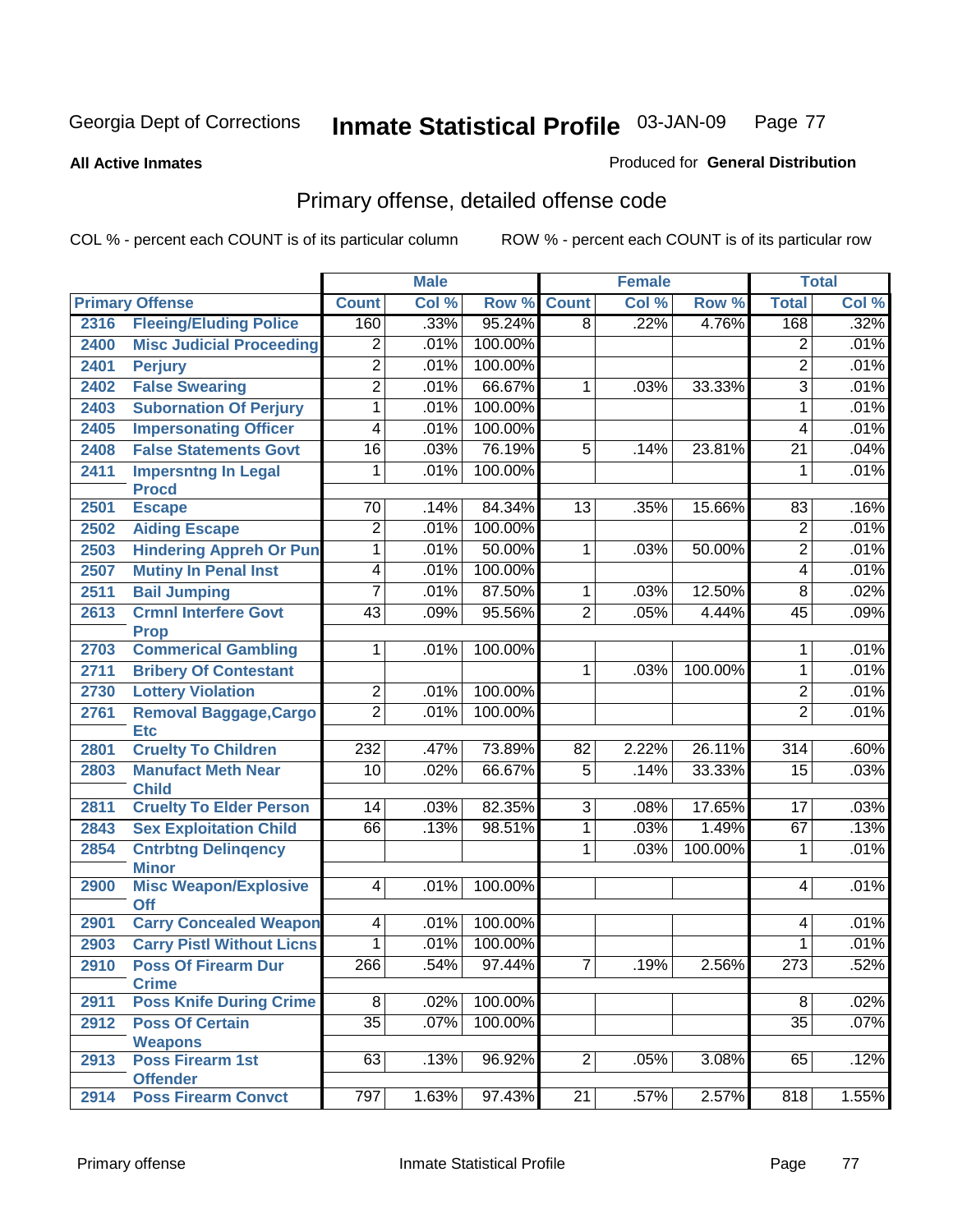#### **All Active Inmates**

### Produced for **General Distribution**

# Primary offense, detailed offense code

|      |                                             |                 | <b>Male</b> |         |                 | <b>Female</b> |         |                  | <b>Total</b> |
|------|---------------------------------------------|-----------------|-------------|---------|-----------------|---------------|---------|------------------|--------------|
|      | <b>Primary Offense</b>                      | <b>Count</b>    | Col %       | Row %   | <b>Count</b>    | Col %         | Row %   | <b>Total</b>     | Col %        |
| 2316 | <b>Fleeing/Eluding Police</b>               | 160             | .33%        | 95.24%  | $\overline{8}$  | .22%          | 4.76%   | 168              | .32%         |
| 2400 | <b>Misc Judicial Proceeding</b>             | $\overline{2}$  | .01%        | 100.00% |                 |               |         | 2                | .01%         |
| 2401 | <b>Perjury</b>                              | $\overline{2}$  | .01%        | 100.00% |                 |               |         | $\overline{2}$   | .01%         |
| 2402 | <b>False Swearing</b>                       | $\overline{2}$  | .01%        | 66.67%  | $\mathbf{1}$    | .03%          | 33.33%  | $\overline{3}$   | .01%         |
| 2403 | <b>Subornation Of Perjury</b>               | $\overline{1}$  | .01%        | 100.00% |                 |               |         | $\mathbf{1}$     | .01%         |
| 2405 | <b>Impersonating Officer</b>                | $\overline{4}$  | .01%        | 100.00% |                 |               |         | 4                | .01%         |
| 2408 | <b>False Statements Govt</b>                | $\overline{16}$ | .03%        | 76.19%  | $\overline{5}$  | .14%          | 23.81%  | $\overline{21}$  | .04%         |
| 2411 | <b>Impersntng In Legal</b><br><b>Procd</b>  | $\overline{1}$  | .01%        | 100.00% |                 |               |         | $\mathbf{1}$     | .01%         |
| 2501 | <b>Escape</b>                               | 70              | .14%        | 84.34%  | $\overline{13}$ | .35%          | 15.66%  | 83               | .16%         |
| 2502 | <b>Aiding Escape</b>                        | $\overline{2}$  | .01%        | 100.00% |                 |               |         | $\overline{2}$   | .01%         |
| 2503 | <b>Hindering Appreh Or Pun</b>              | $\overline{1}$  | .01%        | 50.00%  | 1               | .03%          | 50.00%  | 2                | .01%         |
| 2507 | <b>Mutiny In Penal Inst</b>                 | $\overline{4}$  | .01%        | 100.00% |                 |               |         | 4                | .01%         |
| 2511 | <b>Bail Jumping</b>                         | 7               | .01%        | 87.50%  | $\mathbf{1}$    | .03%          | 12.50%  | 8                | .02%         |
| 2613 | <b>Crmnl Interfere Govt</b>                 | $\overline{43}$ | .09%        | 95.56%  | $\overline{2}$  | .05%          | 4.44%   | 45               | .09%         |
|      | <b>Prop</b>                                 |                 |             |         |                 |               |         |                  |              |
| 2703 | <b>Commerical Gambling</b>                  | 1               | .01%        | 100.00% |                 |               |         | 1                | .01%         |
| 2711 | <b>Bribery Of Contestant</b>                |                 |             |         | 1               | .03%          | 100.00% | 1                | .01%         |
| 2730 | <b>Lottery Violation</b>                    | $\overline{2}$  | .01%        | 100.00% |                 |               |         | $\overline{2}$   | .01%         |
| 2761 | <b>Removal Baggage, Cargo</b><br><b>Etc</b> | $\overline{2}$  | .01%        | 100.00% |                 |               |         | $\overline{2}$   | .01%         |
| 2801 | <b>Cruelty To Children</b>                  | 232             | .47%        | 73.89%  | 82              | 2.22%         | 26.11%  | $\overline{314}$ | .60%         |
| 2803 | <b>Manufact Meth Near</b><br><b>Child</b>   | 10              | .02%        | 66.67%  | $\overline{5}$  | .14%          | 33.33%  | 15               | .03%         |
| 2811 | <b>Cruelty To Elder Person</b>              | $\overline{14}$ | .03%        | 82.35%  | $\overline{3}$  | .08%          | 17.65%  | 17               | .03%         |
| 2843 | <b>Sex Exploitation Child</b>               | 66              | .13%        | 98.51%  | 1               | .03%          | 1.49%   | 67               | .13%         |
| 2854 | <b>Cntrbtng Delingency</b><br><b>Minor</b>  |                 |             |         | 1               | .03%          | 100.00% | 1                | .01%         |
| 2900 | <b>Misc Weapon/Explosive</b><br>Off         | $\vert 4 \vert$ | .01%        | 100.00% |                 |               |         | 4                | .01%         |
| 2901 | <b>Carry Concealed Weapon</b>               | $\overline{4}$  | .01%        | 100.00% |                 |               |         | 4                | .01%         |
| 2903 | <b>Carry Pistl Without Licns</b>            | 1               | .01%        | 100.00% |                 |               |         | 1                | .01%         |
| 2910 | <b>Poss Of Firearm Dur</b><br><b>Crime</b>  | 266             | .54%        | 97.44%  | 7 <sup>1</sup>  | .19%          | 2.56%   | 273              | .52%         |
| 2911 | <b>Poss Knife During Crime</b>              | $\overline{8}$  | .02%        | 100.00% |                 |               |         | 8                | .02%         |
| 2912 | <b>Poss Of Certain</b>                      | $\overline{35}$ | .07%        | 100.00% |                 |               |         | $\overline{35}$  | .07%         |
|      | <b>Weapons</b>                              |                 |             |         |                 |               |         |                  |              |
| 2913 | <b>Poss Firearm 1st</b><br><b>Offender</b>  | 63              | .13%        | 96.92%  | $\overline{2}$  | .05%          | 3.08%   | 65               | .12%         |
| 2914 | <b>Poss Firearm Convct</b>                  | 797             | 1.63%       | 97.43%  | $\overline{21}$ | .57%          | 2.57%   | 818              | 1.55%        |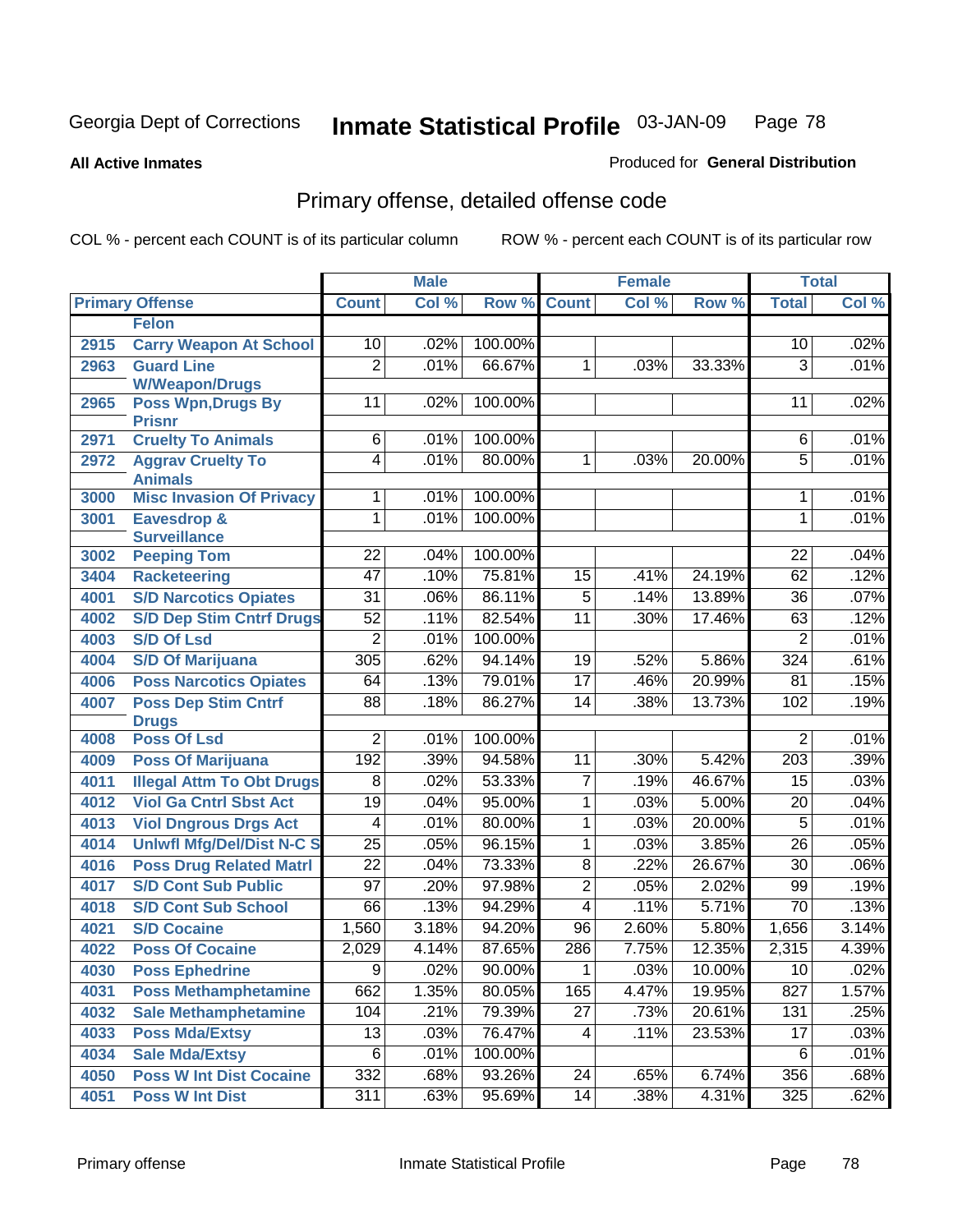**All Active Inmates**

### Produced for **General Distribution**

# Primary offense, detailed offense code

|      |                                            |                 | <b>Male</b> |         |                 | <b>Female</b> |        | <b>Total</b>    |       |
|------|--------------------------------------------|-----------------|-------------|---------|-----------------|---------------|--------|-----------------|-------|
|      | <b>Primary Offense</b>                     | <b>Count</b>    | Col %       |         | Row % Count     | Col %         | Row %  | <b>Total</b>    | Col % |
|      | <b>Felon</b>                               |                 |             |         |                 |               |        |                 |       |
| 2915 | <b>Carry Weapon At School</b>              | 10              | .02%        | 100.00% |                 |               |        | 10              | .02%  |
| 2963 | <b>Guard Line</b>                          | $\overline{2}$  | .01%        | 66.67%  | 1               | .03%          | 33.33% | 3               | .01%  |
|      | <b>W/Weapon/Drugs</b>                      |                 |             |         |                 |               |        |                 |       |
| 2965 | <b>Poss Wpn, Drugs By</b>                  | 11              | .02%        | 100.00% |                 |               |        | 11              | .02%  |
| 2971 | <b>Prisnr</b><br><b>Cruelty To Animals</b> | $6\overline{6}$ | .01%        | 100.00% |                 |               |        | 6               | .01%  |
| 2972 | <b>Aggrav Cruelty To</b>                   | $\overline{4}$  | .01%        | 80.00%  | $\overline{1}$  | .03%          | 20.00% | $\overline{5}$  | .01%  |
|      | <b>Animals</b>                             |                 |             |         |                 |               |        |                 |       |
| 3000 | <b>Misc Invasion Of Privacy</b>            | 1               | .01%        | 100.00% |                 |               |        | 1               | .01%  |
| 3001 | Eavesdrop &                                | 1               | .01%        | 100.00% |                 |               |        | 1               | .01%  |
|      | <b>Surveillance</b>                        |                 |             |         |                 |               |        |                 |       |
| 3002 | <b>Peeping Tom</b>                         | 22              | .04%        | 100.00% |                 |               |        | 22              | .04%  |
| 3404 | <b>Racketeering</b>                        | $\overline{47}$ | .10%        | 75.81%  | $\overline{15}$ | .41%          | 24.19% | 62              | .12%  |
| 4001 | <b>S/D Narcotics Opiates</b>               | $\overline{31}$ | .06%        | 86.11%  | $\overline{5}$  | .14%          | 13.89% | $\overline{36}$ | .07%  |
| 4002 | <b>S/D Dep Stim Cntrf Drugs</b>            | $\overline{52}$ | .11%        | 82.54%  | $\overline{11}$ | .30%          | 17.46% | 63              | .12%  |
| 4003 | <b>S/D Of Lsd</b>                          | $\overline{2}$  | .01%        | 100.00% |                 |               |        | $\overline{2}$  | .01%  |
| 4004 | <b>S/D Of Marijuana</b>                    | 305             | .62%        | 94.14%  | 19              | .52%          | 5.86%  | 324             | .61%  |
| 4006 | <b>Poss Narcotics Opiates</b>              | 64              | .13%        | 79.01%  | $\overline{17}$ | .46%          | 20.99% | 81              | .15%  |
| 4007 | <b>Poss Dep Stim Cntrf</b>                 | $\overline{88}$ | .18%        | 86.27%  | $\overline{14}$ | .38%          | 13.73% | 102             | .19%  |
|      | <b>Drugs</b>                               |                 |             |         |                 |               |        |                 |       |
| 4008 | <b>Poss Of Lsd</b>                         | $\overline{2}$  | .01%        | 100.00% |                 |               |        | 2               | .01%  |
| 4009 | <b>Poss Of Marijuana</b>                   | 192             | .39%        | 94.58%  | 11              | .30%          | 5.42%  | 203             | .39%  |
| 4011 | <b>Illegal Attm To Obt Drugs</b>           | $\overline{8}$  | .02%        | 53.33%  | $\overline{7}$  | .19%          | 46.67% | 15              | .03%  |
| 4012 | <b>Viol Ga Cntrl Sbst Act</b>              | $\overline{19}$ | .04%        | 95.00%  | 1               | .03%          | 5.00%  | 20              | .04%  |
| 4013 | <b>Viol Dngrous Drgs Act</b>               | 4               | .01%        | 80.00%  | 1               | .03%          | 20.00% | $\overline{5}$  | .01%  |
| 4014 | <b>Uniwfl Mfg/Del/Dist N-C S</b>           | $\overline{25}$ | .05%        | 96.15%  | 1               | .03%          | 3.85%  | 26              | .05%  |
| 4016 | <b>Poss Drug Related Matri</b>             | $\overline{22}$ | .04%        | 73.33%  | $\overline{8}$  | .22%          | 26.67% | $\overline{30}$ | .06%  |
| 4017 | <b>S/D Cont Sub Public</b>                 | $\overline{97}$ | .20%        | 97.98%  | $\overline{2}$  | .05%          | 2.02%  | 99              | .19%  |
| 4018 | <b>S/D Cont Sub School</b>                 | 66              | .13%        | 94.29%  | $\overline{4}$  | .11%          | 5.71%  | $\overline{70}$ | .13%  |
| 4021 | <b>S/D Cocaine</b>                         | 1,560           | 3.18%       | 94.20%  | 96              | 2.60%         | 5.80%  | 1,656           | 3.14% |
| 4022 | <b>Poss Of Cocaine</b>                     | 2,029           | 4.14%       | 87.65%  | 286             | 7.75%         | 12.35% | 2,315           | 4.39% |
| 4030 | <b>Poss Ephedrine</b>                      | $\overline{9}$  | .02%        | 90.00%  | $\overline{1}$  | .03%          | 10.00% | 10              | .02%  |
| 4031 | <b>Poss Methamphetamine</b>                | 662             | 1.35%       | 80.05%  | 165             | 4.47%         | 19.95% | 827             | 1.57% |
| 4032 | <b>Sale Methamphetamine</b>                | 104             | .21%        | 79.39%  | 27              | .73%          | 20.61% | 131             | .25%  |
| 4033 | <b>Poss Mda/Extsy</b>                      | 13              | .03%        | 76.47%  | $\overline{4}$  | .11%          | 23.53% | 17              | .03%  |
| 4034 | <b>Sale Mda/Extsy</b>                      | $\overline{6}$  | .01%        | 100.00% |                 |               |        | 6               | .01%  |
| 4050 | <b>Poss W Int Dist Cocaine</b>             | 332             | .68%        | 93.26%  | 24              | .65%          | 6.74%  | 356             | .68%  |
| 4051 | <b>Poss W Int Dist</b>                     | 311             | .63%        | 95.69%  | 14              | .38%          | 4.31%  | 325             | .62%  |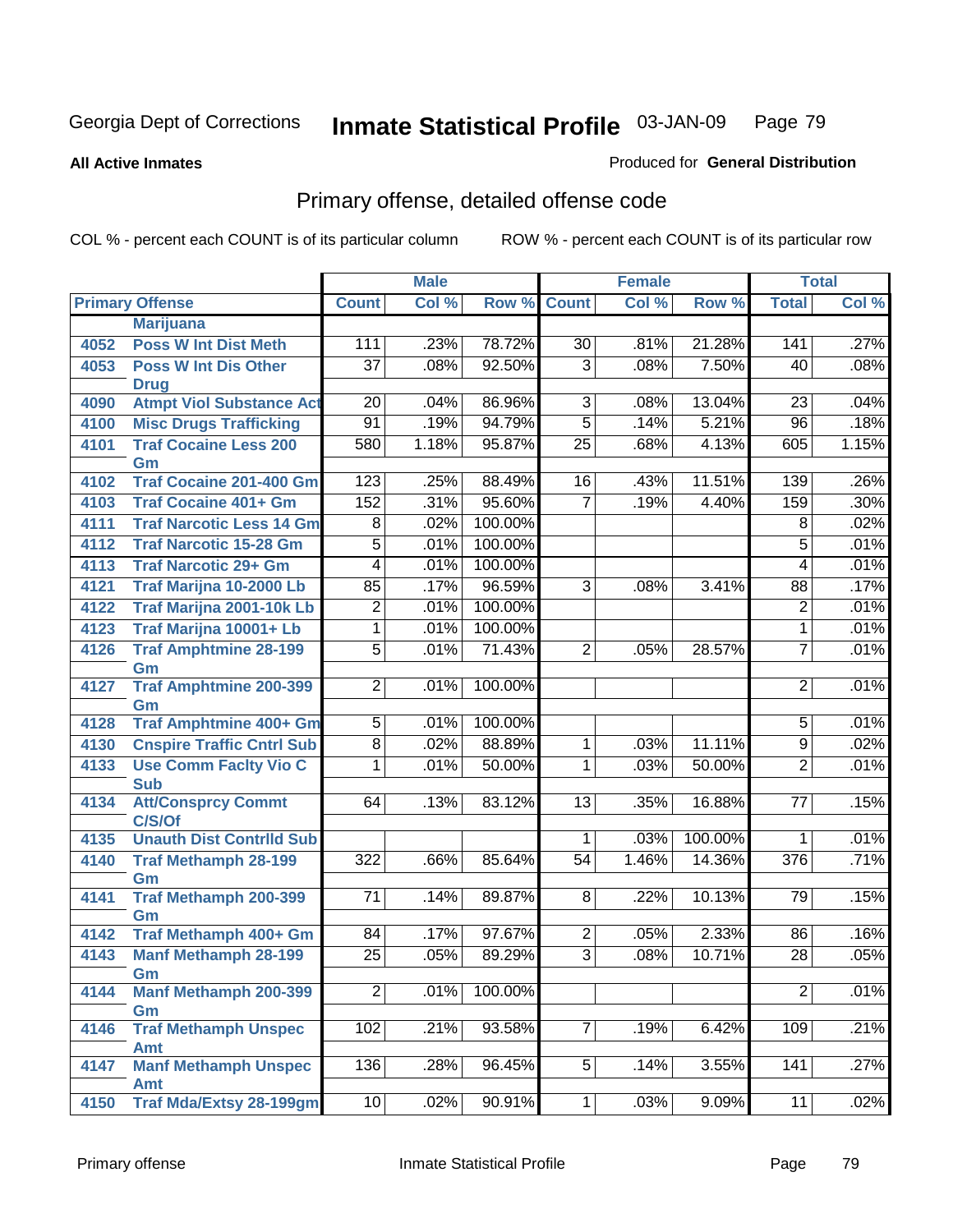**All Active Inmates**

#### Produced for **General Distribution**

# Primary offense, detailed offense code

|      |                                            |                  | <b>Male</b> |         |                 | <b>Female</b> |         | <b>Total</b>    |       |
|------|--------------------------------------------|------------------|-------------|---------|-----------------|---------------|---------|-----------------|-------|
|      | <b>Primary Offense</b>                     | <b>Count</b>     | Col %       | Row %   | <b>Count</b>    | Col %         | Row %   | <b>Total</b>    | Col % |
|      | <b>Marijuana</b>                           |                  |             |         |                 |               |         |                 |       |
| 4052 | <b>Poss W Int Dist Meth</b>                | 111              | .23%        | 78.72%  | 30              | .81%          | 21.28%  | 141             | .27%  |
| 4053 | <b>Poss W Int Dis Other</b>                | $\overline{37}$  | .08%        | 92.50%  | $\overline{3}$  | .08%          | 7.50%   | 40              | .08%  |
|      | <b>Drug</b>                                |                  |             |         |                 |               |         |                 |       |
| 4090 | <b>Atmpt Viol Substance Act</b>            | $\overline{20}$  | .04%        | 86.96%  | $\overline{3}$  | .08%          | 13.04%  | 23              | .04%  |
| 4100 | <b>Misc Drugs Trafficking</b>              | $\overline{91}$  | .19%        | 94.79%  | $\overline{5}$  | .14%          | 5.21%   | $\overline{96}$ | .18%  |
| 4101 | <b>Traf Cocaine Less 200</b>               | 580              | 1.18%       | 95.87%  | $\overline{25}$ | .68%          | 4.13%   | 605             | 1.15% |
|      | Gm                                         |                  |             |         |                 |               |         |                 |       |
| 4102 | <b>Traf Cocaine 201-400 Gm</b>             | 123              | .25%        | 88.49%  | 16              | .43%          | 11.51%  | 139             | .26%  |
| 4103 | <b>Traf Cocaine 401+ Gm</b>                | 152              | .31%        | 95.60%  | $\overline{7}$  | .19%          | 4.40%   | 159             | .30%  |
| 4111 | <b>Traf Narcotic Less 14 Gm</b>            | $\overline{8}$   | .02%        | 100.00% |                 |               |         | $\overline{8}$  | .02%  |
| 4112 | <b>Traf Narcotic 15-28 Gm</b>              | $\overline{5}$   | .01%        | 100.00% |                 |               |         | $\overline{5}$  | .01%  |
| 4113 | <b>Traf Narcotic 29+ Gm</b>                | $\overline{4}$   | .01%        | 100.00% |                 |               |         | 4               | .01%  |
| 4121 | Traf Marijna 10-2000 Lb                    | 85               | .17%        | 96.59%  | $\overline{3}$  | .08%          | 3.41%   | 88              | .17%  |
| 4122 | Traf Marijna 2001-10k Lb                   | $\overline{2}$   | .01%        | 100.00% |                 |               |         | $\overline{2}$  | .01%  |
| 4123 | Traf Marijna 10001+ Lb                     | $\overline{1}$   | .01%        | 100.00% |                 |               |         | 1               | .01%  |
| 4126 | <b>Traf Amphtmine 28-199</b>               | $\overline{5}$   | .01%        | 71.43%  | $\overline{2}$  | .05%          | 28.57%  | $\overline{7}$  | .01%  |
|      | Gm                                         |                  |             |         |                 |               |         |                 |       |
| 4127 | <b>Traf Amphtmine 200-399</b>              | $\overline{2}$   | .01%        | 100.00% |                 |               |         | $\overline{2}$  | .01%  |
| 4128 | Gm<br>Traf Amphtmine 400+ Gm               | $\overline{5}$   | .01%        | 100.00% |                 |               |         | $\overline{5}$  | .01%  |
|      |                                            | $\overline{8}$   | .02%        | 88.89%  |                 | .03%          | 11.11%  | $\overline{9}$  | .02%  |
| 4130 | <b>Cnspire Traffic Cntrl Sub</b>           |                  |             |         | $\mathbf 1$     |               |         |                 |       |
| 4133 | <b>Use Comm Facity Vio C</b><br><b>Sub</b> | 1                | .01%        | 50.00%  | 1               | .03%          | 50.00%  | $\overline{2}$  | .01%  |
| 4134 | <b>Att/Consprcy Commt</b>                  | 64               | .13%        | 83.12%  | 13              | .35%          | 16.88%  | $\overline{77}$ | .15%  |
|      | C/S/Of                                     |                  |             |         |                 |               |         |                 |       |
| 4135 | <b>Unauth Dist Contrild Sub</b>            |                  |             |         | $\mathbf 1$     | .03%          | 100.00% | 1               | .01%  |
| 4140 | <b>Traf Methamph 28-199</b>                | $\overline{322}$ | .66%        | 85.64%  | 54              | 1.46%         | 14.36%  | 376             | .71%  |
|      | Gm                                         |                  |             |         |                 |               |         |                 |       |
| 4141 | <b>Traf Methamph 200-399</b>               | $\overline{71}$  | .14%        | 89.87%  | 8               | .22%          | 10.13%  | 79              | .15%  |
|      | Gm                                         |                  |             |         |                 |               |         |                 |       |
| 4142 | Traf Methamph 400+ Gm                      | 84               | .17%        | 97.67%  | $\overline{2}$  | .05%          | 2.33%   | 86              | .16%  |
| 4143 | <b>Manf Methamph 28-199</b>                | $\overline{25}$  | .05%        | 89.29%  | $\overline{3}$  | .08%          | 10.71%  | $\overline{28}$ | .05%  |
|      | Gm                                         | $\overline{2}$   |             | 100.00% |                 |               |         | $\overline{2}$  | .01%  |
| 4144 | <b>Manf Methamph 200-399</b><br>Gm         |                  | .01%        |         |                 |               |         |                 |       |
| 4146 | <b>Traf Methamph Unspec</b>                | 102              | .21%        | 93.58%  | $\overline{7}$  | .19%          | 6.42%   | 109             | .21%  |
|      | Amt                                        |                  |             |         |                 |               |         |                 |       |
| 4147 | <b>Manf Methamph Unspec</b>                | 136              | .28%        | 96.45%  | 5 <sup>2</sup>  | .14%          | 3.55%   | 141             | .27%  |
|      | <b>Amt</b>                                 |                  |             |         |                 |               |         |                 |       |
| 4150 | <b>Traf Mda/Extsy 28-199gm</b>             | 10               | .02%        | 90.91%  | 1 <sup>1</sup>  | .03%          | 9.09%   | $\overline{11}$ | .02%  |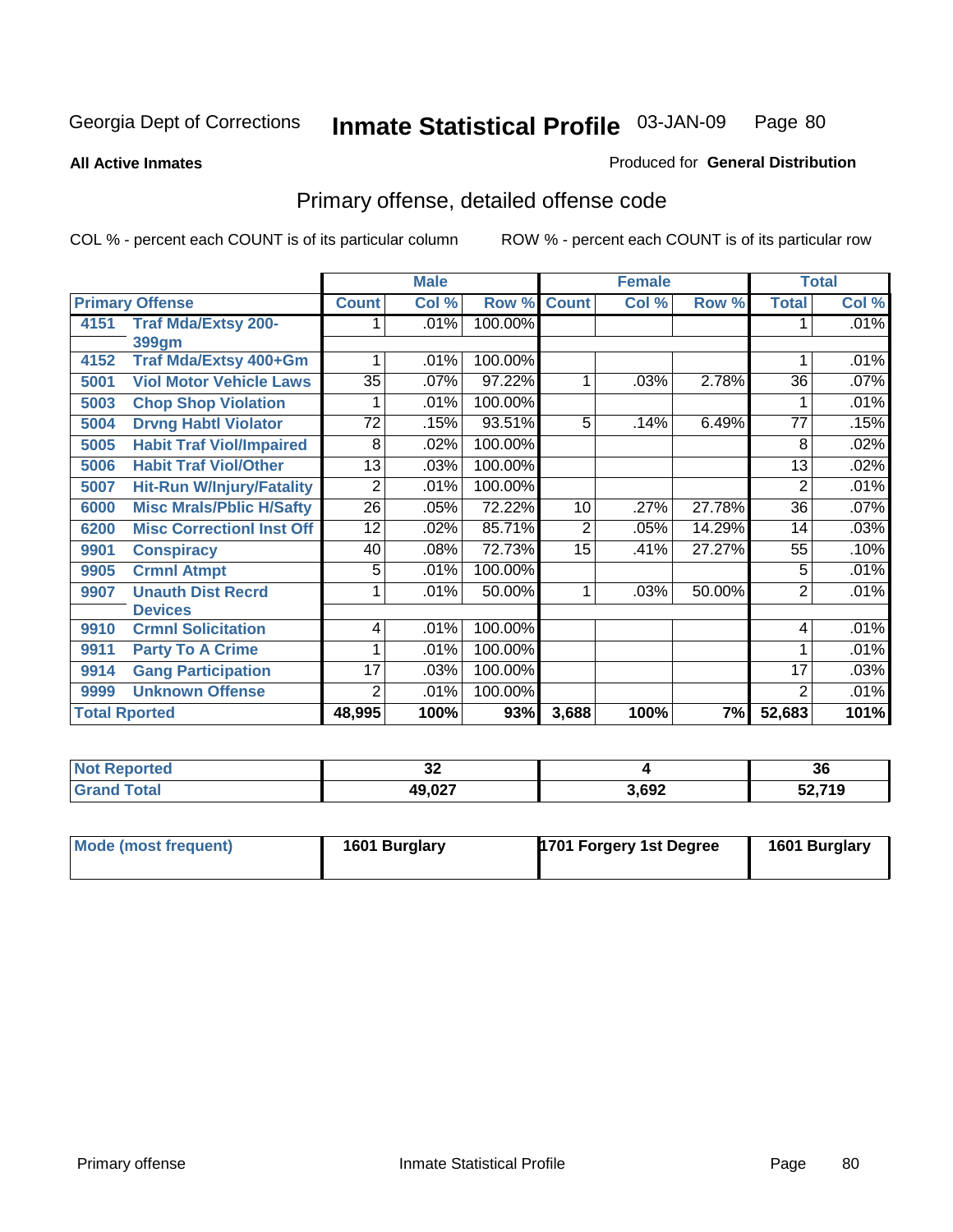**All Active Inmates**

#### Produced for **General Distribution**

# Primary offense, detailed offense code

|      |                                  | <b>Male</b>     |       |         | <b>Female</b>  |       |        | <b>Total</b>    |       |
|------|----------------------------------|-----------------|-------|---------|----------------|-------|--------|-----------------|-------|
|      | <b>Primary Offense</b>           | <b>Count</b>    | Col % | Row %   | <b>Count</b>   | Col % | Row %  | <b>Total</b>    | Col % |
| 4151 | <b>Traf Mda/Extsy 200-</b>       |                 | .01%  | 100.00% |                |       |        | 1               | .01%  |
|      | <b>399gm</b>                     |                 |       |         |                |       |        |                 |       |
| 4152 | Traf Mda/Extsy 400+Gm            |                 | .01%  | 100.00% |                |       |        |                 | .01%  |
| 5001 | <b>Viol Motor Vehicle Laws</b>   | $\overline{35}$ | .07%  | 97.22%  | 1              | .03%  | 2.78%  | 36              | .07%  |
| 5003 | <b>Chop Shop Violation</b>       |                 | .01%  | 100.00% |                |       |        |                 | .01%  |
| 5004 | <b>Drvng Habtl Violator</b>      | $\overline{72}$ | .15%  | 93.51%  | $\overline{5}$ | .14%  | 6.49%  | $\overline{77}$ | .15%  |
| 5005 | <b>Habit Traf Viol/Impaired</b>  | 8               | .02%  | 100.00% |                |       |        | 8               | .02%  |
| 5006 | <b>Habit Traf Viol/Other</b>     | 13              | .03%  | 100.00% |                |       |        | 13              | .02%  |
| 5007 | <b>Hit-Run W/Injury/Fatality</b> | $\overline{2}$  | .01%  | 100.00% |                |       |        | $\overline{2}$  | .01%  |
| 6000 | <b>Misc Mrals/Pblic H/Safty</b>  | $\overline{26}$ | .05%  | 72.22%  | 10             | .27%  | 27.78% | 36              | .07%  |
| 6200 | <b>Misc CorrectionI Inst Off</b> | 12              | .02%  | 85.71%  | 2              | .05%  | 14.29% | 14              | .03%  |
| 9901 | <b>Conspiracy</b>                | 40              | .08%  | 72.73%  | 15             | .41%  | 27.27% | 55              | .10%  |
| 9905 | <b>Crmnl Atmpt</b>               | 5               | .01%  | 100.00% |                |       |        | 5               | .01%  |
| 9907 | <b>Unauth Dist Recrd</b>         |                 | .01%  | 50.00%  | 1              | .03%  | 50.00% | $\overline{2}$  | .01%  |
|      | <b>Devices</b>                   |                 |       |         |                |       |        |                 |       |
| 9910 | <b>Crmnl Solicitation</b>        | 4               | .01%  | 100.00% |                |       |        | 4               | .01%  |
| 9911 | <b>Party To A Crime</b>          |                 | .01%  | 100.00% |                |       |        | 1               | .01%  |
| 9914 | <b>Gang Participation</b>        | 17              | .03%  | 100.00% |                |       |        | 17              | .03%  |
| 9999 | <b>Unknown Offense</b>           | $\overline{2}$  | .01%  | 100.00% |                |       |        | $\overline{2}$  | .01%  |
|      | <b>Total Rported</b>             |                 | 100%  | 93%     | 3,688          | 100%  | 7%     | 52,683          | 101%  |

| <b>No</b><br>Reported | $\sim$<br>◡▵   |       | 36     |
|-----------------------|----------------|-------|--------|
| <b>Total</b>          | <b>49 027</b>  | 3,692 | 52,719 |
| Gra                   | 49.UZ <i>i</i> |       | JZ,    |

| Mode (most frequent) | 1601 Burglary | 1701 Forgery 1st Degree | 1601 Burglary |
|----------------------|---------------|-------------------------|---------------|
|----------------------|---------------|-------------------------|---------------|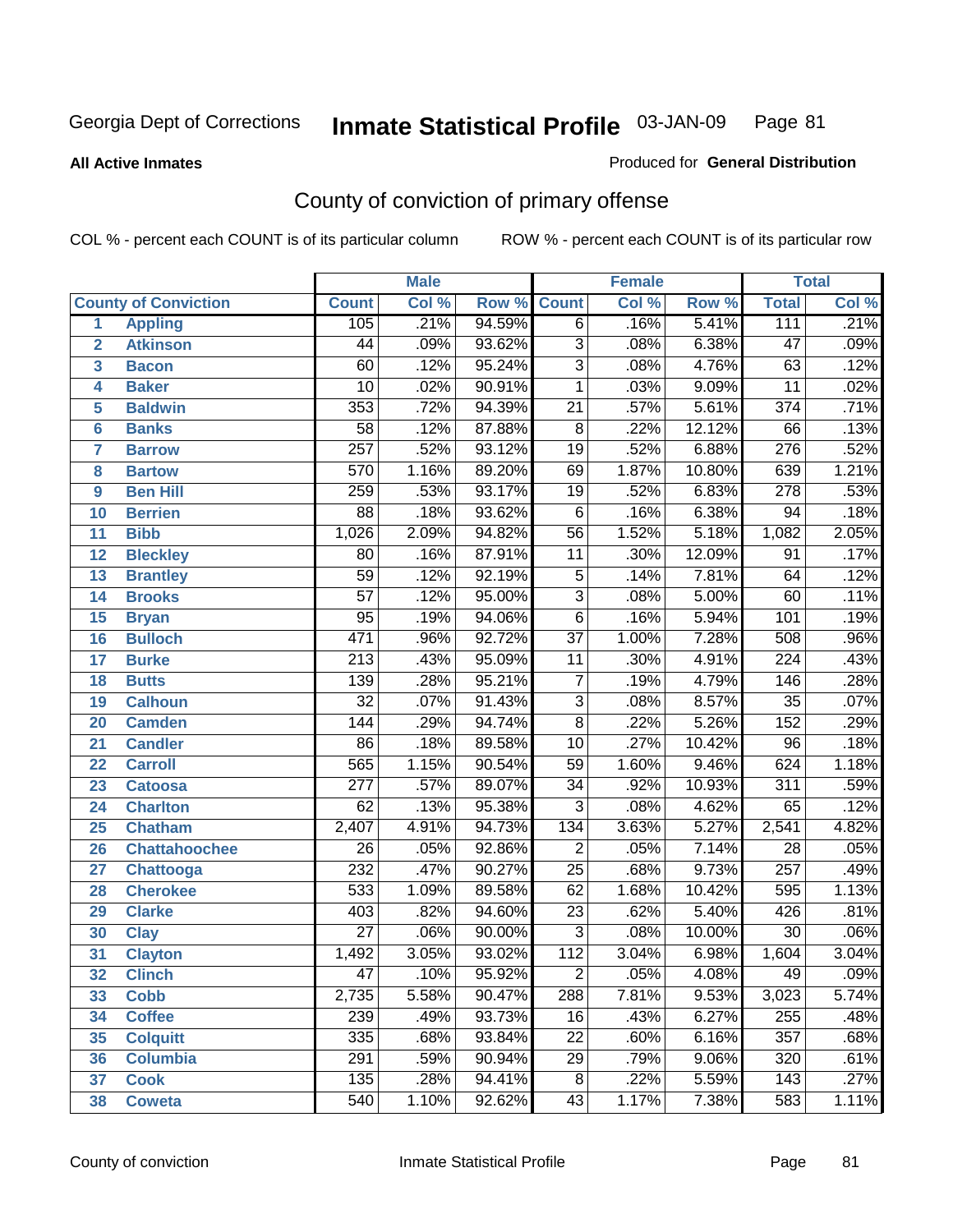**All Active Inmates**

#### Produced for **General Distribution**

# County of conviction of primary offense

|                         |                             |                  | <b>Male</b> |        | <b>Female</b>   |       |        | <b>Total</b>     |       |
|-------------------------|-----------------------------|------------------|-------------|--------|-----------------|-------|--------|------------------|-------|
|                         | <b>County of Conviction</b> | <b>Count</b>     | Col %       | Row %  | <b>Count</b>    | Col % | Row %  | <b>Total</b>     | Col % |
| 1                       | <b>Appling</b>              | 105              | .21%        | 94.59% | $\overline{6}$  | .16%  | 5.41%  | 111              | .21%  |
| $\overline{2}$          | <b>Atkinson</b>             | 44               | .09%        | 93.62% | $\overline{3}$  | .08%  | 6.38%  | $\overline{47}$  | .09%  |
| $\overline{\mathbf{3}}$ | <b>Bacon</b>                | 60               | .12%        | 95.24% | $\overline{3}$  | .08%  | 4.76%  | 63               | .12%  |
| 4                       | <b>Baker</b>                | $\overline{10}$  | .02%        | 90.91% | $\mathbf 1$     | .03%  | 9.09%  | $\overline{11}$  | .02%  |
| 5                       | <b>Baldwin</b>              | 353              | .72%        | 94.39% | $\overline{21}$ | .57%  | 5.61%  | $\overline{374}$ | .71%  |
| 6                       | <b>Banks</b>                | $\overline{58}$  | .12%        | 87.88% | $\overline{8}$  | .22%  | 12.12% | 66               | .13%  |
| 7                       | <b>Barrow</b>               | $\overline{257}$ | .52%        | 93.12% | 19              | .52%  | 6.88%  | 276              | .52%  |
| 8                       | <b>Bartow</b>               | $\overline{570}$ | 1.16%       | 89.20% | 69              | 1.87% | 10.80% | 639              | 1.21% |
| 9                       | <b>Ben Hill</b>             | 259              | .53%        | 93.17% | $\overline{19}$ | .52%  | 6.83%  | 278              | .53%  |
| 10                      | <b>Berrien</b>              | 88               | .18%        | 93.62% | $\overline{6}$  | .16%  | 6.38%  | $\overline{94}$  | .18%  |
| 11                      | <b>Bibb</b>                 | 1,026            | 2.09%       | 94.82% | $\overline{56}$ | 1.52% | 5.18%  | 1,082            | 2.05% |
| 12                      | <b>Bleckley</b>             | 80               | .16%        | 87.91% | 11              | .30%  | 12.09% | $\overline{91}$  | .17%  |
| $\overline{13}$         | <b>Brantley</b>             | $\overline{59}$  | .12%        | 92.19% | $\overline{5}$  | .14%  | 7.81%  | 64               | .12%  |
| 14                      | <b>Brooks</b>               | $\overline{57}$  | .12%        | 95.00% | $\overline{3}$  | .08%  | 5.00%  | 60               | .11%  |
| 15                      | <b>Bryan</b>                | $\overline{95}$  | .19%        | 94.06% | $\overline{6}$  | .16%  | 5.94%  | 101              | .19%  |
| 16                      | <b>Bulloch</b>              | 471              | .96%        | 92.72% | $\overline{37}$ | 1.00% | 7.28%  | 508              | .96%  |
| 17                      | <b>Burke</b>                | $\overline{213}$ | .43%        | 95.09% | $\overline{11}$ | .30%  | 4.91%  | $\overline{224}$ | .43%  |
| 18                      | <b>Butts</b>                | 139              | .28%        | 95.21% | $\overline{7}$  | .19%  | 4.79%  | 146              | .28%  |
| 19                      | <b>Calhoun</b>              | $\overline{32}$  | .07%        | 91.43% | $\overline{3}$  | .08%  | 8.57%  | $\overline{35}$  | .07%  |
| 20                      | <b>Camden</b>               | 144              | .29%        | 94.74% | $\overline{8}$  | .22%  | 5.26%  | 152              | .29%  |
| 21                      | <b>Candler</b>              | $\overline{86}$  | .18%        | 89.58% | $\overline{10}$ | .27%  | 10.42% | $\overline{96}$  | .18%  |
| 22                      | <b>Carroll</b>              | 565              | 1.15%       | 90.54% | $\overline{59}$ | 1.60% | 9.46%  | 624              | 1.18% |
| 23                      | <b>Catoosa</b>              | $\overline{277}$ | .57%        | 89.07% | $\overline{34}$ | .92%  | 10.93% | $\overline{311}$ | .59%  |
| 24                      | <b>Charlton</b>             | 62               | .13%        | 95.38% | $\overline{3}$  | .08%  | 4.62%  | 65               | .12%  |
| 25                      | <b>Chatham</b>              | 2,407            | 4.91%       | 94.73% | 134             | 3.63% | 5.27%  | 2,541            | 4.82% |
| 26                      | <b>Chattahoochee</b>        | $\overline{26}$  | .05%        | 92.86% | $\overline{2}$  | .05%  | 7.14%  | $\overline{28}$  | .05%  |
| 27                      | <b>Chattooga</b>            | 232              | .47%        | 90.27% | $\overline{25}$ | .68%  | 9.73%  | $\overline{257}$ | .49%  |
| 28                      | <b>Cherokee</b>             | 533              | 1.09%       | 89.58% | 62              | 1.68% | 10.42% | 595              | 1.13% |
| 29                      | <b>Clarke</b>               | 403              | .82%        | 94.60% | $\overline{23}$ | .62%  | 5.40%  | 426              | .81%  |
| 30                      | <b>Clay</b>                 | $\overline{27}$  | .06%        | 90.00% | $\overline{3}$  | .08%  | 10.00% | $\overline{30}$  | .06%  |
| 31                      | <b>Clayton</b>              | 1,492            | 3.05%       | 93.02% | 112             | 3.04% | 6.98%  | 1,604            | 3.04% |
| 32                      | <b>Clinch</b>               | 47               | .10%        | 95.92% | $\mathbf{2}$    | .05%  | 4.08%  | 49               | .09%  |
| 33                      | <b>Cobb</b>                 | 2,735            | 5.58%       | 90.47% | 288             | 7.81% | 9.53%  | 3,023            | 5.74% |
| 34                      | <b>Coffee</b>               | 239              | .49%        | 93.73% | 16              | .43%  | 6.27%  | 255              | .48%  |
| 35                      | <b>Colquitt</b>             | 335              | .68%        | 93.84% | 22              | .60%  | 6.16%  | 357              | .68%  |
| 36                      | <b>Columbia</b>             | 291              | .59%        | 90.94% | 29              | .79%  | 9.06%  | 320              | .61%  |
| 37                      | <b>Cook</b>                 | 135              | .28%        | 94.41% | 8               | .22%  | 5.59%  | 143              | .27%  |
| 38                      | <b>Coweta</b>               | 540              | 1.10%       | 92.62% | 43              | 1.17% | 7.38%  | 583              | 1.11% |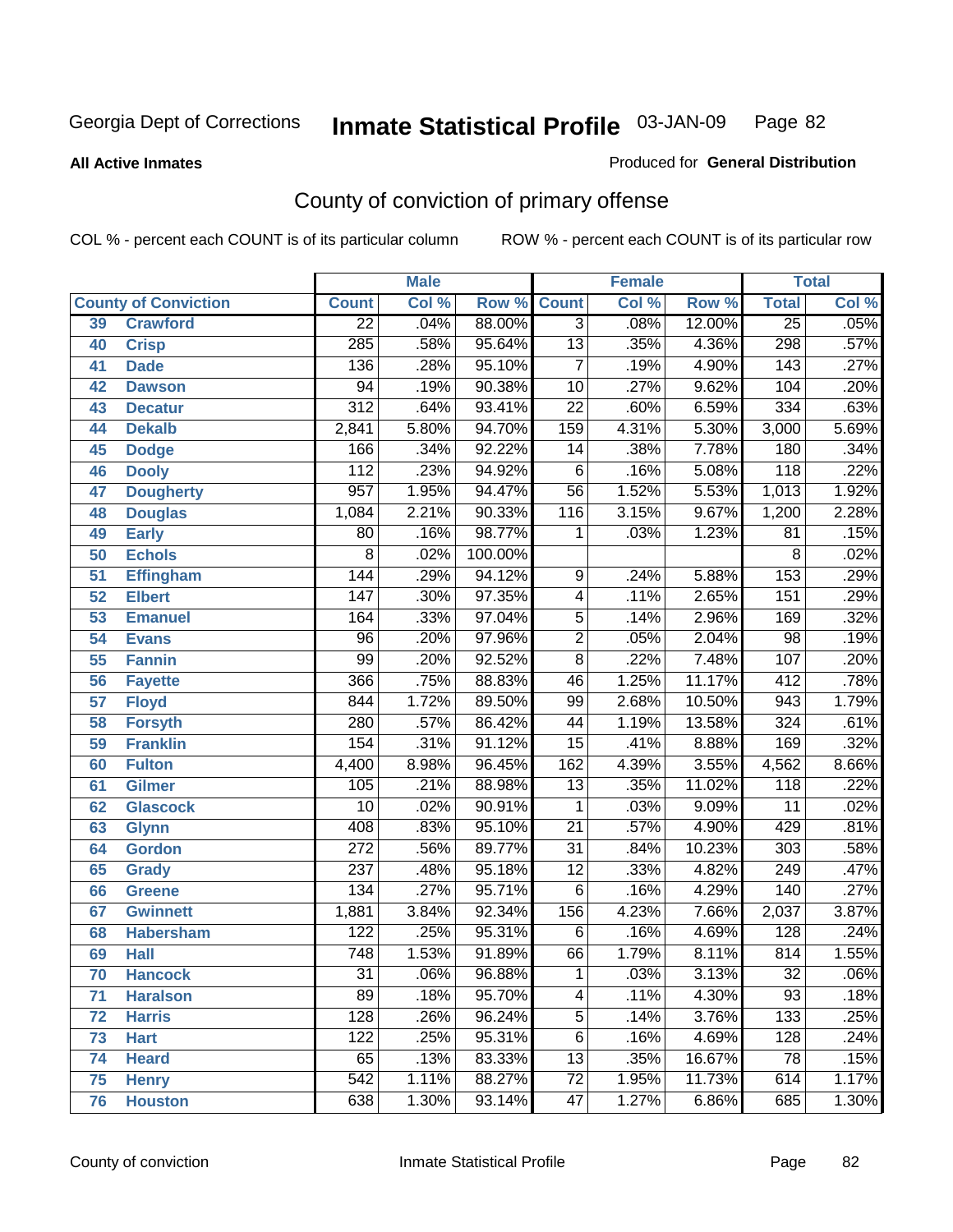#### **All Active Inmates**

#### Produced for **General Distribution**

# County of conviction of primary offense

|                 |                             |                  | <b>Male</b> |         | <b>Female</b>    |       |        | <b>Total</b>     |       |  |
|-----------------|-----------------------------|------------------|-------------|---------|------------------|-------|--------|------------------|-------|--|
|                 | <b>County of Conviction</b> | <b>Count</b>     | Col %       | Row %   | <b>Count</b>     | Col % | Row %  | <b>Total</b>     | Col % |  |
| 39              | <b>Crawford</b>             | $\overline{22}$  | .04%        | 88.00%  | $\overline{3}$   | .08%  | 12.00% | $\overline{25}$  | .05%  |  |
| 40              | <b>Crisp</b>                | $\overline{285}$ | .58%        | 95.64%  | $\overline{13}$  | .35%  | 4.36%  | 298              | .57%  |  |
| 41              | <b>Dade</b>                 | 136              | .28%        | 95.10%  | $\overline{7}$   | .19%  | 4.90%  | 143              | .27%  |  |
| 42              | <b>Dawson</b>               | 94               | .19%        | 90.38%  | $\overline{10}$  | .27%  | 9.62%  | 104              | .20%  |  |
| 43              | <b>Decatur</b>              | $\overline{312}$ | .64%        | 93.41%  | $\overline{22}$  | .60%  | 6.59%  | 334              | .63%  |  |
| 44              | <b>Dekalb</b>               | 2,841            | 5.80%       | 94.70%  | 159              | 4.31% | 5.30%  | 3,000            | 5.69% |  |
| 45              | <b>Dodge</b>                | 166              | .34%        | 92.22%  | 14               | .38%  | 7.78%  | $\overline{180}$ | .34%  |  |
| 46              | <b>Dooly</b>                | 112              | .23%        | 94.92%  | $\overline{6}$   | .16%  | 5.08%  | $\overline{118}$ | .22%  |  |
| 47              | <b>Dougherty</b>            | $\overline{957}$ | 1.95%       | 94.47%  | $\overline{56}$  | 1.52% | 5.53%  | 1,013            | 1.92% |  |
| 48              | <b>Douglas</b>              | 1,084            | 2.21%       | 90.33%  | 116              | 3.15% | 9.67%  | 1,200            | 2.28% |  |
| 49              | <b>Early</b>                | 80               | .16%        | 98.77%  | 1                | .03%  | 1.23%  | 81               | .15%  |  |
| 50              | <b>Echols</b>               | $\overline{8}$   | .02%        | 100.00% |                  |       |        | 8                | .02%  |  |
| $\overline{51}$ | <b>Effingham</b>            | 144              | .29%        | 94.12%  | $\overline{9}$   | .24%  | 5.88%  | 153              | .29%  |  |
| 52              | <b>Elbert</b>               | $\overline{147}$ | .30%        | 97.35%  | $\overline{4}$   | .11%  | 2.65%  | $\overline{151}$ | .29%  |  |
| 53              | <b>Emanuel</b>              | 164              | .33%        | 97.04%  | $\overline{5}$   | .14%  | 2.96%  | 169              | .32%  |  |
| $\overline{54}$ | <b>Evans</b>                | $\overline{96}$  | .20%        | 97.96%  | $\overline{2}$   | .05%  | 2.04%  | $\overline{98}$  | .19%  |  |
| 55              | <b>Fannin</b>               | 99               | .20%        | 92.52%  | $\overline{8}$   | .22%  | 7.48%  | 107              | .20%  |  |
| 56              | <b>Fayette</b>              | 366              | .75%        | 88.83%  | 46               | 1.25% | 11.17% | 412              | .78%  |  |
| 57              | <b>Floyd</b>                | 844              | 1.72%       | 89.50%  | 99               | 2.68% | 10.50% | 943              | 1.79% |  |
| 58              | <b>Forsyth</b>              | 280              | .57%        | 86.42%  | $\overline{44}$  | 1.19% | 13.58% | 324              | .61%  |  |
| 59              | <b>Franklin</b>             | 154              | .31%        | 91.12%  | $\overline{15}$  | .41%  | 8.88%  | 169              | .32%  |  |
| 60              | <b>Fulton</b>               | 4,400            | 8.98%       | 96.45%  | $\overline{162}$ | 4.39% | 3.55%  | 4,562            | 8.66% |  |
| 61              | Gilmer                      | 105              | .21%        | 88.98%  | $\overline{13}$  | .35%  | 11.02% | $\overline{118}$ | .22%  |  |
| 62              | <b>Glascock</b>             | $\overline{10}$  | .02%        | 90.91%  | $\mathbf{1}$     | .03%  | 9.09%  | $\overline{11}$  | .02%  |  |
| 63              | <b>Glynn</b>                | 408              | .83%        | 95.10%  | $\overline{21}$  | .57%  | 4.90%  | 429              | .81%  |  |
| 64              | <b>Gordon</b>               | $\overline{272}$ | .56%        | 89.77%  | $\overline{31}$  | .84%  | 10.23% | $\overline{303}$ | .58%  |  |
| 65              | <b>Grady</b>                | 237              | .48%        | 95.18%  | $\overline{12}$  | .33%  | 4.82%  | 249              | .47%  |  |
| 66              | <b>Greene</b>               | 134              | .27%        | 95.71%  | $\overline{6}$   | .16%  | 4.29%  | 140              | .27%  |  |
| 67              | <b>Gwinnett</b>             | 1,881            | 3.84%       | 92.34%  | 156              | 4.23% | 7.66%  | 2,037            | 3.87% |  |
| 68              | <b>Habersham</b>            | $\overline{122}$ | .25%        | 95.31%  | $\overline{6}$   | .16%  | 4.69%  | $\overline{128}$ | .24%  |  |
| 69              | <b>Hall</b>                 | 748              | 1.53%       | 91.89%  | 66               | 1.79% | 8.11%  | 814              | 1.55% |  |
| 70              | <b>Hancock</b>              | 31               | .06%        | 96.88%  | 1                | .03%  | 3.13%  | 32               | .06%  |  |
| 71              | <b>Haralson</b>             | 89               | .18%        | 95.70%  | 4                | .11%  | 4.30%  | $\overline{93}$  | .18%  |  |
| 72              | <b>Harris</b>               | 128              | .26%        | 96.24%  | $\overline{5}$   | .14%  | 3.76%  | 133              | .25%  |  |
| 73              | <b>Hart</b>                 | 122              | .25%        | 95.31%  | $\overline{6}$   | .16%  | 4.69%  | 128              | .24%  |  |
| 74              | <b>Heard</b>                | 65               | .13%        | 83.33%  | $\overline{13}$  | .35%  | 16.67% | 78               | .15%  |  |
| 75              | <b>Henry</b>                | $\overline{542}$ | 1.11%       | 88.27%  | $\overline{72}$  | 1.95% | 11.73% | 614              | 1.17% |  |
| 76              | <b>Houston</b>              | 638              | 1.30%       | 93.14%  | $\overline{47}$  | 1.27% | 6.86%  | 685              | 1.30% |  |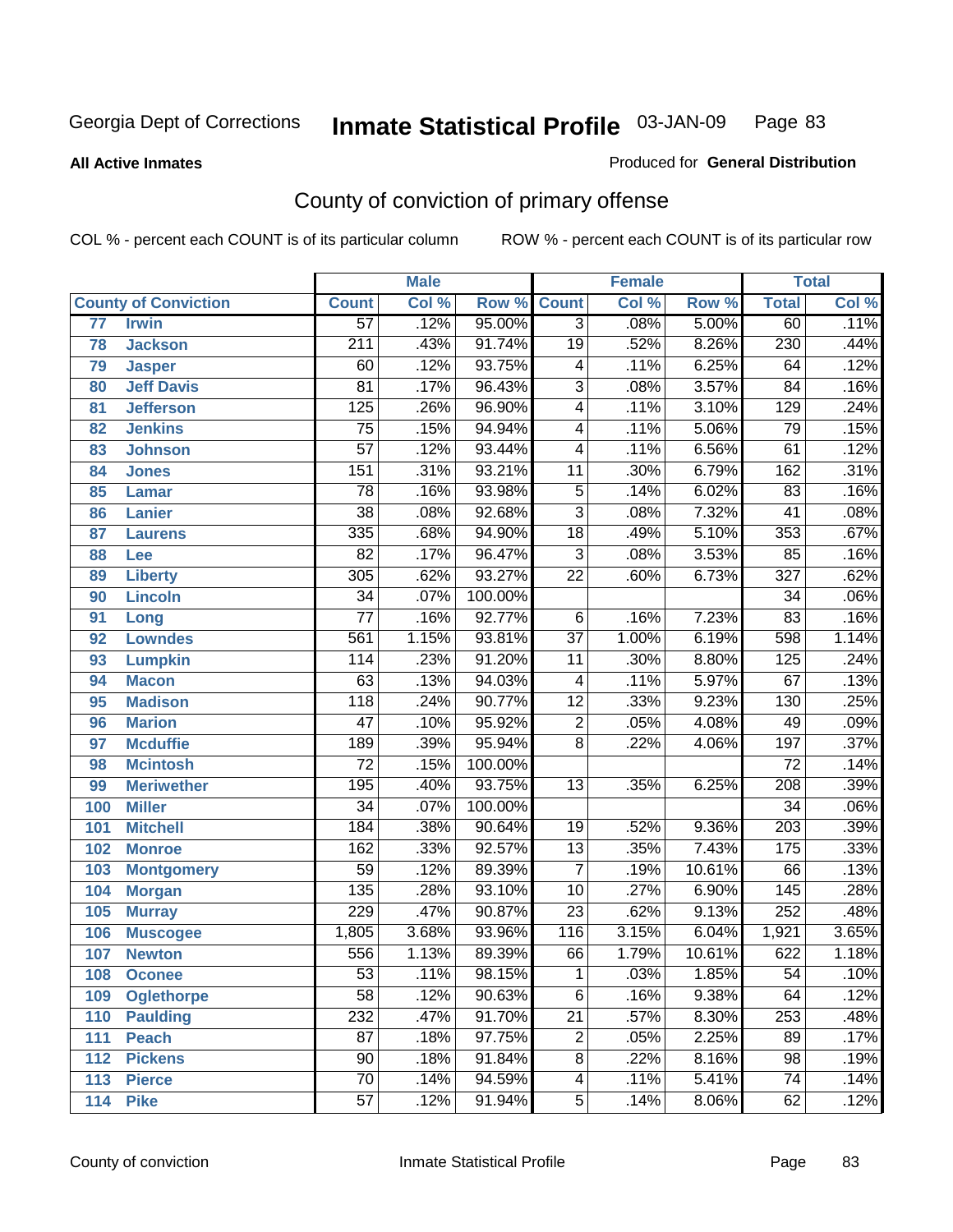#### **All Active Inmates**

#### Produced for **General Distribution**

# County of conviction of primary offense

|     |                             |                  | <b>Male</b> |         |                          | <b>Female</b> |        |                  | <b>Total</b> |
|-----|-----------------------------|------------------|-------------|---------|--------------------------|---------------|--------|------------------|--------------|
|     | <b>County of Conviction</b> | <b>Count</b>     | Col %       | Row %   | <b>Count</b>             | Col %         | Row %  | <b>Total</b>     | Col %        |
| 77  | <b>Irwin</b>                | $\overline{57}$  | .12%        | 95.00%  | $\overline{3}$           | .08%          | 5.00%  | 60               | .11%         |
| 78  | <b>Jackson</b>              | $\overline{211}$ | .43%        | 91.74%  | $\overline{19}$          | .52%          | 8.26%  | 230              | .44%         |
| 79  | <b>Jasper</b>               | 60               | .12%        | 93.75%  | 4                        | .11%          | 6.25%  | 64               | .12%         |
| 80  | <b>Jeff Davis</b>           | $\overline{81}$  | .17%        | 96.43%  | $\overline{3}$           | .08%          | 3.57%  | $\overline{84}$  | .16%         |
| 81  | <b>Jefferson</b>            | 125              | .26%        | 96.90%  | $\overline{4}$           | .11%          | 3.10%  | 129              | .24%         |
| 82  | <b>Jenkins</b>              | $\overline{75}$  | .15%        | 94.94%  | $\overline{\mathbf{4}}$  | .11%          | 5.06%  | 79               | .15%         |
| 83  | <b>Johnson</b>              | $\overline{57}$  | .12%        | 93.44%  | $\overline{\mathcal{A}}$ | .11%          | 6.56%  | 61               | .12%         |
| 84  | <b>Jones</b>                | 151              | .31%        | 93.21%  | 11                       | .30%          | 6.79%  | 162              | .31%         |
| 85  | <b>Lamar</b>                | $\overline{78}$  | .16%        | 93.98%  | $\overline{5}$           | .14%          | 6.02%  | 83               | .16%         |
| 86  | <b>Lanier</b>               | $\overline{38}$  | .08%        | 92.68%  | $\overline{3}$           | .08%          | 7.32%  | $\overline{41}$  | .08%         |
| 87  | <b>Laurens</b>              | $\frac{1}{335}$  | .68%        | 94.90%  | $\overline{18}$          | .49%          | 5.10%  | 353              | .67%         |
| 88  | Lee                         | $\overline{82}$  | .17%        | 96.47%  | $\overline{3}$           | .08%          | 3.53%  | 85               | .16%         |
| 89  | <b>Liberty</b>              | $\overline{305}$ | .62%        | 93.27%  | $\overline{22}$          | .60%          | 6.73%  | $\overline{327}$ | .62%         |
| 90  | <b>Lincoln</b>              | $\overline{34}$  | .07%        | 100.00% |                          |               |        | $\overline{34}$  | .06%         |
| 91  | Long                        | $\overline{77}$  | .16%        | 92.77%  | 6                        | .16%          | 7.23%  | 83               | .16%         |
| 92  | <b>Lowndes</b>              | 561              | 1.15%       | 93.81%  | $\overline{37}$          | 1.00%         | 6.19%  | 598              | 1.14%        |
| 93  | <b>Lumpkin</b>              | 114              | .23%        | 91.20%  | 11                       | .30%          | 8.80%  | 125              | .24%         |
| 94  | <b>Macon</b>                | 63               | .13%        | 94.03%  | $\overline{\mathcal{A}}$ | .11%          | 5.97%  | 67               | .13%         |
| 95  | <b>Madison</b>              | $\overline{118}$ | .24%        | 90.77%  | $\overline{12}$          | .33%          | 9.23%  | 130              | .25%         |
| 96  | <b>Marion</b>               | $\overline{47}$  | .10%        | 95.92%  | $\overline{2}$           | .05%          | 4.08%  | 49               | .09%         |
| 97  | <b>Mcduffie</b>             | 189              | .39%        | 95.94%  | $\overline{8}$           | .22%          | 4.06%  | 197              | .37%         |
| 98  | <b>Mcintosh</b>             | $\overline{72}$  | .15%        | 100.00% |                          |               |        | $\overline{72}$  | .14%         |
| 99  | <b>Meriwether</b>           | 195              | .40%        | 93.75%  | $\overline{13}$          | .35%          | 6.25%  | $\overline{208}$ | .39%         |
| 100 | <b>Miller</b>               | $\overline{34}$  | .07%        | 100.00% |                          |               |        | $\overline{34}$  | .06%         |
| 101 | <b>Mitchell</b>             | 184              | .38%        | 90.64%  | 19                       | .52%          | 9.36%  | $\overline{203}$ | .39%         |
| 102 | <b>Monroe</b>               | 162              | .33%        | 92.57%  | $\overline{13}$          | .35%          | 7.43%  | 175              | .33%         |
| 103 | <b>Montgomery</b>           | $\overline{59}$  | .12%        | 89.39%  | $\overline{7}$           | .19%          | 10.61% | 66               | .13%         |
| 104 | <b>Morgan</b>               | 135              | .28%        | 93.10%  | 10                       | .27%          | 6.90%  | $\overline{145}$ | .28%         |
| 105 | <b>Murray</b>               | 229              | .47%        | 90.87%  | $\overline{23}$          | .62%          | 9.13%  | 252              | .48%         |
| 106 | <b>Muscogee</b>             | 1,805            | 3.68%       | 93.96%  | 116                      | 3.15%         | 6.04%  | 1,921            | 3.65%        |
| 107 | <b>Newton</b>               | 556              | 1.13%       | 89.39%  | 66                       | 1.79%         | 10.61% | 622              | 1.18%        |
| 108 | <b>Oconee</b>               | 53               | .11%        | 98.15%  | 1                        | .03%          | 1.85%  | 54               | $.10\%$      |
| 109 | <b>Oglethorpe</b>           | $\overline{58}$  | .12%        | 90.63%  | $\overline{6}$           | .16%          | 9.38%  | 64               | .12%         |
| 110 | <b>Paulding</b>             | 232              | .47%        | 91.70%  | $\overline{21}$          | .57%          | 8.30%  | 253              | .48%         |
| 111 | <b>Peach</b>                | 87               | .18%        | 97.75%  | 2                        | .05%          | 2.25%  | 89               | .17%         |
| 112 | <b>Pickens</b>              | 90               | .18%        | 91.84%  | 8                        | .22%          | 8.16%  | 98               | .19%         |
| 113 | <b>Pierce</b>               | $\overline{70}$  | .14%        | 94.59%  | $\overline{4}$           | .11%          | 5.41%  | $\overline{74}$  | .14%         |
| 114 | <b>Pike</b>                 | $\overline{57}$  | .12%        | 91.94%  | $\overline{5}$           | .14%          | 8.06%  | 62               | .12%         |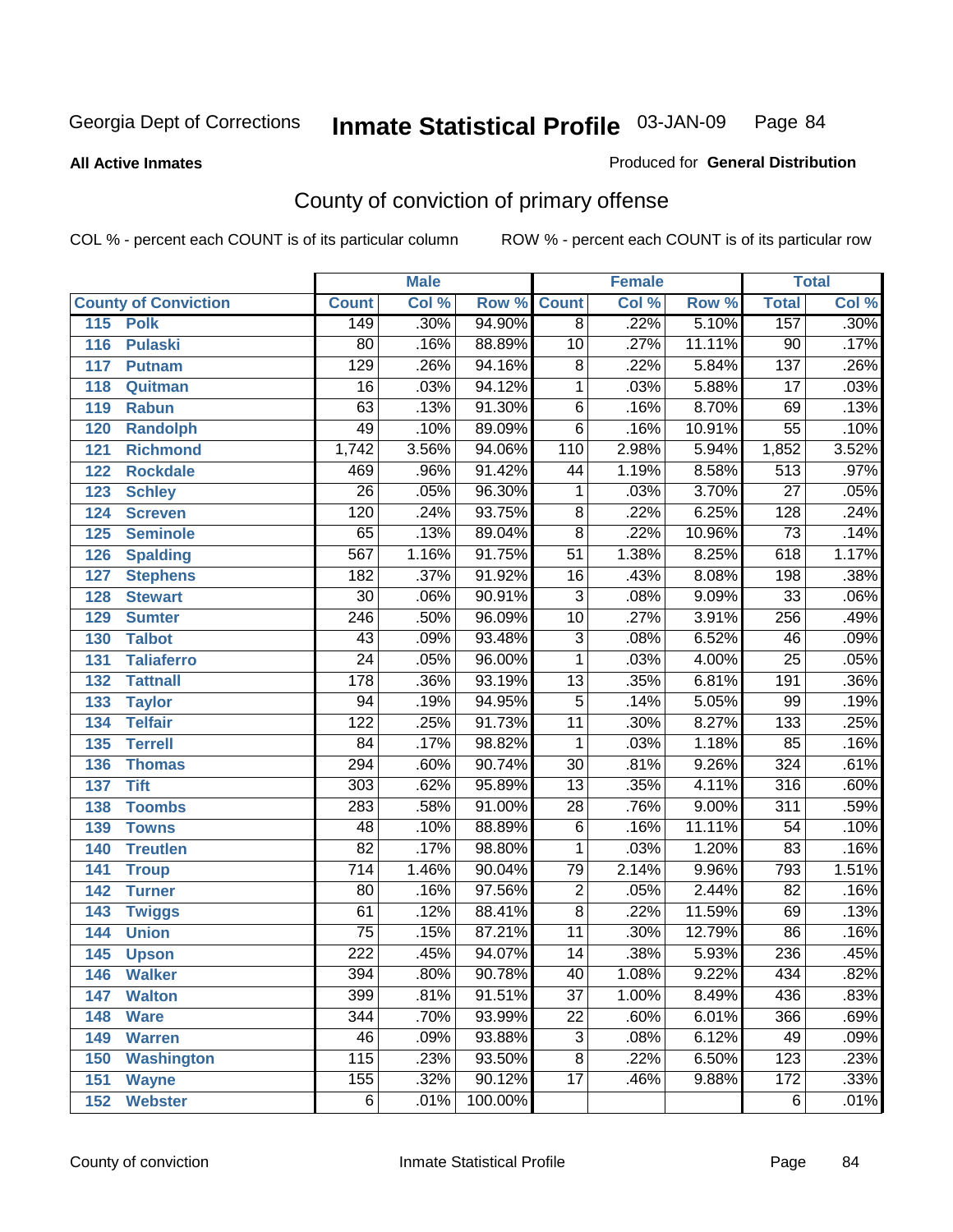**All Active Inmates**

### Produced for **General Distribution**

# County of conviction of primary offense

|     |                             |                  | <b>Male</b> |                    |                 | <b>Female</b> |        |                  | <b>Total</b> |
|-----|-----------------------------|------------------|-------------|--------------------|-----------------|---------------|--------|------------------|--------------|
|     | <b>County of Conviction</b> | <b>Count</b>     | Col %       | <b>Row % Count</b> |                 | Col %         | Row %  | <b>Total</b>     | Col %        |
| 115 | <b>Polk</b>                 | 149              | .30%        | 94.90%             | $\overline{8}$  | .22%          | 5.10%  | 157              | .30%         |
| 116 | <b>Pulaski</b>              | 80               | .16%        | 88.89%             | 10              | .27%          | 11.11% | 90               | .17%         |
| 117 | <b>Putnam</b>               | $\overline{129}$ | .26%        | 94.16%             | $\overline{8}$  | .22%          | 5.84%  | $\overline{137}$ | .26%         |
| 118 | Quitman                     | 16               | .03%        | 94.12%             | 1               | .03%          | 5.88%  | 17               | .03%         |
| 119 | <b>Rabun</b>                | 63               | .13%        | 91.30%             | $\overline{6}$  | .16%          | 8.70%  | 69               | .13%         |
| 120 | <b>Randolph</b>             | 49               | .10%        | 89.09%             | $\overline{6}$  | .16%          | 10.91% | $\overline{55}$  | .10%         |
| 121 | <b>Richmond</b>             | 1,742            | 3.56%       | 94.06%             | 110             | 2.98%         | 5.94%  | 1,852            | 3.52%        |
| 122 | <b>Rockdale</b>             | 469              | .96%        | 91.42%             | 44              | 1.19%         | 8.58%  | $\overline{513}$ | .97%         |
| 123 | <b>Schley</b>               | $\overline{26}$  | .05%        | 96.30%             | 1               | .03%          | 3.70%  | $\overline{27}$  | .05%         |
| 124 | <b>Screven</b>              | 120              | .24%        | 93.75%             | 8               | .22%          | 6.25%  | $\overline{128}$ | .24%         |
| 125 | <b>Seminole</b>             | 65               | .13%        | 89.04%             | $\overline{8}$  | .22%          | 10.96% | $\overline{73}$  | .14%         |
| 126 | <b>Spalding</b>             | $\overline{567}$ | 1.16%       | 91.75%             | $\overline{51}$ | 1.38%         | 8.25%  | 618              | 1.17%        |
| 127 | <b>Stephens</b>             | 182              | .37%        | 91.92%             | $\overline{16}$ | .43%          | 8.08%  | 198              | .38%         |
| 128 | <b>Stewart</b>              | $\overline{30}$  | .06%        | 90.91%             | $\overline{3}$  | .08%          | 9.09%  | $\overline{33}$  | .06%         |
| 129 | <b>Sumter</b>               | $\overline{246}$ | .50%        | 96.09%             | $\overline{10}$ | .27%          | 3.91%  | 256              | .49%         |
| 130 | <b>Talbot</b>               | 43               | .09%        | 93.48%             | $\overline{3}$  | .08%          | 6.52%  | 46               | .09%         |
| 131 | <b>Taliaferro</b>           | $\overline{24}$  | .05%        | 96.00%             | 1               | .03%          | 4.00%  | $\overline{25}$  | .05%         |
| 132 | <b>Tattnall</b>             | $\overline{178}$ | .36%        | 93.19%             | 13              | .35%          | 6.81%  | 191              | .36%         |
| 133 | <b>Taylor</b>               | $\overline{94}$  | .19%        | 94.95%             | $\overline{5}$  | .14%          | 5.05%  | 99               | .19%         |
| 134 | <b>Telfair</b>              | $\overline{122}$ | .25%        | 91.73%             | 11              | .30%          | 8.27%  | $\overline{133}$ | .25%         |
| 135 | <b>Terrell</b>              | $\overline{84}$  | .17%        | 98.82%             | $\mathbf{1}$    | .03%          | 1.18%  | 85               | .16%         |
| 136 | <b>Thomas</b>               | 294              | .60%        | 90.74%             | $\overline{30}$ | .81%          | 9.26%  | 324              | .61%         |
| 137 | <b>Tift</b>                 | $\overline{303}$ | .62%        | 95.89%             | $\overline{13}$ | .35%          | 4.11%  | $\overline{316}$ | .60%         |
| 138 | <b>Toombs</b>               | 283              | .58%        | 91.00%             | 28              | .76%          | 9.00%  | $\overline{311}$ | .59%         |
| 139 | <b>Towns</b>                | 48               | .10%        | 88.89%             | $\overline{6}$  | .16%          | 11.11% | $\overline{54}$  | .10%         |
| 140 | <b>Treutlen</b>             | $\overline{82}$  | .17%        | 98.80%             | 1               | .03%          | 1.20%  | 83               | .16%         |
| 141 | <b>Troup</b>                | $\overline{714}$ | 1.46%       | 90.04%             | 79              | 2.14%         | 9.96%  | 793              | 1.51%        |
| 142 | <b>Turner</b>               | 80               | .16%        | 97.56%             | $\overline{2}$  | .05%          | 2.44%  | 82               | .16%         |
| 143 | <b>Twiggs</b>               | 61               | .12%        | 88.41%             | $\overline{8}$  | .22%          | 11.59% | 69               | .13%         |
| 144 | <b>Union</b>                | $\overline{75}$  | .15%        | 87.21%             | 11              | .30%          | 12.79% | 86               | .16%         |
| 145 | <b>Upson</b>                | $\overline{222}$ | .45%        | 94.07%             | $\overline{14}$ | .38%          | 5.93%  | 236              | .45%         |
| 146 | <b>Walker</b>               | 394              | .80%        | 90.78%             | 40              | 1.08%         | 9.22%  | 434              | .82%         |
| 147 | <b>Walton</b>               | 399              | .81%        | 91.51%             | $\overline{37}$ | 1.00%         | 8.49%  | 436              | .83%         |
| 148 | <b>Ware</b>                 | 344              | .70%        | 93.99%             | $\overline{22}$ | .60%          | 6.01%  | 366              | .69%         |
| 149 | <b>Warren</b>               | 46               | .09%        | 93.88%             | $\overline{3}$  | .08%          | 6.12%  | 49               | .09%         |
| 150 | <b>Washington</b>           | 115              | .23%        | 93.50%             | 8               | .22%          | 6.50%  | 123              | .23%         |
| 151 | <b>Wayne</b>                | 155              | .32%        | 90.12%             | $\overline{17}$ | .46%          | 9.88%  | 172              | .33%         |
| 152 | <b>Webster</b>              | 6                | .01%        | 100.00%            |                 |               |        | 6                | .01%         |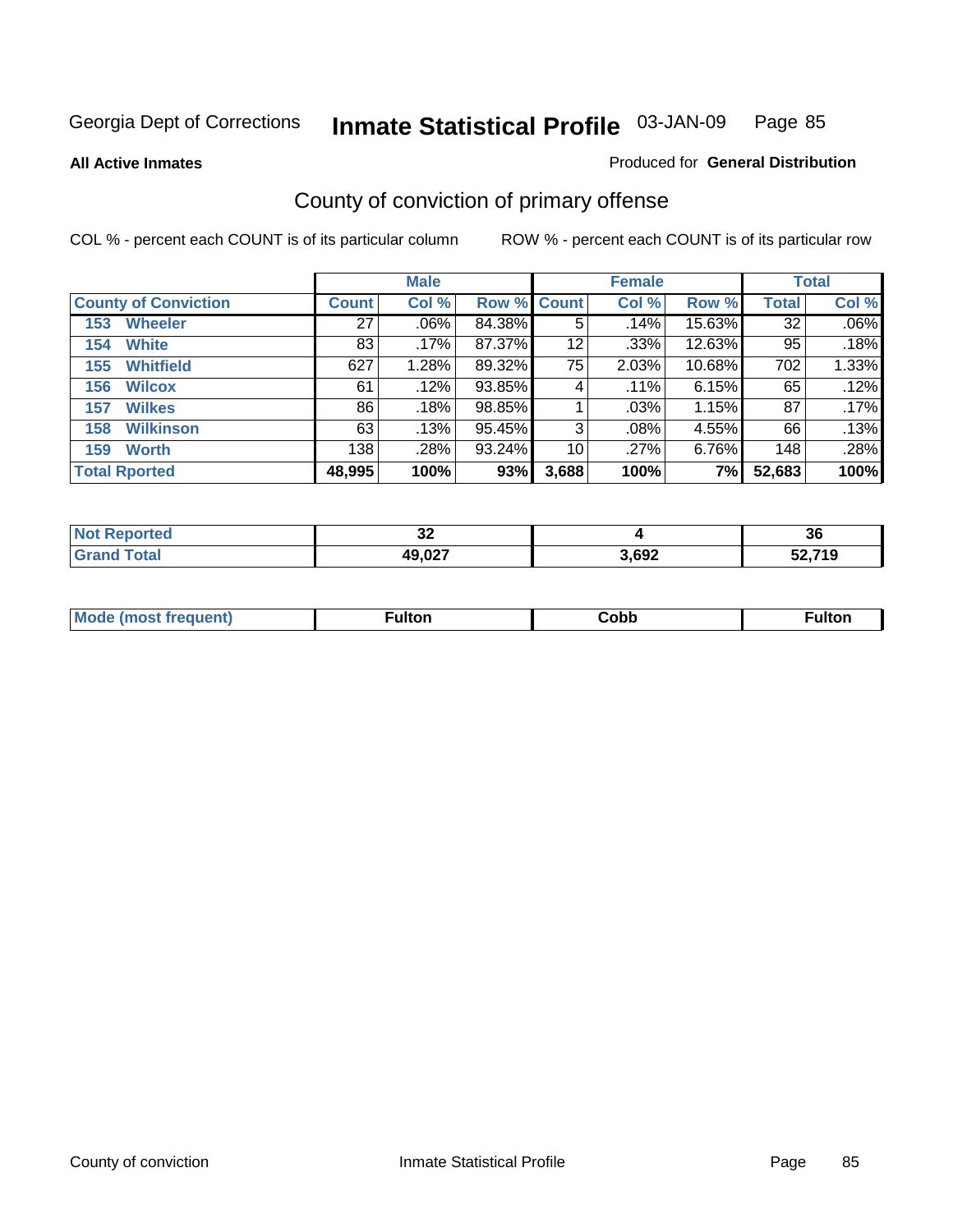**All Active Inmates**

### Produced for **General Distribution**

# County of conviction of primary offense

|                             |              | <b>Male</b> |             |       | <b>Female</b> |        |              | <b>Total</b> |
|-----------------------------|--------------|-------------|-------------|-------|---------------|--------|--------------|--------------|
| <b>County of Conviction</b> | <b>Count</b> | Col %       | Row % Count |       | Col %         | Row %  | <b>Total</b> | Col %        |
| <b>Wheeler</b><br>153       | 27           | $.06\%$     | 84.38%      | 5     | .14%          | 15.63% | 32           | $.06\%$      |
| <b>White</b><br>154         | 83           | .17%        | 87.37%      | 12    | .33%          | 12.63% | 95           | .18%         |
| <b>Whitfield</b><br>155     | 627          | 1.28%       | 89.32%      | 75    | 2.03%         | 10.68% | 702          | 1.33%        |
| 156<br><b>Wilcox</b>        | 61           | $.12\%$     | 93.85%      | 4     | $.11\%$       | 6.15%  | 65           | .12%         |
| <b>Wilkes</b><br>157        | 86           | .18%        | 98.85%      |       | $.03\%$       | 1.15%  | 87           | .17%         |
| <b>Wilkinson</b><br>158     | 63           | .13%        | 95.45%      | 3     | $.08\%$       | 4.55%  | 66           | .13%         |
| <b>Worth</b><br>159         | 138          | .28%        | 93.24%      | 10    | .27%          | 6.76%  | 148          | .28%         |
| <b>Total Rported</b>        | 48,995       | 100%        | 93%         | 3,688 | 100%          | 7%     | 52,683       | 100%         |

| Reported<br>' NOT | $\sim$<br>◡▵ |       | 36           |
|-------------------|--------------|-------|--------------|
| `ota.             | 49,027       | 3,692 | こつ フィハ<br>ាម |

| Mc | ™ulton | Cobb |  |
|----|--------|------|--|
|    |        |      |  |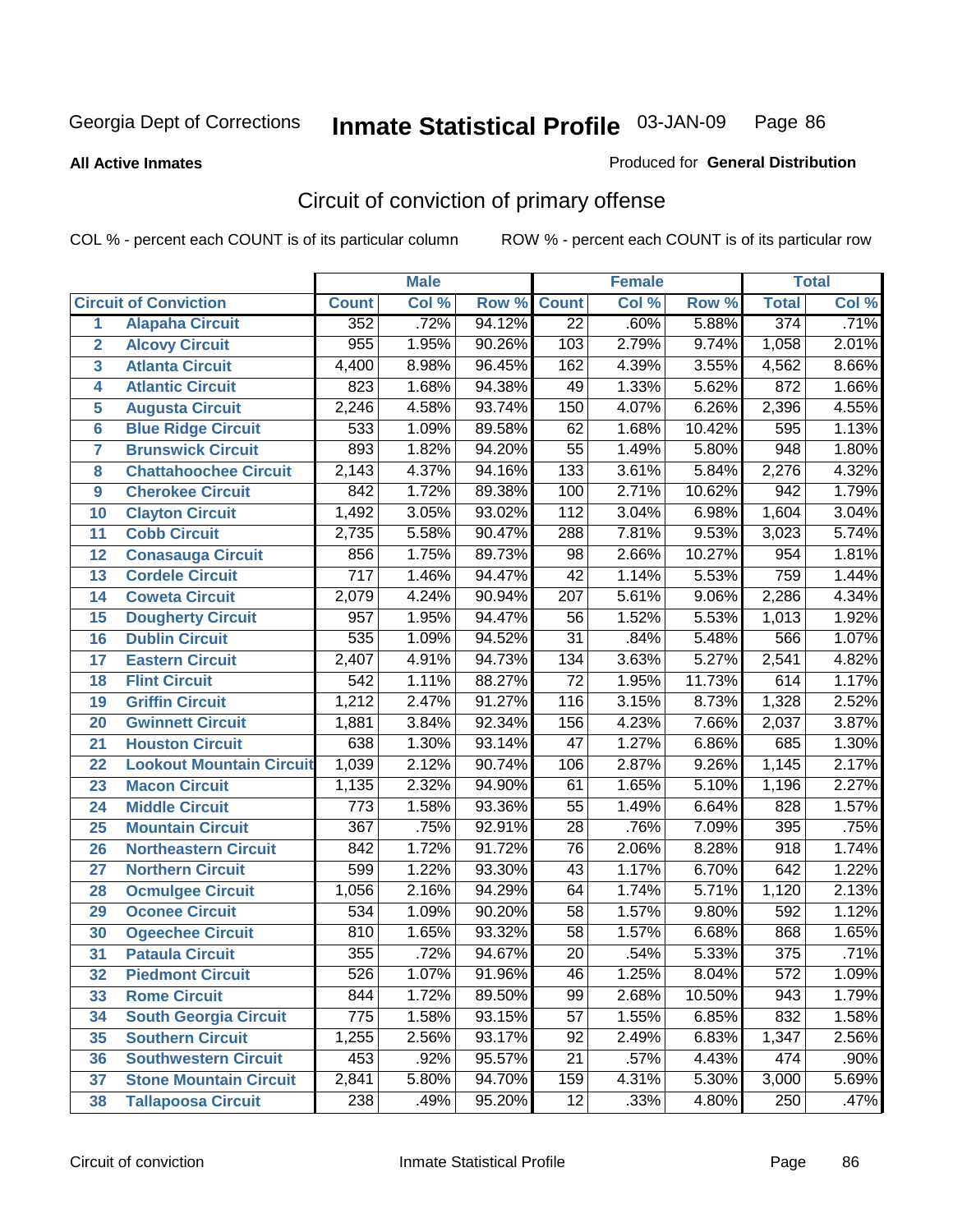**All Active Inmates**

#### Produced for **General Distribution**

# Circuit of conviction of primary offense

|                         |                                 |                  | <b>Male</b> |        |                  | <b>Female</b> |        |                  | <b>Total</b> |
|-------------------------|---------------------------------|------------------|-------------|--------|------------------|---------------|--------|------------------|--------------|
|                         | <b>Circuit of Conviction</b>    | <b>Count</b>     | Col %       | Row %  | <b>Count</b>     | Col %         | Row %  | <b>Total</b>     | Col %        |
| 1                       | <b>Alapaha Circuit</b>          | 352              | .72%        | 94.12% | $\overline{22}$  | .60%          | 5.88%  | 374              | .71%         |
| $\overline{2}$          | <b>Alcovy Circuit</b>           | 955              | 1.95%       | 90.26% | 103              | 2.79%         | 9.74%  | 1,058            | 2.01%        |
| $\overline{\mathbf{3}}$ | <b>Atlanta Circuit</b>          | 4,400            | 8.98%       | 96.45% | 162              | 4.39%         | 3.55%  | 4,562            | 8.66%        |
| 4                       | <b>Atlantic Circuit</b>         | 823              | 1.68%       | 94.38% | 49               | 1.33%         | 5.62%  | 872              | 1.66%        |
| 5                       | <b>Augusta Circuit</b>          | 2,246            | 4.58%       | 93.74% | 150              | 4.07%         | 6.26%  | 2,396            | 4.55%        |
| 6                       | <b>Blue Ridge Circuit</b>       | 533              | 1.09%       | 89.58% | 62               | 1.68%         | 10.42% | 595              | 1.13%        |
| 7                       | <b>Brunswick Circuit</b>        | 893              | 1.82%       | 94.20% | 55               | 1.49%         | 5.80%  | $\overline{948}$ | 1.80%        |
| 8                       | <b>Chattahoochee Circuit</b>    | 2,143            | 4.37%       | 94.16% | $\overline{133}$ | 3.61%         | 5.84%  | 2,276            | 4.32%        |
| 9                       | <b>Cherokee Circuit</b>         | 842              | 1.72%       | 89.38% | 100              | 2.71%         | 10.62% | 942              | 1.79%        |
| 10                      | <b>Clayton Circuit</b>          | 1,492            | 3.05%       | 93.02% | 112              | 3.04%         | 6.98%  | 1,604            | 3.04%        |
| 11                      | <b>Cobb Circuit</b>             | 2,735            | 5.58%       | 90.47% | 288              | 7.81%         | 9.53%  | 3,023            | 5.74%        |
| 12                      | <b>Conasauga Circuit</b>        | 856              | 1.75%       | 89.73% | 98               | 2.66%         | 10.27% | 954              | 1.81%        |
| 13                      | <b>Cordele Circuit</b>          | $\overline{717}$ | 1.46%       | 94.47% | $\overline{42}$  | 1.14%         | 5.53%  | 759              | 1.44%        |
| 14                      | <b>Coweta Circuit</b>           | 2,079            | 4.24%       | 90.94% | $\overline{207}$ | 5.61%         | 9.06%  | 2,286            | 4.34%        |
| 15                      | <b>Dougherty Circuit</b>        | 957              | 1.95%       | 94.47% | 56               | 1.52%         | 5.53%  | 1,013            | 1.92%        |
| 16                      | <b>Dublin Circuit</b>           | 535              | 1.09%       | 94.52% | 31               | .84%          | 5.48%  | 566              | 1.07%        |
| 17                      | <b>Eastern Circuit</b>          | 2,407            | 4.91%       | 94.73% | 134              | 3.63%         | 5.27%  | 2,541            | 4.82%        |
| 18                      | <b>Flint Circuit</b>            | 542              | 1.11%       | 88.27% | $\overline{72}$  | 1.95%         | 11.73% | 614              | 1.17%        |
| 19                      | <b>Griffin Circuit</b>          | 1,212            | 2.47%       | 91.27% | 116              | 3.15%         | 8.73%  | 1,328            | 2.52%        |
| 20                      | <b>Gwinnett Circuit</b>         | 1,881            | 3.84%       | 92.34% | 156              | 4.23%         | 7.66%  | 2,037            | 3.87%        |
| 21                      | <b>Houston Circuit</b>          | 638              | 1.30%       | 93.14% | $\overline{47}$  | 1.27%         | 6.86%  | 685              | 1.30%        |
| 22                      | <b>Lookout Mountain Circuit</b> | 1,039            | 2.12%       | 90.74% | 106              | 2.87%         | 9.26%  | 1,145            | 2.17%        |
| 23                      | <b>Macon Circuit</b>            | 1,135            | 2.32%       | 94.90% | 61               | 1.65%         | 5.10%  | 1,196            | 2.27%        |
| 24                      | <b>Middle Circuit</b>           | 773              | 1.58%       | 93.36% | 55               | 1.49%         | 6.64%  | 828              | 1.57%        |
| 25                      | <b>Mountain Circuit</b>         | $\overline{367}$ | .75%        | 92.91% | $\overline{28}$  | .76%          | 7.09%  | 395              | .75%         |
| 26                      | <b>Northeastern Circuit</b>     | 842              | 1.72%       | 91.72% | 76               | 2.06%         | 8.28%  | $\overline{918}$ | 1.74%        |
| 27                      | <b>Northern Circuit</b>         | 599              | 1.22%       | 93.30% | 43               | 1.17%         | 6.70%  | 642              | 1.22%        |
| 28                      | <b>Ocmulgee Circuit</b>         | 1,056            | 2.16%       | 94.29% | 64               | 1.74%         | 5.71%  | 1,120            | 2.13%        |
| 29                      | <b>Oconee Circuit</b>           | $\overline{534}$ | 1.09%       | 90.20% | $\overline{58}$  | 1.57%         | 9.80%  | 592              | 1.12%        |
| 30                      | <b>Ogeechee Circuit</b>         | 810              | 1.65%       | 93.32% | $\overline{58}$  | 1.57%         | 6.68%  | 868              | 1.65%        |
| 31                      | <b>Pataula Circuit</b>          | 355              | .72%        | 94.67% | 20               | .54%          | 5.33%  | $\overline{375}$ | .71%         |
| 32                      | <b>Piedmont Circuit</b>         | 526              | 1.07%       | 91.96% | 46               | 1.25%         | 8.04%  | 572              | 1.09%        |
| 33                      | <b>Rome Circuit</b>             | 844              | 1.72%       | 89.50% | 99               | 2.68%         | 10.50% | 943              | 1.79%        |
| 34                      | <b>South Georgia Circuit</b>    | 775              | 1.58%       | 93.15% | 57               | 1.55%         | 6.85%  | 832              | 1.58%        |
| 35                      | <b>Southern Circuit</b>         | 1,255            | 2.56%       | 93.17% | 92               | 2.49%         | 6.83%  | 1,347            | 2.56%        |
| 36                      | <b>Southwestern Circuit</b>     | 453              | .92%        | 95.57% | 21               | .57%          | 4.43%  | 474              | .90%         |
| 37                      | <b>Stone Mountain Circuit</b>   | 2,841            | 5.80%       | 94.70% | 159              | 4.31%         | 5.30%  | 3,000            | 5.69%        |
| 38                      | <b>Tallapoosa Circuit</b>       | 238              | .49%        | 95.20% | 12               | .33%          | 4.80%  | 250              | .47%         |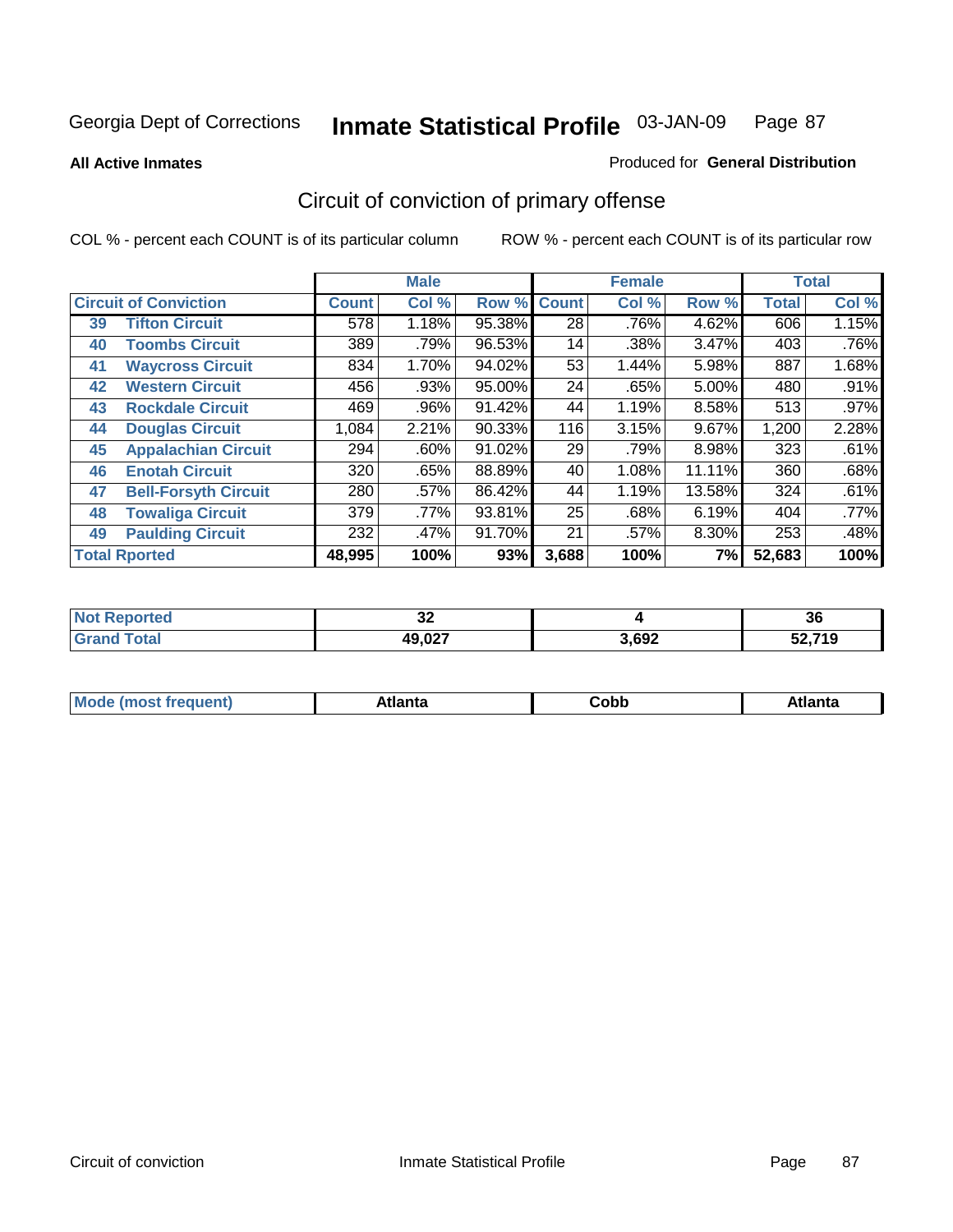**All Active Inmates**

#### Produced for **General Distribution**

# Circuit of conviction of primary offense

|    |                              |        | <b>Male</b> |        |                 | <b>Female</b> |        |              | <b>Total</b> |
|----|------------------------------|--------|-------------|--------|-----------------|---------------|--------|--------------|--------------|
|    | <b>Circuit of Conviction</b> |        | Col %       | Row %  | <b>Count</b>    | Col %         | Row %  | <b>Total</b> | Col %        |
| 39 | <b>Tifton Circuit</b>        | 578    | 1.18%       | 95.38% | $\overline{28}$ | .76%          | 4.62%  | 606          | 1.15%        |
| 40 | <b>Toombs Circuit</b>        | 389    | .79%        | 96.53% | 14              | .38%          | 3.47%  | 403          | .76%         |
| 41 | <b>Waycross Circuit</b>      | 834    | 1.70%       | 94.02% | 53              | 1.44%         | 5.98%  | 887          | 1.68%        |
| 42 | <b>Western Circuit</b>       | 456    | .93%        | 95.00% | 24              | .65%          | 5.00%  | 480          | .91%         |
| 43 | <b>Rockdale Circuit</b>      | 469    | .96%        | 91.42% | 44              | 1.19%         | 8.58%  | 513          | .97%         |
| 44 | <b>Douglas Circuit</b>       | 1,084  | 2.21%       | 90.33% | 116             | 3.15%         | 9.67%  | 1,200        | 2.28%        |
| 45 | <b>Appalachian Circuit</b>   | 294    | $.60\%$     | 91.02% | 29              | .79%          | 8.98%  | 323          | .61%         |
| 46 | <b>Enotah Circuit</b>        | 320    | .65%        | 88.89% | 40              | 1.08%         | 11.11% | 360          | .68%         |
| 47 | <b>Bell-Forsyth Circuit</b>  | 280    | $.57\%$     | 86.42% | 44              | 1.19%         | 13.58% | 324          | .61%         |
| 48 | <b>Towaliga Circuit</b>      | 379    | .77%        | 93.81% | 25              | .68%          | 6.19%  | 404          | $.77\%$      |
| 49 | <b>Paulding Circuit</b>      | 232    | .47%        | 91.70% | 21              | .57%          | 8.30%  | 253          | .48%         |
|    | <b>Total Rported</b>         | 48,995 | 100%        | 93%    | 3,688           | 100%          | 7%     | 52,683       | 100%         |

| тео | $\sim$<br>◡▵ |       | 36            |
|-----|--------------|-------|---------------|
|     | 49,027       | 3,692 | 50 74 A<br>13 |

| M, | $+1 - - + -$<br>annu -<br>uu | ∶obb<br>- - - - - | .<br>чна<br>- --------- |
|----|------------------------------|-------------------|-------------------------|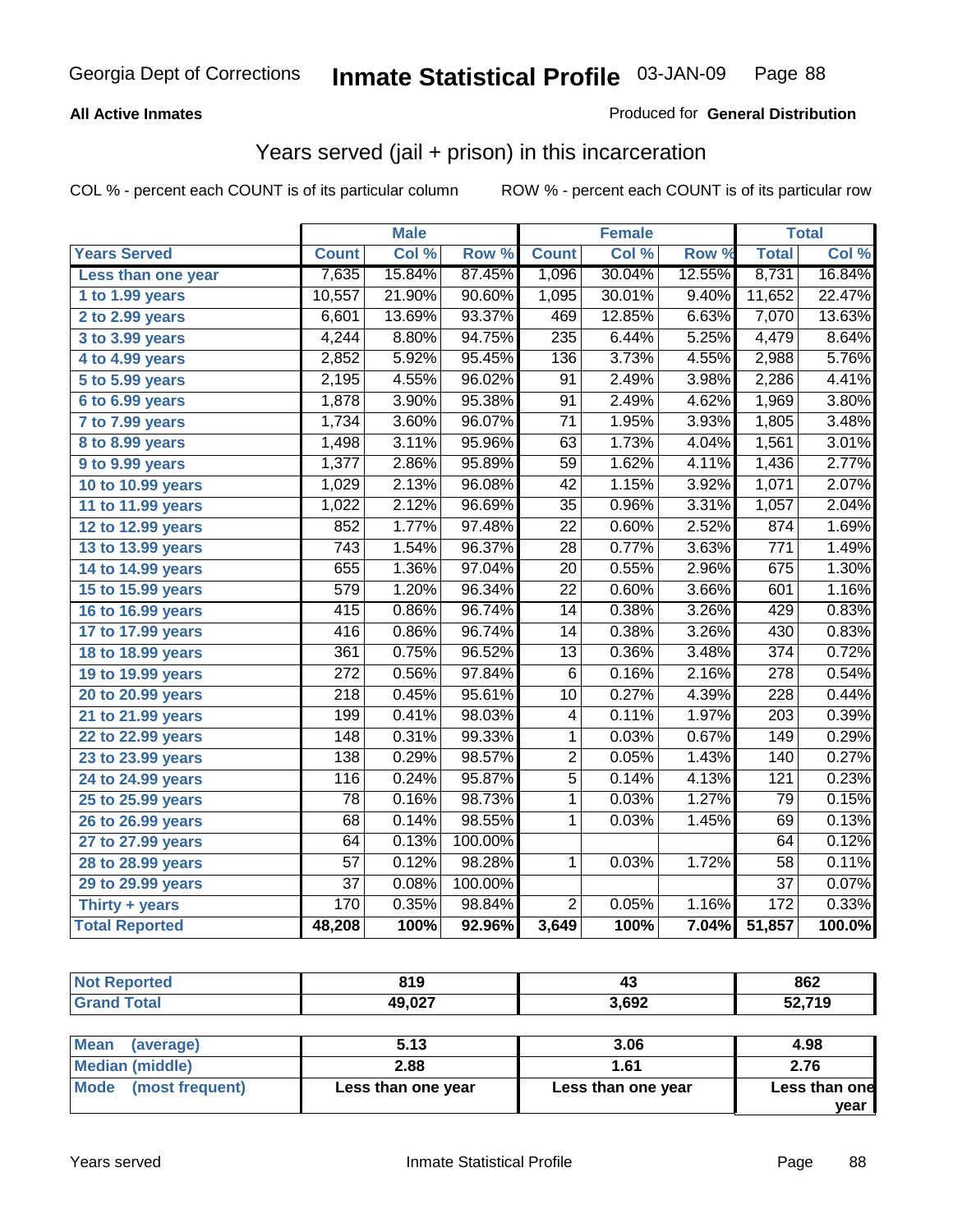### **All Active Inmates**

### Produced for **General Distribution**

### Years served (jail + prison) in this incarceration

|                       |                  | <b>Male</b> |         |                  | Female |        |                  | <b>Total</b> |
|-----------------------|------------------|-------------|---------|------------------|--------|--------|------------------|--------------|
| <b>Years Served</b>   | <b>Count</b>     | Col %       | Row %   | <b>Count</b>     | Col %  | Row %  | <b>Total</b>     | Col %        |
| Less than one year    | 7,635            | 15.84%      | 87.45%  | 1,096            | 30.04% | 12.55% | 8,731            | 16.84%       |
| 1 to 1.99 years       | 10,557           | 21.90%      | 90.60%  | 1,095            | 30.01% | 9.40%  | 11,652           | 22.47%       |
| 2 to 2.99 years       | 6,601            | 13.69%      | 93.37%  | 469              | 12.85% | 6.63%  | 7,070            | 13.63%       |
| 3 to 3.99 years       | 4,244            | 8.80%       | 94.75%  | $\overline{235}$ | 6.44%  | 5.25%  | 4,479            | 8.64%        |
| 4 to 4.99 years       | 2,852            | 5.92%       | 95.45%  | 136              | 3.73%  | 4.55%  | 2,988            | 5.76%        |
| 5 to 5.99 years       | 2,195            | 4.55%       | 96.02%  | $\overline{91}$  | 2.49%  | 3.98%  | 2,286            | 4.41%        |
| $6$ to 6.99 years     | 1,878            | 3.90%       | 95.38%  | $\overline{91}$  | 2.49%  | 4.62%  | 1,969            | 3.80%        |
| 7 to 7.99 years       | 1,734            | 3.60%       | 96.07%  | $\overline{71}$  | 1.95%  | 3.93%  | 1,805            | 3.48%        |
| 8 to 8.99 years       | 1,498            | 3.11%       | 95.96%  | 63               | 1.73%  | 4.04%  | 1,561            | 3.01%        |
| 9 to 9.99 years       | 1,377            | 2.86%       | 95.89%  | $\overline{59}$  | 1.62%  | 4.11%  | 1,436            | 2.77%        |
| 10 to 10.99 years     | 1,029            | 2.13%       | 96.08%  | 42               | 1.15%  | 3.92%  | 1,071            | 2.07%        |
| 11 to 11.99 years     | 1,022            | 2.12%       | 96.69%  | $\overline{35}$  | 0.96%  | 3.31%  | 1,057            | 2.04%        |
| 12 to 12.99 years     | 852              | 1.77%       | 97.48%  | $\overline{22}$  | 0.60%  | 2.52%  | 874              | 1.69%        |
| 13 to 13.99 years     | $\overline{743}$ | 1.54%       | 96.37%  | $\overline{28}$  | 0.77%  | 3.63%  | 771              | 1.49%        |
| 14 to 14.99 years     | 655              | 1.36%       | 97.04%  | $\overline{20}$  | 0.55%  | 2.96%  | 675              | 1.30%        |
| 15 to 15.99 years     | 579              | 1.20%       | 96.34%  | $\overline{22}$  | 0.60%  | 3.66%  | 601              | 1.16%        |
| 16 to 16.99 years     | 415              | 0.86%       | 96.74%  | 14               | 0.38%  | 3.26%  | 429              | 0.83%        |
| 17 to 17.99 years     | 416              | 0.86%       | 96.74%  | $\overline{14}$  | 0.38%  | 3.26%  | 430              | 0.83%        |
| 18 to 18.99 years     | 361              | 0.75%       | 96.52%  | 13               | 0.36%  | 3.48%  | $\overline{374}$ | 0.72%        |
| 19 to 19.99 years     | $\overline{272}$ | 0.56%       | 97.84%  | $\overline{6}$   | 0.16%  | 2.16%  | $\overline{278}$ | 0.54%        |
| 20 to 20.99 years     | $\overline{218}$ | 0.45%       | 95.61%  | $\overline{10}$  | 0.27%  | 4.39%  | $\overline{228}$ | 0.44%        |
| 21 to 21.99 years     | 199              | 0.41%       | 98.03%  | 4                | 0.11%  | 1.97%  | 203              | 0.39%        |
| 22 to 22.99 years     | 148              | 0.31%       | 99.33%  | 1                | 0.03%  | 0.67%  | 149              | 0.29%        |
| 23 to 23.99 years     | 138              | 0.29%       | 98.57%  | $\overline{2}$   | 0.05%  | 1.43%  | 140              | 0.27%        |
| 24 to 24.99 years     | 116              | 0.24%       | 95.87%  | $\overline{5}$   | 0.14%  | 4.13%  | 121              | 0.23%        |
| 25 to 25.99 years     | $\overline{78}$  | 0.16%       | 98.73%  | $\overline{1}$   | 0.03%  | 1.27%  | 79               | 0.15%        |
| 26 to 26.99 years     | 68               | 0.14%       | 98.55%  | $\mathbf{1}$     | 0.03%  | 1.45%  | 69               | 0.13%        |
| 27 to 27.99 years     | 64               | 0.13%       | 100.00% |                  |        |        | 64               | 0.12%        |
| 28 to 28.99 years     | $\overline{57}$  | 0.12%       | 98.28%  | $\mathbf{1}$     | 0.03%  | 1.72%  | $\overline{58}$  | 0.11%        |
| 29 to 29.99 years     | $\overline{37}$  | 0.08%       | 100.00% |                  |        |        | $\overline{37}$  | 0.07%        |
| Thirty + years        | 170              | 0.35%       | 98.84%  | $\overline{2}$   | 0.05%  | 1.16%  | 172              | 0.33%        |
| <b>Total Reported</b> | 48,208           | 100%        | 92.96%  | 3,649            | 100%   | 7.04%  | 51,857           | 100.0%       |

| <b>Not Reported</b> | 819    | 43    | 862    |
|---------------------|--------|-------|--------|
| <b>Grand Total</b>  | 49,027 | 3,692 | 52,719 |
|                     |        |       |        |
| Mean<br>(average)   | 5.13   | 3.06  | 4.98   |
| _________           |        |       |        |

| N                              | J.IJ               | v.vv               | טע.ד                  |
|--------------------------------|--------------------|--------------------|-----------------------|
| Median (middle)                | 2.88               | 1.61               | 2.76                  |
| <b>Mode</b><br>(most frequent) | Less than one year | Less than one year | Less than one<br>vear |
|                                |                    |                    |                       |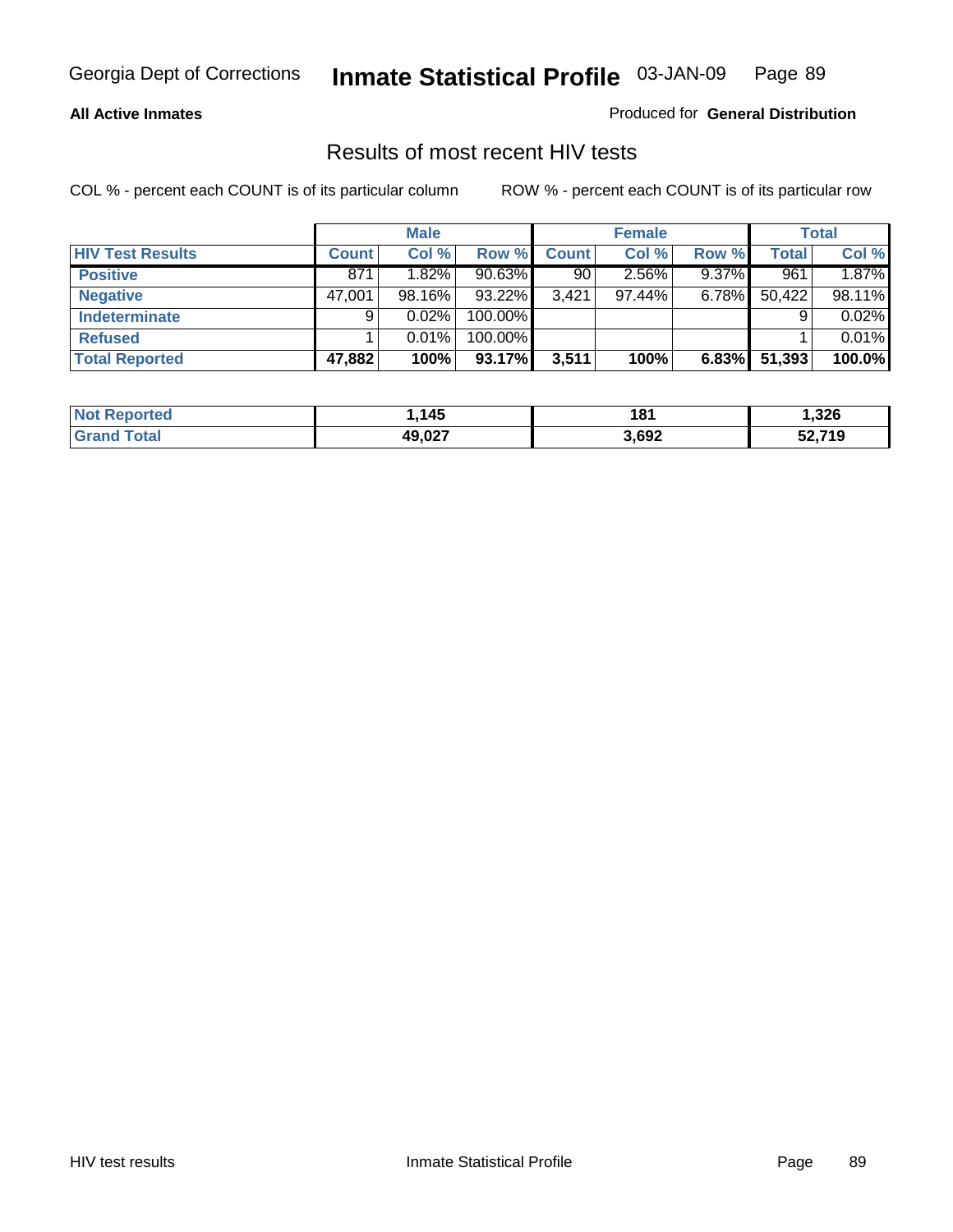#### **All Active Inmates**

Produced for **General Distribution**

### Results of most recent HIV tests

|                         |              | <b>Male</b> |         |              | <b>Female</b> |          |        | Total  |
|-------------------------|--------------|-------------|---------|--------------|---------------|----------|--------|--------|
| <b>HIV Test Results</b> | <b>Count</b> | Col %       | Row %   | <b>Count</b> | Col %         | Row %    | Total  | Col %  |
| <b>Positive</b>         | 871          | 1.82%       | 90.63%  | 90           | 2.56%         | $9.37\%$ | 961    | 1.87%  |
| <b>Negative</b>         | 47,001       | 98.16%      | 93.22%  | 3.421        | 97.44%        | $6.78\%$ | 50,422 | 98.11% |
| <b>Indeterminate</b>    | 9            | 0.02%       | 100.00% |              |               |          |        | 0.02%  |
| <b>Refused</b>          |              | 0.01%       | 100.00% |              |               |          |        | 0.01%  |
| <b>Total Reported</b>   | 47,882       | 100%        | 93.17%  | 3,511        | 100%          | 6.83%    | 51,393 | 100.0% |

| <b>Not</b><br><b>rted</b> | 145     | 181   | .326   |
|---------------------------|---------|-------|--------|
| <b>otal</b><br>∣Grar      | 10 N 27 | 3,692 | 59 71Q |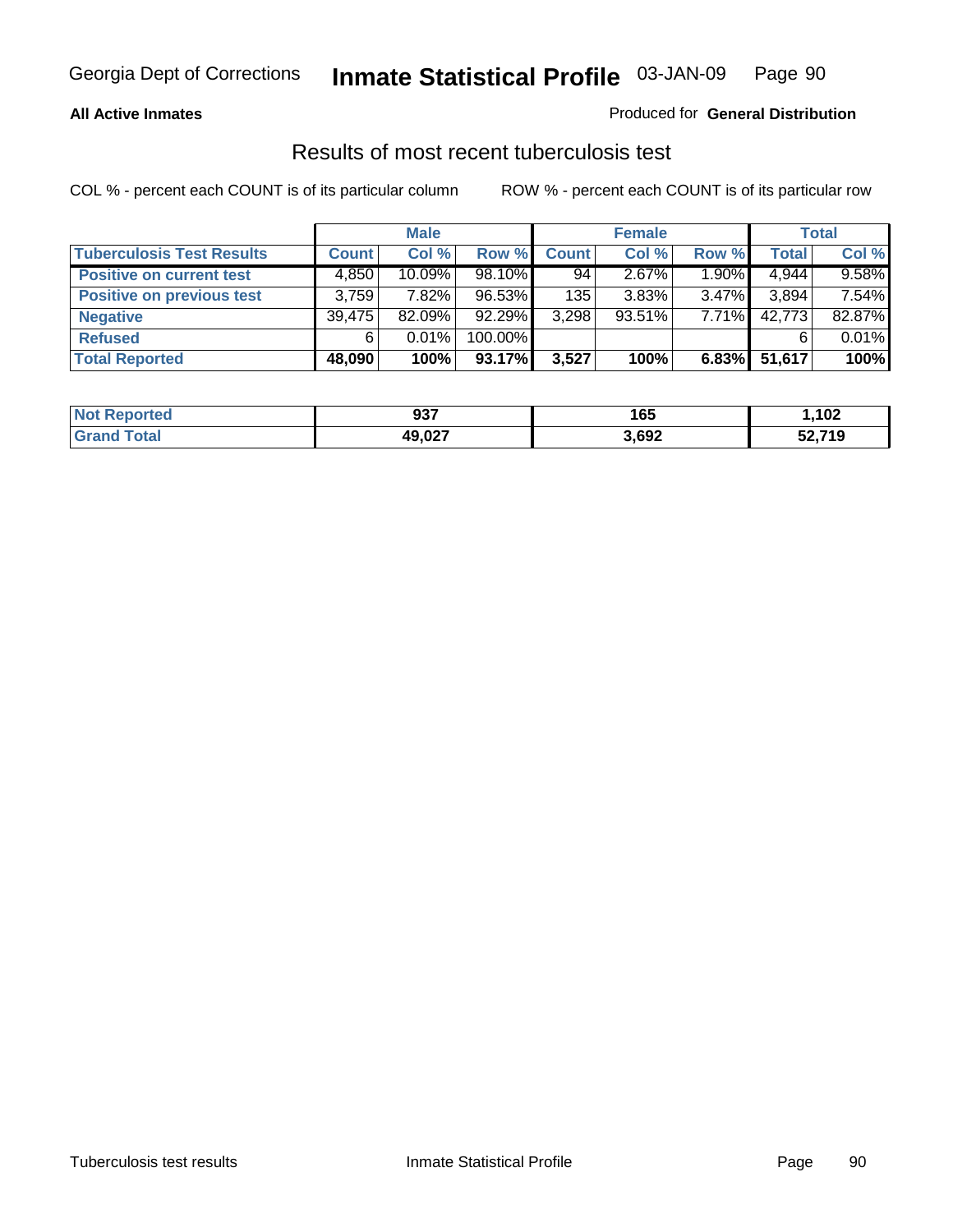#### **All Active Inmates**

### Produced for **General Distribution**

### Results of most recent tuberculosis test

|                                  |              | <b>Male</b> |           |              | <b>Female</b> |          |              | Total  |
|----------------------------------|--------------|-------------|-----------|--------------|---------------|----------|--------------|--------|
| <b>Tuberculosis Test Results</b> | <b>Count</b> | Col %       | Row %     | <b>Count</b> | Col %         | Row %    | <b>Total</b> | Col %  |
| <b>Positive on current test</b>  | 4,850        | $10.09\%$   | $98.10\%$ | 94           | 2.67%         | $1.90\%$ | 4,944        | 9.58%  |
| <b>Positive on previous test</b> | 3.759        | 7.82%       | 96.53%    | 135          | $3.83\%$      | $3.47\%$ | 3,894        | 7.54%  |
| <b>Negative</b>                  | 39.475       | $82.09\%$   | 92.29%    | 3,298        | $93.51\%$     | $7.71\%$ | 42,773       | 82.87% |
| <b>Refused</b>                   | 6            | $0.01\%$    | 100.00%   |              |               |          |              | 0.01%  |
| <b>Total Reported</b>            | 48,090       | 100%        | 93.17%    | 3,527        | 100%          | 6.83%    | 51,617       | 100%   |

| <b>Not</b><br>Reported | 937    | 165   | ,102   |
|------------------------|--------|-------|--------|
| <b>Grand</b><br>⊤otar  | 49,027 | 3,692 | 52,719 |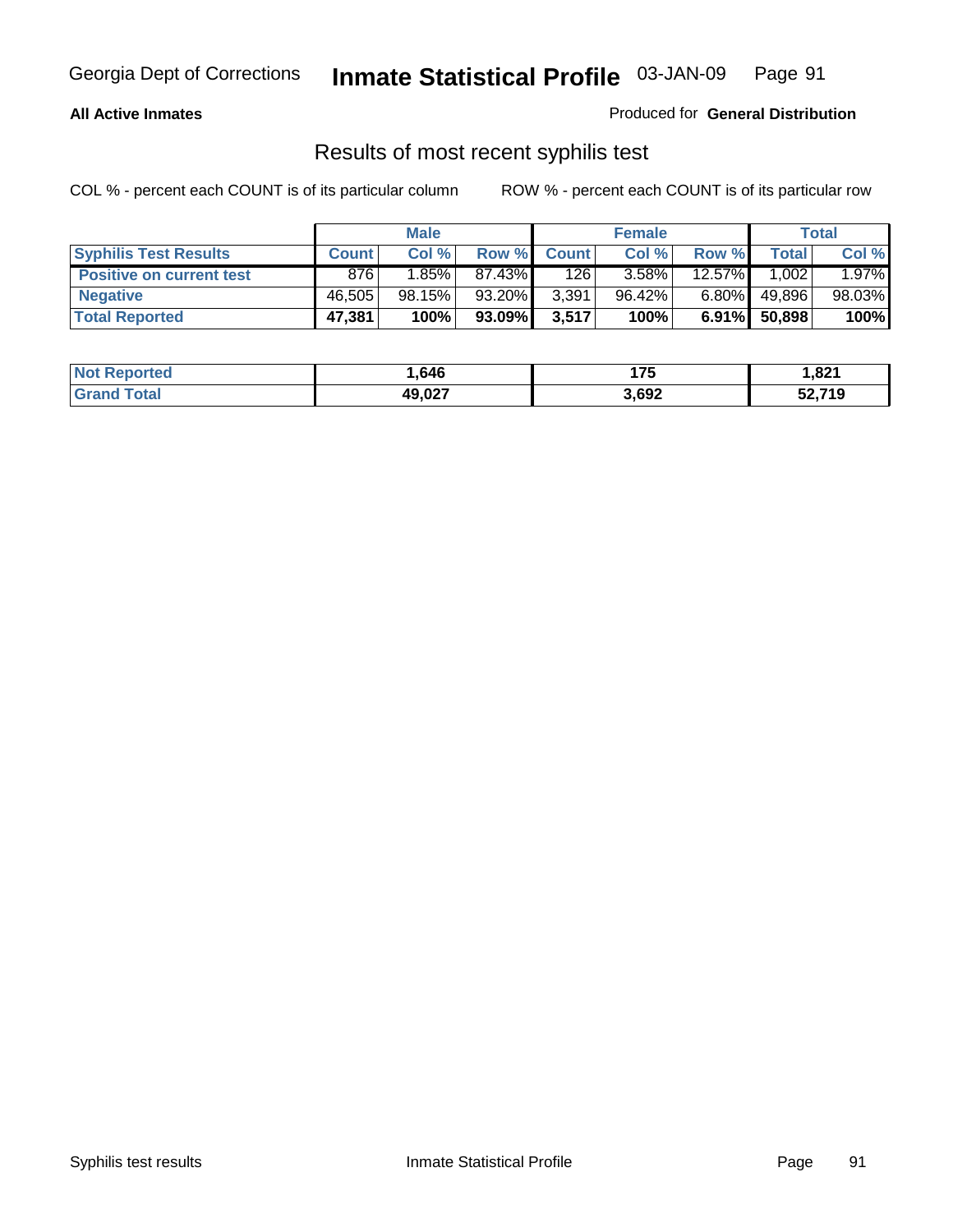### **All Active Inmates**

Produced for **General Distribution**

### Results of most recent syphilis test

|                                 |              | <b>Male</b> |        |              | <b>Female</b> |           |        | Total  |
|---------------------------------|--------------|-------------|--------|--------------|---------------|-----------|--------|--------|
| <b>Syphilis Test Results</b>    | <b>Count</b> | Col %       | Row %  | <b>Count</b> | Col %         | Row %     | Total  | Col %  |
| <b>Positive on current test</b> | 876          | $1.85\%$    | 87.43% | 126          | 3.58%         | $12.57\%$ | 1,002  | 1.97%  |
| <b>Negative</b>                 | 46.505       | 98.15%      | 93.20% | 3,391        | 96.42%        | $6.80\%$  | 49,896 | 98.03% |
| <b>Total Reported</b>           | 47,381       | 100%        | 93.09% | 3,517        | 100%          | 6.91%     | 50,898 | 100%   |

| <b>Not Reported</b> | 646. ا | 175   | 1,821  |
|---------------------|--------|-------|--------|
| <b>Grand Total</b>  | 49,027 | 3,692 | 52,719 |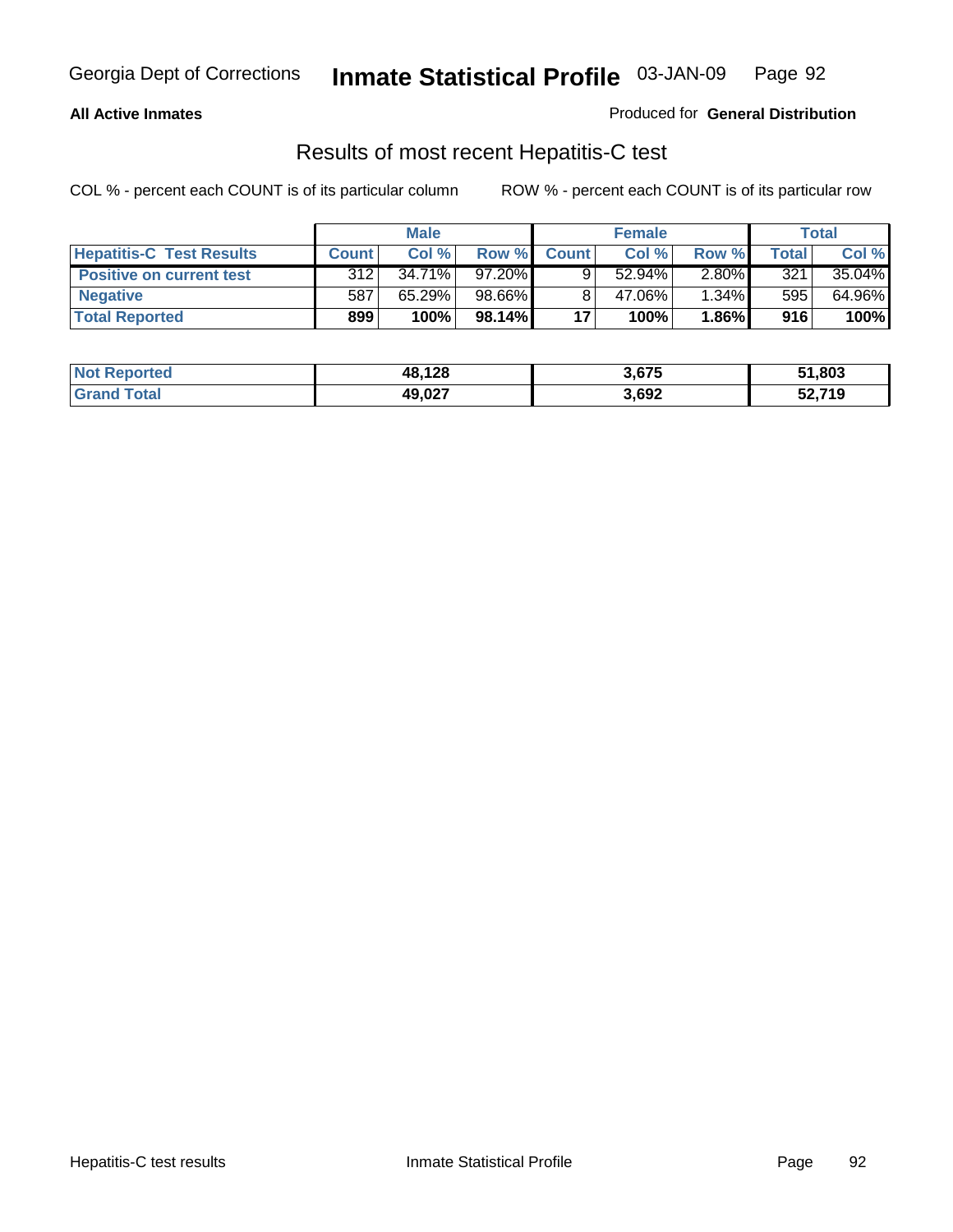#### **All Active Inmates**

Produced for **General Distribution**

### Results of most recent Hepatitis-C test

|                                 |              | <b>Male</b> |           |              | <b>Female</b> |          |             | Total  |
|---------------------------------|--------------|-------------|-----------|--------------|---------------|----------|-------------|--------|
| <b>Hepatitis-C Test Results</b> | <b>Count</b> | Col %       | Row %I    | <b>Count</b> | Col %         | Row %    | $\tau$ otal | Col %  |
| <b>Positive on current test</b> | 312          | $34.71\%$   | $97.20\%$ |              | $52.94\%$     | $2.80\%$ | 321         | 35.04% |
| <b>Negative</b>                 | 587          | 65.29%      | 98.66%    |              | 47.06%        | $1.34\%$ | 595         | 64.96% |
| <b>Total Reported</b>           | 899          | 100%        | 98.14%    | 17           | 100%          | 1.86%    | 916         | 100%   |

| <b>Not Reported</b> | 48,128 | 3,675 | 51,803 |
|---------------------|--------|-------|--------|
| <b>Grand Total</b>  | 49,027 | 3,692 | 52,719 |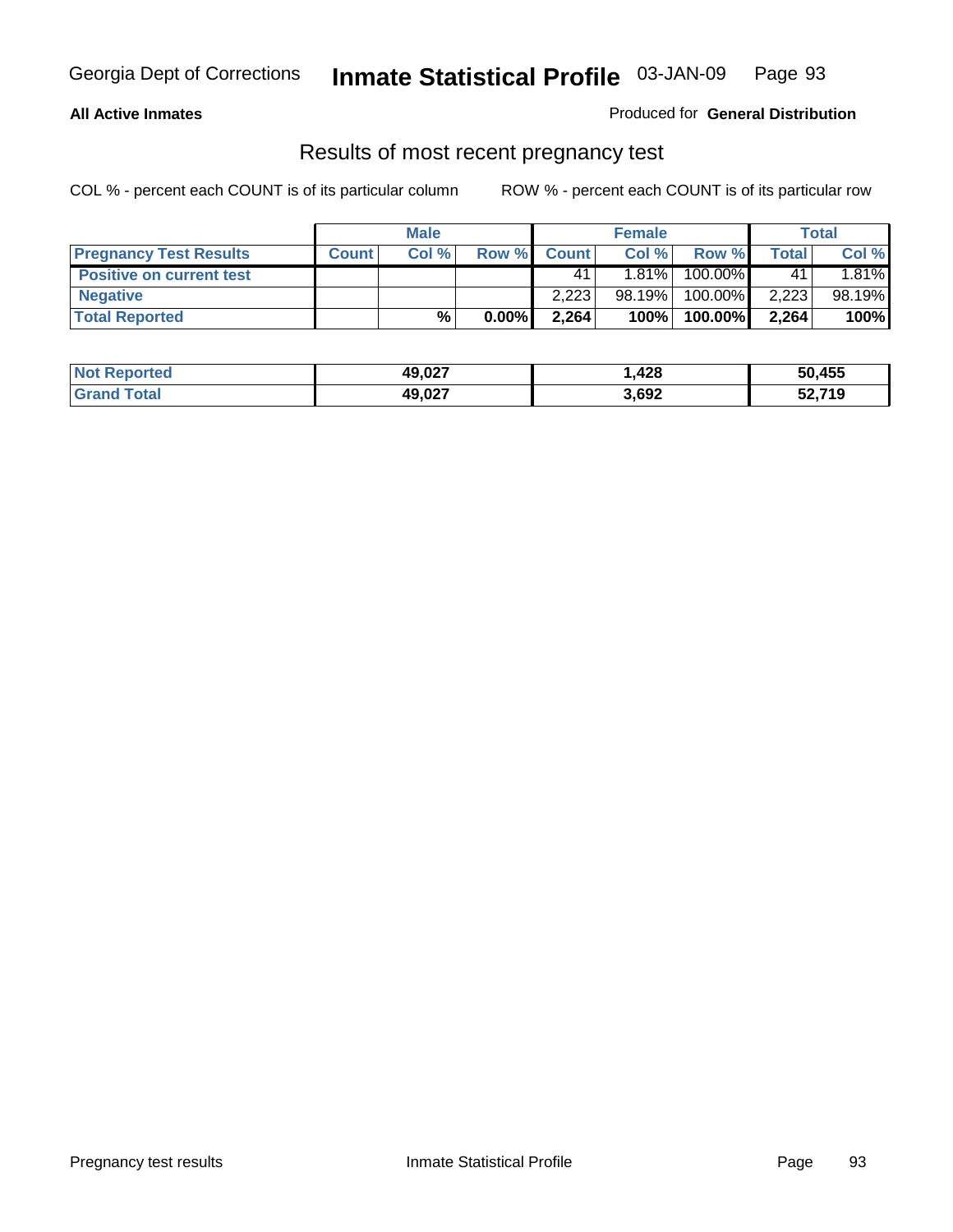### **All Active Inmates**

#### Produced for **General Distribution**

### Results of most recent pregnancy test

|                                 | <b>Male</b>  |      | <b>Female</b> |              |        | <b>Total</b> |       |        |
|---------------------------------|--------------|------|---------------|--------------|--------|--------------|-------|--------|
| <b>Pregnancy Test Results</b>   | <b>Count</b> | Col% | Row %         | <b>Count</b> | Col %  | Row %        | Total | Col %  |
| <b>Positive on current test</b> |              |      |               | 41           | 1.81%  | 100.00%      | 41    | 1.81%  |
| <b>Negative</b>                 |              |      |               | 2.223        | 98.19% | 100.00%      | 2,223 | 98.19% |
| <b>Total Reported</b>           |              | %    | $0.00\%$      | 2,264        | 100%   | 100.00%      | 2,264 | 100%   |

| <b>Not Reported</b> | 49,027 | .,428 | 50,455 |
|---------------------|--------|-------|--------|
| <b>Grand Total</b>  | 49,027 | 3,692 | 52,719 |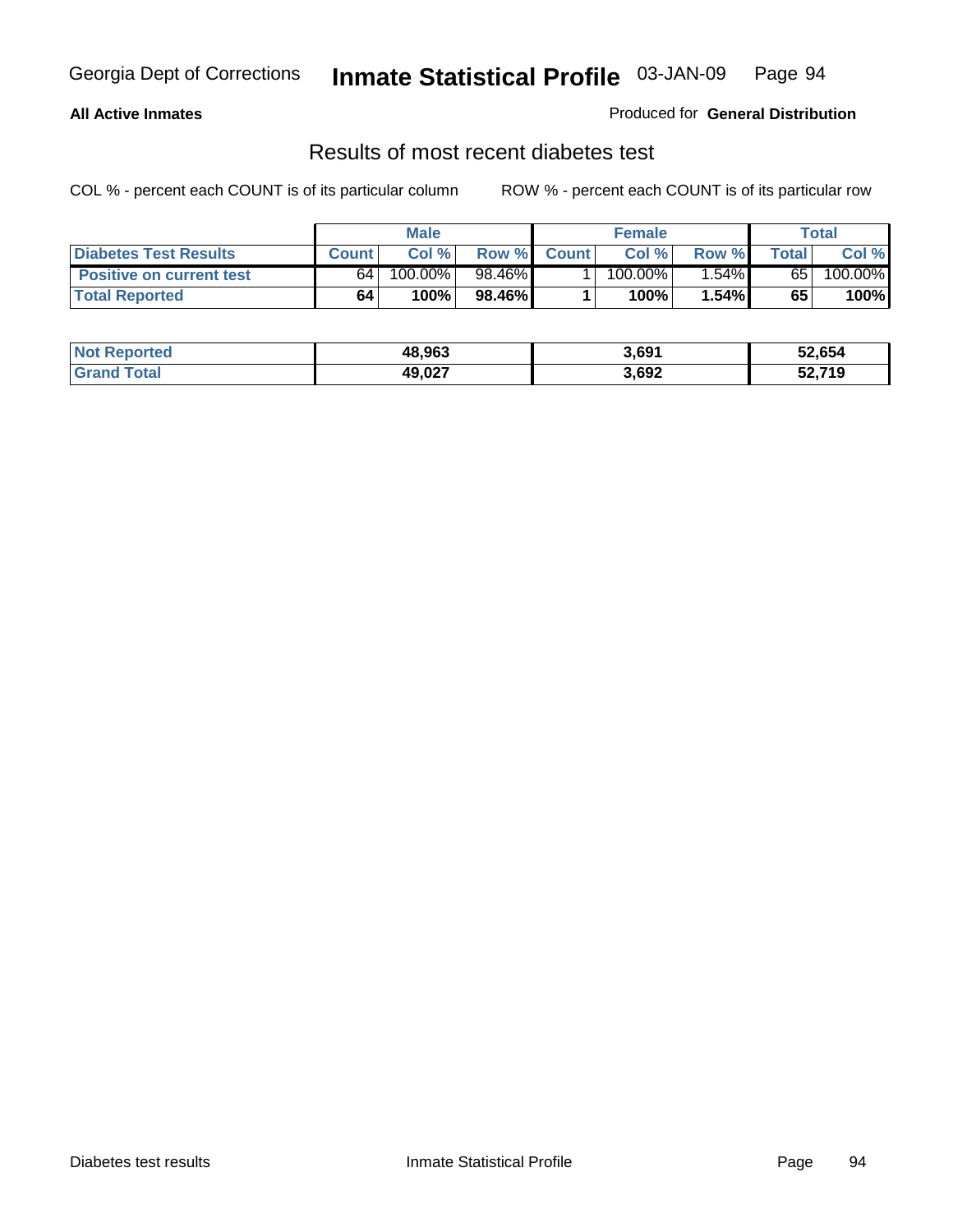### **All Active Inmates**

#### Produced for **General Distribution**

### Results of most recent diabetes test

|                              | <b>Male</b>  |         | <b>Female</b> |              |                       | Total  |       |         |
|------------------------------|--------------|---------|---------------|--------------|-----------------------|--------|-------|---------|
| <b>Diabetes Test Results</b> | <b>Count</b> | Col %   | Row %         | <b>Count</b> | Col %                 | Row %I | Total | Col %   |
| Positive on current test     | 64           | 100.00% | 98.46%        |              | $100.\overline{00\%}$ | 1.54%  | 65    | 100.00% |
| <b>Total Reported</b>        | 64           | 100%    | 98.46%        |              | 100%                  | 1.54%  | 65    | 100%    |

| <b>Not Reported</b> | 48,963 | 3,691 | 52,654 |
|---------------------|--------|-------|--------|
| <b>Sand Total</b>   | 49,027 | 3,692 | 52,719 |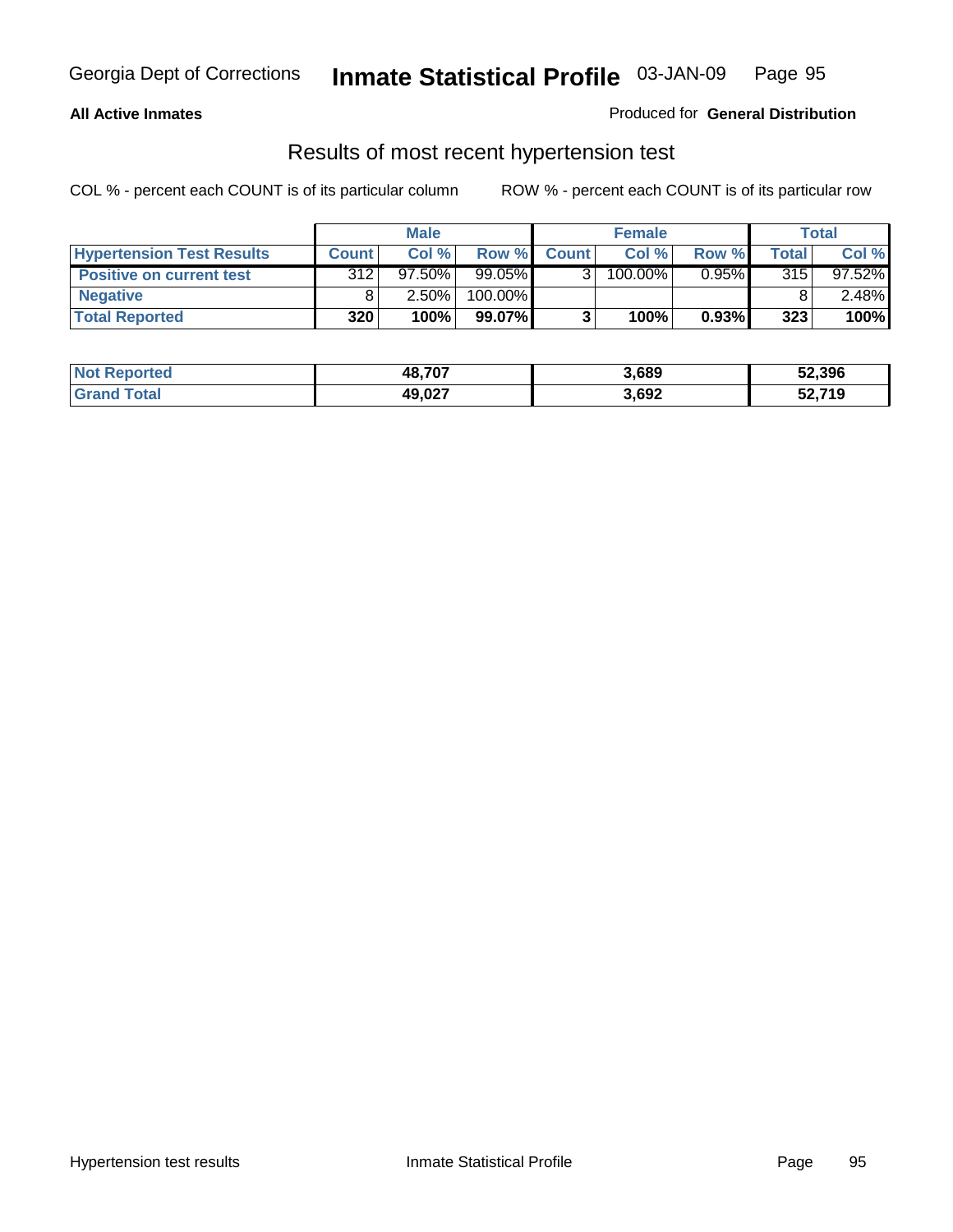#### **All Active Inmates**

### Produced for **General Distribution**

### Results of most recent hypertension test

|                                  | <b>Male</b>  |           |         | <b>Female</b> |         |          | <b>Total</b> |           |
|----------------------------------|--------------|-----------|---------|---------------|---------|----------|--------------|-----------|
| <b>Hypertension Test Results</b> | <b>Count</b> | Col %     | Row %   | <b>Count</b>  | Col%    | Row %    | Total        | Col %     |
| <b>Positive on current test</b>  | 312          | $97.50\%$ | 99.05%  |               | 100.00% | $0.95\%$ | 315          | $97.52\%$ |
| <b>Negative</b>                  |              | 2.50%     | 100.00% |               |         |          |              | $2.48\%$  |
| <b>Total Reported</b>            | 320          | 100%      | 99.07%  |               | 100%    | 0.93%    | 323          | 100%      |

| <b>Not Reported</b> | 48,707 | 3,689 | 52,396 |
|---------------------|--------|-------|--------|
| <b>Grand Total</b>  | 49,027 | 3,692 | 52,719 |